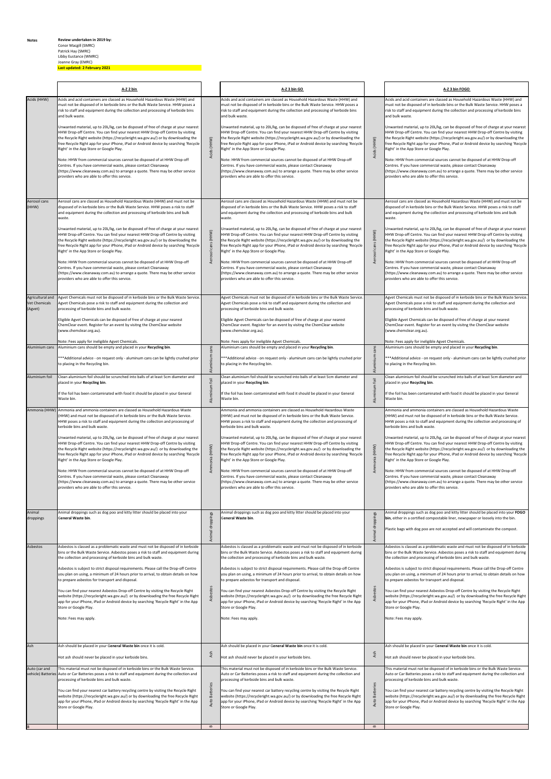**Notes Review undertaken in 2019 by:** 

## Conor Macgill (SMRC) Patrick Hay (SMRC)

Libby Eustance (WMRC)

Joanne Gray (EMRC) **Last updated: 2 February 2021**

|                                              | A-Z 2 bin                                                                                                                                                                                                                                                                                                                                                                                                                                                                                                                                                                                                                                                                                                                                                                                                                                                                                                                                                    |                                            | A-Z 3 bin GO                                                                                                                                                                                                                                                                                                                                                                                                                                                                                                                                                                                                                                                                                                                                                                                                                                                                                                                                                |                                                         | A-Z 3 bin FOGO                                                                                                                                                                                                                                                                                                                                                                                                                                                                                                                                                                                                                                                                                                                                                                                                                                                                                                                                               |
|----------------------------------------------|--------------------------------------------------------------------------------------------------------------------------------------------------------------------------------------------------------------------------------------------------------------------------------------------------------------------------------------------------------------------------------------------------------------------------------------------------------------------------------------------------------------------------------------------------------------------------------------------------------------------------------------------------------------------------------------------------------------------------------------------------------------------------------------------------------------------------------------------------------------------------------------------------------------------------------------------------------------|--------------------------------------------|-------------------------------------------------------------------------------------------------------------------------------------------------------------------------------------------------------------------------------------------------------------------------------------------------------------------------------------------------------------------------------------------------------------------------------------------------------------------------------------------------------------------------------------------------------------------------------------------------------------------------------------------------------------------------------------------------------------------------------------------------------------------------------------------------------------------------------------------------------------------------------------------------------------------------------------------------------------|---------------------------------------------------------|--------------------------------------------------------------------------------------------------------------------------------------------------------------------------------------------------------------------------------------------------------------------------------------------------------------------------------------------------------------------------------------------------------------------------------------------------------------------------------------------------------------------------------------------------------------------------------------------------------------------------------------------------------------------------------------------------------------------------------------------------------------------------------------------------------------------------------------------------------------------------------------------------------------------------------------------------------------|
| Acids (HHW)                                  | Acids and acid containers are classed as Household Hazardous Waste (HHW) and<br>must not be disposed of in kerbside bins or the Bulk Waste Service. HHW poses a<br>risk to staff and equipment during the collection and processing of kerbside bins<br>and bulk waste.<br>Unwanted material, up to 20L/kg, can be disposed of free of charge at your nearest<br>HHW Drop-off Centre. You can find your nearest HHW Drop-off Centre by visiting<br>the Recycle Right website (https://recycleright.wa.gov.au/) or by downloading the<br>free Recycle Right app for your iPhone, iPad or Android device by searching 'Recycle<br>Right' in the App Store or Google Play.<br>Note: HHW from commercial sources cannot be disposed of at HHW Drop-off<br>Centres. If you have commercial waste, please contact Cleanaway<br>(https://www.cleanaway.com.au) to arrange a quote. There may be other service<br>providers who are able to offer this service.      | Acids (HHW)                                | Acids and acid containers are classed as Household Hazardous Waste (HHW) and<br>must not be disposed of in kerbside bins or the Bulk Waste Service. HHW poses a<br>risk to staff and equipment during the collection and processing of kerbside bins<br>and bulk waste.<br>Unwanted material, up to 20L/kg, can be disposed of free of charge at your nearest<br>HHW Drop-off Centre. You can find your nearest HHW Drop-off Centre by visiting<br>the Recycle Right website (https://recycleright.wa.gov.au/) or by downloading the<br>free Recycle Right app for your iPhone, iPad or Android device by searching 'Recycle<br>Right' in the App Store or Google Play.<br>Note: HHW from commercial sources cannot be disposed of at HHW Drop-off<br>Centres. If you have commercial waste, please contact Cleanaway<br>(https://www.cleanaway.com.au) to arrange a quote. There may be other service<br>providers who are able to offer this service.     | Acids (HHW)                                             | Acids and acid containers are classed as Household Hazardous Waste (HHW) and<br>must not be disposed of in kerbside bins or the Bulk Waste Service. HHW poses a<br>risk to staff and equipment during the collection and processing of kerbside bins<br>and bulk waste.<br>Unwanted material, up to 20L/kg, can be disposed of free of charge at your nearest<br>HHW Drop-off Centre. You can find your nearest HHW Drop-off Centre by visiting<br>the Recycle Right website (https://recycleright.wa.gov.au/) or by downloading the<br>free Recycle Right app for your iPhone, iPad or Android device by searching 'Recycle<br>Right' in the App Store or Google Play.<br>Note: HHW from commercial sources cannot be disposed of at HHW Drop-off<br>Centres. If you have commercial waste, please contact Cleanaway<br>(https://www.cleanaway.com.au) to arrange a quote. There may be other service<br>providers who are able to offer this service.      |
| Aerosol cans<br>(HHW)                        | Aerosol cans are classed as Household Hazardous Waste (HHW) and must not be<br>disposed of in kerbside bins or the Bulk Waste Service. HHW poses a risk to staff<br>and equipment during the collection and processing of kerbside bins and bulk<br>waste.<br>Unwanted material, up to 20L/kg, can be disposed of free of charge at your nearest<br>HHW Drop-off Centre. You can find your nearest HHW Drop-off Centre by visiting<br>the Recycle Right website (https://recycleright.wa.gov.au/) or by downloading the<br>free Recycle Right app for your iPhone, iPad or Android device by searching 'Recycle<br>Right' in the App Store or Google Play.<br>Note: HHW from commercial sources cannot be disposed of at HHW Drop-off<br>Centres. If you have commercial waste, please contact Cleanaway<br>(https://www.cleanaway.com.au) to arrange a quote. There may be other service<br>providers who are able to offer this service.                   | cans (HHW)<br>Aerosol                      | Aerosol cans are classed as Household Hazardous Waste (HHW) and must not be<br>disposed of in kerbside bins or the Bulk Waste Service. HHW poses a risk to staff<br>and equipment during the collection and processing of kerbside bins and bulk<br>waste.<br>Unwanted material, up to 20L/kg, can be disposed of free of charge at your nearest<br>HHW Drop-off Centre. You can find your nearest HHW Drop-off Centre by visiting<br>the Recycle Right website (https://recycleright.wa.gov.au/) or by downloading the<br>free Recycle Right app for your iPhone, iPad or Android device by searching 'Recycle<br>Right' in the App Store or Google Play.<br>Note: HHW from commercial sources cannot be disposed of at HHW Drop-off<br>Centres. If you have commercial waste, please contact Cleanaway<br>(https://www.cleanaway.com.au) to arrange a quote. There may be other service<br>providers who are able to offer this service.                  | cans (HHW)<br>rosol<br>Aer                              | Aerosol cans are classed as Household Hazardous Waste (HHW) and must not be<br>disposed of in kerbside bins or the Bulk Waste Service. HHW poses a risk to staff<br>and equipment during the collection and processing of kerbside bins and bulk<br>waste.<br>Unwanted material, up to 20L/kg, can be disposed of free of charge at your nearest<br>HHW Drop-off Centre. You can find your nearest HHW Drop-off Centre by visiting<br>the Recycle Right website (https://recycleright.wa.gov.au/) or by downloading the<br>free Recycle Right app for your iPhone, iPad or Android device by searching 'Recycle<br>Right' in the App Store or Google Play.<br>Note: HHW from commercial sources cannot be disposed of at HHW Drop-off<br>Centres. If you have commercial waste, please contact Cleanaway<br>(https://www.cleanaway.com.au) to arrange a quote. There may be other service<br>providers who are able to offer this service.                   |
| Agricultural and<br>Vet Chemicals<br>(Agvet) | Agvet Chemicals must not be disposed of in kerbside bins or the Bulk Waste Service.<br>Agvet Chemicals pose a risk to staff and equipment during the collection and<br>processing of kerbside bins and bulk waste.<br>Eligible Agvet Chemicals can be disposed of free of charge at your nearest<br>ChemClear event. Register for an event by visitng the ChemClear website<br>(www.chemclear.org.au).<br>Note: Fees apply for ineligible Agvet Chemicals.                                                                                                                                                                                                                                                                                                                                                                                                                                                                                                   |                                            | Agvet Chemicals must not be disposed of in kerbside bins or the Bulk Waste Service<br>Agvet Chemicals pose a risk to staff and equipment during the collection and<br>processing of kerbside bins and bulk waste.<br>Eligible Agvet Chemicals can be disposed of free of charge at your nearest<br>ChemClear event. Register for an event by visitng the ChemClear website<br>(www.chemclear.org.au).<br>Note: Fees apply for ineligible Agvet Chemicals.                                                                                                                                                                                                                                                                                                                                                                                                                                                                                                   |                                                         | Agvet Chemicals must not be disposed of in kerbside bins or the Bulk Waste Service.<br>Agvet Chemicals pose a risk to staff and equipment during the collection and<br>processing of kerbside bins and bulk waste.<br>Eligible Agvet Chemicals can be disposed of free of charge at your nearest<br>ChemClear event. Register for an event by visitng the ChemClear website<br>(www.chemclear.org.au).<br>Note: Fees apply for ineligible Agvet Chemicals.                                                                                                                                                                                                                                                                                                                                                                                                                                                                                                   |
| Aluminium cans                               | Aluminium cans should be empty and placed in your Recycling bin.<br>***Additional advice - on request only - aluminum cans can be lightly crushed prior<br>to placing in the Recycling bin.                                                                                                                                                                                                                                                                                                                                                                                                                                                                                                                                                                                                                                                                                                                                                                  | ins                                        | Aluminium cans should be empty and placed in your Recycling bin.<br>*** Additional advice - on request only - aluminum cans can be lightly crushed prior<br>to placing in the Recycling bin.                                                                                                                                                                                                                                                                                                                                                                                                                                                                                                                                                                                                                                                                                                                                                                | cans                                                    | Aluminium cans should be empty and placed in your Recycling bin.<br>*** Additional advice - on request only - aluminum cans can be lightly crushed prior<br>to placing in the Recycling bin.                                                                                                                                                                                                                                                                                                                                                                                                                                                                                                                                                                                                                                                                                                                                                                 |
| Aluminium foil                               | Clean aluminium foil should be scrunched into balls of at least 5cm diameter and<br>placed in your Recycling bin.<br>If the foil has been contaminated with food it should be placed in your General<br>Waste bin.                                                                                                                                                                                                                                                                                                                                                                                                                                                                                                                                                                                                                                                                                                                                           | ₹<br>$\overline{\text{fo}}$<br>Aluminium   | Clean aluminium foil should be scrunched into balls of at least 5cm diameter and<br>placed in your Recycling bin.<br>If the foil has been contaminated with food it should be placed in your General<br>Waste bin.                                                                                                                                                                                                                                                                                                                                                                                                                                                                                                                                                                                                                                                                                                                                          | ₹<br>foil<br>Aluminium                                  | Clean aluminium foil should be scrunched into balls of at least 5cm diameter and<br>placed in your Recycling bin.<br>If the foil has been contaminated with food it should be placed in your General<br>Waste bin.                                                                                                                                                                                                                                                                                                                                                                                                                                                                                                                                                                                                                                                                                                                                           |
| Ammonia (HHW)                                | Ammonia and ammonia containers are classed as Household Hazardous Waste<br>(HHW) and must not be disposed of in kerbside bins or the Bulk Waste Service.<br>HHW poses a risk to staff and equipment during the collection and processing of<br>kerbside bins and bulk waste.<br>Unwanted material, up to 20L/kg, can be disposed of free of charge at your nearest<br>HHW Drop-off Centre. You can find your nearest HHW Drop-off Centre by visiting<br>the Recycle Right website (https://recycleright.wa.gov.au/) or by downloading the<br>free Recycle Right app for your iPhone, iPad or Android device by searching 'Recycle<br>Right' in the App Store or Google Play.<br>Note: HHW from commercial sources cannot be disposed of at HHW Drop-off<br>Centres. If you have commercial waste, please contact Cleanaway<br>(https://www.cleanaway.com.au) to arrange a quote. There may be other service<br>providers who are able to offer this service. | (HHW)<br>Ammonia                           | Ammonia and ammonia containers are classed as Household Hazardous Waste<br>HHW) and must not be disposed of in kerbside bins or the Bulk Waste Service.<br>HHW poses a risk to staff and equipment during the collection and processing of<br>kerbside bins and bulk waste.<br>Unwanted material, up to 20L/kg, can be disposed of free of charge at your nearest<br>HHW Drop-off Centre. You can find your nearest HHW Drop-off Centre by visiting<br>the Recycle Right website (https://recycleright.wa.gov.au/) or by downloading the<br>free Recycle Right app for your iPhone, iPad or Android device by searching 'Recycle<br>Right' in the App Store or Google Play.<br>Note: HHW from commercial sources cannot be disposed of at HHW Drop-off<br>Centres. If you have commercial waste, please contact Cleanaway<br>(https://www.cleanaway.com.au) to arrange a quote. There may be other service<br>providers who are able to offer this service. | (HHW)<br>Ammonia                                        | Ammonia and ammonia containers are classed as Household Hazardous Waste<br>(HHW) and must not be disposed of in kerbside bins or the Bulk Waste Service.<br>HHW poses a risk to staff and equipment during the collection and processing of<br>kerbside bins and bulk waste.<br>Unwanted material, up to 20L/kg, can be disposed of free of charge at your nearest<br>HHW Drop-off Centre. You can find your nearest HHW Drop-off Centre by visiting<br>the Recycle Right website (https://recycleright.wa.gov.au/) or by downloading the<br>free Recycle Right app for your iPhone, iPad or Android device by searching 'Recycle<br>Right' in the App Store or Google Play.<br>Note: HHW from commercial sources cannot be disposed of at HHW Drop-off<br>Centres. If you have commercial waste, please contact Cleanaway<br>(https://www.cleanaway.com.au) to arrange a quote. There may be other service<br>providers who are able to offer this service. |
| Animal<br>droppings                          | Animal droppings such as dog poo and kitty litter should be placed into your<br>General Waste bin.                                                                                                                                                                                                                                                                                                                                                                                                                                                                                                                                                                                                                                                                                                                                                                                                                                                           | Animal droppings                           | Animal droppings such as dog poo and kitty litter should be placed into your<br>General Waste bin.                                                                                                                                                                                                                                                                                                                                                                                                                                                                                                                                                                                                                                                                                                                                                                                                                                                          | Animal droppings                                        | Animal droppings such as dog poo and kitty litter should be placed into your FOGO<br>bin, either in a certified compostable liner, newspaper or loosely into the bin.<br>Plastic bags with dog poo are not accepted and will contaminate the compost.                                                                                                                                                                                                                                                                                                                                                                                                                                                                                                                                                                                                                                                                                                        |
| Asbestos                                     | Asbestos is classed as a problematic waste and must not be disposed of in kerbside<br>bins or the Bulk Waste Service. Asbestos poses a risk to staff and equipment during<br>the collection and processing of kerbside bins and bulk waste.<br>Asbestos is subject to strict disposal requirements. Please call the Drop-off Centre<br>you plan on using, a minimum of 24 hours prior to arrival, to obtain details on how<br>to prepare asbestos for transport and disposal.<br>You can find your nearest Asbestos Drop-off Centre by visiting the Recycle Right<br>website (https://recycleright.wa.gov.au/) or by downloading the free Recycle Right<br>app for your iPhone, iPad or Android device by searching 'Recycle Right' in the App<br>Store or Google Play.<br>Note: Fees may apply.                                                                                                                                                             | Asbestos                                   | Asbestos is classed as a problematic waste and must not be disposed of in kerbside<br>bins or the Bulk Waste Service. Asbestos poses a risk to staff and equipment during<br>the collection and processing of kerbside bins and bulk waste.<br>Asbestos is subject to strict disposal requirements. Please call the Drop-off Centre<br>you plan on using, a minimum of 24 hours prior to arrival, to obtain details on how<br>to prepare asbestos for transport and disposal.<br>You can find your nearest Asbestos Drop-off Centre by visiting the Recycle Right<br>website (https://recycleright.wa.gov.au/) or by downloading the free Recycle Right<br>app for your iPhone, iPad or Android device by searching 'Recycle Right' in the App<br>Store or Google Play.<br>Note: Fees may apply.                                                                                                                                                            | Asbestos                                                | Asbestos is classed as a problematic waste and must not be disposed of in kerbside<br>bins or the Bulk Waste Service. Asbestos poses a risk to staff and equipment during<br>the collection and processing of kerbside bins and bulk waste.<br>Asbestos is subject to strict disposal requirements. Please call the Drop-off Centre<br>you plan on using, a minimum of 24 hours prior to arrival, to obtain details on how<br>to prepare asbestos for transport and disposal.<br>You can find your nearest Asbestos Drop-off Centre by visiting the Recycle Right<br>website (https://recycleright.wa.gov.au/) or by downloading the free Recycle Right<br>app for your iPhone, iPad or Android device by searching 'Recycle Right' in the App<br>Store or Google Play.<br>Note: Fees may apply.                                                                                                                                                             |
| Ash                                          | Ash should be placed in your General Waste bin once it is cold.<br>Hot ash should never be placed in your kerbside bins.                                                                                                                                                                                                                                                                                                                                                                                                                                                                                                                                                                                                                                                                                                                                                                                                                                     | Ash                                        | Ash should be placed in your General Waste bin once it is cold.<br>Hot ash should never be placed in your kerbside bins.                                                                                                                                                                                                                                                                                                                                                                                                                                                                                                                                                                                                                                                                                                                                                                                                                                    | Ash                                                     | Ash should be placed in your General Waste bin once it is cold.<br>Hot ash should never be placed in your kerbside bins.                                                                                                                                                                                                                                                                                                                                                                                                                                                                                                                                                                                                                                                                                                                                                                                                                                     |
| Auto (car and                                | This material must not be disposed of in kerbside bins or the Bulk Waste Service.<br>vehicle) Batteries Auto or Car Batteries poses a risk to staff and equipment during the collection and<br>processing of kerbside bins and bulk waste.<br>You can find your nearest car battery recycling centre by visiting the Recycle Right<br>website (https://recycleright.wa.gov.au/) or by downloading the free Recycle Right<br>app for your iPhone, iPad or Android device by searching 'Recycle Right' in the App<br>Store or Google Play.                                                                                                                                                                                                                                                                                                                                                                                                                     | <b>Batteries</b><br>Auto<br>$\blacksquare$ | This material must not be disposed of in kerbside bins or the Bulk Waste Service.<br>Auto or Car Batteries poses a risk to staff and equipment during the collection and<br>processing of kerbside bins and bulk waste.<br>You can find your nearest car battery recycling centre by visiting the Recycle Right<br>website (https://recycleright.wa.gov.au/) or by downloading the free Recycle Right<br>app for your iPhone, iPad or Android device by searching 'Recycle Right' in the App<br>Store or Google Play.                                                                                                                                                                                                                                                                                                                                                                                                                                       | <b>Batteries</b><br>Auto<br>$\, \underline{\mathrm{m}}$ | This material must not be disposed of in kerbside bins or the Bulk Waste Service.<br>Auto or Car Batteries poses a risk to staff and equipment during the collection and<br>processing of kerbside bins and bulk waste.<br>You can find your nearest car battery recycling centre by visiting the Recycle Right<br>website (https://recycleright.wa.gov.au/) or by downloading the free Recycle Right<br>app for your iPhone, iPad or Android device by searching 'Recycle Right' in the App<br>Store or Google Play.                                                                                                                                                                                                                                                                                                                                                                                                                                        |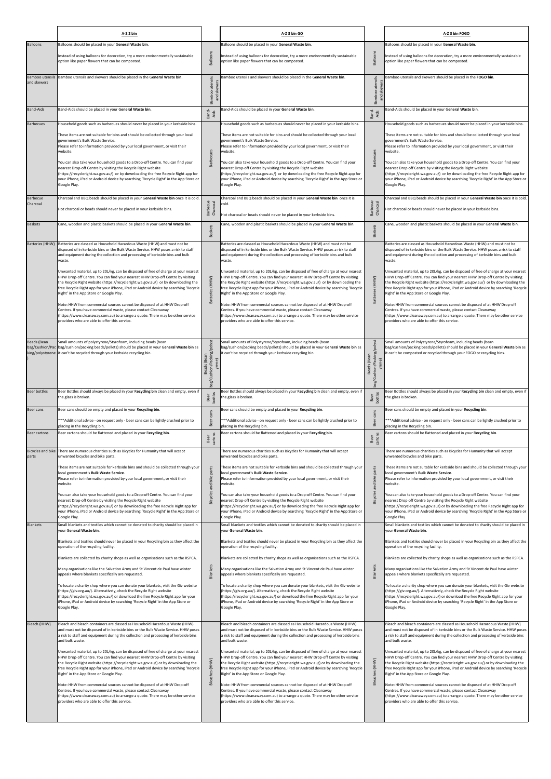|                                          | A-Z 2 bin                                                                                                                                                                                                                                                                                                                                                                                                                                                                                                                                                                                                                                                                                                                                                                                                                                                                                                                          |                                                          | A-Z 3 bin GO                                                                                                                                                                                                                                                                                                                                                                                                                                                                                                                                                                                                                                                                                                                                                                                                                                                                                                                       |                                                     | A-Z 3 bin FOGO                                                                                                                                                                                                                                                                                                                                                                                                                                                                                                                                                                                                                                                                                                                                                                                                                                                                                                                     |
|------------------------------------------|------------------------------------------------------------------------------------------------------------------------------------------------------------------------------------------------------------------------------------------------------------------------------------------------------------------------------------------------------------------------------------------------------------------------------------------------------------------------------------------------------------------------------------------------------------------------------------------------------------------------------------------------------------------------------------------------------------------------------------------------------------------------------------------------------------------------------------------------------------------------------------------------------------------------------------|----------------------------------------------------------|------------------------------------------------------------------------------------------------------------------------------------------------------------------------------------------------------------------------------------------------------------------------------------------------------------------------------------------------------------------------------------------------------------------------------------------------------------------------------------------------------------------------------------------------------------------------------------------------------------------------------------------------------------------------------------------------------------------------------------------------------------------------------------------------------------------------------------------------------------------------------------------------------------------------------------|-----------------------------------------------------|------------------------------------------------------------------------------------------------------------------------------------------------------------------------------------------------------------------------------------------------------------------------------------------------------------------------------------------------------------------------------------------------------------------------------------------------------------------------------------------------------------------------------------------------------------------------------------------------------------------------------------------------------------------------------------------------------------------------------------------------------------------------------------------------------------------------------------------------------------------------------------------------------------------------------------|
| <b>Balloons</b>                          | Balloons should be placed in your General Waste bin.<br>Instead of using balloons for decoration, try a more environmentally sustainable<br>option like paper flowers that can be composted.                                                                                                                                                                                                                                                                                                                                                                                                                                                                                                                                                                                                                                                                                                                                       | Balloons                                                 | Balloons should be placed in your General Waste bin.<br>Instead of using balloons for decoration, try a more environmentally sustainable<br>option like paper flowers that can be composted.                                                                                                                                                                                                                                                                                                                                                                                                                                                                                                                                                                                                                                                                                                                                       | Balloons                                            | Balloons should be placed in your General Waste bin.<br>Instead of using balloons for decoration, try a more environmentally sustainable<br>option like paper flowers that can be composted.                                                                                                                                                                                                                                                                                                                                                                                                                                                                                                                                                                                                                                                                                                                                       |
| Bamboo utensils<br>and skewers           | Bamboo utensils and skewers should be placed in the General Waste bin.                                                                                                                                                                                                                                                                                                                                                                                                                                                                                                                                                                                                                                                                                                                                                                                                                                                             | utensils<br>and skewers<br>Bamboo                        | Bamboo utensils and skewers should be placed in the General Waste bin.                                                                                                                                                                                                                                                                                                                                                                                                                                                                                                                                                                                                                                                                                                                                                                                                                                                             | utensils<br>and skewers<br>Bamboo                   | Bamboo utensils and skewers should be placed in the FOGO bin.                                                                                                                                                                                                                                                                                                                                                                                                                                                                                                                                                                                                                                                                                                                                                                                                                                                                      |
| <b>Band-Aids</b>                         | Band-Aids should be placed in your General Waste bin.                                                                                                                                                                                                                                                                                                                                                                                                                                                                                                                                                                                                                                                                                                                                                                                                                                                                              | Band-<br>Aids                                            | Band-Aids should be placed in your General Waste bin.                                                                                                                                                                                                                                                                                                                                                                                                                                                                                                                                                                                                                                                                                                                                                                                                                                                                              | Band-<br>Aids                                       | Band-Aids should be placed in your General Waste bin.                                                                                                                                                                                                                                                                                                                                                                                                                                                                                                                                                                                                                                                                                                                                                                                                                                                                              |
| <b>Barbecues</b>                         | Household goods such as barbecues should never be placed in your kerbside bins.<br>These items are not suitable for bins and should be collected through your local<br>government's Bulk Waste Service.<br>Please refer to information provided by your local government, or visit their<br>website.<br>You can also take your household goods to a Drop-off Centre. You can find your<br>nearest Drop-off Centre by visiting the Recycle Right website<br>(https://recycleright.wa.gov.au/) or by downloading the free Recycle Right app for<br>your iPhone, iPad or Android device by searching 'Recycle Right' in the App Store or<br>Google Play.                                                                                                                                                                                                                                                                              | <b>Barbecues</b>                                         | Household goods such as barbecues should never be placed in your kerbside bins.<br>These items are not suitable for bins and should be collected through your local<br>government's Bulk Waste Service.<br>Please refer to information provided by your local government, or visit their<br>website.<br>You can also take your household goods to a Drop-off Centre. You can find your<br>nearest Drop-off Centre by visiting the Recycle Right website<br>(https://recycleright.wa.gov.au/) or by downloading the free Recycle Right app for<br>your iPhone, iPad or Android device by searching 'Recycle Right' in the App Store or<br>Google Play.                                                                                                                                                                                                                                                                              | <b>Barbecues</b>                                    | Household goods such as barbecues should never be placed in your kerbside bins.<br>These items are not suitable for bins and should be collected through your local<br>government's Bulk Waste Service.<br>Please refer to information provided by your local government, or visit their<br>website.<br>You can also take your household goods to a Drop-off Centre. You can find your<br>nearest Drop-off Centre by visiting the Recycle Right website<br>(https://recycleright.wa.gov.au/) or by downloading the free Recycle Right app for<br>your iPhone, iPad or Android device by searching 'Recycle Right' in the App Store or<br>Google Play.                                                                                                                                                                                                                                                                              |
| <b>Barbecue</b><br>Charcoal              | Charcoal and BBQ beads should be placed in your General Waste bin once it is cold.<br>Hot charcoal or beads should never be placed in your kerbside bins.                                                                                                                                                                                                                                                                                                                                                                                                                                                                                                                                                                                                                                                                                                                                                                          | <b>Barbecue</b><br>Charcoal                              | Charcoal and BBQ beads should be placed in your General Waste bin once it is<br>cold.<br>lot charcoal or beads should never be placed in your kerbside bins.                                                                                                                                                                                                                                                                                                                                                                                                                                                                                                                                                                                                                                                                                                                                                                       | Barbecue<br>Charcoal                                | Charcoal and BBQ beads should be placed in your General Waste bin once it is cold.<br>lot charcoal or beads should never be placed in your kerbside bins.                                                                                                                                                                                                                                                                                                                                                                                                                                                                                                                                                                                                                                                                                                                                                                          |
| <b>Baskets</b><br><b>Batteries (HHW)</b> | Cane, wooden and plastic baskets should be placed in your General Waste bin.<br>Batteries are classed as Household Hazardous Waste (HHW) and must not be<br>disposed of in kerbside bins or the Bulk Waste Service. HHW poses a risk to staff<br>and equipment during the collection and processing of kerbside bins and bulk<br>waste.<br>Unwanted material, up to 20L/kg, can be disposed of free of charge at your nearest<br>HHW Drop-off Centre. You can find your nearest HHW Drop-off Centre by visiting                                                                                                                                                                                                                                                                                                                                                                                                                    | <b>Baskets</b>                                           | Cane, wooden and plastic baskets should be placed in your General Waste bin.<br>Batteries are classed as Household Hazardous Waste (HHW) and must not be<br>disposed of in kerbside bins or the Bulk Waste Service. HHW poses a risk to staff<br>and equipment during the collection and processing of kerbside bins and bulk<br>waste.<br>Unwanted material, up to 20L/kg, can be disposed of free of charge at your nearest<br>HHW Drop-off Centre. You can find your nearest HHW Drop-off Centre by visiting                                                                                                                                                                                                                                                                                                                                                                                                                    | <b>Baskets</b>                                      | Cane, wooden and plastic baskets should be placed in your General Waste bin.<br>Batteries are classed as Household Hazardous Waste (HHW) and must not be<br>disposed of in kerbside bins or the Bulk Waste Service. HHW poses a risk to staff<br>and equipment during the collection and processing of kerbside bins and bulk<br>waste.<br>Unwanted material, up to 20L/kg, can be disposed of free of charge at your nearest<br>HHW Drop-off Centre. You can find your nearest HHW Drop-off Centre by visiting                                                                                                                                                                                                                                                                                                                                                                                                                    |
|                                          | the Recycle Right website (https://recycleright.wa.gov.au/) or by downloading the<br>free Recycle Right app for your iPhone, iPad or Android device by searching 'Recycle<br>Right' in the App Store or Google Play.<br>Note: HHW from commercial sources cannot be disposed of at HHW Drop-off<br>Centres. If you have commercial waste, please contact Cleanaway<br>(https://www.cleanaway.com.au) to arrange a quote. There may be other service<br>providers who are able to offer this service.                                                                                                                                                                                                                                                                                                                                                                                                                               | Batteries (HHW)                                          | the Recycle Right website (https://recycleright.wa.gov.au/) or by downloading the<br>free Recycle Right app for your iPhone, iPad or Android device by searching 'Recycle<br>Right' in the App Store or Google Play.<br>Note: HHW from commercial sources cannot be disposed of at HHW Drop-off<br>Centres. If you have commercial waste, please contact Cleanaway<br>(https://www.cleanaway.com.au) to arrange a quote. There may be other service<br>providers who are able to offer this service.                                                                                                                                                                                                                                                                                                                                                                                                                               | Batteries (HHW)                                     | the Recycle Right website (https://recycleright.wa.gov.au/) or by downloading the<br>free Recycle Right app for your iPhone, iPad or Android device by searching 'Recycle<br>Right' in the App Store or Google Play.<br>Note: HHW from commercial sources cannot be disposed of at HHW Drop-off<br>Centres. If you have commercial waste, please contact Cleanaway<br>(https://www.cleanaway.com.au) to arrange a quote. There may be other service<br>providers who are able to offer this service.                                                                                                                                                                                                                                                                                                                                                                                                                               |
| Beads (Bean<br>king/polystyrene          | Small amounts of polystyrene/Styrofoam, including beads (bean<br>bag/Cushion/Pac   bag/cushion/packing beads/pellets) should be placed in your General Waste bin as<br>it can't be recycled through your kerbside recycling bin.                                                                                                                                                                                                                                                                                                                                                                                                                                                                                                                                                                                                                                                                                                   | 'polyst<br>Beads (Bean<br>bag/Cushion/Packing/<br>yrene) | Small amounts of Polystyrene/Styrofoam, including beads (bean<br>bag/cushion/packing beads/pellets) should be placed in your General Waste bin as<br>it can't be recycled through your kerbside recycling bin.                                                                                                                                                                                                                                                                                                                                                                                                                                                                                                                                                                                                                                                                                                                     | Beads (Bean<br>bag/Cushion/Packing/polyst<br>yrene) | Small amounts of Polystyrene/Styrofoam, including beads (bean<br>bag/cushion/packing beads/pellets) should be placed in your General Waste bin as<br>it can't be composted or recycled through your FOGO or recycling bins.                                                                                                                                                                                                                                                                                                                                                                                                                                                                                                                                                                                                                                                                                                        |
| Beer bottles                             | Beer Bottles should always be placed in your Recycling bin clean and empty, even if<br>the glass is broken.                                                                                                                                                                                                                                                                                                                                                                                                                                                                                                                                                                                                                                                                                                                                                                                                                        | Beer<br>bottles                                          | Beer Bottles should always be placed in your Recycling bin clean and empty, even if<br>the glass is broken.                                                                                                                                                                                                                                                                                                                                                                                                                                                                                                                                                                                                                                                                                                                                                                                                                        | Beer<br>bottles                                     | Beer Bottles should always be placed in your Recycling bin clean and empty, even if<br>the glass is broken.                                                                                                                                                                                                                                                                                                                                                                                                                                                                                                                                                                                                                                                                                                                                                                                                                        |
| Beer cans                                | Beer cans should be empty and placed in your Recycling bin.<br>***Additional advice - on request only - beer cans can be lightly crushed prior to                                                                                                                                                                                                                                                                                                                                                                                                                                                                                                                                                                                                                                                                                                                                                                                  | cans<br>Beer                                             | Beer cans should be empty and placed in your Recycling bin.<br>*** Additional advice - on request only - beer cans can be lightly crushed prior to                                                                                                                                                                                                                                                                                                                                                                                                                                                                                                                                                                                                                                                                                                                                                                                 | cans<br>Beer                                        | Beer cans should be empty and placed in your Recycling bin.<br>***Additional advice - on request only - beer cans can be lightly crushed prior to                                                                                                                                                                                                                                                                                                                                                                                                                                                                                                                                                                                                                                                                                                                                                                                  |
| Beer cartons                             | placing in the Recycling bin.<br>Beer cartons should be flattened and placed in your Recycling bin.                                                                                                                                                                                                                                                                                                                                                                                                                                                                                                                                                                                                                                                                                                                                                                                                                                |                                                          | placing in the Recycling bin.<br>Beer cartons should be flattened and placed in your Recycling bin.                                                                                                                                                                                                                                                                                                                                                                                                                                                                                                                                                                                                                                                                                                                                                                                                                                |                                                     | placing in the Recycling bin.<br>Beer cartons should be flattened and placed in your Recycling bin.                                                                                                                                                                                                                                                                                                                                                                                                                                                                                                                                                                                                                                                                                                                                                                                                                                |
| Bicycles and bike                        | There are numerous charities such as Bicycles for Humanity that will accept                                                                                                                                                                                                                                                                                                                                                                                                                                                                                                                                                                                                                                                                                                                                                                                                                                                        | cartons<br>Beer                                          | There are numerous charities such as Bicycles for Humanity that will accept                                                                                                                                                                                                                                                                                                                                                                                                                                                                                                                                                                                                                                                                                                                                                                                                                                                        | Beer<br>cartons                                     | There are numerous charities such as Bicycles for Humanity that will accept                                                                                                                                                                                                                                                                                                                                                                                                                                                                                                                                                                                                                                                                                                                                                                                                                                                        |
| parts                                    | unwanted bicycles and bike parts.<br>These items are not suitable for kerbside bins and should be collected through your<br>local government's Bulk Waste Service.<br>Please refer to information provided by your local government, or visit their<br>website.<br>You can also take your household goods to a Drop-off Centre. You can find your<br>nearest Drop-off Centre by visiting the Recycle Right website<br>(https://recycleright.wa.gov.au/) or by downloading the free Recycle Right app for<br>your iPhone, iPad or Android device by searching 'Recycle Right' in the App Store or                                                                                                                                                                                                                                                                                                                                   | parts<br>bike<br>and<br>Bicycles                         | unwanted bicycles and bike parts.<br>These items are not suitable for kerbside bins and should be collected through your<br>local government's Bulk Waste Service.<br>Please refer to information provided by your local government, or visit their<br>website.<br>You can also take your household goods to a Drop-off Centre. You can find your<br>nearest Drop-off Centre by visiting the Recycle Right website<br>(https://recycleright.wa.gov.au/) or by downloading the free Recycle Right app for<br>your iPhone, iPad or Android device by searching 'Recycle Right' in the App Store or                                                                                                                                                                                                                                                                                                                                   | parts<br>bike<br>Bicycles and                       | unwanted bicycles and bike parts.<br>These items are not suitable for kerbside bins and should be collected through your<br>local government's Bulk Waste Service.<br>Please refer to information provided by your local government, or visit their<br>website.<br>You can also take your household goods to a Drop-off Centre. You can find your<br>nearest Drop-off Centre by visiting the Recycle Right website<br>(https://recycleright.wa.gov.au/) or by downloading the free Recycle Right app for<br>your iPhone, iPad or Android device by searching 'Recycle Right' in the App Store or                                                                                                                                                                                                                                                                                                                                   |
| <b>Blankets</b><br>Bleach (HHW)          | Google Play.<br>Small blankets and textiles which cannot be donated to charity should be placed in<br>your General Waste bin.<br>Blankets and textiles should never be placed in your Recycling bin as they affect the<br>operation of the recycling facility.<br>Blankets are collected by charity shops as well as organisations such as the RSPCA.<br>Many organisations like the Salvation Army and St Vincent de Paul have winter<br>appeals where blankets specifically are requested.<br>To locate a charity shop where you can donate your blankets, visit the Giv website<br>(https://giv.org.au/). Alternatively, check the Recycle Right website<br>(https://recycleright.wa.gov.au/) or download the free Recycle Right app for your<br>iPhone, iPad or Android device by searching 'Recycle Right' in the App Store or<br>Google Play.<br>Bleach and bleach containers are classed as Household Hazardous Waste (HHW) | Blankets                                                 | Google Play.<br>Small blankets and textiles which cannot be donated to charity should be placed in<br>your General Waste bin.<br>Blankets and textiles should never be placed in your Recycling bin as they affect the<br>operation of the recycling facility.<br>Blankets are collected by charity shops as well as organisations such as the RSPCA.<br>Many organisations like the Salvation Army and St Vincent de Paul have winter<br>appeals where blankets specifically are requested.<br>To locate a charity shop where you can donate your blankets, visit the Giv website<br>(https://giv.org.au/). Alternatively, check the Recycle Right website<br>(https://recycleright.wa.gov.au/) or download the free Recycle Right app for your<br>iPhone, iPad or Android device by searching 'Recycle Right' in the App Store or<br>Google Play.<br>Bleach and bleach containers are classed as Household Hazardous Waste (HHW) | Blankets                                            | Google Play.<br>Small blankets and textiles which cannot be donated to charity should be placed in<br>your General Waste bin.<br>Blankets and textiles should never be placed in your Recycling bin as they affect the<br>operation of the recycling facility.<br>Blankets are collected by charity shops as well as organisations such as the RSPCA.<br>Many organisations like the Salvation Army and St Vincent de Paul have winter<br>appeals where blankets specifically are requested.<br>To locate a charity shop where you can donate your blankets, visit the Giv website<br>(https://giv.org.au/). Alternatively, check the Recycle Right website<br>(https://recycleright.wa.gov.au/) or download the free Recycle Right app for your<br>iPhone, iPad or Android device by searching 'Recycle Right' in the App Store or<br>Google Play.<br>Bleach and bleach containers are classed as Household Hazardous Waste (HHW) |
|                                          | and must not be disposed of in kerbside bins or the Bulk Waste Service. HHW poses<br>a risk to staff and equipment during the collection and processing of kerbside bins<br>and bulk waste.<br>Unwanted material, up to 20L/kg, can be disposed of free of charge at your nearest<br>HHW Drop-off Centre. You can find your nearest HHW Drop-off Centre by visiting<br>the Recycle Right website (https://recycleright.wa.gov.au/) or by downloading the<br>free Recycle Right app for your iPhone, iPad or Android device by searching 'Recycle<br>Right' in the App Store or Google Play.<br>Note: HHW from commercial sources cannot be disposed of at HHW Drop-off<br>Centres. If you have commercial waste, please contact Cleanaway<br>(https://www.cleanaway.com.au) to arrange a quote. There may be other service<br>providers who are able to offer this service.                                                        | (HHW)<br>Bleaches                                        | and must not be disposed of in kerbside bins or the Bulk Waste Service. HHW poses<br>a risk to staff and equipment during the collection and processing of kerbside bins<br>and bulk waste.<br>Unwanted material, up to 20L/kg, can be disposed of free of charge at your nearest<br>HHW Drop-off Centre. You can find your nearest HHW Drop-off Centre by visiting<br>the Recycle Right website (https://recycleright.wa.gov.au/) or by downloading the<br>free Recycle Right app for your iPhone, iPad or Android device by searching 'Recycle<br>Right' in the App Store or Google Play.<br>Note: HHW from commercial sources cannot be disposed of at HHW Drop-off<br>Centres. If you have commercial waste, please contact Cleanaway<br>(https://www.cleanaway.com.au) to arrange a quote. There may be other service<br>providers who are able to offer this service.                                                        | Bleaches (HHW)                                      | and must not be disposed of in kerbside bins or the Bulk Waste Service. HHW poses<br>a risk to staff and equipment during the collection and processing of kerbside bins<br>and bulk waste.<br>Unwanted material, up to 20L/kg, can be disposed of free of charge at your nearest<br>HHW Drop-off Centre. You can find your nearest HHW Drop-off Centre by visiting<br>the Recycle Right website (https://recycleright.wa.gov.au/) or by downloading the<br>free Recycle Right app for your iPhone, iPad or Android device by searching 'Recycle<br>Right' in the App Store or Google Play.<br>Note: HHW from commercial sources cannot be disposed of at HHW Drop-off<br>Centres. If you have commercial waste, please contact Cleanaway<br>(https://www.cleanaway.com.au) to arrange a quote. There may be other service<br>providers who are able to offer this service.                                                        |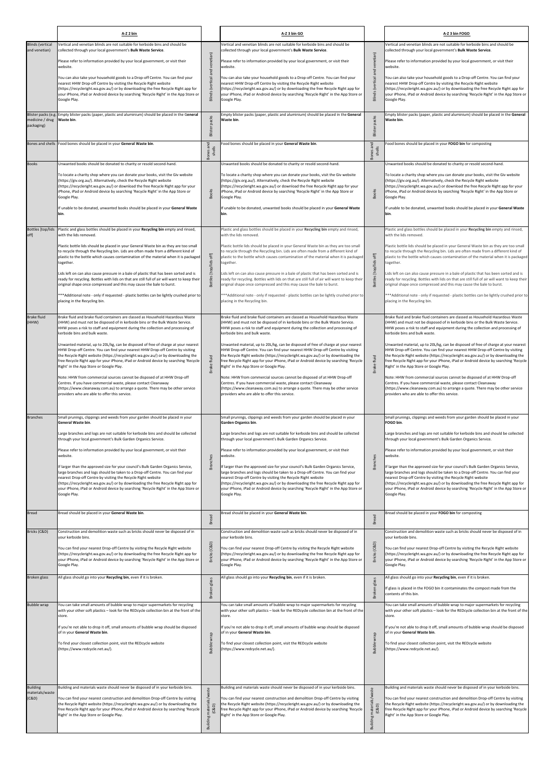| <b>Blinds (vertical</b><br>Vertical and venetian blinds are not suitable for kerbside bins and should be<br>Vertical and venetian blinds are not suitable for kerbside bins and should be<br>Vertical and venetian blinds are not suitable for kerbside bins and should be<br>and venetian)<br>collected through your local government's Bulk Waste Service.<br>collected through your local government's Bulk Waste Service.<br>collected through your local government's Bulk Waste Service.<br>Blinds (vertical and venetian)<br>venetian)<br>Please refer to information provided by your local government, or visit their<br>Please refer to information provided by your local government, or visit their<br>Please refer to information provided by your local government, or visit their<br>website.<br>website.<br>website.<br>Blinds (vertical and<br>You can also take your household goods to a Drop-off Centre. You can find your<br>You can also take your household goods to a Drop-off Centre. You can find your<br>You can also take your household goods to a Drop-off Centre. You can find your<br>nearest HHW Drop-off Centre by visiting the Recycle Right website<br>nearest HHW Drop-off Centre by visiting the Recycle Right website<br>nearest HHW Drop-off Centre by visiting the Recycle Right website<br>(https://recycleright.wa.gov.au/) or by downloading the free Recycle Right app for<br>(https://recycleright.wa.gov.au/) or by downloading the free Recycle Right app for<br>(https://recycleright.wa.gov.au/) or by downloading the free Recycle Right app for<br>your iPhone, iPad or Android device by searching 'Recycle Right' in the App Store or<br>your iPhone, iPad or Android device by searching 'Recycle Right' in the App Store or<br>your iPhone, iPad or Android device by searching 'Recycle Right' in the App Store or<br>Google Play.<br>Google Play.<br>Google Play.<br>Blister packs (e.g. Empty blister packs (paper, plastic and aluminium) should be placed in the General<br>Empty blister packs (paper, plastic and aluminium) should be placed in the General<br>Empty blister packs (paper, plastic and aluminium) should be placed in the General<br>packs<br>Blister packs<br>medicine / drug<br>Waste bin.<br>Waste bin.<br>Waste bin.<br>packaging)<br>Blister<br>Food bones should be placed in your General Waste bin.<br>pnes and<br>shells<br>Food bones should be placed in your General Waste bin.<br>Bones and<br>shells<br>ood bones should be placed in your FOGO bin for composting<br>Bones and shells<br><b>Bones</b><br>shel<br>Unwanted books should be donated to charity or resold second-hand.<br><b>Books</b><br>Unwanted books should be donated to charity or resold second-hand.<br>Unwanted books should be donated to charity or resold second-hand.<br>To locate a charity shop where you can donate your books, visit the Giv website<br>To locate a charity shop where you can donate your books, visit the Giv website<br>To locate a charity shop where you can donate your books, visit the Giv website<br>(https://giv.org.au/). Alternatively, check the Recycle Right website<br>(https://giv.org.au/). Alternatively, check the Recycle Right website<br>(https://giv.org.au/). Alternatively, check the Recycle Right website<br>(https://recycleright.wa.gov.au/) or download the free Recycle Right app for your<br>(https://recycleright.wa.gov.au/) or download the free Recycle Right app for your<br>(https://recycleright.wa.gov.au/) or download the free Recycle Right app for your<br><b>Books</b><br><b>Books</b><br>iPhone, iPad or Android device by searching 'Recycle Right' in the App Store or<br>iPhone, iPad or Android device by searching 'Recycle Right' in the App Store or<br>iPhone, iPad or Android device by searching 'Recycle Right' in the App Store or<br>Google Play.<br>Google Play.<br>Google Play.<br>If unable to be donated, unwanted books should be placed in your General Waste<br>If unable to be donated, unwanted books should be placed in your General Waste<br>If unable to be donated, unwanted books should be placed in your General Waste<br>bin.<br>bin.<br>bin.<br>Plastic and glass bottles should be placed in your Recycling bin empty and rinsed,<br>Plastic and glass bottles should be placed in your Recycling bin empty and rinsed,<br>Plastic and glass bottles should be placed in your Recycling bin empty and rinsed,<br>Bottles [top/lids<br>off]<br>with the lids removed.<br>with the lids removed.<br>with the lids removed.<br>Plastic bottle lids should be placed in your General Waste bin as they are too small<br>Plastic bottle lids should be placed in your General Waste bin as they are too small<br>Plastic bottle lids should be placed in your General Waste bin as they are too small<br>to recycle through the Recycling bin. Lids are often made from a different kind of<br>to recycle through the Recycling bin. Lids are often made from a different kind of<br>to recycle through the Recycling bin. Lids are often made from a different kind of<br>$_{\rm off}$<br>Bottles [top/lids off]<br>plastic to the bottle which causes contamination of the material when it is packaged<br>plastic to the bottle which causes contamination of the material when it is packaged<br>Bottles [top/lids<br>together.<br>together.<br>together.<br>Lids left on can also cause pressure in a bale of plastic that has been sorted and is<br>Lids left on can also cause pressure in a bale of plastic that has been sorted and is<br>Lids left on can also cause pressure in a bale of plastic that has been sorted and is<br>ready for recycling. Bottles with lids on that are still full of air will want to keep their<br>ready for recycling. Bottles with lids on that are still full of air will want to keep their<br>ready for recycling. Bottles with lids on that are still full of air will want to keep their<br>original shape once compressed and this may cause the bale to burst.<br>original shape once compressed and this may cause the bale to burst.<br>original shape once compressed and this may cause the bale to burst.<br>***Additional note - only if requested - plastic bottles can be lightly crushed prior to<br>***Additional note - only if requested - plastic bottles can be lightly crushed prior to<br>placing in the Recycling bin.<br>placing in the Recycling bin.<br>placing in the Recycling bin.<br>Brake fluid and brake fluid containers are classed as Household Hazardous Waste<br>Brake fluid and brake fluid containers are classed as Household Hazardous Waste<br>Brake fluid and brake fluid containers are classed as Household Hazardous Waste<br><b>Brake fluid</b><br>(HHW) and must not be disposed of in kerbside bins or the Bulk Waste Service.<br>(HHW) and must not be disposed of in kerbside bins or the Bulk Waste Service.<br>(HHW)<br>(HHW) and must not be disposed of in kerbside bins or the Bulk Waste Service.<br>HHW poses a risk to staff and equipment during the collection and processing of<br>HHW poses a risk to staff and equipment during the collection and processing of<br>HHW poses a risk to staff and equipment during the collection and processing of<br>kerbside bins and bulk waste.<br>kerbside bins and bulk waste.<br>kerbside bins and bulk waste.<br>Unwanted material, up to 20L/kg, can be disposed of free of charge at your nearest<br>Unwanted material, up to 20L/kg, can be disposed of free of charge at your nearest<br>Unwanted material, up to 20L/kg, can be disposed of free of charge at your nearest<br>HHW Drop-off Centre. You can find your nearest HHW Drop-off Centre by visiting<br>HHW Drop-off Centre. You can find your nearest HHW Drop-off Centre by visiting<br>HHW Drop-off Centre. You can find your nearest HHW Drop-off Centre by visiting<br>the Recycle Right website (https://recycleright.wa.gov.au/) or by downloading the<br>the Recycle Right website (https://recycleright.wa.gov.au/) or by downloading the<br>the Recycle Right website (https://recycleright.wa.gov.au/) or by downloading the<br>Brake fluid<br>fluid<br>free Recycle Right app for your iPhone, iPad or Android device by searching 'Recycle<br>free Recycle Right app for your iPhone, iPad or Android device by searching 'Recycle<br>free Recycle Right app for your iPhone, iPad or Android device by searching 'Recycle<br>Brake t<br>Right' in the App Store or Google Play.<br>Right' in the App Store or Google Play.<br>Right' in the App Store or Google Play.<br>Note: HHW from commercial sources cannot be disposed of at HHW Drop-off<br>Note: HHW from commercial sources cannot be disposed of at HHW Drop-off<br>Note: HHW from commercial sources cannot be disposed of at HHW Drop-off<br>Centres. If you have commercial waste, please contact Cleanaway<br>Centres. If you have commercial waste, please contact Cleanaway<br>Centres. If you have commercial waste, please contact Cleanaway<br>(https://www.cleanaway.com.au) to arrange a quote. There may be other service<br>(https://www.cleanaway.com.au) to arrange a quote. There may be other service<br>(https://www.cleanaway.com.au) to arrange a quote. There may be other service<br>providers who are able to offer this service.<br>providers who are able to offer this service.<br>providers who are able to offer this service.<br>Small prunings, clippings and weeds from your garden should be placed in your<br>Small prunings, clippings and weeds from your garden should be placed in your<br>Small prunings, clippings and weeds from your garden should be placed in your<br><b>Branches</b><br>General Waste bin.<br><b>Garden Organics bin.</b><br>FOGO bin.<br>Large branches and logs are not suitable for kerbside bins and should be collected<br>Large branches and logs are not suitable for kerbside bins and should be collected<br>Large branches and logs are not suitable for kerbside bins and should be collected<br>through your local government's Bulk Garden Organics Service.<br>through your local government's Bulk Garden Organics Service.<br>through your local government's Bulk Garden Organics Service.<br>Please refer to information provided by your local government, or visit their<br>Please refer to information provided by your local government, or visit their<br>Please refer to information provided by your local government, or visit their<br>website.<br>website.<br><b>Branches</b><br><b>Branches</b><br>website.<br>If larger than the approved size for your council's Bulk Garden Organics Service,<br>If larger than the approved size for your council's Bulk Garden Organics Service,<br>If larger than the approved size for your council's Bulk Garden Organics Service,<br>large branches and logs should be taken to a Drop-off Centre. You can find your<br>large branches and logs should be taken to a Drop-off Centre. You can find your<br>large branches and logs should be taken to a Drop-off Centre. You can find your<br>nearest Drop-off Centre by visiting the Recycle Right website<br>nearest Drop-off Centre by visiting the Recycle Right website<br>nearest Drop-off Centre by visiting the Recycle Right website<br>(https://recycleright.wa.gov.au/) or by downloading the free Recycle Right app for<br>(https://recycleright.wa.gov.au/) or by downloading the free Recycle Right app for<br>(https://recycleright.wa.gov.au/) or by downloading the free Recycle Right app for<br>your iPhone, iPad or Android device by searching 'Recycle Right' in the App Store or<br>your iPhone, iPad or Android device by searching 'Recycle Right' in the App Store or<br>your iPhone, iPad or Android device by searching 'Recycle Right' in the App Store or<br>Google Play.<br>Google Play.<br>Google Play.<br><b>Bread</b><br>Bread should be placed in your General Waste bin.<br>Bread should be placed in your General Waste bin.<br>Bread should be placed in your FOGO bin for composting<br>Bread<br>Bread<br>Bricks (C&D)<br>Construction and demolition waste such as bricks should never be disposed of in<br>Construction and demolition waste such as bricks should never be disposed of in<br>Construction and demolition waste such as bricks should never be disposed of in<br>your kerbside bins.<br>your kerbside bins.<br>your kerbside bins.<br>(C&D)<br>Bricks (C&D)<br>You can find your nearest Drop-off Centre by visiting the Recycle Right website<br>You can find your nearest Drop-off Centre by visiting the Recycle Right website<br>You can find your nearest Drop-off Centre by visiting the Recycle Right website<br>(https://recycleright.wa.gov.au/) or by downloading the free Recycle Right app for<br><b>Bricks</b><br>(https://recycleright.wa.gov.au/) or by downloading the free Recycle Right app for<br>(https://recycleright.wa.gov.au/) or by downloading the free Recycle Right app for<br>your iPhone, iPad or Android device by searching 'Recycle Right' in the App Store or<br>your iPhone, iPad or Android device by searching 'Recycle Right' in the App Store or<br>your iPhone, iPad or Android device by searching 'Recycle Right' in the App Store or<br>Google Play.<br>Google Play.<br>Google Play.<br>All glass should go into your Recycling bin, even if it is broken.<br>All glass should go into your Recycling bin, even if it is broken.<br>All glass should go into your Recycling bin, even if it is broken.<br>Broken glass<br>Broken glass<br>glass<br><b>Broken</b><br>If glass is placed in the FOGO bin it contaminates the compost made from the<br>contents of this bin.<br>You can take small amounts of bubble wrap to major supermarkets for recycling<br>You can take small amounts of bubble wrap to major supermarkets for recycling<br>You can take small amounts of bubble wrap to major supermarkets for recycling<br><b>Bubble wrap</b><br>with your other soft plastics - look for the REDcycle collection bin at the front of the<br>with your other soft plastics - look for the REDcycle collection bin at the front of the<br>store.<br>store.<br>store.<br>If you're not able to drop it off, small amounts of bubble wrap should be disposed<br>If you're not able to drop it off, small amounts of bubble wrap should be disposed<br>If you're not able to drop it off, small amounts of bubble wrap should be disposed<br>of in your General Waste bin.<br>of in your General Waste bin.<br>of in your General Waste bin.<br><b>Bubble wrap</b><br>wrap<br>Bubble <sup>1</sup><br>To find your closest collection point, visit the REDcycle website<br>To find your closest collection point, visit the REDcycle website<br>To find your closest collection point, visit the REDcycle website<br>(https://www.redcycle.net.au/).<br>(https://www.redcycle.net.au/).<br>(https://www.redcycle.net.au/).<br><b>Building</b><br>Building and materials waste should never be disposed of in your kerbside bins.<br>Building and materials waste should never be disposed of in your kerbside bins.<br>Building and materials waste should never be disposed of in your kerbside bins.<br>materials/waste<br>ls/waste<br>materials/waste<br>(C&D)<br>You can find your nearest construction and demolition Drop-off Centre by visiting<br>You can find your nearest construction and demolition Drop-off Centre by visiting<br>You can find your nearest construction and demolition Drop-off Centre by visiting<br>the Recycle Right website (https://recycleright.wa.gov.au/) or by downloading the<br>the Recycle Right website (https://recycleright.wa.gov.au/) or by downloading the<br>the Recycle Right website (https://recycleright.wa.gov.au/) or by downloading the<br>(C&D)<br>(C&D)<br>Building mate<br>free Recycle Right app for your iPhone, iPad or Android device by searching 'Recycle<br>free Recycle Right app for your iPhone, iPad or Android device by searching 'Recycle<br>ree Recycle Right app for your iPhone, iPad or Android device by searching 'Recycle'<br>Right' in the App Store or Google Play.<br>Right' in the App Store or Google Play.<br>Right' in the App Store or Google Play.<br>Building | A-Z 2 bin | A-Z 3 bin GO | A-Z 3 bin FOGO |
|------------------------------------------------------------------------------------------------------------------------------------------------------------------------------------------------------------------------------------------------------------------------------------------------------------------------------------------------------------------------------------------------------------------------------------------------------------------------------------------------------------------------------------------------------------------------------------------------------------------------------------------------------------------------------------------------------------------------------------------------------------------------------------------------------------------------------------------------------------------------------------------------------------------------------------------------------------------------------------------------------------------------------------------------------------------------------------------------------------------------------------------------------------------------------------------------------------------------------------------------------------------------------------------------------------------------------------------------------------------------------------------------------------------------------------------------------------------------------------------------------------------------------------------------------------------------------------------------------------------------------------------------------------------------------------------------------------------------------------------------------------------------------------------------------------------------------------------------------------------------------------------------------------------------------------------------------------------------------------------------------------------------------------------------------------------------------------------------------------------------------------------------------------------------------------------------------------------------------------------------------------------------------------------------------------------------------------------------------------------------------------------------------------------------------------------------------------------------------------------------------------------------------------------------------------------------------------------------------------------------------------------------------------------------------------------------------------------------------------------------------------------------------------------------------------------------------------------------------------------------------------------------------------------------------------------------------------------------------------------------------------------------------------------------------------------------------------------------------------------------------------------------------------------------------------------------------------------------------------------------------------------------------------------------------------------------------------------------------------------------------------------------------------------------------------------------------------------------------------------------------------------------------------------------------------------------------------------------------------------------------------------------------------------------------------------------------------------------------------------------------------------------------------------------------------------------------------------------------------------------------------------------------------------------------------------------------------------------------------------------------------------------------------------------------------------------------------------------------------------------------------------------------------------------------------------------------------------------------------------------------------------------------------------------------------------------------------------------------------------------------------------------------------------------------------------------------------------------------------------------------------------------------------------------------------------------------------------------------------------------------------------------------------------------------------------------------------------------------------------------------------------------------------------------------------------------------------------------------------------------------------------------------------------------------------------------------------------------------------------------------------------------------------------------------------------------------------------------------------------------------------------------------------------------------------------------------------------------------------------------------------------------------------------------------------------------------------------------------------------------------------------------------------------------------------------------------------------------------------------------------------------------------------------------------------------------------------------------------------------------------------------------------------------------------------------------------------------------------------------------------------------------------------------------------------------------------------------------------------------------------------------------------------------------------------------------------------------------------------------------------------------------------------------------------------------------------------------------------------------------------------------------------------------------------------------------------------------------------------------------------------------------------------------------------------------------------------------------------------------------------------------------------------------------------------------------------------------------------------------------------------------------------------------------------------------------------------------------------------------------------------------------------------------------------------------------------------------------------------------------------------------------------------------------------------------------------------------------------------------------------------------------------------------------------------------------------------------------------------------------------------------------------------------------------------------------------------------------------------------------------------------------------------------------------------------------------------------------------------------------------------------------------------------------------------------------------------------------------------------------------------------------------------------------------------------------------------------------------------------------------------------------------------------------------------------------------------------------------------------------------------------------------------------------------------------------------------------------------------------------------------------------------------------------------------------------------------------------------------------------------------------------------------------------------------------------------------------------------------------------------------------------------------------------------------------------------------------------------------------------------------------------------------------------------------------------------------------------------------------------------------------------------------------------------------------------------------------------------------------------------------------------------------------------------------------------------------------------------------------------------------------------------------------------------------------------------------------------------------------------------------------------------------------------------------------------------------------------------------------------------------------------------------------------------------------------------------------------------------------------------------------------------------------------------------------------------------------------------------------------------------------------------------------------------------------------------------------------------------------------------------------------------------------------------------------------------------------------------------------------------------------------------------------------------------------------------------------------------------------------------------------------------------------------------------------------------------------------------------------------------------------------------------------------------------------------------------------------------------------------------------------------------------------------------------------------------------------------------------------------------------------------------------------------------------------------------------------------------------------------------------------------------------------------------------------------------------------------------------------------------------------------------------------------------------------------------------------------------------------------------------------------------------------------------------------------------------------------------------------------------------------------------------------------------------------------------------------------------------------------------------------------------------------------------------------------------------------------------------------------------------------------------------------------------------------------------------------------------------------------------------------------------------------------------------------------------------------------------------------------------------------------------------------------------------------------------------------------------------------------------------------------------------------------------------------------------------------------------------------------------------------------------------------------------------------------------------------------------------------------------------------------------------------------------------------------------------------------------------------------------------------------------------------------------------------------------------------------------------------------------------------------------------------------------------------------------------------------------------------------------------------------------------------------------------------------------------------------------------------------------------------------------------------------------------------------------------------------------------------------------------------------------------------------------------------------------------------------------------------------------------------------------------------------------------------------------------------------------------------------------------------------------------------------------------------------------------------------------------------------------------------------------------------------------------------------------------------------------------------------------------------------------------------------------------------------------------------------------------------------------------------------------------------------------------------------------------------------------------------------------------------------------------------------------------------------------------------------------------------------------------------------------------------------------------------------------------------------------------------------------------------------------------------------------------------------------------------------------------------------------------------------------------------------------------------------------------------------------------------------------------------------------------------------------------------------------------------------------------------------------------------------------------------------------------------------------------------------------------------------------------------------------------------------------------------------------------------------------------------------------------------------------------------------------------------------------------------------------------------------------------------------------------------------------------------------------------------------------------------------------------------------------------------------------------------------------------------------------------------------------------------------------------------------------------------------------------------------------------------------------------------------------------------------------------------------------------------------------------------------------------------------------------------------------------------------------------------------------------------------------------------------------------------------------------------------------------------------------------------------------------------------------------------------------------------------------------------------------------------------------------------------------------------------------------------------------------------------------------------------------------------------------------------------------------------------------------------------------------------------------------------------------------------------------------------------------------------------------------------------------------------------------------------------------------------------------------------------------------------------------------------------------------------------------------------------------------------------------------------------------------------------------------------------------------------------------------------------------------------------------------------------------------------------------------------------------------------------------------------------------------------------------------------------------------------------------------------------------------------------------------------------------------------------------------------------------------------------------------------------------------------------------------------------------------------------------------------------------------------------------------------------------------------------------------------------------------------------------------------------------------------------------------------------------------------------------------------------------------------------------------------------------------------------------------------------------------------------------------------------------------------------------------------------------------------------------------------------------------------------------------------------------------------------------------------------------------------------------------------------------------------------------------------------------------------------------------------------------------------------------------------------------------------|-----------|--------------|----------------|
| plastic to the bottle which causes contamination of the material when it is packaged<br>***Additional note - only if requested - plastic bottles can be lightly crushed prior to<br>with your other soft plastics - look for the REDcycle collection bin at the front of the                                                                                                                                                                                                                                                                                                                                                                                                                                                                                                                                                                                                                                                                                                                                                                                                                                                                                                                                                                                                                                                                                                                                                                                                                                                                                                                                                                                                                                                                                                                                                                                                                                                                                                                                                                                                                                                                                                                                                                                                                                                                                                                                                                                                                                                                                                                                                                                                                                                                                                                                                                                                                                                                                                                                                                                                                                                                                                                                                                                                                                                                                                                                                                                                                                                                                                                                                                                                                                                                                                                                                                                                                                                                                                                                                                                                                                                                                                                                                                                                                                                                                                                                                                                                                                                                                                                                                                                                                                                                                                                                                                                                                                                                                                                                                                                                                                                                                                                                                                                                                                                                                                                                                                                                                                                                                                                                                                                                                                                                                                                                                                                                                                                                                                                                                                                                                                                                                                                                                                                                                                                                                                                                                                                                                                                                                                                                                                                                                                                                                                                                                                                                                                                                                                                                                                                                                                                                                                                                                                                                                                                                                                                                                                                                                                                                                                                                                                                                                                                                                                                                                                                                                                                                                                                                                                                                                                                                                                                                                                                                                                                                                                                                                                                                                                                                                                                                                                                                                                                                                                                                                                                                                                                                                                                                                                                                                                                                                                                                                                                                                                                                                                                                                                                                                                                                                                                                                                                                                                                                                                                                                                                                                                                                                                                                                                                                                                                                                                                                                                                                                                                                                                                                                                                                                                                                                                                                                                                                                                                                                                                                                                                                                                                                                                                                                                                                                                                                                                                                                                                                                                                                                                                                                                                                                                                                                                                                                                                                                                                                                                                                                                                                                                                                                                                                                                                                                                                                                                                                                                                                                                                                                                                                                                                                                                                                                                                                                                                                                                                                                                                                                                                                                                                                                                                                                                                                                                                                                                                                                                                                                                                                                                                                                                                                                                                                                                                                                                                                                                                                                                                                                                                                                                                                                                                                                                                                                                                                                                                                                                                                                                                                                                                                                                                                                                                                                                                                                                                                                                                                                                                                                                                                                                                                                                                                                                                                                                                                                                                                                                                                                                                                                                                                                                                                                                                                                                                                                                                                                                                                                                                                                                                                                                                                                                                                                                                                                                                                                                                                                                                                                                                                                                                                     |           |              |                |
|                                                                                                                                                                                                                                                                                                                                                                                                                                                                                                                                                                                                                                                                                                                                                                                                                                                                                                                                                                                                                                                                                                                                                                                                                                                                                                                                                                                                                                                                                                                                                                                                                                                                                                                                                                                                                                                                                                                                                                                                                                                                                                                                                                                                                                                                                                                                                                                                                                                                                                                                                                                                                                                                                                                                                                                                                                                                                                                                                                                                                                                                                                                                                                                                                                                                                                                                                                                                                                                                                                                                                                                                                                                                                                                                                                                                                                                                                                                                                                                                                                                                                                                                                                                                                                                                                                                                                                                                                                                                                                                                                                                                                                                                                                                                                                                                                                                                                                                                                                                                                                                                                                                                                                                                                                                                                                                                                                                                                                                                                                                                                                                                                                                                                                                                                                                                                                                                                                                                                                                                                                                                                                                                                                                                                                                                                                                                                                                                                                                                                                                                                                                                                                                                                                                                                                                                                                                                                                                                                                                                                                                                                                                                                                                                                                                                                                                                                                                                                                                                                                                                                                                                                                                                                                                                                                                                                                                                                                                                                                                                                                                                                                                                                                                                                                                                                                                                                                                                                                                                                                                                                                                                                                                                                                                                                                                                                                                                                                                                                                                                                                                                                                                                                                                                                                                                                                                                                                                                                                                                                                                                                                                                                                                                                                                                                                                                                                                                                                                                                                                                                                                                                                                                                                                                                                                                                                                                                                                                                                                                                                                                                                                                                                                                                                                                                                                                                                                                                                                                                                                                                                                                                                                                                                                                                                                                                                                                                                                                                                                                                                                                                                                                                                                                                                                                                                                                                                                                                                                                                                                                                                                                                                                                                                                                                                                                                                                                                                                                                                                                                                                                                                                                                                                                                                                                                                                                                                                                                                                                                                                                                                                                                                                                                                                                                                                                                                                                                                                                                                                                                                                                                                                                                                                                                                                                                                                                                                                                                                                                                                                                                                                                                                                                                                                                                                                                                                                                                                                                                                                                                                                                                                                                                                                                                                                                                                                                                                                                                                                                                                                                                                                                                                                                                                                                                                                                                                                                                                                                                                                                                                                                                                                                                                                                                                                                                                                                                                                                                                                                                                                                                                                                                                                                                                                                                                                                                                                                                                                                                  |           |              |                |
|                                                                                                                                                                                                                                                                                                                                                                                                                                                                                                                                                                                                                                                                                                                                                                                                                                                                                                                                                                                                                                                                                                                                                                                                                                                                                                                                                                                                                                                                                                                                                                                                                                                                                                                                                                                                                                                                                                                                                                                                                                                                                                                                                                                                                                                                                                                                                                                                                                                                                                                                                                                                                                                                                                                                                                                                                                                                                                                                                                                                                                                                                                                                                                                                                                                                                                                                                                                                                                                                                                                                                                                                                                                                                                                                                                                                                                                                                                                                                                                                                                                                                                                                                                                                                                                                                                                                                                                                                                                                                                                                                                                                                                                                                                                                                                                                                                                                                                                                                                                                                                                                                                                                                                                                                                                                                                                                                                                                                                                                                                                                                                                                                                                                                                                                                                                                                                                                                                                                                                                                                                                                                                                                                                                                                                                                                                                                                                                                                                                                                                                                                                                                                                                                                                                                                                                                                                                                                                                                                                                                                                                                                                                                                                                                                                                                                                                                                                                                                                                                                                                                                                                                                                                                                                                                                                                                                                                                                                                                                                                                                                                                                                                                                                                                                                                                                                                                                                                                                                                                                                                                                                                                                                                                                                                                                                                                                                                                                                                                                                                                                                                                                                                                                                                                                                                                                                                                                                                                                                                                                                                                                                                                                                                                                                                                                                                                                                                                                                                                                                                                                                                                                                                                                                                                                                                                                                                                                                                                                                                                                                                                                                                                                                                                                                                                                                                                                                                                                                                                                                                                                                                                                                                                                                                                                                                                                                                                                                                                                                                                                                                                                                                                                                                                                                                                                                                                                                                                                                                                                                                                                                                                                                                                                                                                                                                                                                                                                                                                                                                                                                                                                                                                                                                                                                                                                                                                                                                                                                                                                                                                                                                                                                                                                                                                                                                                                                                                                                                                                                                                                                                                                                                                                                                                                                                                                                                                                                                                                                                                                                                                                                                                                                                                                                                                                                                                                                                                                                                                                                                                                                                                                                                                                                                                                                                                                                                                                                                                                                                                                                                                                                                                                                                                                                                                                                                                                                                                                                                                                                                                                                                                                                                                                                                                                                                                                                                                                                                                                                                                                                                                                                                                                                                                                                                                                                                                                                                                                                                                                  |           |              |                |
|                                                                                                                                                                                                                                                                                                                                                                                                                                                                                                                                                                                                                                                                                                                                                                                                                                                                                                                                                                                                                                                                                                                                                                                                                                                                                                                                                                                                                                                                                                                                                                                                                                                                                                                                                                                                                                                                                                                                                                                                                                                                                                                                                                                                                                                                                                                                                                                                                                                                                                                                                                                                                                                                                                                                                                                                                                                                                                                                                                                                                                                                                                                                                                                                                                                                                                                                                                                                                                                                                                                                                                                                                                                                                                                                                                                                                                                                                                                                                                                                                                                                                                                                                                                                                                                                                                                                                                                                                                                                                                                                                                                                                                                                                                                                                                                                                                                                                                                                                                                                                                                                                                                                                                                                                                                                                                                                                                                                                                                                                                                                                                                                                                                                                                                                                                                                                                                                                                                                                                                                                                                                                                                                                                                                                                                                                                                                                                                                                                                                                                                                                                                                                                                                                                                                                                                                                                                                                                                                                                                                                                                                                                                                                                                                                                                                                                                                                                                                                                                                                                                                                                                                                                                                                                                                                                                                                                                                                                                                                                                                                                                                                                                                                                                                                                                                                                                                                                                                                                                                                                                                                                                                                                                                                                                                                                                                                                                                                                                                                                                                                                                                                                                                                                                                                                                                                                                                                                                                                                                                                                                                                                                                                                                                                                                                                                                                                                                                                                                                                                                                                                                                                                                                                                                                                                                                                                                                                                                                                                                                                                                                                                                                                                                                                                                                                                                                                                                                                                                                                                                                                                                                                                                                                                                                                                                                                                                                                                                                                                                                                                                                                                                                                                                                                                                                                                                                                                                                                                                                                                                                                                                                                                                                                                                                                                                                                                                                                                                                                                                                                                                                                                                                                                                                                                                                                                                                                                                                                                                                                                                                                                                                                                                                                                                                                                                                                                                                                                                                                                                                                                                                                                                                                                                                                                                                                                                                                                                                                                                                                                                                                                                                                                                                                                                                                                                                                                                                                                                                                                                                                                                                                                                                                                                                                                                                                                                                                                                                                                                                                                                                                                                                                                                                                                                                                                                                                                                                                                                                                                                                                                                                                                                                                                                                                                                                                                                                                                                                                                                                                                                                                                                                                                                                                                                                                                                                                                                                                                                                                  |           |              |                |
|                                                                                                                                                                                                                                                                                                                                                                                                                                                                                                                                                                                                                                                                                                                                                                                                                                                                                                                                                                                                                                                                                                                                                                                                                                                                                                                                                                                                                                                                                                                                                                                                                                                                                                                                                                                                                                                                                                                                                                                                                                                                                                                                                                                                                                                                                                                                                                                                                                                                                                                                                                                                                                                                                                                                                                                                                                                                                                                                                                                                                                                                                                                                                                                                                                                                                                                                                                                                                                                                                                                                                                                                                                                                                                                                                                                                                                                                                                                                                                                                                                                                                                                                                                                                                                                                                                                                                                                                                                                                                                                                                                                                                                                                                                                                                                                                                                                                                                                                                                                                                                                                                                                                                                                                                                                                                                                                                                                                                                                                                                                                                                                                                                                                                                                                                                                                                                                                                                                                                                                                                                                                                                                                                                                                                                                                                                                                                                                                                                                                                                                                                                                                                                                                                                                                                                                                                                                                                                                                                                                                                                                                                                                                                                                                                                                                                                                                                                                                                                                                                                                                                                                                                                                                                                                                                                                                                                                                                                                                                                                                                                                                                                                                                                                                                                                                                                                                                                                                                                                                                                                                                                                                                                                                                                                                                                                                                                                                                                                                                                                                                                                                                                                                                                                                                                                                                                                                                                                                                                                                                                                                                                                                                                                                                                                                                                                                                                                                                                                                                                                                                                                                                                                                                                                                                                                                                                                                                                                                                                                                                                                                                                                                                                                                                                                                                                                                                                                                                                                                                                                                                                                                                                                                                                                                                                                                                                                                                                                                                                                                                                                                                                                                                                                                                                                                                                                                                                                                                                                                                                                                                                                                                                                                                                                                                                                                                                                                                                                                                                                                                                                                                                                                                                                                                                                                                                                                                                                                                                                                                                                                                                                                                                                                                                                                                                                                                                                                                                                                                                                                                                                                                                                                                                                                                                                                                                                                                                                                                                                                                                                                                                                                                                                                                                                                                                                                                                                                                                                                                                                                                                                                                                                                                                                                                                                                                                                                                                                                                                                                                                                                                                                                                                                                                                                                                                                                                                                                                                                                                                                                                                                                                                                                                                                                                                                                                                                                                                                                                                                                                                                                                                                                                                                                                                                                                                                                                                                                                                                                                  |           |              |                |
|                                                                                                                                                                                                                                                                                                                                                                                                                                                                                                                                                                                                                                                                                                                                                                                                                                                                                                                                                                                                                                                                                                                                                                                                                                                                                                                                                                                                                                                                                                                                                                                                                                                                                                                                                                                                                                                                                                                                                                                                                                                                                                                                                                                                                                                                                                                                                                                                                                                                                                                                                                                                                                                                                                                                                                                                                                                                                                                                                                                                                                                                                                                                                                                                                                                                                                                                                                                                                                                                                                                                                                                                                                                                                                                                                                                                                                                                                                                                                                                                                                                                                                                                                                                                                                                                                                                                                                                                                                                                                                                                                                                                                                                                                                                                                                                                                                                                                                                                                                                                                                                                                                                                                                                                                                                                                                                                                                                                                                                                                                                                                                                                                                                                                                                                                                                                                                                                                                                                                                                                                                                                                                                                                                                                                                                                                                                                                                                                                                                                                                                                                                                                                                                                                                                                                                                                                                                                                                                                                                                                                                                                                                                                                                                                                                                                                                                                                                                                                                                                                                                                                                                                                                                                                                                                                                                                                                                                                                                                                                                                                                                                                                                                                                                                                                                                                                                                                                                                                                                                                                                                                                                                                                                                                                                                                                                                                                                                                                                                                                                                                                                                                                                                                                                                                                                                                                                                                                                                                                                                                                                                                                                                                                                                                                                                                                                                                                                                                                                                                                                                                                                                                                                                                                                                                                                                                                                                                                                                                                                                                                                                                                                                                                                                                                                                                                                                                                                                                                                                                                                                                                                                                                                                                                                                                                                                                                                                                                                                                                                                                                                                                                                                                                                                                                                                                                                                                                                                                                                                                                                                                                                                                                                                                                                                                                                                                                                                                                                                                                                                                                                                                                                                                                                                                                                                                                                                                                                                                                                                                                                                                                                                                                                                                                                                                                                                                                                                                                                                                                                                                                                                                                                                                                                                                                                                                                                                                                                                                                                                                                                                                                                                                                                                                                                                                                                                                                                                                                                                                                                                                                                                                                                                                                                                                                                                                                                                                                                                                                                                                                                                                                                                                                                                                                                                                                                                                                                                                                                                                                                                                                                                                                                                                                                                                                                                                                                                                                                                                                                                                                                                                                                                                                                                                                                                                                                                                                                                                                                                                  |           |              |                |
|                                                                                                                                                                                                                                                                                                                                                                                                                                                                                                                                                                                                                                                                                                                                                                                                                                                                                                                                                                                                                                                                                                                                                                                                                                                                                                                                                                                                                                                                                                                                                                                                                                                                                                                                                                                                                                                                                                                                                                                                                                                                                                                                                                                                                                                                                                                                                                                                                                                                                                                                                                                                                                                                                                                                                                                                                                                                                                                                                                                                                                                                                                                                                                                                                                                                                                                                                                                                                                                                                                                                                                                                                                                                                                                                                                                                                                                                                                                                                                                                                                                                                                                                                                                                                                                                                                                                                                                                                                                                                                                                                                                                                                                                                                                                                                                                                                                                                                                                                                                                                                                                                                                                                                                                                                                                                                                                                                                                                                                                                                                                                                                                                                                                                                                                                                                                                                                                                                                                                                                                                                                                                                                                                                                                                                                                                                                                                                                                                                                                                                                                                                                                                                                                                                                                                                                                                                                                                                                                                                                                                                                                                                                                                                                                                                                                                                                                                                                                                                                                                                                                                                                                                                                                                                                                                                                                                                                                                                                                                                                                                                                                                                                                                                                                                                                                                                                                                                                                                                                                                                                                                                                                                                                                                                                                                                                                                                                                                                                                                                                                                                                                                                                                                                                                                                                                                                                                                                                                                                                                                                                                                                                                                                                                                                                                                                                                                                                                                                                                                                                                                                                                                                                                                                                                                                                                                                                                                                                                                                                                                                                                                                                                                                                                                                                                                                                                                                                                                                                                                                                                                                                                                                                                                                                                                                                                                                                                                                                                                                                                                                                                                                                                                                                                                                                                                                                                                                                                                                                                                                                                                                                                                                                                                                                                                                                                                                                                                                                                                                                                                                                                                                                                                                                                                                                                                                                                                                                                                                                                                                                                                                                                                                                                                                                                                                                                                                                                                                                                                                                                                                                                                                                                                                                                                                                                                                                                                                                                                                                                                                                                                                                                                                                                                                                                                                                                                                                                                                                                                                                                                                                                                                                                                                                                                                                                                                                                                                                                                                                                                                                                                                                                                                                                                                                                                                                                                                                                                                                                                                                                                                                                                                                                                                                                                                                                                                                                                                                                                                                                                                                                                                                                                                                                                                                                                                                                                                                                                                                                                  |           |              |                |
|                                                                                                                                                                                                                                                                                                                                                                                                                                                                                                                                                                                                                                                                                                                                                                                                                                                                                                                                                                                                                                                                                                                                                                                                                                                                                                                                                                                                                                                                                                                                                                                                                                                                                                                                                                                                                                                                                                                                                                                                                                                                                                                                                                                                                                                                                                                                                                                                                                                                                                                                                                                                                                                                                                                                                                                                                                                                                                                                                                                                                                                                                                                                                                                                                                                                                                                                                                                                                                                                                                                                                                                                                                                                                                                                                                                                                                                                                                                                                                                                                                                                                                                                                                                                                                                                                                                                                                                                                                                                                                                                                                                                                                                                                                                                                                                                                                                                                                                                                                                                                                                                                                                                                                                                                                                                                                                                                                                                                                                                                                                                                                                                                                                                                                                                                                                                                                                                                                                                                                                                                                                                                                                                                                                                                                                                                                                                                                                                                                                                                                                                                                                                                                                                                                                                                                                                                                                                                                                                                                                                                                                                                                                                                                                                                                                                                                                                                                                                                                                                                                                                                                                                                                                                                                                                                                                                                                                                                                                                                                                                                                                                                                                                                                                                                                                                                                                                                                                                                                                                                                                                                                                                                                                                                                                                                                                                                                                                                                                                                                                                                                                                                                                                                                                                                                                                                                                                                                                                                                                                                                                                                                                                                                                                                                                                                                                                                                                                                                                                                                                                                                                                                                                                                                                                                                                                                                                                                                                                                                                                                                                                                                                                                                                                                                                                                                                                                                                                                                                                                                                                                                                                                                                                                                                                                                                                                                                                                                                                                                                                                                                                                                                                                                                                                                                                                                                                                                                                                                                                                                                                                                                                                                                                                                                                                                                                                                                                                                                                                                                                                                                                                                                                                                                                                                                                                                                                                                                                                                                                                                                                                                                                                                                                                                                                                                                                                                                                                                                                                                                                                                                                                                                                                                                                                                                                                                                                                                                                                                                                                                                                                                                                                                                                                                                                                                                                                                                                                                                                                                                                                                                                                                                                                                                                                                                                                                                                                                                                                                                                                                                                                                                                                                                                                                                                                                                                                                                                                                                                                                                                                                                                                                                                                                                                                                                                                                                                                                                                                                                                                                                                                                                                                                                                                                                                                                                                                                                                                                                                                  |           |              |                |
|                                                                                                                                                                                                                                                                                                                                                                                                                                                                                                                                                                                                                                                                                                                                                                                                                                                                                                                                                                                                                                                                                                                                                                                                                                                                                                                                                                                                                                                                                                                                                                                                                                                                                                                                                                                                                                                                                                                                                                                                                                                                                                                                                                                                                                                                                                                                                                                                                                                                                                                                                                                                                                                                                                                                                                                                                                                                                                                                                                                                                                                                                                                                                                                                                                                                                                                                                                                                                                                                                                                                                                                                                                                                                                                                                                                                                                                                                                                                                                                                                                                                                                                                                                                                                                                                                                                                                                                                                                                                                                                                                                                                                                                                                                                                                                                                                                                                                                                                                                                                                                                                                                                                                                                                                                                                                                                                                                                                                                                                                                                                                                                                                                                                                                                                                                                                                                                                                                                                                                                                                                                                                                                                                                                                                                                                                                                                                                                                                                                                                                                                                                                                                                                                                                                                                                                                                                                                                                                                                                                                                                                                                                                                                                                                                                                                                                                                                                                                                                                                                                                                                                                                                                                                                                                                                                                                                                                                                                                                                                                                                                                                                                                                                                                                                                                                                                                                                                                                                                                                                                                                                                                                                                                                                                                                                                                                                                                                                                                                                                                                                                                                                                                                                                                                                                                                                                                                                                                                                                                                                                                                                                                                                                                                                                                                                                                                                                                                                                                                                                                                                                                                                                                                                                                                                                                                                                                                                                                                                                                                                                                                                                                                                                                                                                                                                                                                                                                                                                                                                                                                                                                                                                                                                                                                                                                                                                                                                                                                                                                                                                                                                                                                                                                                                                                                                                                                                                                                                                                                                                                                                                                                                                                                                                                                                                                                                                                                                                                                                                                                                                                                                                                                                                                                                                                                                                                                                                                                                                                                                                                                                                                                                                                                                                                                                                                                                                                                                                                                                                                                                                                                                                                                                                                                                                                                                                                                                                                                                                                                                                                                                                                                                                                                                                                                                                                                                                                                                                                                                                                                                                                                                                                                                                                                                                                                                                                                                                                                                                                                                                                                                                                                                                                                                                                                                                                                                                                                                                                                                                                                                                                                                                                                                                                                                                                                                                                                                                                                                                                                                                                                                                                                                                                                                                                                                                                                                                                                                                                                                  |           |              |                |
|                                                                                                                                                                                                                                                                                                                                                                                                                                                                                                                                                                                                                                                                                                                                                                                                                                                                                                                                                                                                                                                                                                                                                                                                                                                                                                                                                                                                                                                                                                                                                                                                                                                                                                                                                                                                                                                                                                                                                                                                                                                                                                                                                                                                                                                                                                                                                                                                                                                                                                                                                                                                                                                                                                                                                                                                                                                                                                                                                                                                                                                                                                                                                                                                                                                                                                                                                                                                                                                                                                                                                                                                                                                                                                                                                                                                                                                                                                                                                                                                                                                                                                                                                                                                                                                                                                                                                                                                                                                                                                                                                                                                                                                                                                                                                                                                                                                                                                                                                                                                                                                                                                                                                                                                                                                                                                                                                                                                                                                                                                                                                                                                                                                                                                                                                                                                                                                                                                                                                                                                                                                                                                                                                                                                                                                                                                                                                                                                                                                                                                                                                                                                                                                                                                                                                                                                                                                                                                                                                                                                                                                                                                                                                                                                                                                                                                                                                                                                                                                                                                                                                                                                                                                                                                                                                                                                                                                                                                                                                                                                                                                                                                                                                                                                                                                                                                                                                                                                                                                                                                                                                                                                                                                                                                                                                                                                                                                                                                                                                                                                                                                                                                                                                                                                                                                                                                                                                                                                                                                                                                                                                                                                                                                                                                                                                                                                                                                                                                                                                                                                                                                                                                                                                                                                                                                                                                                                                                                                                                                                                                                                                                                                                                                                                                                                                                                                                                                                                                                                                                                                                                                                                                                                                                                                                                                                                                                                                                                                                                                                                                                                                                                                                                                                                                                                                                                                                                                                                                                                                                                                                                                                                                                                                                                                                                                                                                                                                                                                                                                                                                                                                                                                                                                                                                                                                                                                                                                                                                                                                                                                                                                                                                                                                                                                                                                                                                                                                                                                                                                                                                                                                                                                                                                                                                                                                                                                                                                                                                                                                                                                                                                                                                                                                                                                                                                                                                                                                                                                                                                                                                                                                                                                                                                                                                                                                                                                                                                                                                                                                                                                                                                                                                                                                                                                                                                                                                                                                                                                                                                                                                                                                                                                                                                                                                                                                                                                                                                                                                                                                                                                                                                                                                                                                                                                                                                                                                                                                                                                                  |           |              |                |
|                                                                                                                                                                                                                                                                                                                                                                                                                                                                                                                                                                                                                                                                                                                                                                                                                                                                                                                                                                                                                                                                                                                                                                                                                                                                                                                                                                                                                                                                                                                                                                                                                                                                                                                                                                                                                                                                                                                                                                                                                                                                                                                                                                                                                                                                                                                                                                                                                                                                                                                                                                                                                                                                                                                                                                                                                                                                                                                                                                                                                                                                                                                                                                                                                                                                                                                                                                                                                                                                                                                                                                                                                                                                                                                                                                                                                                                                                                                                                                                                                                                                                                                                                                                                                                                                                                                                                                                                                                                                                                                                                                                                                                                                                                                                                                                                                                                                                                                                                                                                                                                                                                                                                                                                                                                                                                                                                                                                                                                                                                                                                                                                                                                                                                                                                                                                                                                                                                                                                                                                                                                                                                                                                                                                                                                                                                                                                                                                                                                                                                                                                                                                                                                                                                                                                                                                                                                                                                                                                                                                                                                                                                                                                                                                                                                                                                                                                                                                                                                                                                                                                                                                                                                                                                                                                                                                                                                                                                                                                                                                                                                                                                                                                                                                                                                                                                                                                                                                                                                                                                                                                                                                                                                                                                                                                                                                                                                                                                                                                                                                                                                                                                                                                                                                                                                                                                                                                                                                                                                                                                                                                                                                                                                                                                                                                                                                                                                                                                                                                                                                                                                                                                                                                                                                                                                                                                                                                                                                                                                                                                                                                                                                                                                                                                                                                                                                                                                                                                                                                                                                                                                                                                                                                                                                                                                                                                                                                                                                                                                                                                                                                                                                                                                                                                                                                                                                                                                                                                                                                                                                                                                                                                                                                                                                                                                                                                                                                                                                                                                                                                                                                                                                                                                                                                                                                                                                                                                                                                                                                                                                                                                                                                                                                                                                                                                                                                                                                                                                                                                                                                                                                                                                                                                                                                                                                                                                                                                                                                                                                                                                                                                                                                                                                                                                                                                                                                                                                                                                                                                                                                                                                                                                                                                                                                                                                                                                                                                                                                                                                                                                                                                                                                                                                                                                                                                                                                                                                                                                                                                                                                                                                                                                                                                                                                                                                                                                                                                                                                                                                                                                                                                                                                                                                                                                                                                                                                                                                                                                                  |           |              |                |
|                                                                                                                                                                                                                                                                                                                                                                                                                                                                                                                                                                                                                                                                                                                                                                                                                                                                                                                                                                                                                                                                                                                                                                                                                                                                                                                                                                                                                                                                                                                                                                                                                                                                                                                                                                                                                                                                                                                                                                                                                                                                                                                                                                                                                                                                                                                                                                                                                                                                                                                                                                                                                                                                                                                                                                                                                                                                                                                                                                                                                                                                                                                                                                                                                                                                                                                                                                                                                                                                                                                                                                                                                                                                                                                                                                                                                                                                                                                                                                                                                                                                                                                                                                                                                                                                                                                                                                                                                                                                                                                                                                                                                                                                                                                                                                                                                                                                                                                                                                                                                                                                                                                                                                                                                                                                                                                                                                                                                                                                                                                                                                                                                                                                                                                                                                                                                                                                                                                                                                                                                                                                                                                                                                                                                                                                                                                                                                                                                                                                                                                                                                                                                                                                                                                                                                                                                                                                                                                                                                                                                                                                                                                                                                                                                                                                                                                                                                                                                                                                                                                                                                                                                                                                                                                                                                                                                                                                                                                                                                                                                                                                                                                                                                                                                                                                                                                                                                                                                                                                                                                                                                                                                                                                                                                                                                                                                                                                                                                                                                                                                                                                                                                                                                                                                                                                                                                                                                                                                                                                                                                                                                                                                                                                                                                                                                                                                                                                                                                                                                                                                                                                                                                                                                                                                                                                                                                                                                                                                                                                                                                                                                                                                                                                                                                                                                                                                                                                                                                                                                                                                                                                                                                                                                                                                                                                                                                                                                                                                                                                                                                                                                                                                                                                                                                                                                                                                                                                                                                                                                                                                                                                                                                                                                                                                                                                                                                                                                                                                                                                                                                                                                                                                                                                                                                                                                                                                                                                                                                                                                                                                                                                                                                                                                                                                                                                                                                                                                                                                                                                                                                                                                                                                                                                                                                                                                                                                                                                                                                                                                                                                                                                                                                                                                                                                                                                                                                                                                                                                                                                                                                                                                                                                                                                                                                                                                                                                                                                                                                                                                                                                                                                                                                                                                                                                                                                                                                                                                                                                                                                                                                                                                                                                                                                                                                                                                                                                                                                                                                                                                                                                                                                                                                                                                                                                                                                                                                                                                                                                  |           |              |                |
|                                                                                                                                                                                                                                                                                                                                                                                                                                                                                                                                                                                                                                                                                                                                                                                                                                                                                                                                                                                                                                                                                                                                                                                                                                                                                                                                                                                                                                                                                                                                                                                                                                                                                                                                                                                                                                                                                                                                                                                                                                                                                                                                                                                                                                                                                                                                                                                                                                                                                                                                                                                                                                                                                                                                                                                                                                                                                                                                                                                                                                                                                                                                                                                                                                                                                                                                                                                                                                                                                                                                                                                                                                                                                                                                                                                                                                                                                                                                                                                                                                                                                                                                                                                                                                                                                                                                                                                                                                                                                                                                                                                                                                                                                                                                                                                                                                                                                                                                                                                                                                                                                                                                                                                                                                                                                                                                                                                                                                                                                                                                                                                                                                                                                                                                                                                                                                                                                                                                                                                                                                                                                                                                                                                                                                                                                                                                                                                                                                                                                                                                                                                                                                                                                                                                                                                                                                                                                                                                                                                                                                                                                                                                                                                                                                                                                                                                                                                                                                                                                                                                                                                                                                                                                                                                                                                                                                                                                                                                                                                                                                                                                                                                                                                                                                                                                                                                                                                                                                                                                                                                                                                                                                                                                                                                                                                                                                                                                                                                                                                                                                                                                                                                                                                                                                                                                                                                                                                                                                                                                                                                                                                                                                                                                                                                                                                                                                                                                                                                                                                                                                                                                                                                                                                                                                                                                                                                                                                                                                                                                                                                                                                                                                                                                                                                                                                                                                                                                                                                                                                                                                                                                                                                                                                                                                                                                                                                                                                                                                                                                                                                                                                                                                                                                                                                                                                                                                                                                                                                                                                                                                                                                                                                                                                                                                                                                                                                                                                                                                                                                                                                                                                                                                                                                                                                                                                                                                                                                                                                                                                                                                                                                                                                                                                                                                                                                                                                                                                                                                                                                                                                                                                                                                                                                                                                                                                                                                                                                                                                                                                                                                                                                                                                                                                                                                                                                                                                                                                                                                                                                                                                                                                                                                                                                                                                                                                                                                                                                                                                                                                                                                                                                                                                                                                                                                                                                                                                                                                                                                                                                                                                                                                                                                                                                                                                                                                                                                                                                                                                                                                                                                                                                                                                                                                                                                                                                                                                                                                                                  |           |              |                |
|                                                                                                                                                                                                                                                                                                                                                                                                                                                                                                                                                                                                                                                                                                                                                                                                                                                                                                                                                                                                                                                                                                                                                                                                                                                                                                                                                                                                                                                                                                                                                                                                                                                                                                                                                                                                                                                                                                                                                                                                                                                                                                                                                                                                                                                                                                                                                                                                                                                                                                                                                                                                                                                                                                                                                                                                                                                                                                                                                                                                                                                                                                                                                                                                                                                                                                                                                                                                                                                                                                                                                                                                                                                                                                                                                                                                                                                                                                                                                                                                                                                                                                                                                                                                                                                                                                                                                                                                                                                                                                                                                                                                                                                                                                                                                                                                                                                                                                                                                                                                                                                                                                                                                                                                                                                                                                                                                                                                                                                                                                                                                                                                                                                                                                                                                                                                                                                                                                                                                                                                                                                                                                                                                                                                                                                                                                                                                                                                                                                                                                                                                                                                                                                                                                                                                                                                                                                                                                                                                                                                                                                                                                                                                                                                                                                                                                                                                                                                                                                                                                                                                                                                                                                                                                                                                                                                                                                                                                                                                                                                                                                                                                                                                                                                                                                                                                                                                                                                                                                                                                                                                                                                                                                                                                                                                                                                                                                                                                                                                                                                                                                                                                                                                                                                                                                                                                                                                                                                                                                                                                                                                                                                                                                                                                                                                                                                                                                                                                                                                                                                                                                                                                                                                                                                                                                                                                                                                                                                                                                                                                                                                                                                                                                                                                                                                                                                                                                                                                                                                                                                                                                                                                                                                                                                                                                                                                                                                                                                                                                                                                                                                                                                                                                                                                                                                                                                                                                                                                                                                                                                                                                                                                                                                                                                                                                                                                                                                                                                                                                                                                                                                                                                                                                                                                                                                                                                                                                                                                                                                                                                                                                                                                                                                                                                                                                                                                                                                                                                                                                                                                                                                                                                                                                                                                                                                                                                                                                                                                                                                                                                                                                                                                                                                                                                                                                                                                                                                                                                                                                                                                                                                                                                                                                                                                                                                                                                                                                                                                                                                                                                                                                                                                                                                                                                                                                                                                                                                                                                                                                                                                                                                                                                                                                                                                                                                                                                                                                                                                                                                                                                                                                                                                                                                                                                                                                                                                                                                                                                                  |           |              |                |
|                                                                                                                                                                                                                                                                                                                                                                                                                                                                                                                                                                                                                                                                                                                                                                                                                                                                                                                                                                                                                                                                                                                                                                                                                                                                                                                                                                                                                                                                                                                                                                                                                                                                                                                                                                                                                                                                                                                                                                                                                                                                                                                                                                                                                                                                                                                                                                                                                                                                                                                                                                                                                                                                                                                                                                                                                                                                                                                                                                                                                                                                                                                                                                                                                                                                                                                                                                                                                                                                                                                                                                                                                                                                                                                                                                                                                                                                                                                                                                                                                                                                                                                                                                                                                                                                                                                                                                                                                                                                                                                                                                                                                                                                                                                                                                                                                                                                                                                                                                                                                                                                                                                                                                                                                                                                                                                                                                                                                                                                                                                                                                                                                                                                                                                                                                                                                                                                                                                                                                                                                                                                                                                                                                                                                                                                                                                                                                                                                                                                                                                                                                                                                                                                                                                                                                                                                                                                                                                                                                                                                                                                                                                                                                                                                                                                                                                                                                                                                                                                                                                                                                                                                                                                                                                                                                                                                                                                                                                                                                                                                                                                                                                                                                                                                                                                                                                                                                                                                                                                                                                                                                                                                                                                                                                                                                                                                                                                                                                                                                                                                                                                                                                                                                                                                                                                                                                                                                                                                                                                                                                                                                                                                                                                                                                                                                                                                                                                                                                                                                                                                                                                                                                                                                                                                                                                                                                                                                                                                                                                                                                                                                                                                                                                                                                                                                                                                                                                                                                                                                                                                                                                                                                                                                                                                                                                                                                                                                                                                                                                                                                                                                                                                                                                                                                                                                                                                                                                                                                                                                                                                                                                                                                                                                                                                                                                                                                                                                                                                                                                                                                                                                                                                                                                                                                                                                                                                                                                                                                                                                                                                                                                                                                                                                                                                                                                                                                                                                                                                                                                                                                                                                                                                                                                                                                                                                                                                                                                                                                                                                                                                                                                                                                                                                                                                                                                                                                                                                                                                                                                                                                                                                                                                                                                                                                                                                                                                                                                                                                                                                                                                                                                                                                                                                                                                                                                                                                                                                                                                                                                                                                                                                                                                                                                                                                                                                                                                                                                                                                                                                                                                                                                                                                                                                                                                                                                                                                                                                                                                  |           |              |                |
|                                                                                                                                                                                                                                                                                                                                                                                                                                                                                                                                                                                                                                                                                                                                                                                                                                                                                                                                                                                                                                                                                                                                                                                                                                                                                                                                                                                                                                                                                                                                                                                                                                                                                                                                                                                                                                                                                                                                                                                                                                                                                                                                                                                                                                                                                                                                                                                                                                                                                                                                                                                                                                                                                                                                                                                                                                                                                                                                                                                                                                                                                                                                                                                                                                                                                                                                                                                                                                                                                                                                                                                                                                                                                                                                                                                                                                                                                                                                                                                                                                                                                                                                                                                                                                                                                                                                                                                                                                                                                                                                                                                                                                                                                                                                                                                                                                                                                                                                                                                                                                                                                                                                                                                                                                                                                                                                                                                                                                                                                                                                                                                                                                                                                                                                                                                                                                                                                                                                                                                                                                                                                                                                                                                                                                                                                                                                                                                                                                                                                                                                                                                                                                                                                                                                                                                                                                                                                                                                                                                                                                                                                                                                                                                                                                                                                                                                                                                                                                                                                                                                                                                                                                                                                                                                                                                                                                                                                                                                                                                                                                                                                                                                                                                                                                                                                                                                                                                                                                                                                                                                                                                                                                                                                                                                                                                                                                                                                                                                                                                                                                                                                                                                                                                                                                                                                                                                                                                                                                                                                                                                                                                                                                                                                                                                                                                                                                                                                                                                                                                                                                                                                                                                                                                                                                                                                                                                                                                                                                                                                                                                                                                                                                                                                                                                                                                                                                                                                                                                                                                                                                                                                                                                                                                                                                                                                                                                                                                                                                                                                                                                                                                                                                                                                                                                                                                                                                                                                                                                                                                                                                                                                                                                                                                                                                                                                                                                                                                                                                                                                                                                                                                                                                                                                                                                                                                                                                                                                                                                                                                                                                                                                                                                                                                                                                                                                                                                                                                                                                                                                                                                                                                                                                                                                                                                                                                                                                                                                                                                                                                                                                                                                                                                                                                                                                                                                                                                                                                                                                                                                                                                                                                                                                                                                                                                                                                                                                                                                                                                                                                                                                                                                                                                                                                                                                                                                                                                                                                                                                                                                                                                                                                                                                                                                                                                                                                                                                                                                                                                                                                                                                                                                                                                                                                                                                                                                                                                                                                                                  |           |              |                |
|                                                                                                                                                                                                                                                                                                                                                                                                                                                                                                                                                                                                                                                                                                                                                                                                                                                                                                                                                                                                                                                                                                                                                                                                                                                                                                                                                                                                                                                                                                                                                                                                                                                                                                                                                                                                                                                                                                                                                                                                                                                                                                                                                                                                                                                                                                                                                                                                                                                                                                                                                                                                                                                                                                                                                                                                                                                                                                                                                                                                                                                                                                                                                                                                                                                                                                                                                                                                                                                                                                                                                                                                                                                                                                                                                                                                                                                                                                                                                                                                                                                                                                                                                                                                                                                                                                                                                                                                                                                                                                                                                                                                                                                                                                                                                                                                                                                                                                                                                                                                                                                                                                                                                                                                                                                                                                                                                                                                                                                                                                                                                                                                                                                                                                                                                                                                                                                                                                                                                                                                                                                                                                                                                                                                                                                                                                                                                                                                                                                                                                                                                                                                                                                                                                                                                                                                                                                                                                                                                                                                                                                                                                                                                                                                                                                                                                                                                                                                                                                                                                                                                                                                                                                                                                                                                                                                                                                                                                                                                                                                                                                                                                                                                                                                                                                                                                                                                                                                                                                                                                                                                                                                                                                                                                                                                                                                                                                                                                                                                                                                                                                                                                                                                                                                                                                                                                                                                                                                                                                                                                                                                                                                                                                                                                                                                                                                                                                                                                                                                                                                                                                                                                                                                                                                                                                                                                                                                                                                                                                                                                                                                                                                                                                                                                                                                                                                                                                                                                                                                                                                                                                                                                                                                                                                                                                                                                                                                                                                                                                                                                                                                                                                                                                                                                                                                                                                                                                                                                                                                                                                                                                                                                                                                                                                                                                                                                                                                                                                                                                                                                                                                                                                                                                                                                                                                                                                                                                                                                                                                                                                                                                                                                                                                                                                                                                                                                                                                                                                                                                                                                                                                                                                                                                                                                                                                                                                                                                                                                                                                                                                                                                                                                                                                                                                                                                                                                                                                                                                                                                                                                                                                                                                                                                                                                                                                                                                                                                                                                                                                                                                                                                                                                                                                                                                                                                                                                                                                                                                                                                                                                                                                                                                                                                                                                                                                                                                                                                                                                                                                                                                                                                                                                                                                                                                                                                                                                                                                                                                                  |           |              |                |
|                                                                                                                                                                                                                                                                                                                                                                                                                                                                                                                                                                                                                                                                                                                                                                                                                                                                                                                                                                                                                                                                                                                                                                                                                                                                                                                                                                                                                                                                                                                                                                                                                                                                                                                                                                                                                                                                                                                                                                                                                                                                                                                                                                                                                                                                                                                                                                                                                                                                                                                                                                                                                                                                                                                                                                                                                                                                                                                                                                                                                                                                                                                                                                                                                                                                                                                                                                                                                                                                                                                                                                                                                                                                                                                                                                                                                                                                                                                                                                                                                                                                                                                                                                                                                                                                                                                                                                                                                                                                                                                                                                                                                                                                                                                                                                                                                                                                                                                                                                                                                                                                                                                                                                                                                                                                                                                                                                                                                                                                                                                                                                                                                                                                                                                                                                                                                                                                                                                                                                                                                                                                                                                                                                                                                                                                                                                                                                                                                                                                                                                                                                                                                                                                                                                                                                                                                                                                                                                                                                                                                                                                                                                                                                                                                                                                                                                                                                                                                                                                                                                                                                                                                                                                                                                                                                                                                                                                                                                                                                                                                                                                                                                                                                                                                                                                                                                                                                                                                                                                                                                                                                                                                                                                                                                                                                                                                                                                                                                                                                                                                                                                                                                                                                                                                                                                                                                                                                                                                                                                                                                                                                                                                                                                                                                                                                                                                                                                                                                                                                                                                                                                                                                                                                                                                                                                                                                                                                                                                                                                                                                                                                                                                                                                                                                                                                                                                                                                                                                                                                                                                                                                                                                                                                                                                                                                                                                                                                                                                                                                                                                                                                                                                                                                                                                                                                                                                                                                                                                                                                                                                                                                                                                                                                                                                                                                                                                                                                                                                                                                                                                                                                                                                                                                                                                                                                                                                                                                                                                                                                                                                                                                                                                                                                                                                                                                                                                                                                                                                                                                                                                                                                                                                                                                                                                                                                                                                                                                                                                                                                                                                                                                                                                                                                                                                                                                                                                                                                                                                                                                                                                                                                                                                                                                                                                                                                                                                                                                                                                                                                                                                                                                                                                                                                                                                                                                                                                                                                                                                                                                                                                                                                                                                                                                                                                                                                                                                                                                                                                                                                                                                                                                                                                                                                                                                                                                                                                                                                                                                  |           |              |                |
|                                                                                                                                                                                                                                                                                                                                                                                                                                                                                                                                                                                                                                                                                                                                                                                                                                                                                                                                                                                                                                                                                                                                                                                                                                                                                                                                                                                                                                                                                                                                                                                                                                                                                                                                                                                                                                                                                                                                                                                                                                                                                                                                                                                                                                                                                                                                                                                                                                                                                                                                                                                                                                                                                                                                                                                                                                                                                                                                                                                                                                                                                                                                                                                                                                                                                                                                                                                                                                                                                                                                                                                                                                                                                                                                                                                                                                                                                                                                                                                                                                                                                                                                                                                                                                                                                                                                                                                                                                                                                                                                                                                                                                                                                                                                                                                                                                                                                                                                                                                                                                                                                                                                                                                                                                                                                                                                                                                                                                                                                                                                                                                                                                                                                                                                                                                                                                                                                                                                                                                                                                                                                                                                                                                                                                                                                                                                                                                                                                                                                                                                                                                                                                                                                                                                                                                                                                                                                                                                                                                                                                                                                                                                                                                                                                                                                                                                                                                                                                                                                                                                                                                                                                                                                                                                                                                                                                                                                                                                                                                                                                                                                                                                                                                                                                                                                                                                                                                                                                                                                                                                                                                                                                                                                                                                                                                                                                                                                                                                                                                                                                                                                                                                                                                                                                                                                                                                                                                                                                                                                                                                                                                                                                                                                                                                                                                                                                                                                                                                                                                                                                                                                                                                                                                                                                                                                                                                                                                                                                                                                                                                                                                                                                                                                                                                                                                                                                                                                                                                                                                                                                                                                                                                                                                                                                                                                                                                                                                                                                                                                                                                                                                                                                                                                                                                                                                                                                                                                                                                                                                                                                                                                                                                                                                                                                                                                                                                                                                                                                                                                                                                                                                                                                                                                                                                                                                                                                                                                                                                                                                                                                                                                                                                                                                                                                                                                                                                                                                                                                                                                                                                                                                                                                                                                                                                                                                                                                                                                                                                                                                                                                                                                                                                                                                                                                                                                                                                                                                                                                                                                                                                                                                                                                                                                                                                                                                                                                                                                                                                                                                                                                                                                                                                                                                                                                                                                                                                                                                                                                                                                                                                                                                                                                                                                                                                                                                                                                                                                                                                                                                                                                                                                                                                                                                                                                                                                                                                                                                                                  |           |              |                |
|                                                                                                                                                                                                                                                                                                                                                                                                                                                                                                                                                                                                                                                                                                                                                                                                                                                                                                                                                                                                                                                                                                                                                                                                                                                                                                                                                                                                                                                                                                                                                                                                                                                                                                                                                                                                                                                                                                                                                                                                                                                                                                                                                                                                                                                                                                                                                                                                                                                                                                                                                                                                                                                                                                                                                                                                                                                                                                                                                                                                                                                                                                                                                                                                                                                                                                                                                                                                                                                                                                                                                                                                                                                                                                                                                                                                                                                                                                                                                                                                                                                                                                                                                                                                                                                                                                                                                                                                                                                                                                                                                                                                                                                                                                                                                                                                                                                                                                                                                                                                                                                                                                                                                                                                                                                                                                                                                                                                                                                                                                                                                                                                                                                                                                                                                                                                                                                                                                                                                                                                                                                                                                                                                                                                                                                                                                                                                                                                                                                                                                                                                                                                                                                                                                                                                                                                                                                                                                                                                                                                                                                                                                                                                                                                                                                                                                                                                                                                                                                                                                                                                                                                                                                                                                                                                                                                                                                                                                                                                                                                                                                                                                                                                                                                                                                                                                                                                                                                                                                                                                                                                                                                                                                                                                                                                                                                                                                                                                                                                                                                                                                                                                                                                                                                                                                                                                                                                                                                                                                                                                                                                                                                                                                                                                                                                                                                                                                                                                                                                                                                                                                                                                                                                                                                                                                                                                                                                                                                                                                                                                                                                                                                                                                                                                                                                                                                                                                                                                                                                                                                                                                                                                                                                                                                                                                                                                                                                                                                                                                                                                                                                                                                                                                                                                                                                                                                                                                                                                                                                                                                                                                                                                                                                                                                                                                                                                                                                                                                                                                                                                                                                                                                                                                                                                                                                                                                                                                                                                                                                                                                                                                                                                                                                                                                                                                                                                                                                                                                                                                                                                                                                                                                                                                                                                                                                                                                                                                                                                                                                                                                                                                                                                                                                                                                                                                                                                                                                                                                                                                                                                                                                                                                                                                                                                                                                                                                                                                                                                                                                                                                                                                                                                                                                                                                                                                                                                                                                                                                                                                                                                                                                                                                                                                                                                                                                                                                                                                                                                                                                                                                                                                                                                                                                                                                                                                                                                                                                                                                                  |           |              |                |
|                                                                                                                                                                                                                                                                                                                                                                                                                                                                                                                                                                                                                                                                                                                                                                                                                                                                                                                                                                                                                                                                                                                                                                                                                                                                                                                                                                                                                                                                                                                                                                                                                                                                                                                                                                                                                                                                                                                                                                                                                                                                                                                                                                                                                                                                                                                                                                                                                                                                                                                                                                                                                                                                                                                                                                                                                                                                                                                                                                                                                                                                                                                                                                                                                                                                                                                                                                                                                                                                                                                                                                                                                                                                                                                                                                                                                                                                                                                                                                                                                                                                                                                                                                                                                                                                                                                                                                                                                                                                                                                                                                                                                                                                                                                                                                                                                                                                                                                                                                                                                                                                                                                                                                                                                                                                                                                                                                                                                                                                                                                                                                                                                                                                                                                                                                                                                                                                                                                                                                                                                                                                                                                                                                                                                                                                                                                                                                                                                                                                                                                                                                                                                                                                                                                                                                                                                                                                                                                                                                                                                                                                                                                                                                                                                                                                                                                                                                                                                                                                                                                                                                                                                                                                                                                                                                                                                                                                                                                                                                                                                                                                                                                                                                                                                                                                                                                                                                                                                                                                                                                                                                                                                                                                                                                                                                                                                                                                                                                                                                                                                                                                                                                                                                                                                                                                                                                                                                                                                                                                                                                                                                                                                                                                                                                                                                                                                                                                                                                                                                                                                                                                                                                                                                                                                                                                                                                                                                                                                                                                                                                                                                                                                                                                                                                                                                                                                                                                                                                                                                                                                                                                                                                                                                                                                                                                                                                                                                                                                                                                                                                                                                                                                                                                                                                                                                                                                                                                                                                                                                                                                                                                                                                                                                                                                                                                                                                                                                                                                                                                                                                                                                                                                                                                                                                                                                                                                                                                                                                                                                                                                                                                                                                                                                                                                                                                                                                                                                                                                                                                                                                                                                                                                                                                                                                                                                                                                                                                                                                                                                                                                                                                                                                                                                                                                                                                                                                                                                                                                                                                                                                                                                                                                                                                                                                                                                                                                                                                                                                                                                                                                                                                                                                                                                                                                                                                                                                                                                                                                                                                                                                                                                                                                                                                                                                                                                                                                                                                                                                                                                                                                                                                                                                                                                                                                                                                                                                                                                                                                  |           |              |                |
|                                                                                                                                                                                                                                                                                                                                                                                                                                                                                                                                                                                                                                                                                                                                                                                                                                                                                                                                                                                                                                                                                                                                                                                                                                                                                                                                                                                                                                                                                                                                                                                                                                                                                                                                                                                                                                                                                                                                                                                                                                                                                                                                                                                                                                                                                                                                                                                                                                                                                                                                                                                                                                                                                                                                                                                                                                                                                                                                                                                                                                                                                                                                                                                                                                                                                                                                                                                                                                                                                                                                                                                                                                                                                                                                                                                                                                                                                                                                                                                                                                                                                                                                                                                                                                                                                                                                                                                                                                                                                                                                                                                                                                                                                                                                                                                                                                                                                                                                                                                                                                                                                                                                                                                                                                                                                                                                                                                                                                                                                                                                                                                                                                                                                                                                                                                                                                                                                                                                                                                                                                                                                                                                                                                                                                                                                                                                                                                                                                                                                                                                                                                                                                                                                                                                                                                                                                                                                                                                                                                                                                                                                                                                                                                                                                                                                                                                                                                                                                                                                                                                                                                                                                                                                                                                                                                                                                                                                                                                                                                                                                                                                                                                                                                                                                                                                                                                                                                                                                                                                                                                                                                                                                                                                                                                                                                                                                                                                                                                                                                                                                                                                                                                                                                                                                                                                                                                                                                                                                                                                                                                                                                                                                                                                                                                                                                                                                                                                                                                                                                                                                                                                                                                                                                                                                                                                                                                                                                                                                                                                                                                                                                                                                                                                                                                                                                                                                                                                                                                                                                                                                                                                                                                                                                                                                                                                                                                                                                                                                                                                                                                                                                                                                                                                                                                                                                                                                                                                                                                                                                                                                                                                                                                                                                                                                                                                                                                                                                                                                                                                                                                                                                                                                                                                                                                                                                                                                                                                                                                                                                                                                                                                                                                                                                                                                                                                                                                                                                                                                                                                                                                                                                                                                                                                                                                                                                                                                                                                                                                                                                                                                                                                                                                                                                                                                                                                                                                                                                                                                                                                                                                                                                                                                                                                                                                                                                                                                                                                                                                                                                                                                                                                                                                                                                                                                                                                                                                                                                                                                                                                                                                                                                                                                                                                                                                                                                                                                                                                                                                                                                                                                                                                                                                                                                                                                                                                                                                                                                                                  |           |              |                |
|                                                                                                                                                                                                                                                                                                                                                                                                                                                                                                                                                                                                                                                                                                                                                                                                                                                                                                                                                                                                                                                                                                                                                                                                                                                                                                                                                                                                                                                                                                                                                                                                                                                                                                                                                                                                                                                                                                                                                                                                                                                                                                                                                                                                                                                                                                                                                                                                                                                                                                                                                                                                                                                                                                                                                                                                                                                                                                                                                                                                                                                                                                                                                                                                                                                                                                                                                                                                                                                                                                                                                                                                                                                                                                                                                                                                                                                                                                                                                                                                                                                                                                                                                                                                                                                                                                                                                                                                                                                                                                                                                                                                                                                                                                                                                                                                                                                                                                                                                                                                                                                                                                                                                                                                                                                                                                                                                                                                                                                                                                                                                                                                                                                                                                                                                                                                                                                                                                                                                                                                                                                                                                                                                                                                                                                                                                                                                                                                                                                                                                                                                                                                                                                                                                                                                                                                                                                                                                                                                                                                                                                                                                                                                                                                                                                                                                                                                                                                                                                                                                                                                                                                                                                                                                                                                                                                                                                                                                                                                                                                                                                                                                                                                                                                                                                                                                                                                                                                                                                                                                                                                                                                                                                                                                                                                                                                                                                                                                                                                                                                                                                                                                                                                                                                                                                                                                                                                                                                                                                                                                                                                                                                                                                                                                                                                                                                                                                                                                                                                                                                                                                                                                                                                                                                                                                                                                                                                                                                                                                                                                                                                                                                                                                                                                                                                                                                                                                                                                                                                                                                                                                                                                                                                                                                                                                                                                                                                                                                                                                                                                                                                                                                                                                                                                                                                                                                                                                                                                                                                                                                                                                                                                                                                                                                                                                                                                                                                                                                                                                                                                                                                                                                                                                                                                                                                                                                                                                                                                                                                                                                                                                                                                                                                                                                                                                                                                                                                                                                                                                                                                                                                                                                                                                                                                                                                                                                                                                                                                                                                                                                                                                                                                                                                                                                                                                                                                                                                                                                                                                                                                                                                                                                                                                                                                                                                                                                                                                                                                                                                                                                                                                                                                                                                                                                                                                                                                                                                                                                                                                                                                                                                                                                                                                                                                                                                                                                                                                                                                                                                                                                                                                                                                                                                                                                                                                                                                                                                                                                                  |           |              |                |
|                                                                                                                                                                                                                                                                                                                                                                                                                                                                                                                                                                                                                                                                                                                                                                                                                                                                                                                                                                                                                                                                                                                                                                                                                                                                                                                                                                                                                                                                                                                                                                                                                                                                                                                                                                                                                                                                                                                                                                                                                                                                                                                                                                                                                                                                                                                                                                                                                                                                                                                                                                                                                                                                                                                                                                                                                                                                                                                                                                                                                                                                                                                                                                                                                                                                                                                                                                                                                                                                                                                                                                                                                                                                                                                                                                                                                                                                                                                                                                                                                                                                                                                                                                                                                                                                                                                                                                                                                                                                                                                                                                                                                                                                                                                                                                                                                                                                                                                                                                                                                                                                                                                                                                                                                                                                                                                                                                                                                                                                                                                                                                                                                                                                                                                                                                                                                                                                                                                                                                                                                                                                                                                                                                                                                                                                                                                                                                                                                                                                                                                                                                                                                                                                                                                                                                                                                                                                                                                                                                                                                                                                                                                                                                                                                                                                                                                                                                                                                                                                                                                                                                                                                                                                                                                                                                                                                                                                                                                                                                                                                                                                                                                                                                                                                                                                                                                                                                                                                                                                                                                                                                                                                                                                                                                                                                                                                                                                                                                                                                                                                                                                                                                                                                                                                                                                                                                                                                                                                                                                                                                                                                                                                                                                                                                                                                                                                                                                                                                                                                                                                                                                                                                                                                                                                                                                                                                                                                                                                                                                                                                                                                                                                                                                                                                                                                                                                                                                                                                                                                                                                                                                                                                                                                                                                                                                                                                                                                                                                                                                                                                                                                                                                                                                                                                                                                                                                                                                                                                                                                                                                                                                                                                                                                                                                                                                                                                                                                                                                                                                                                                                                                                                                                                                                                                                                                                                                                                                                                                                                                                                                                                                                                                                                                                                                                                                                                                                                                                                                                                                                                                                                                                                                                                                                                                                                                                                                                                                                                                                                                                                                                                                                                                                                                                                                                                                                                                                                                                                                                                                                                                                                                                                                                                                                                                                                                                                                                                                                                                                                                                                                                                                                                                                                                                                                                                                                                                                                                                                                                                                                                                                                                                                                                                                                                                                                                                                                                                                                                                                                                                                                                                                                                                                                                                                                                                                                                                                                                                                                  |           |              |                |
|                                                                                                                                                                                                                                                                                                                                                                                                                                                                                                                                                                                                                                                                                                                                                                                                                                                                                                                                                                                                                                                                                                                                                                                                                                                                                                                                                                                                                                                                                                                                                                                                                                                                                                                                                                                                                                                                                                                                                                                                                                                                                                                                                                                                                                                                                                                                                                                                                                                                                                                                                                                                                                                                                                                                                                                                                                                                                                                                                                                                                                                                                                                                                                                                                                                                                                                                                                                                                                                                                                                                                                                                                                                                                                                                                                                                                                                                                                                                                                                                                                                                                                                                                                                                                                                                                                                                                                                                                                                                                                                                                                                                                                                                                                                                                                                                                                                                                                                                                                                                                                                                                                                                                                                                                                                                                                                                                                                                                                                                                                                                                                                                                                                                                                                                                                                                                                                                                                                                                                                                                                                                                                                                                                                                                                                                                                                                                                                                                                                                                                                                                                                                                                                                                                                                                                                                                                                                                                                                                                                                                                                                                                                                                                                                                                                                                                                                                                                                                                                                                                                                                                                                                                                                                                                                                                                                                                                                                                                                                                                                                                                                                                                                                                                                                                                                                                                                                                                                                                                                                                                                                                                                                                                                                                                                                                                                                                                                                                                                                                                                                                                                                                                                                                                                                                                                                                                                                                                                                                                                                                                                                                                                                                                                                                                                                                                                                                                                                                                                                                                                                                                                                                                                                                                                                                                                                                                                                                                                                                                                                                                                                                                                                                                                                                                                                                                                                                                                                                                                                                                                                                                                                                                                                                                                                                                                                                                                                                                                                                                                                                                                                                                                                                                                                                                                                                                                                                                                                                                                                                                                                                                                                                                                                                                                                                                                                                                                                                                                                                                                                                                                                                                                                                                                                                                                                                                                                                                                                                                                                                                                                                                                                                                                                                                                                                                                                                                                                                                                                                                                                                                                                                                                                                                                                                                                                                                                                                                                                                                                                                                                                                                                                                                                                                                                                                                                                                                                                                                                                                                                                                                                                                                                                                                                                                                                                                                                                                                                                                                                                                                                                                                                                                                                                                                                                                                                                                                                                                                                                                                                                                                                                                                                                                                                                                                                                                                                                                                                                                                                                                                                                                                                                                                                                                                                                                                                                                                                                                                                                  |           |              |                |
|                                                                                                                                                                                                                                                                                                                                                                                                                                                                                                                                                                                                                                                                                                                                                                                                                                                                                                                                                                                                                                                                                                                                                                                                                                                                                                                                                                                                                                                                                                                                                                                                                                                                                                                                                                                                                                                                                                                                                                                                                                                                                                                                                                                                                                                                                                                                                                                                                                                                                                                                                                                                                                                                                                                                                                                                                                                                                                                                                                                                                                                                                                                                                                                                                                                                                                                                                                                                                                                                                                                                                                                                                                                                                                                                                                                                                                                                                                                                                                                                                                                                                                                                                                                                                                                                                                                                                                                                                                                                                                                                                                                                                                                                                                                                                                                                                                                                                                                                                                                                                                                                                                                                                                                                                                                                                                                                                                                                                                                                                                                                                                                                                                                                                                                                                                                                                                                                                                                                                                                                                                                                                                                                                                                                                                                                                                                                                                                                                                                                                                                                                                                                                                                                                                                                                                                                                                                                                                                                                                                                                                                                                                                                                                                                                                                                                                                                                                                                                                                                                                                                                                                                                                                                                                                                                                                                                                                                                                                                                                                                                                                                                                                                                                                                                                                                                                                                                                                                                                                                                                                                                                                                                                                                                                                                                                                                                                                                                                                                                                                                                                                                                                                                                                                                                                                                                                                                                                                                                                                                                                                                                                                                                                                                                                                                                                                                                                                                                                                                                                                                                                                                                                                                                                                                                                                                                                                                                                                                                                                                                                                                                                                                                                                                                                                                                                                                                                                                                                                                                                                                                                                                                                                                                                                                                                                                                                                                                                                                                                                                                                                                                                                                                                                                                                                                                                                                                                                                                                                                                                                                                                                                                                                                                                                                                                                                                                                                                                                                                                                                                                                                                                                                                                                                                                                                                                                                                                                                                                                                                                                                                                                                                                                                                                                                                                                                                                                                                                                                                                                                                                                                                                                                                                                                                                                                                                                                                                                                                                                                                                                                                                                                                                                                                                                                                                                                                                                                                                                                                                                                                                                                                                                                                                                                                                                                                                                                                                                                                                                                                                                                                                                                                                                                                                                                                                                                                                                                                                                                                                                                                                                                                                                                                                                                                                                                                                                                                                                                                                                                                                                                                                                                                                                                                                                                                                                                                                                                                                                                                  |           |              |                |
|                                                                                                                                                                                                                                                                                                                                                                                                                                                                                                                                                                                                                                                                                                                                                                                                                                                                                                                                                                                                                                                                                                                                                                                                                                                                                                                                                                                                                                                                                                                                                                                                                                                                                                                                                                                                                                                                                                                                                                                                                                                                                                                                                                                                                                                                                                                                                                                                                                                                                                                                                                                                                                                                                                                                                                                                                                                                                                                                                                                                                                                                                                                                                                                                                                                                                                                                                                                                                                                                                                                                                                                                                                                                                                                                                                                                                                                                                                                                                                                                                                                                                                                                                                                                                                                                                                                                                                                                                                                                                                                                                                                                                                                                                                                                                                                                                                                                                                                                                                                                                                                                                                                                                                                                                                                                                                                                                                                                                                                                                                                                                                                                                                                                                                                                                                                                                                                                                                                                                                                                                                                                                                                                                                                                                                                                                                                                                                                                                                                                                                                                                                                                                                                                                                                                                                                                                                                                                                                                                                                                                                                                                                                                                                                                                                                                                                                                                                                                                                                                                                                                                                                                                                                                                                                                                                                                                                                                                                                                                                                                                                                                                                                                                                                                                                                                                                                                                                                                                                                                                                                                                                                                                                                                                                                                                                                                                                                                                                                                                                                                                                                                                                                                                                                                                                                                                                                                                                                                                                                                                                                                                                                                                                                                                                                                                                                                                                                                                                                                                                                                                                                                                                                                                                                                                                                                                                                                                                                                                                                                                                                                                                                                                                                                                                                                                                                                                                                                                                                                                                                                                                                                                                                                                                                                                                                                                                                                                                                                                                                                                                                                                                                                                                                                                                                                                                                                                                                                                                                                                                                                                                                                                                                                                                                                                                                                                                                                                                                                                                                                                                                                                                                                                                                                                                                                                                                                                                                                                                                                                                                                                                                                                                                                                                                                                                                                                                                                                                                                                                                                                                                                                                                                                                                                                                                                                                                                                                                                                                                                                                                                                                                                                                                                                                                                                                                                                                                                                                                                                                                                                                                                                                                                                                                                                                                                                                                                                                                                                                                                                                                                                                                                                                                                                                                                                                                                                                                                                                                                                                                                                                                                                                                                                                                                                                                                                                                                                                                                                                                                                                                                                                                                                                                                                                                                                                                                                                                                                                                                                  |           |              |                |
|                                                                                                                                                                                                                                                                                                                                                                                                                                                                                                                                                                                                                                                                                                                                                                                                                                                                                                                                                                                                                                                                                                                                                                                                                                                                                                                                                                                                                                                                                                                                                                                                                                                                                                                                                                                                                                                                                                                                                                                                                                                                                                                                                                                                                                                                                                                                                                                                                                                                                                                                                                                                                                                                                                                                                                                                                                                                                                                                                                                                                                                                                                                                                                                                                                                                                                                                                                                                                                                                                                                                                                                                                                                                                                                                                                                                                                                                                                                                                                                                                                                                                                                                                                                                                                                                                                                                                                                                                                                                                                                                                                                                                                                                                                                                                                                                                                                                                                                                                                                                                                                                                                                                                                                                                                                                                                                                                                                                                                                                                                                                                                                                                                                                                                                                                                                                                                                                                                                                                                                                                                                                                                                                                                                                                                                                                                                                                                                                                                                                                                                                                                                                                                                                                                                                                                                                                                                                                                                                                                                                                                                                                                                                                                                                                                                                                                                                                                                                                                                                                                                                                                                                                                                                                                                                                                                                                                                                                                                                                                                                                                                                                                                                                                                                                                                                                                                                                                                                                                                                                                                                                                                                                                                                                                                                                                                                                                                                                                                                                                                                                                                                                                                                                                                                                                                                                                                                                                                                                                                                                                                                                                                                                                                                                                                                                                                                                                                                                                                                                                                                                                                                                                                                                                                                                                                                                                                                                                                                                                                                                                                                                                                                                                                                                                                                                                                                                                                                                                                                                                                                                                                                                                                                                                                                                                                                                                                                                                                                                                                                                                                                                                                                                                                                                                                                                                                                                                                                                                                                                                                                                                                                                                                                                                                                                                                                                                                                                                                                                                                                                                                                                                                                                                                                                                                                                                                                                                                                                                                                                                                                                                                                                                                                                                                                                                                                                                                                                                                                                                                                                                                                                                                                                                                                                                                                                                                                                                                                                                                                                                                                                                                                                                                                                                                                                                                                                                                                                                                                                                                                                                                                                                                                                                                                                                                                                                                                                                                                                                                                                                                                                                                                                                                                                                                                                                                                                                                                                                                                                                                                                                                                                                                                                                                                                                                                                                                                                                                                                                                                                                                                                                                                                                                                                                                                                                                                                                                                                                                                                  |           |              |                |
|                                                                                                                                                                                                                                                                                                                                                                                                                                                                                                                                                                                                                                                                                                                                                                                                                                                                                                                                                                                                                                                                                                                                                                                                                                                                                                                                                                                                                                                                                                                                                                                                                                                                                                                                                                                                                                                                                                                                                                                                                                                                                                                                                                                                                                                                                                                                                                                                                                                                                                                                                                                                                                                                                                                                                                                                                                                                                                                                                                                                                                                                                                                                                                                                                                                                                                                                                                                                                                                                                                                                                                                                                                                                                                                                                                                                                                                                                                                                                                                                                                                                                                                                                                                                                                                                                                                                                                                                                                                                                                                                                                                                                                                                                                                                                                                                                                                                                                                                                                                                                                                                                                                                                                                                                                                                                                                                                                                                                                                                                                                                                                                                                                                                                                                                                                                                                                                                                                                                                                                                                                                                                                                                                                                                                                                                                                                                                                                                                                                                                                                                                                                                                                                                                                                                                                                                                                                                                                                                                                                                                                                                                                                                                                                                                                                                                                                                                                                                                                                                                                                                                                                                                                                                                                                                                                                                                                                                                                                                                                                                                                                                                                                                                                                                                                                                                                                                                                                                                                                                                                                                                                                                                                                                                                                                                                                                                                                                                                                                                                                                                                                                                                                                                                                                                                                                                                                                                                                                                                                                                                                                                                                                                                                                                                                                                                                                                                                                                                                                                                                                                                                                                                                                                                                                                                                                                                                                                                                                                                                                                                                                                                                                                                                                                                                                                                                                                                                                                                                                                                                                                                                                                                                                                                                                                                                                                                                                                                                                                                                                                                                                                                                                                                                                                                                                                                                                                                                                                                                                                                                                                                                                                                                                                                                                                                                                                                                                                                                                                                                                                                                                                                                                                                                                                                                                                                                                                                                                                                                                                                                                                                                                                                                                                                                                                                                                                                                                                                                                                                                                                                                                                                                                                                                                                                                                                                                                                                                                                                                                                                                                                                                                                                                                                                                                                                                                                                                                                                                                                                                                                                                                                                                                                                                                                                                                                                                                                                                                                                                                                                                                                                                                                                                                                                                                                                                                                                                                                                                                                                                                                                                                                                                                                                                                                                                                                                                                                                                                                                                                                                                                                                                                                                                                                                                                                                                                                                                                                                                                                  |           |              |                |
|                                                                                                                                                                                                                                                                                                                                                                                                                                                                                                                                                                                                                                                                                                                                                                                                                                                                                                                                                                                                                                                                                                                                                                                                                                                                                                                                                                                                                                                                                                                                                                                                                                                                                                                                                                                                                                                                                                                                                                                                                                                                                                                                                                                                                                                                                                                                                                                                                                                                                                                                                                                                                                                                                                                                                                                                                                                                                                                                                                                                                                                                                                                                                                                                                                                                                                                                                                                                                                                                                                                                                                                                                                                                                                                                                                                                                                                                                                                                                                                                                                                                                                                                                                                                                                                                                                                                                                                                                                                                                                                                                                                                                                                                                                                                                                                                                                                                                                                                                                                                                                                                                                                                                                                                                                                                                                                                                                                                                                                                                                                                                                                                                                                                                                                                                                                                                                                                                                                                                                                                                                                                                                                                                                                                                                                                                                                                                                                                                                                                                                                                                                                                                                                                                                                                                                                                                                                                                                                                                                                                                                                                                                                                                                                                                                                                                                                                                                                                                                                                                                                                                                                                                                                                                                                                                                                                                                                                                                                                                                                                                                                                                                                                                                                                                                                                                                                                                                                                                                                                                                                                                                                                                                                                                                                                                                                                                                                                                                                                                                                                                                                                                                                                                                                                                                                                                                                                                                                                                                                                                                                                                                                                                                                                                                                                                                                                                                                                                                                                                                                                                                                                                                                                                                                                                                                                                                                                                                                                                                                                                                                                                                                                                                                                                                                                                                                                                                                                                                                                                                                                                                                                                                                                                                                                                                                                                                                                                                                                                                                                                                                                                                                                                                                                                                                                                                                                                                                                                                                                                                                                                                                                                                                                                                                                                                                                                                                                                                                                                                                                                                                                                                                                                                                                                                                                                                                                                                                                                                                                                                                                                                                                                                                                                                                                                                                                                                                                                                                                                                                                                                                                                                                                                                                                                                                                                                                                                                                                                                                                                                                                                                                                                                                                                                                                                                                                                                                                                                                                                                                                                                                                                                                                                                                                                                                                                                                                                                                                                                                                                                                                                                                                                                                                                                                                                                                                                                                                                                                                                                                                                                                                                                                                                                                                                                                                                                                                                                                                                                                                                                                                                                                                                                                                                                                                                                                                                                                                                                                                                  |           |              |                |
|                                                                                                                                                                                                                                                                                                                                                                                                                                                                                                                                                                                                                                                                                                                                                                                                                                                                                                                                                                                                                                                                                                                                                                                                                                                                                                                                                                                                                                                                                                                                                                                                                                                                                                                                                                                                                                                                                                                                                                                                                                                                                                                                                                                                                                                                                                                                                                                                                                                                                                                                                                                                                                                                                                                                                                                                                                                                                                                                                                                                                                                                                                                                                                                                                                                                                                                                                                                                                                                                                                                                                                                                                                                                                                                                                                                                                                                                                                                                                                                                                                                                                                                                                                                                                                                                                                                                                                                                                                                                                                                                                                                                                                                                                                                                                                                                                                                                                                                                                                                                                                                                                                                                                                                                                                                                                                                                                                                                                                                                                                                                                                                                                                                                                                                                                                                                                                                                                                                                                                                                                                                                                                                                                                                                                                                                                                                                                                                                                                                                                                                                                                                                                                                                                                                                                                                                                                                                                                                                                                                                                                                                                                                                                                                                                                                                                                                                                                                                                                                                                                                                                                                                                                                                                                                                                                                                                                                                                                                                                                                                                                                                                                                                                                                                                                                                                                                                                                                                                                                                                                                                                                                                                                                                                                                                                                                                                                                                                                                                                                                                                                                                                                                                                                                                                                                                                                                                                                                                                                                                                                                                                                                                                                                                                                                                                                                                                                                                                                                                                                                                                                                                                                                                                                                                                                                                                                                                                                                                                                                                                                                                                                                                                                                                                                                                                                                                                                                                                                                                                                                                                                                                                                                                                                                                                                                                                                                                                                                                                                                                                                                                                                                                                                                                                                                                                                                                                                                                                                                                                                                                                                                                                                                                                                                                                                                                                                                                                                                                                                                                                                                                                                                                                                                                                                                                                                                                                                                                                                                                                                                                                                                                                                                                                                                                                                                                                                                                                                                                                                                                                                                                                                                                                                                                                                                                                                                                                                                                                                                                                                                                                                                                                                                                                                                                                                                                                                                                                                                                                                                                                                                                                                                                                                                                                                                                                                                                                                                                                                                                                                                                                                                                                                                                                                                                                                                                                                                                                                                                                                                                                                                                                                                                                                                                                                                                                                                                                                                                                                                                                                                                                                                                                                                                                                                                                                                                                                                                                                                                                  |           |              |                |
|                                                                                                                                                                                                                                                                                                                                                                                                                                                                                                                                                                                                                                                                                                                                                                                                                                                                                                                                                                                                                                                                                                                                                                                                                                                                                                                                                                                                                                                                                                                                                                                                                                                                                                                                                                                                                                                                                                                                                                                                                                                                                                                                                                                                                                                                                                                                                                                                                                                                                                                                                                                                                                                                                                                                                                                                                                                                                                                                                                                                                                                                                                                                                                                                                                                                                                                                                                                                                                                                                                                                                                                                                                                                                                                                                                                                                                                                                                                                                                                                                                                                                                                                                                                                                                                                                                                                                                                                                                                                                                                                                                                                                                                                                                                                                                                                                                                                                                                                                                                                                                                                                                                                                                                                                                                                                                                                                                                                                                                                                                                                                                                                                                                                                                                                                                                                                                                                                                                                                                                                                                                                                                                                                                                                                                                                                                                                                                                                                                                                                                                                                                                                                                                                                                                                                                                                                                                                                                                                                                                                                                                                                                                                                                                                                                                                                                                                                                                                                                                                                                                                                                                                                                                                                                                                                                                                                                                                                                                                                                                                                                                                                                                                                                                                                                                                                                                                                                                                                                                                                                                                                                                                                                                                                                                                                                                                                                                                                                                                                                                                                                                                                                                                                                                                                                                                                                                                                                                                                                                                                                                                                                                                                                                                                                                                                                                                                                                                                                                                                                                                                                                                                                                                                                                                                                                                                                                                                                                                                                                                                                                                                                                                                                                                                                                                                                                                                                                                                                                                                                                                                                                                                                                                                                                                                                                                                                                                                                                                                                                                                                                                                                                                                                                                                                                                                                                                                                                                                                                                                                                                                                                                                                                                                                                                                                                                                                                                                                                                                                                                                                                                                                                                                                                                                                                                                                                                                                                                                                                                                                                                                                                                                                                                                                                                                                                                                                                                                                                                                                                                                                                                                                                                                                                                                                                                                                                                                                                                                                                                                                                                                                                                                                                                                                                                                                                                                                                                                                                                                                                                                                                                                                                                                                                                                                                                                                                                                                                                                                                                                                                                                                                                                                                                                                                                                                                                                                                                                                                                                                                                                                                                                                                                                                                                                                                                                                                                                                                                                                                                                                                                                                                                                                                                                                                                                                                                                                                                                                                                                  |           |              |                |
|                                                                                                                                                                                                                                                                                                                                                                                                                                                                                                                                                                                                                                                                                                                                                                                                                                                                                                                                                                                                                                                                                                                                                                                                                                                                                                                                                                                                                                                                                                                                                                                                                                                                                                                                                                                                                                                                                                                                                                                                                                                                                                                                                                                                                                                                                                                                                                                                                                                                                                                                                                                                                                                                                                                                                                                                                                                                                                                                                                                                                                                                                                                                                                                                                                                                                                                                                                                                                                                                                                                                                                                                                                                                                                                                                                                                                                                                                                                                                                                                                                                                                                                                                                                                                                                                                                                                                                                                                                                                                                                                                                                                                                                                                                                                                                                                                                                                                                                                                                                                                                                                                                                                                                                                                                                                                                                                                                                                                                                                                                                                                                                                                                                                                                                                                                                                                                                                                                                                                                                                                                                                                                                                                                                                                                                                                                                                                                                                                                                                                                                                                                                                                                                                                                                                                                                                                                                                                                                                                                                                                                                                                                                                                                                                                                                                                                                                                                                                                                                                                                                                                                                                                                                                                                                                                                                                                                                                                                                                                                                                                                                                                                                                                                                                                                                                                                                                                                                                                                                                                                                                                                                                                                                                                                                                                                                                                                                                                                                                                                                                                                                                                                                                                                                                                                                                                                                                                                                                                                                                                                                                                                                                                                                                                                                                                                                                                                                                                                                                                                                                                                                                                                                                                                                                                                                                                                                                                                                                                                                                                                                                                                                                                                                                                                                                                                                                                                                                                                                                                                                                                                                                                                                                                                                                                                                                                                                                                                                                                                                                                                                                                                                                                                                                                                                                                                                                                                                                                                                                                                                                                                                                                                                                                                                                                                                                                                                                                                                                                                                                                                                                                                                                                                                                                                                                                                                                                                                                                                                                                                                                                                                                                                                                                                                                                                                                                                                                                                                                                                                                                                                                                                                                                                                                                                                                                                                                                                                                                                                                                                                                                                                                                                                                                                                                                                                                                                                                                                                                                                                                                                                                                                                                                                                                                                                                                                                                                                                                                                                                                                                                                                                                                                                                                                                                                                                                                                                                                                                                                                                                                                                                                                                                                                                                                                                                                                                                                                                                                                                                                                                                                                                                                                                                                                                                                                                                                                                                                                                                                  |           |              |                |
|                                                                                                                                                                                                                                                                                                                                                                                                                                                                                                                                                                                                                                                                                                                                                                                                                                                                                                                                                                                                                                                                                                                                                                                                                                                                                                                                                                                                                                                                                                                                                                                                                                                                                                                                                                                                                                                                                                                                                                                                                                                                                                                                                                                                                                                                                                                                                                                                                                                                                                                                                                                                                                                                                                                                                                                                                                                                                                                                                                                                                                                                                                                                                                                                                                                                                                                                                                                                                                                                                                                                                                                                                                                                                                                                                                                                                                                                                                                                                                                                                                                                                                                                                                                                                                                                                                                                                                                                                                                                                                                                                                                                                                                                                                                                                                                                                                                                                                                                                                                                                                                                                                                                                                                                                                                                                                                                                                                                                                                                                                                                                                                                                                                                                                                                                                                                                                                                                                                                                                                                                                                                                                                                                                                                                                                                                                                                                                                                                                                                                                                                                                                                                                                                                                                                                                                                                                                                                                                                                                                                                                                                                                                                                                                                                                                                                                                                                                                                                                                                                                                                                                                                                                                                                                                                                                                                                                                                                                                                                                                                                                                                                                                                                                                                                                                                                                                                                                                                                                                                                                                                                                                                                                                                                                                                                                                                                                                                                                                                                                                                                                                                                                                                                                                                                                                                                                                                                                                                                                                                                                                                                                                                                                                                                                                                                                                                                                                                                                                                                                                                                                                                                                                                                                                                                                                                                                                                                                                                                                                                                                                                                                                                                                                                                                                                                                                                                                                                                                                                                                                                                                                                                                                                                                                                                                                                                                                                                                                                                                                                                                                                                                                                                                                                                                                                                                                                                                                                                                                                                                                                                                                                                                                                                                                                                                                                                                                                                                                                                                                                                                                                                                                                                                                                                                                                                                                                                                                                                                                                                                                                                                                                                                                                                                                                                                                                                                                                                                                                                                                                                                                                                                                                                                                                                                                                                                                                                                                                                                                                                                                                                                                                                                                                                                                                                                                                                                                                                                                                                                                                                                                                                                                                                                                                                                                                                                                                                                                                                                                                                                                                                                                                                                                                                                                                                                                                                                                                                                                                                                                                                                                                                                                                                                                                                                                                                                                                                                                                                                                                                                                                                                                                                                                                                                                                                                                                                                                                                                                                                  |           |              |                |
|                                                                                                                                                                                                                                                                                                                                                                                                                                                                                                                                                                                                                                                                                                                                                                                                                                                                                                                                                                                                                                                                                                                                                                                                                                                                                                                                                                                                                                                                                                                                                                                                                                                                                                                                                                                                                                                                                                                                                                                                                                                                                                                                                                                                                                                                                                                                                                                                                                                                                                                                                                                                                                                                                                                                                                                                                                                                                                                                                                                                                                                                                                                                                                                                                                                                                                                                                                                                                                                                                                                                                                                                                                                                                                                                                                                                                                                                                                                                                                                                                                                                                                                                                                                                                                                                                                                                                                                                                                                                                                                                                                                                                                                                                                                                                                                                                                                                                                                                                                                                                                                                                                                                                                                                                                                                                                                                                                                                                                                                                                                                                                                                                                                                                                                                                                                                                                                                                                                                                                                                                                                                                                                                                                                                                                                                                                                                                                                                                                                                                                                                                                                                                                                                                                                                                                                                                                                                                                                                                                                                                                                                                                                                                                                                                                                                                                                                                                                                                                                                                                                                                                                                                                                                                                                                                                                                                                                                                                                                                                                                                                                                                                                                                                                                                                                                                                                                                                                                                                                                                                                                                                                                                                                                                                                                                                                                                                                                                                                                                                                                                                                                                                                                                                                                                                                                                                                                                                                                                                                                                                                                                                                                                                                                                                                                                                                                                                                                                                                                                                                                                                                                                                                                                                                                                                                                                                                                                                                                                                                                                                                                                                                                                                                                                                                                                                                                                                                                                                                                                                                                                                                                                                                                                                                                                                                                                                                                                                                                                                                                                                                                                                                                                                                                                                                                                                                                                                                                                                                                                                                                                                                                                                                                                                                                                                                                                                                                                                                                                                                                                                                                                                                                                                                                                                                                                                                                                                                                                                                                                                                                                                                                                                                                                                                                                                                                                                                                                                                                                                                                                                                                                                                                                                                                                                                                                                                                                                                                                                                                                                                                                                                                                                                                                                                                                                                                                                                                                                                                                                                                                                                                                                                                                                                                                                                                                                                                                                                                                                                                                                                                                                                                                                                                                                                                                                                                                                                                                                                                                                                                                                                                                                                                                                                                                                                                                                                                                                                                                                                                                                                                                                                                                                                                                                                                                                                                                                                                                                                                                  |           |              |                |
|                                                                                                                                                                                                                                                                                                                                                                                                                                                                                                                                                                                                                                                                                                                                                                                                                                                                                                                                                                                                                                                                                                                                                                                                                                                                                                                                                                                                                                                                                                                                                                                                                                                                                                                                                                                                                                                                                                                                                                                                                                                                                                                                                                                                                                                                                                                                                                                                                                                                                                                                                                                                                                                                                                                                                                                                                                                                                                                                                                                                                                                                                                                                                                                                                                                                                                                                                                                                                                                                                                                                                                                                                                                                                                                                                                                                                                                                                                                                                                                                                                                                                                                                                                                                                                                                                                                                                                                                                                                                                                                                                                                                                                                                                                                                                                                                                                                                                                                                                                                                                                                                                                                                                                                                                                                                                                                                                                                                                                                                                                                                                                                                                                                                                                                                                                                                                                                                                                                                                                                                                                                                                                                                                                                                                                                                                                                                                                                                                                                                                                                                                                                                                                                                                                                                                                                                                                                                                                                                                                                                                                                                                                                                                                                                                                                                                                                                                                                                                                                                                                                                                                                                                                                                                                                                                                                                                                                                                                                                                                                                                                                                                                                                                                                                                                                                                                                                                                                                                                                                                                                                                                                                                                                                                                                                                                                                                                                                                                                                                                                                                                                                                                                                                                                                                                                                                                                                                                                                                                                                                                                                                                                                                                                                                                                                                                                                                                                                                                                                                                                                                                                                                                                                                                                                                                                                                                                                                                                                                                                                                                                                                                                                                                                                                                                                                                                                                                                                                                                                                                                                                                                                                                                                                                                                                                                                                                                                                                                                                                                                                                                                                                                                                                                                                                                                                                                                                                                                                                                                                                                                                                                                                                                                                                                                                                                                                                                                                                                                                                                                                                                                                                                                                                                                                                                                                                                                                                                                                                                                                                                                                                                                                                                                                                                                                                                                                                                                                                                                                                                                                                                                                                                                                                                                                                                                                                                                                                                                                                                                                                                                                                                                                                                                                                                                                                                                                                                                                                                                                                                                                                                                                                                                                                                                                                                                                                                                                                                                                                                                                                                                                                                                                                                                                                                                                                                                                                                                                                                                                                                                                                                                                                                                                                                                                                                                                                                                                                                                                                                                                                                                                                                                                                                                                                                                                                                                                                                                                                                                                  |           |              |                |
|                                                                                                                                                                                                                                                                                                                                                                                                                                                                                                                                                                                                                                                                                                                                                                                                                                                                                                                                                                                                                                                                                                                                                                                                                                                                                                                                                                                                                                                                                                                                                                                                                                                                                                                                                                                                                                                                                                                                                                                                                                                                                                                                                                                                                                                                                                                                                                                                                                                                                                                                                                                                                                                                                                                                                                                                                                                                                                                                                                                                                                                                                                                                                                                                                                                                                                                                                                                                                                                                                                                                                                                                                                                                                                                                                                                                                                                                                                                                                                                                                                                                                                                                                                                                                                                                                                                                                                                                                                                                                                                                                                                                                                                                                                                                                                                                                                                                                                                                                                                                                                                                                                                                                                                                                                                                                                                                                                                                                                                                                                                                                                                                                                                                                                                                                                                                                                                                                                                                                                                                                                                                                                                                                                                                                                                                                                                                                                                                                                                                                                                                                                                                                                                                                                                                                                                                                                                                                                                                                                                                                                                                                                                                                                                                                                                                                                                                                                                                                                                                                                                                                                                                                                                                                                                                                                                                                                                                                                                                                                                                                                                                                                                                                                                                                                                                                                                                                                                                                                                                                                                                                                                                                                                                                                                                                                                                                                                                                                                                                                                                                                                                                                                                                                                                                                                                                                                                                                                                                                                                                                                                                                                                                                                                                                                                                                                                                                                                                                                                                                                                                                                                                                                                                                                                                                                                                                                                                                                                                                                                                                                                                                                                                                                                                                                                                                                                                                                                                                                                                                                                                                                                                                                                                                                                                                                                                                                                                                                                                                                                                                                                                                                                                                                                                                                                                                                                                                                                                                                                                                                                                                                                                                                                                                                                                                                                                                                                                                                                                                                                                                                                                                                                                                                                                                                                                                                                                                                                                                                                                                                                                                                                                                                                                                                                                                                                                                                                                                                                                                                                                                                                                                                                                                                                                                                                                                                                                                                                                                                                                                                                                                                                                                                                                                                                                                                                                                                                                                                                                                                                                                                                                                                                                                                                                                                                                                                                                                                                                                                                                                                                                                                                                                                                                                                                                                                                                                                                                                                                                                                                                                                                                                                                                                                                                                                                                                                                                                                                                                                                                                                                                                                                                                                                                                                                                                                                                                                                                                                                                  |           |              |                |
|                                                                                                                                                                                                                                                                                                                                                                                                                                                                                                                                                                                                                                                                                                                                                                                                                                                                                                                                                                                                                                                                                                                                                                                                                                                                                                                                                                                                                                                                                                                                                                                                                                                                                                                                                                                                                                                                                                                                                                                                                                                                                                                                                                                                                                                                                                                                                                                                                                                                                                                                                                                                                                                                                                                                                                                                                                                                                                                                                                                                                                                                                                                                                                                                                                                                                                                                                                                                                                                                                                                                                                                                                                                                                                                                                                                                                                                                                                                                                                                                                                                                                                                                                                                                                                                                                                                                                                                                                                                                                                                                                                                                                                                                                                                                                                                                                                                                                                                                                                                                                                                                                                                                                                                                                                                                                                                                                                                                                                                                                                                                                                                                                                                                                                                                                                                                                                                                                                                                                                                                                                                                                                                                                                                                                                                                                                                                                                                                                                                                                                                                                                                                                                                                                                                                                                                                                                                                                                                                                                                                                                                                                                                                                                                                                                                                                                                                                                                                                                                                                                                                                                                                                                                                                                                                                                                                                                                                                                                                                                                                                                                                                                                                                                                                                                                                                                                                                                                                                                                                                                                                                                                                                                                                                                                                                                                                                                                                                                                                                                                                                                                                                                                                                                                                                                                                                                                                                                                                                                                                                                                                                                                                                                                                                                                                                                                                                                                                                                                                                                                                                                                                                                                                                                                                                                                                                                                                                                                                                                                                                                                                                                                                                                                                                                                                                                                                                                                                                                                                                                                                                                                                                                                                                                                                                                                                                                                                                                                                                                                                                                                                                                                                                                                                                                                                                                                                                                                                                                                                                                                                                                                                                                                                                                                                                                                                                                                                                                                                                                                                                                                                                                                                                                                                                                                                                                                                                                                                                                                                                                                                                                                                                                                                                                                                                                                                                                                                                                                                                                                                                                                                                                                                                                                                                                                                                                                                                                                                                                                                                                                                                                                                                                                                                                                                                                                                                                                                                                                                                                                                                                                                                                                                                                                                                                                                                                                                                                                                                                                                                                                                                                                                                                                                                                                                                                                                                                                                                                                                                                                                                                                                                                                                                                                                                                                                                                                                                                                                                                                                                                                                                                                                                                                                                                                                                                                                                                                                                                                                                  |           |              |                |
|                                                                                                                                                                                                                                                                                                                                                                                                                                                                                                                                                                                                                                                                                                                                                                                                                                                                                                                                                                                                                                                                                                                                                                                                                                                                                                                                                                                                                                                                                                                                                                                                                                                                                                                                                                                                                                                                                                                                                                                                                                                                                                                                                                                                                                                                                                                                                                                                                                                                                                                                                                                                                                                                                                                                                                                                                                                                                                                                                                                                                                                                                                                                                                                                                                                                                                                                                                                                                                                                                                                                                                                                                                                                                                                                                                                                                                                                                                                                                                                                                                                                                                                                                                                                                                                                                                                                                                                                                                                                                                                                                                                                                                                                                                                                                                                                                                                                                                                                                                                                                                                                                                                                                                                                                                                                                                                                                                                                                                                                                                                                                                                                                                                                                                                                                                                                                                                                                                                                                                                                                                                                                                                                                                                                                                                                                                                                                                                                                                                                                                                                                                                                                                                                                                                                                                                                                                                                                                                                                                                                                                                                                                                                                                                                                                                                                                                                                                                                                                                                                                                                                                                                                                                                                                                                                                                                                                                                                                                                                                                                                                                                                                                                                                                                                                                                                                                                                                                                                                                                                                                                                                                                                                                                                                                                                                                                                                                                                                                                                                                                                                                                                                                                                                                                                                                                                                                                                                                                                                                                                                                                                                                                                                                                                                                                                                                                                                                                                                                                                                                                                                                                                                                                                                                                                                                                                                                                                                                                                                                                                                                                                                                                                                                                                                                                                                                                                                                                                                                                                                                                                                                                                                                                                                                                                                                                                                                                                                                                                                                                                                                                                                                                                                                                                                                                                                                                                                                                                                                                                                                                                                                                                                                                                                                                                                                                                                                                                                                                                                                                                                                                                                                                                                                                                                                                                                                                                                                                                                                                                                                                                                                                                                                                                                                                                                                                                                                                                                                                                                                                                                                                                                                                                                                                                                                                                                                                                                                                                                                                                                                                                                                                                                                                                                                                                                                                                                                                                                                                                                                                                                                                                                                                                                                                                                                                                                                                                                                                                                                                                                                                                                                                                                                                                                                                                                                                                                                                                                                                                                                                                                                                                                                                                                                                                                                                                                                                                                                                                                                                                                                                                                                                                                                                                                                                                                                                                                                                                                                                                  |           |              |                |
|                                                                                                                                                                                                                                                                                                                                                                                                                                                                                                                                                                                                                                                                                                                                                                                                                                                                                                                                                                                                                                                                                                                                                                                                                                                                                                                                                                                                                                                                                                                                                                                                                                                                                                                                                                                                                                                                                                                                                                                                                                                                                                                                                                                                                                                                                                                                                                                                                                                                                                                                                                                                                                                                                                                                                                                                                                                                                                                                                                                                                                                                                                                                                                                                                                                                                                                                                                                                                                                                                                                                                                                                                                                                                                                                                                                                                                                                                                                                                                                                                                                                                                                                                                                                                                                                                                                                                                                                                                                                                                                                                                                                                                                                                                                                                                                                                                                                                                                                                                                                                                                                                                                                                                                                                                                                                                                                                                                                                                                                                                                                                                                                                                                                                                                                                                                                                                                                                                                                                                                                                                                                                                                                                                                                                                                                                                                                                                                                                                                                                                                                                                                                                                                                                                                                                                                                                                                                                                                                                                                                                                                                                                                                                                                                                                                                                                                                                                                                                                                                                                                                                                                                                                                                                                                                                                                                                                                                                                                                                                                                                                                                                                                                                                                                                                                                                                                                                                                                                                                                                                                                                                                                                                                                                                                                                                                                                                                                                                                                                                                                                                                                                                                                                                                                                                                                                                                                                                                                                                                                                                                                                                                                                                                                                                                                                                                                                                                                                                                                                                                                                                                                                                                                                                                                                                                                                                                                                                                                                                                                                                                                                                                                                                                                                                                                                                                                                                                                                                                                                                                                                                                                                                                                                                                                                                                                                                                                                                                                                                                                                                                                                                                                                                                                                                                                                                                                                                                                                                                                                                                                                                                                                                                                                                                                                                                                                                                                                                                                                                                                                                                                                                                                                                                                                                                                                                                                                                                                                                                                                                                                                                                                                                                                                                                                                                                                                                                                                                                                                                                                                                                                                                                                                                                                                                                                                                                                                                                                                                                                                                                                                                                                                                                                                                                                                                                                                                                                                                                                                                                                                                                                                                                                                                                                                                                                                                                                                                                                                                                                                                                                                                                                                                                                                                                                                                                                                                                                                                                                                                                                                                                                                                                                                                                                                                                                                                                                                                                                                                                                                                                                                                                                                                                                                                                                                                                                                                                                                                                                                  |           |              |                |
|                                                                                                                                                                                                                                                                                                                                                                                                                                                                                                                                                                                                                                                                                                                                                                                                                                                                                                                                                                                                                                                                                                                                                                                                                                                                                                                                                                                                                                                                                                                                                                                                                                                                                                                                                                                                                                                                                                                                                                                                                                                                                                                                                                                                                                                                                                                                                                                                                                                                                                                                                                                                                                                                                                                                                                                                                                                                                                                                                                                                                                                                                                                                                                                                                                                                                                                                                                                                                                                                                                                                                                                                                                                                                                                                                                                                                                                                                                                                                                                                                                                                                                                                                                                                                                                                                                                                                                                                                                                                                                                                                                                                                                                                                                                                                                                                                                                                                                                                                                                                                                                                                                                                                                                                                                                                                                                                                                                                                                                                                                                                                                                                                                                                                                                                                                                                                                                                                                                                                                                                                                                                                                                                                                                                                                                                                                                                                                                                                                                                                                                                                                                                                                                                                                                                                                                                                                                                                                                                                                                                                                                                                                                                                                                                                                                                                                                                                                                                                                                                                                                                                                                                                                                                                                                                                                                                                                                                                                                                                                                                                                                                                                                                                                                                                                                                                                                                                                                                                                                                                                                                                                                                                                                                                                                                                                                                                                                                                                                                                                                                                                                                                                                                                                                                                                                                                                                                                                                                                                                                                                                                                                                                                                                                                                                                                                                                                                                                                                                                                                                                                                                                                                                                                                                                                                                                                                                                                                                                                                                                                                                                                                                                                                                                                                                                                                                                                                                                                                                                                                                                                                                                                                                                                                                                                                                                                                                                                                                                                                                                                                                                                                                                                                                                                                                                                                                                                                                                                                                                                                                                                                                                                                                                                                                                                                                                                                                                                                                                                                                                                                                                                                                                                                                                                                                                                                                                                                                                                                                                                                                                                                                                                                                                                                                                                                                                                                                                                                                                                                                                                                                                                                                                                                                                                                                                                                                                                                                                                                                                                                                                                                                                                                                                                                                                                                                                                                                                                                                                                                                                                                                                                                                                                                                                                                                                                                                                                                                                                                                                                                                                                                                                                                                                                                                                                                                                                                                                                                                                                                                                                                                                                                                                                                                                                                                                                                                                                                                                                                                                                                                                                                                                                                                                                                                                                                                                                                                                                                                                                  |           |              |                |
|                                                                                                                                                                                                                                                                                                                                                                                                                                                                                                                                                                                                                                                                                                                                                                                                                                                                                                                                                                                                                                                                                                                                                                                                                                                                                                                                                                                                                                                                                                                                                                                                                                                                                                                                                                                                                                                                                                                                                                                                                                                                                                                                                                                                                                                                                                                                                                                                                                                                                                                                                                                                                                                                                                                                                                                                                                                                                                                                                                                                                                                                                                                                                                                                                                                                                                                                                                                                                                                                                                                                                                                                                                                                                                                                                                                                                                                                                                                                                                                                                                                                                                                                                                                                                                                                                                                                                                                                                                                                                                                                                                                                                                                                                                                                                                                                                                                                                                                                                                                                                                                                                                                                                                                                                                                                                                                                                                                                                                                                                                                                                                                                                                                                                                                                                                                                                                                                                                                                                                                                                                                                                                                                                                                                                                                                                                                                                                                                                                                                                                                                                                                                                                                                                                                                                                                                                                                                                                                                                                                                                                                                                                                                                                                                                                                                                                                                                                                                                                                                                                                                                                                                                                                                                                                                                                                                                                                                                                                                                                                                                                                                                                                                                                                                                                                                                                                                                                                                                                                                                                                                                                                                                                                                                                                                                                                                                                                                                                                                                                                                                                                                                                                                                                                                                                                                                                                                                                                                                                                                                                                                                                                                                                                                                                                                                                                                                                                                                                                                                                                                                                                                                                                                                                                                                                                                                                                                                                                                                                                                                                                                                                                                                                                                                                                                                                                                                                                                                                                                                                                                                                                                                                                                                                                                                                                                                                                                                                                                                                                                                                                                                                                                                                                                                                                                                                                                                                                                                                                                                                                                                                                                                                                                                                                                                                                                                                                                                                                                                                                                                                                                                                                                                                                                                                                                                                                                                                                                                                                                                                                                                                                                                                                                                                                                                                                                                                                                                                                                                                                                                                                                                                                                                                                                                                                                                                                                                                                                                                                                                                                                                                                                                                                                                                                                                                                                                                                                                                                                                                                                                                                                                                                                                                                                                                                                                                                                                                                                                                                                                                                                                                                                                                                                                                                                                                                                                                                                                                                                                                                                                                                                                                                                                                                                                                                                                                                                                                                                                                                                                                                                                                                                                                                                                                                                                                                                                                                                                                                                                  |           |              |                |
|                                                                                                                                                                                                                                                                                                                                                                                                                                                                                                                                                                                                                                                                                                                                                                                                                                                                                                                                                                                                                                                                                                                                                                                                                                                                                                                                                                                                                                                                                                                                                                                                                                                                                                                                                                                                                                                                                                                                                                                                                                                                                                                                                                                                                                                                                                                                                                                                                                                                                                                                                                                                                                                                                                                                                                                                                                                                                                                                                                                                                                                                                                                                                                                                                                                                                                                                                                                                                                                                                                                                                                                                                                                                                                                                                                                                                                                                                                                                                                                                                                                                                                                                                                                                                                                                                                                                                                                                                                                                                                                                                                                                                                                                                                                                                                                                                                                                                                                                                                                                                                                                                                                                                                                                                                                                                                                                                                                                                                                                                                                                                                                                                                                                                                                                                                                                                                                                                                                                                                                                                                                                                                                                                                                                                                                                                                                                                                                                                                                                                                                                                                                                                                                                                                                                                                                                                                                                                                                                                                                                                                                                                                                                                                                                                                                                                                                                                                                                                                                                                                                                                                                                                                                                                                                                                                                                                                                                                                                                                                                                                                                                                                                                                                                                                                                                                                                                                                                                                                                                                                                                                                                                                                                                                                                                                                                                                                                                                                                                                                                                                                                                                                                                                                                                                                                                                                                                                                                                                                                                                                                                                                                                                                                                                                                                                                                                                                                                                                                                                                                                                                                                                                                                                                                                                                                                                                                                                                                                                                                                                                                                                                                                                                                                                                                                                                                                                                                                                                                                                                                                                                                                                                                                                                                                                                                                                                                                                                                                                                                                                                                                                                                                                                                                                                                                                                                                                                                                                                                                                                                                                                                                                                                                                                                                                                                                                                                                                                                                                                                                                                                                                                                                                                                                                                                                                                                                                                                                                                                                                                                                                                                                                                                                                                                                                                                                                                                                                                                                                                                                                                                                                                                                                                                                                                                                                                                                                                                                                                                                                                                                                                                                                                                                                                                                                                                                                                                                                                                                                                                                                                                                                                                                                                                                                                                                                                                                                                                                                                                                                                                                                                                                                                                                                                                                                                                                                                                                                                                                                                                                                                                                                                                                                                                                                                                                                                                                                                                                                                                                                                                                                                                                                                                                                                                                                                                                                                                                                                                                                  |           |              |                |
|                                                                                                                                                                                                                                                                                                                                                                                                                                                                                                                                                                                                                                                                                                                                                                                                                                                                                                                                                                                                                                                                                                                                                                                                                                                                                                                                                                                                                                                                                                                                                                                                                                                                                                                                                                                                                                                                                                                                                                                                                                                                                                                                                                                                                                                                                                                                                                                                                                                                                                                                                                                                                                                                                                                                                                                                                                                                                                                                                                                                                                                                                                                                                                                                                                                                                                                                                                                                                                                                                                                                                                                                                                                                                                                                                                                                                                                                                                                                                                                                                                                                                                                                                                                                                                                                                                                                                                                                                                                                                                                                                                                                                                                                                                                                                                                                                                                                                                                                                                                                                                                                                                                                                                                                                                                                                                                                                                                                                                                                                                                                                                                                                                                                                                                                                                                                                                                                                                                                                                                                                                                                                                                                                                                                                                                                                                                                                                                                                                                                                                                                                                                                                                                                                                                                                                                                                                                                                                                                                                                                                                                                                                                                                                                                                                                                                                                                                                                                                                                                                                                                                                                                                                                                                                                                                                                                                                                                                                                                                                                                                                                                                                                                                                                                                                                                                                                                                                                                                                                                                                                                                                                                                                                                                                                                                                                                                                                                                                                                                                                                                                                                                                                                                                                                                                                                                                                                                                                                                                                                                                                                                                                                                                                                                                                                                                                                                                                                                                                                                                                                                                                                                                                                                                                                                                                                                                                                                                                                                                                                                                                                                                                                                                                                                                                                                                                                                                                                                                                                                                                                                                                                                                                                                                                                                                                                                                                                                                                                                                                                                                                                                                                                                                                                                                                                                                                                                                                                                                                                                                                                                                                                                                                                                                                                                                                                                                                                                                                                                                                                                                                                                                                                                                                                                                                                                                                                                                                                                                                                                                                                                                                                                                                                                                                                                                                                                                                                                                                                                                                                                                                                                                                                                                                                                                                                                                                                                                                                                                                                                                                                                                                                                                                                                                                                                                                                                                                                                                                                                                                                                                                                                                                                                                                                                                                                                                                                                                                                                                                                                                                                                                                                                                                                                                                                                                                                                                                                                                                                                                                                                                                                                                                                                                                                                                                                                                                                                                                                                                                                                                                                                                                                                                                                                                                                                                                                                                                                                                                                                  |           |              |                |
|                                                                                                                                                                                                                                                                                                                                                                                                                                                                                                                                                                                                                                                                                                                                                                                                                                                                                                                                                                                                                                                                                                                                                                                                                                                                                                                                                                                                                                                                                                                                                                                                                                                                                                                                                                                                                                                                                                                                                                                                                                                                                                                                                                                                                                                                                                                                                                                                                                                                                                                                                                                                                                                                                                                                                                                                                                                                                                                                                                                                                                                                                                                                                                                                                                                                                                                                                                                                                                                                                                                                                                                                                                                                                                                                                                                                                                                                                                                                                                                                                                                                                                                                                                                                                                                                                                                                                                                                                                                                                                                                                                                                                                                                                                                                                                                                                                                                                                                                                                                                                                                                                                                                                                                                                                                                                                                                                                                                                                                                                                                                                                                                                                                                                                                                                                                                                                                                                                                                                                                                                                                                                                                                                                                                                                                                                                                                                                                                                                                                                                                                                                                                                                                                                                                                                                                                                                                                                                                                                                                                                                                                                                                                                                                                                                                                                                                                                                                                                                                                                                                                                                                                                                                                                                                                                                                                                                                                                                                                                                                                                                                                                                                                                                                                                                                                                                                                                                                                                                                                                                                                                                                                                                                                                                                                                                                                                                                                                                                                                                                                                                                                                                                                                                                                                                                                                                                                                                                                                                                                                                                                                                                                                                                                                                                                                                                                                                                                                                                                                                                                                                                                                                                                                                                                                                                                                                                                                                                                                                                                                                                                                                                                                                                                                                                                                                                                                                                                                                                                                                                                                                                                                                                                                                                                                                                                                                                                                                                                                                                                                                                                                                                                                                                                                                                                                                                                                                                                                                                                                                                                                                                                                                                                                                                                                                                                                                                                                                                                                                                                                                                                                                                                                                                                                                                                                                                                                                                                                                                                                                                                                                                                                                                                                                                                                                                                                                                                                                                                                                                                                                                                                                                                                                                                                                                                                                                                                                                                                                                                                                                                                                                                                                                                                                                                                                                                                                                                                                                                                                                                                                                                                                                                                                                                                                                                                                                                                                                                                                                                                                                                                                                                                                                                                                                                                                                                                                                                                                                                                                                                                                                                                                                                                                                                                                                                                                                                                                                                                                                                                                                                                                                                                                                                                                                                                                                                                                                                                                                                                  |           |              |                |
|                                                                                                                                                                                                                                                                                                                                                                                                                                                                                                                                                                                                                                                                                                                                                                                                                                                                                                                                                                                                                                                                                                                                                                                                                                                                                                                                                                                                                                                                                                                                                                                                                                                                                                                                                                                                                                                                                                                                                                                                                                                                                                                                                                                                                                                                                                                                                                                                                                                                                                                                                                                                                                                                                                                                                                                                                                                                                                                                                                                                                                                                                                                                                                                                                                                                                                                                                                                                                                                                                                                                                                                                                                                                                                                                                                                                                                                                                                                                                                                                                                                                                                                                                                                                                                                                                                                                                                                                                                                                                                                                                                                                                                                                                                                                                                                                                                                                                                                                                                                                                                                                                                                                                                                                                                                                                                                                                                                                                                                                                                                                                                                                                                                                                                                                                                                                                                                                                                                                                                                                                                                                                                                                                                                                                                                                                                                                                                                                                                                                                                                                                                                                                                                                                                                                                                                                                                                                                                                                                                                                                                                                                                                                                                                                                                                                                                                                                                                                                                                                                                                                                                                                                                                                                                                                                                                                                                                                                                                                                                                                                                                                                                                                                                                                                                                                                                                                                                                                                                                                                                                                                                                                                                                                                                                                                                                                                                                                                                                                                                                                                                                                                                                                                                                                                                                                                                                                                                                                                                                                                                                                                                                                                                                                                                                                                                                                                                                                                                                                                                                                                                                                                                                                                                                                                                                                                                                                                                                                                                                                                                                                                                                                                                                                                                                                                                                                                                                                                                                                                                                                                                                                                                                                                                                                                                                                                                                                                                                                                                                                                                                                                                                                                                                                                                                                                                                                                                                                                                                                                                                                                                                                                                                                                                                                                                                                                                                                                                                                                                                                                                                                                                                                                                                                                                                                                                                                                                                                                                                                                                                                                                                                                                                                                                                                                                                                                                                                                                                                                                                                                                                                                                                                                                                                                                                                                                                                                                                                                                                                                                                                                                                                                                                                                                                                                                                                                                                                                                                                                                                                                                                                                                                                                                                                                                                                                                                                                                                                                                                                                                                                                                                                                                                                                                                                                                                                                                                                                                                                                                                                                                                                                                                                                                                                                                                                                                                                                                                                                                                                                                                                                                                                                                                                                                                                                                                                                                                                                                                                                  |           |              |                |
|                                                                                                                                                                                                                                                                                                                                                                                                                                                                                                                                                                                                                                                                                                                                                                                                                                                                                                                                                                                                                                                                                                                                                                                                                                                                                                                                                                                                                                                                                                                                                                                                                                                                                                                                                                                                                                                                                                                                                                                                                                                                                                                                                                                                                                                                                                                                                                                                                                                                                                                                                                                                                                                                                                                                                                                                                                                                                                                                                                                                                                                                                                                                                                                                                                                                                                                                                                                                                                                                                                                                                                                                                                                                                                                                                                                                                                                                                                                                                                                                                                                                                                                                                                                                                                                                                                                                                                                                                                                                                                                                                                                                                                                                                                                                                                                                                                                                                                                                                                                                                                                                                                                                                                                                                                                                                                                                                                                                                                                                                                                                                                                                                                                                                                                                                                                                                                                                                                                                                                                                                                                                                                                                                                                                                                                                                                                                                                                                                                                                                                                                                                                                                                                                                                                                                                                                                                                                                                                                                                                                                                                                                                                                                                                                                                                                                                                                                                                                                                                                                                                                                                                                                                                                                                                                                                                                                                                                                                                                                                                                                                                                                                                                                                                                                                                                                                                                                                                                                                                                                                                                                                                                                                                                                                                                                                                                                                                                                                                                                                                                                                                                                                                                                                                                                                                                                                                                                                                                                                                                                                                                                                                                                                                                                                                                                                                                                                                                                                                                                                                                                                                                                                                                                                                                                                                                                                                                                                                                                                                                                                                                                                                                                                                                                                                                                                                                                                                                                                                                                                                                                                                                                                                                                                                                                                                                                                                                                                                                                                                                                                                                                                                                                                                                                                                                                                                                                                                                                                                                                                                                                                                                                                                                                                                                                                                                                                                                                                                                                                                                                                                                                                                                                                                                                                                                                                                                                                                                                                                                                                                                                                                                                                                                                                                                                                                                                                                                                                                                                                                                                                                                                                                                                                                                                                                                                                                                                                                                                                                                                                                                                                                                                                                                                                                                                                                                                                                                                                                                                                                                                                                                                                                                                                                                                                                                                                                                                                                                                                                                                                                                                                                                                                                                                                                                                                                                                                                                                                                                                                                                                                                                                                                                                                                                                                                                                                                                                                                                                                                                                                                                                                                                                                                                                                                                                                                                                                                                                                                                                  |           |              |                |
|                                                                                                                                                                                                                                                                                                                                                                                                                                                                                                                                                                                                                                                                                                                                                                                                                                                                                                                                                                                                                                                                                                                                                                                                                                                                                                                                                                                                                                                                                                                                                                                                                                                                                                                                                                                                                                                                                                                                                                                                                                                                                                                                                                                                                                                                                                                                                                                                                                                                                                                                                                                                                                                                                                                                                                                                                                                                                                                                                                                                                                                                                                                                                                                                                                                                                                                                                                                                                                                                                                                                                                                                                                                                                                                                                                                                                                                                                                                                                                                                                                                                                                                                                                                                                                                                                                                                                                                                                                                                                                                                                                                                                                                                                                                                                                                                                                                                                                                                                                                                                                                                                                                                                                                                                                                                                                                                                                                                                                                                                                                                                                                                                                                                                                                                                                                                                                                                                                                                                                                                                                                                                                                                                                                                                                                                                                                                                                                                                                                                                                                                                                                                                                                                                                                                                                                                                                                                                                                                                                                                                                                                                                                                                                                                                                                                                                                                                                                                                                                                                                                                                                                                                                                                                                                                                                                                                                                                                                                                                                                                                                                                                                                                                                                                                                                                                                                                                                                                                                                                                                                                                                                                                                                                                                                                                                                                                                                                                                                                                                                                                                                                                                                                                                                                                                                                                                                                                                                                                                                                                                                                                                                                                                                                                                                                                                                                                                                                                                                                                                                                                                                                                                                                                                                                                                                                                                                                                                                                                                                                                                                                                                                                                                                                                                                                                                                                                                                                                                                                                                                                                                                                                                                                                                                                                                                                                                                                                                                                                                                                                                                                                                                                                                                                                                                                                                                                                                                                                                                                                                                                                                                                                                                                                                                                                                                                                                                                                                                                                                                                                                                                                                                                                                                                                                                                                                                                                                                                                                                                                                                                                                                                                                                                                                                                                                                                                                                                                                                                                                                                                                                                                                                                                                                                                                                                                                                                                                                                                                                                                                                                                                                                                                                                                                                                                                                                                                                                                                                                                                                                                                                                                                                                                                                                                                                                                                                                                                                                                                                                                                                                                                                                                                                                                                                                                                                                                                                                                                                                                                                                                                                                                                                                                                                                                                                                                                                                                                                                                                                                                                                                                                                                                                                                                                                                                                                                                                                                                                                                                  |           |              |                |
|                                                                                                                                                                                                                                                                                                                                                                                                                                                                                                                                                                                                                                                                                                                                                                                                                                                                                                                                                                                                                                                                                                                                                                                                                                                                                                                                                                                                                                                                                                                                                                                                                                                                                                                                                                                                                                                                                                                                                                                                                                                                                                                                                                                                                                                                                                                                                                                                                                                                                                                                                                                                                                                                                                                                                                                                                                                                                                                                                                                                                                                                                                                                                                                                                                                                                                                                                                                                                                                                                                                                                                                                                                                                                                                                                                                                                                                                                                                                                                                                                                                                                                                                                                                                                                                                                                                                                                                                                                                                                                                                                                                                                                                                                                                                                                                                                                                                                                                                                                                                                                                                                                                                                                                                                                                                                                                                                                                                                                                                                                                                                                                                                                                                                                                                                                                                                                                                                                                                                                                                                                                                                                                                                                                                                                                                                                                                                                                                                                                                                                                                                                                                                                                                                                                                                                                                                                                                                                                                                                                                                                                                                                                                                                                                                                                                                                                                                                                                                                                                                                                                                                                                                                                                                                                                                                                                                                                                                                                                                                                                                                                                                                                                                                                                                                                                                                                                                                                                                                                                                                                                                                                                                                                                                                                                                                                                                                                                                                                                                                                                                                                                                                                                                                                                                                                                                                                                                                                                                                                                                                                                                                                                                                                                                                                                                                                                                                                                                                                                                                                                                                                                                                                                                                                                                                                                                                                                                                                                                                                                                                                                                                                                                                                                                                                                                                                                                                                                                                                                                                                                                                                                                                                                                                                                                                                                                                                                                                                                                                                                                                                                                                                                                                                                                                                                                                                                                                                                                                                                                                                                                                                                                                                                                                                                                                                                                                                                                                                                                                                                                                                                                                                                                                                                                                                                                                                                                                                                                                                                                                                                                                                                                                                                                                                                                                                                                                                                                                                                                                                                                                                                                                                                                                                                                                                                                                                                                                                                                                                                                                                                                                                                                                                                                                                                                                                                                                                                                                                                                                                                                                                                                                                                                                                                                                                                                                                                                                                                                                                                                                                                                                                                                                                                                                                                                                                                                                                                                                                                                                                                                                                                                                                                                                                                                                                                                                                                                                                                                                                                                                                                                                                                                                                                                                                                                                                                                                                                                                                                                  |           |              |                |
|                                                                                                                                                                                                                                                                                                                                                                                                                                                                                                                                                                                                                                                                                                                                                                                                                                                                                                                                                                                                                                                                                                                                                                                                                                                                                                                                                                                                                                                                                                                                                                                                                                                                                                                                                                                                                                                                                                                                                                                                                                                                                                                                                                                                                                                                                                                                                                                                                                                                                                                                                                                                                                                                                                                                                                                                                                                                                                                                                                                                                                                                                                                                                                                                                                                                                                                                                                                                                                                                                                                                                                                                                                                                                                                                                                                                                                                                                                                                                                                                                                                                                                                                                                                                                                                                                                                                                                                                                                                                                                                                                                                                                                                                                                                                                                                                                                                                                                                                                                                                                                                                                                                                                                                                                                                                                                                                                                                                                                                                                                                                                                                                                                                                                                                                                                                                                                                                                                                                                                                                                                                                                                                                                                                                                                                                                                                                                                                                                                                                                                                                                                                                                                                                                                                                                                                                                                                                                                                                                                                                                                                                                                                                                                                                                                                                                                                                                                                                                                                                                                                                                                                                                                                                                                                                                                                                                                                                                                                                                                                                                                                                                                                                                                                                                                                                                                                                                                                                                                                                                                                                                                                                                                                                                                                                                                                                                                                                                                                                                                                                                                                                                                                                                                                                                                                                                                                                                                                                                                                                                                                                                                                                                                                                                                                                                                                                                                                                                                                                                                                                                                                                                                                                                                                                                                                                                                                                                                                                                                                                                                                                                                                                                                                                                                                                                                                                                                                                                                                                                                                                                                                                                                                                                                                                                                                                                                                                                                                                                                                                                                                                                                                                                                                                                                                                                                                                                                                                                                                                                                                                                                                                                                                                                                                                                                                                                                                                                                                                                                                                                                                                                                                                                                                                                                                                                                                                                                                                                                                                                                                                                                                                                                                                                                                                                                                                                                                                                                                                                                                                                                                                                                                                                                                                                                                                                                                                                                                                                                                                                                                                                                                                                                                                                                                                                                                                                                                                                                                                                                                                                                                                                                                                                                                                                                                                                                                                                                                                                                                                                                                                                                                                                                                                                                                                                                                                                                                                                                                                                                                                                                                                                                                                                                                                                                                                                                                                                                                                                                                                                                                                                                                                                                                                                                                                                                                                                                                                                                                                                  |           |              |                |
|                                                                                                                                                                                                                                                                                                                                                                                                                                                                                                                                                                                                                                                                                                                                                                                                                                                                                                                                                                                                                                                                                                                                                                                                                                                                                                                                                                                                                                                                                                                                                                                                                                                                                                                                                                                                                                                                                                                                                                                                                                                                                                                                                                                                                                                                                                                                                                                                                                                                                                                                                                                                                                                                                                                                                                                                                                                                                                                                                                                                                                                                                                                                                                                                                                                                                                                                                                                                                                                                                                                                                                                                                                                                                                                                                                                                                                                                                                                                                                                                                                                                                                                                                                                                                                                                                                                                                                                                                                                                                                                                                                                                                                                                                                                                                                                                                                                                                                                                                                                                                                                                                                                                                                                                                                                                                                                                                                                                                                                                                                                                                                                                                                                                                                                                                                                                                                                                                                                                                                                                                                                                                                                                                                                                                                                                                                                                                                                                                                                                                                                                                                                                                                                                                                                                                                                                                                                                                                                                                                                                                                                                                                                                                                                                                                                                                                                                                                                                                                                                                                                                                                                                                                                                                                                                                                                                                                                                                                                                                                                                                                                                                                                                                                                                                                                                                                                                                                                                                                                                                                                                                                                                                                                                                                                                                                                                                                                                                                                                                                                                                                                                                                                                                                                                                                                                                                                                                                                                                                                                                                                                                                                                                                                                                                                                                                                                                                                                                                                                                                                                                                                                                                                                                                                                                                                                                                                                                                                                                                                                                                                                                                                                                                                                                                                                                                                                                                                                                                                                                                                                                                                                                                                                                                                                                                                                                                                                                                                                                                                                                                                                                                                                                                                                                                                                                                                                                                                                                                                                                                                                                                                                                                                                                                                                                                                                                                                                                                                                                                                                                                                                                                                                                                                                                                                                                                                                                                                                                                                                                                                                                                                                                                                                                                                                                                                                                                                                                                                                                                                                                                                                                                                                                                                                                                                                                                                                                                                                                                                                                                                                                                                                                                                                                                                                                                                                                                                                                                                                                                                                                                                                                                                                                                                                                                                                                                                                                                                                                                                                                                                                                                                                                                                                                                                                                                                                                                                                                                                                                                                                                                                                                                                                                                                                                                                                                                                                                                                                                                                                                                                                                                                                                                                                                                                                                                                                                                                                                                                                                  |           |              |                |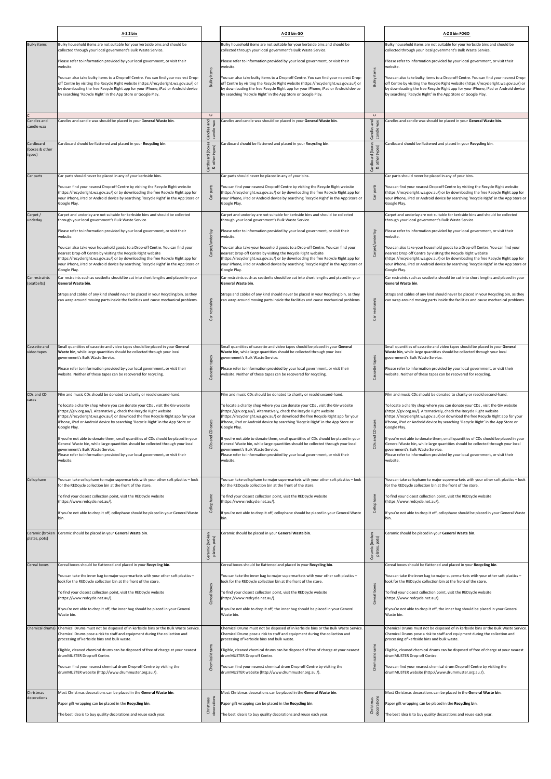|                                                                    | A-Z 2 bin                                                                                                                                                                                                                                                                                                                                                                                                                                                                                                                                                                                                                                                                                                                            |                                                                                            | A-Z 3 bin GO                                                                                                                                                                                                                                                                                                                                                                                                                                                                                                                                                                                                                                                                                                                          |                                                                              | A-Z 3 bin FOGO                                                                                                                                                                                                                                                                                                                                                                                                                                                                                                                                                                                                                                                                                                                       |
|--------------------------------------------------------------------|--------------------------------------------------------------------------------------------------------------------------------------------------------------------------------------------------------------------------------------------------------------------------------------------------------------------------------------------------------------------------------------------------------------------------------------------------------------------------------------------------------------------------------------------------------------------------------------------------------------------------------------------------------------------------------------------------------------------------------------|--------------------------------------------------------------------------------------------|---------------------------------------------------------------------------------------------------------------------------------------------------------------------------------------------------------------------------------------------------------------------------------------------------------------------------------------------------------------------------------------------------------------------------------------------------------------------------------------------------------------------------------------------------------------------------------------------------------------------------------------------------------------------------------------------------------------------------------------|------------------------------------------------------------------------------|--------------------------------------------------------------------------------------------------------------------------------------------------------------------------------------------------------------------------------------------------------------------------------------------------------------------------------------------------------------------------------------------------------------------------------------------------------------------------------------------------------------------------------------------------------------------------------------------------------------------------------------------------------------------------------------------------------------------------------------|
| <b>Bulky items</b>                                                 | Bulky household items are not suitable for your kerbside bins and should be<br>collected through your local government's Bulk Waste Service.                                                                                                                                                                                                                                                                                                                                                                                                                                                                                                                                                                                         |                                                                                            | Bulky household items are not suitable for your kerbside bins and should be<br>collected through your local government's Bulk Waste Service.                                                                                                                                                                                                                                                                                                                                                                                                                                                                                                                                                                                          |                                                                              | Bulky household items are not suitable for your kerbside bins and should be<br>collected through your local government's Bulk Waste Service.                                                                                                                                                                                                                                                                                                                                                                                                                                                                                                                                                                                         |
|                                                                    | Please refer to information provided by your local government, or visit their                                                                                                                                                                                                                                                                                                                                                                                                                                                                                                                                                                                                                                                        |                                                                                            | Please refer to information provided by your local government, or visit their                                                                                                                                                                                                                                                                                                                                                                                                                                                                                                                                                                                                                                                         |                                                                              | Please refer to information provided by your local government, or visit their                                                                                                                                                                                                                                                                                                                                                                                                                                                                                                                                                                                                                                                        |
|                                                                    | website.<br>You can also take bulky items to a Drop-off Centre. You can find your nearest Drop-<br>off Centre by visiting the Recycle Right website (https://recycleright.wa.gov.au/) or<br>by downloading the free Recycle Right app for your iPhone, iPad or Android device<br>by searching 'Recycle Right' in the App Store or Google Play.                                                                                                                                                                                                                                                                                                                                                                                       | <b>Bulky items</b>                                                                         | website.<br>You can also take bulky items to a Drop-off Centre. You can find your nearest Drop-<br>off Centre by visiting the Recycle Right website (https://recycleright.wa.gov.au/) or<br>by downloading the free Recycle Right app for your iPhone, iPad or Android device<br>by searching 'Recycle Right' in the App Store or Google Play.                                                                                                                                                                                                                                                                                                                                                                                        | <b>Bulky items</b>                                                           | website.<br>You can also take bulky items to a Drop-off Centre. You can find your nearest Drop-<br>off Centre by visiting the Recycle Right website (https://recycleright.wa.gov.au/) or<br>by downloading the free Recycle Right app for your iPhone, iPad or Android device<br>by searching 'Recycle Right' in the App Store or Google Play.                                                                                                                                                                                                                                                                                                                                                                                       |
| Candles and<br>candle wax<br>Cardboard<br>(boxes & other<br>types) | Candles and candle wax should be placed in your General Waste bin.<br>Cardboard should be flattened and placed in your Recycling bin.                                                                                                                                                                                                                                                                                                                                                                                                                                                                                                                                                                                                | $\cup$<br>and<br>Candles<br>candle <sup>1</sup><br>Cardboard (boxes<br>types)<br>& other 1 | Candles and candle wax should be placed in your General Waste bin.<br>Cardboard should be flattened and placed in your Recycling bin.                                                                                                                                                                                                                                                                                                                                                                                                                                                                                                                                                                                                 | $\cup$<br>and<br>candle wax<br>Candles<br>Cardboard (boxes<br>& other types) | Candles and candle wax should be placed in your General Waste bin.<br>Cardboard should be flattened and placed in your Recycling bin.                                                                                                                                                                                                                                                                                                                                                                                                                                                                                                                                                                                                |
| Car parts                                                          | Car parts should never be placed in any of your kerbside bins.<br>You can find your nearest Drop-off Centre by visiting the Recycle Right website<br>(https://recycleright.wa.gov.au/) or by downloading the free Recycle Right app for<br>your iPhone, iPad or Android device by searching 'Recycle Right' in the App Store or<br>Google Play.                                                                                                                                                                                                                                                                                                                                                                                      | parts<br>్రే                                                                               | Car parts should never be placed in any of your bins.<br>You can find your nearest Drop-off Centre by visiting the Recycle Right website<br>(https://recycleright.wa.gov.au/) or by downloading the free Recycle Right app for<br>your iPhone, iPad or Android device by searching 'Recycle Right' in the App Store or<br>Google Play.                                                                                                                                                                                                                                                                                                                                                                                                | parts<br>වි                                                                  | Car parts should never be placed in any of your bins.<br>You can find your nearest Drop-off Centre by visiting the Recycle Right website<br>(https://recycleright.wa.gov.au/) or by downloading the free Recycle Right app for<br>your iPhone, iPad or Android device by searching 'Recycle Right' in the App Store or<br>Google Play.                                                                                                                                                                                                                                                                                                                                                                                               |
| Carpet /<br>underlay                                               | Carpet and underlay are not suitable for kerbside bins and should be collected<br>through your local government's Bulk Waste Service.                                                                                                                                                                                                                                                                                                                                                                                                                                                                                                                                                                                                |                                                                                            | Carpet and underlay are not suitable for kerbside bins and should be collected<br>through your local government's Bulk Waste Service.                                                                                                                                                                                                                                                                                                                                                                                                                                                                                                                                                                                                 |                                                                              | Carpet and underlay are not suitable for kerbside bins and should be collected<br>through your local government's Bulk Waste Service.                                                                                                                                                                                                                                                                                                                                                                                                                                                                                                                                                                                                |
|                                                                    | Please refer to information provided by your local government, or visit their<br>website.                                                                                                                                                                                                                                                                                                                                                                                                                                                                                                                                                                                                                                            |                                                                                            | Please refer to information provided by your local government, or visit their<br>website.                                                                                                                                                                                                                                                                                                                                                                                                                                                                                                                                                                                                                                             |                                                                              | Please refer to information provided by your local government, or visit their<br>website.                                                                                                                                                                                                                                                                                                                                                                                                                                                                                                                                                                                                                                            |
|                                                                    | You can also take your household goods to a Drop-off Centre. You can find your<br>nearest Drop-off Centre by visiting the Recycle Right website<br>(https://recycleright.wa.gov.au/) or by downloading the free Recycle Right app for<br>your iPhone, iPad or Android device by searching 'Recycle Right' in the App Store or<br>Google Play.                                                                                                                                                                                                                                                                                                                                                                                        | Carpet/underlay                                                                            | You can also take your household goods to a Drop-off Centre. You can find your<br>nearest Drop-off Centre by visiting the Recycle Right website<br>(https://recycleright.wa.gov.au/) or by downloading the free Recycle Right app for<br>your iPhone, iPad or Android device by searching 'Recycle Right' in the App Store or<br>Google Play.                                                                                                                                                                                                                                                                                                                                                                                         | Carpet/underlay                                                              | You can also take your household goods to a Drop-off Centre. You can find your<br>nearest Drop-off Centre by visiting the Recycle Right website<br>(https://recycleright.wa.gov.au/) or by downloading the free Recycle Right app for<br>your iPhone, iPad or Android device by searching 'Recycle Right' in the App Store or<br>Google Play.                                                                                                                                                                                                                                                                                                                                                                                        |
| Car restraints<br>(seatbelts)                                      | Car restraints such as seatbelts should be cut into short lengths and placed in your<br>General Waste bin.                                                                                                                                                                                                                                                                                                                                                                                                                                                                                                                                                                                                                           |                                                                                            | Car restraints such as seatbelts should be cut into short lengths and placed in your<br>General Waste bin.                                                                                                                                                                                                                                                                                                                                                                                                                                                                                                                                                                                                                            |                                                                              | Car restraints such as seatbelts should be cut into short lengths and placed in your<br><b>General Waste bin.</b>                                                                                                                                                                                                                                                                                                                                                                                                                                                                                                                                                                                                                    |
|                                                                    | Straps and cables of any kind should never be placed in your Recycling bin, as they<br>can wrap around moving parts inside the facilities and cause mechanical problems.                                                                                                                                                                                                                                                                                                                                                                                                                                                                                                                                                             | restraints<br>ចិ                                                                           | Straps and cables of any kind should never be placed in your Recycling bin, as they<br>can wrap around moving parts inside the facilities and cause mechanical problems.                                                                                                                                                                                                                                                                                                                                                                                                                                                                                                                                                              | restraints<br>ð                                                              | Straps and cables of any kind should never be placed in your Recycling bin, as they<br>can wrap around moving parts inside the facilities and cause mechanical problems.                                                                                                                                                                                                                                                                                                                                                                                                                                                                                                                                                             |
| Cassette and<br>video tapes                                        | Small quantities of cassette and video tapes should be placed in your General<br>Waste bin, while large quantities should be collected through your local<br>government's Bulk Waste Service.<br>Please refer to information provided by your local government, or visit their<br>website. Neither of these tapes can be recovered for recycling.                                                                                                                                                                                                                                                                                                                                                                                    | Cassette tapes                                                                             | Small quantities of cassette and video tapes should be placed in your General<br>Waste bin, while large quantities should be collected through your local<br>government's Bulk Waste Service.<br>Please refer to information provided by your local government, or visit their<br>website. Neither of these tapes can be recovered for recycling.                                                                                                                                                                                                                                                                                                                                                                                     | Cassette tapes                                                               | Small quantities of cassette and video tapes should be placed in your General<br>Waste bin, while large quantities should be collected through your local<br>government's Bulk Waste Service.<br>Please refer to information provided by your local government, or visit their<br>website. Neither of these tapes can be recovered for recycling.                                                                                                                                                                                                                                                                                                                                                                                    |
| CDs and CD<br>cases                                                | Film and music CDs should be donated to charity or resold second-hand.<br>To locate a charity shop where you can donate your CDs, visit the Giv website<br>(https://giv.org.au/). Alternatively, check the Recycle Right website<br>(https://recycleright.wa.gov.au/) or download the free Recycle Right app for your<br>iPhone, iPad or Android device by searching 'Recycle Right' in the App Store or<br>Google Play.<br>If you're not able to donate them, small quantities of CDs should be placed in your<br>General Waste bin, while large quantities should be collected through your local<br>government's Bulk Waste Service.<br>Please refer to information provided by your local government, or visit their<br>website. | cases<br>$\Theta$<br>$CDs$ and                                                             | Film and music CDs should be donated to charity or resold second-hand.<br>To locate a charity shop where you can donate your CDs , visit the Giv website<br>(https://giv.org.au/). Alternatively, check the Recycle Right website<br>(https://recycleright.wa.gov.au/) or download the free Recycle Right app for your<br>iPhone, iPad or Android device by searching 'Recycle Right' in the App Store or<br>Google Play.<br>If you're not able to donate them, small quantities of CDs should be placed in your<br>General Waste bin, while large quantities should be collected through your local<br>government's Bulk Waste Service.<br>Please refer to information provided by your local government, or visit their<br>website. | cases<br>$\mbox{\bf 0}$<br>and<br>CD <sub>S</sub>                            | Film and music CDs should be donated to charity or resold second-hand.<br>To locate a charity shop where you can donate your CDs, visit the Giv website<br>(https://giv.org.au/). Alternatively, check the Recycle Right website<br>(https://recycleright.wa.gov.au/) or download the free Recycle Right app for your<br>iPhone, iPad or Android device by searching 'Recycle Right' in the App Store or<br>Google Play.<br>If you're not able to donate them, small quantities of CDs should be placed in your<br>General Waste bin, while large quantities should be collected through your local<br>government's Bulk Waste Service.<br>Please refer to information provided by your local government, or visit their<br>website. |
| Cellophane                                                         | You can take cellophane to major supermarkets with your other soft plastics - look<br>for the REDcycle collection bin at the front of the store.                                                                                                                                                                                                                                                                                                                                                                                                                                                                                                                                                                                     |                                                                                            | You can take cellophane to major supermarkets with your other soft plastics - look<br>for the REDcycle collection bin at the front of the store.                                                                                                                                                                                                                                                                                                                                                                                                                                                                                                                                                                                      |                                                                              | You can take cellophane to major supermarkets with your other soft plastics - look<br>for the REDcycle collection bin at the front of the store.                                                                                                                                                                                                                                                                                                                                                                                                                                                                                                                                                                                     |
|                                                                    | To find your closest collection point, visit the REDcycle website<br>(https://www.redcycle.net.au/).<br>If you're not able to drop it off, cellophane should be placed in your General Waste<br>bin.                                                                                                                                                                                                                                                                                                                                                                                                                                                                                                                                 | Cellophane                                                                                 | To find your closest collection point, visit the REDcycle website<br>(https://www.redcycle.net.au/).<br>If you're not able to drop it off, cellophane should be placed in your General Waste<br>bin.                                                                                                                                                                                                                                                                                                                                                                                                                                                                                                                                  | Cellophane                                                                   | To find your closest collection point, visit the REDcycle website<br>(https://www.redcycle.net.au/).<br>If you're not able to drop it off, cellophane should be placed in your General Waste<br>bin.                                                                                                                                                                                                                                                                                                                                                                                                                                                                                                                                 |
| Ceramic (broken<br>plates, pots)                                   | Ceramic should be placed in your General Waste bin.                                                                                                                                                                                                                                                                                                                                                                                                                                                                                                                                                                                                                                                                                  | Ceramic (broken<br>pots)<br>plates,                                                        | Ceramic should be placed in your General Waste bin.                                                                                                                                                                                                                                                                                                                                                                                                                                                                                                                                                                                                                                                                                   | Ceramic (broken<br>plates, pots)                                             | Ceramic should be placed in your General Waste bin.                                                                                                                                                                                                                                                                                                                                                                                                                                                                                                                                                                                                                                                                                  |
| Cereal boxes                                                       | Cereal boxes should be flattened and placed in your Recycling bin.<br>You can take the inner bag to major supermarkets with your other soft plastics -                                                                                                                                                                                                                                                                                                                                                                                                                                                                                                                                                                               |                                                                                            | Cereal boxes should be flattened and placed in your Recycling bin.<br>You can take the inner bag to major supermarkets with your other soft plastics -                                                                                                                                                                                                                                                                                                                                                                                                                                                                                                                                                                                |                                                                              | Cereal boxes should be flattened and placed in your Recycling bin.<br>You can take the inner bag to major supermarkets with your other soft plastics -                                                                                                                                                                                                                                                                                                                                                                                                                                                                                                                                                                               |
|                                                                    | look for the REDcycle collection bin at the front of the store.                                                                                                                                                                                                                                                                                                                                                                                                                                                                                                                                                                                                                                                                      | boxes                                                                                      | look for the REDcycle collection bin at the front of the store.                                                                                                                                                                                                                                                                                                                                                                                                                                                                                                                                                                                                                                                                       | boxes                                                                        | look for the REDcycle collection bin at the front of the store.                                                                                                                                                                                                                                                                                                                                                                                                                                                                                                                                                                                                                                                                      |
|                                                                    | To find your closest collection point, visit the REDcycle website<br>(https://www.redcycle.net.au/).                                                                                                                                                                                                                                                                                                                                                                                                                                                                                                                                                                                                                                 | Cereal                                                                                     | To find your closest collection point, visit the REDcycle website<br>(https://www.redcycle.net.au/).                                                                                                                                                                                                                                                                                                                                                                                                                                                                                                                                                                                                                                  | Cereal                                                                       | To find your closest collection point, visit the REDcycle website<br>(https://www.redcycle.net.au/).                                                                                                                                                                                                                                                                                                                                                                                                                                                                                                                                                                                                                                 |
|                                                                    | If you're not able to drop it off, the inner bag should be placed in your General<br>Waste bin.                                                                                                                                                                                                                                                                                                                                                                                                                                                                                                                                                                                                                                      |                                                                                            | If you're not able to drop it off, the inner bag should be placed in your General<br>Waste bin.                                                                                                                                                                                                                                                                                                                                                                                                                                                                                                                                                                                                                                       |                                                                              | If you're not able to drop it off, the inner bag should be placed in your General<br>Waste bin.                                                                                                                                                                                                                                                                                                                                                                                                                                                                                                                                                                                                                                      |
| Chemical drums)                                                    | Chemical Drums must not be disposed of in kerbside bins or the Bulk Waste Service.<br>Chemical Drums pose a risk to staff and equipment during the collection and                                                                                                                                                                                                                                                                                                                                                                                                                                                                                                                                                                    |                                                                                            | Chemical Drums must not be disposed of in kerbside bins or the Bulk Waste Service.<br>Chemical Drums pose a risk to staff and equipment during the collection and                                                                                                                                                                                                                                                                                                                                                                                                                                                                                                                                                                     |                                                                              | Chemical Drums must not be disposed of in kerbside bins or the Bulk Waste Service.<br>Chemical Drums pose a risk to staff and equipment during the collection and                                                                                                                                                                                                                                                                                                                                                                                                                                                                                                                                                                    |
|                                                                    | processing of kerbside bins and bulk waste.                                                                                                                                                                                                                                                                                                                                                                                                                                                                                                                                                                                                                                                                                          |                                                                                            | processing of kerbside bins and bulk waste.                                                                                                                                                                                                                                                                                                                                                                                                                                                                                                                                                                                                                                                                                           |                                                                              | processing of kerbside bins and bulk waste.                                                                                                                                                                                                                                                                                                                                                                                                                                                                                                                                                                                                                                                                                          |
|                                                                    | Eligible, cleaned chemical drums can be disposed of free of charge at your nearest<br>drumMUSTER Drop-off Centre.<br>You can find your nearest chemical drum Drop-off Centre by visiting the<br>drumMUSTER website (http://www.drummuster.org.au./).                                                                                                                                                                                                                                                                                                                                                                                                                                                                                 | Chemical drums                                                                             | Eligible, cleaned chemical drums can be disposed of free of charge at your nearest<br>drumMUSTER Drop-off Centre.<br>You can find your nearest chemical drum Drop-off Centre by visiting the<br>drumMUSTER website (http://www.drummuster.org.au./).                                                                                                                                                                                                                                                                                                                                                                                                                                                                                  | Chemical drums                                                               | Eligible, cleaned chemical drums can be disposed of free of charge at your nearest<br>drumMUSTER Drop-off Centre.<br>You can find your nearest chemical drum Drop-off Centre by visiting the<br>drumMUSTER website (http://www.drummuster.org.au./).                                                                                                                                                                                                                                                                                                                                                                                                                                                                                 |
| Christmas<br>decorations                                           | Most Christmas decorations can be placed in the General Waste bin.<br>Paper gift wrapping can be placed in the Recycling bin.<br>The best idea is to buy quality decorations and reuse each year.                                                                                                                                                                                                                                                                                                                                                                                                                                                                                                                                    | Christmas<br>decorations                                                                   | Most Christmas decorations can be placed in the General Waste bin.<br>Paper gift wrapping can be placed in the Recycling bin.<br>The best idea is to buy quality decorations and reuse each year.                                                                                                                                                                                                                                                                                                                                                                                                                                                                                                                                     | decorations<br>Christmas                                                     | Most Christmas decorations can be placed in the General Waste bin.<br>Paper gift wrapping can be placed in the Recycling bin.<br>The best idea is to buy quality decorations and reuse each year.                                                                                                                                                                                                                                                                                                                                                                                                                                                                                                                                    |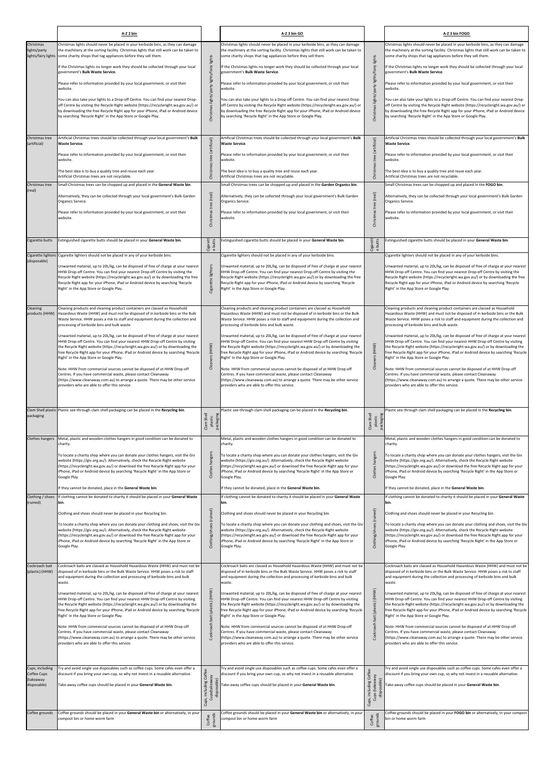|                                                            | A-Z 2 bin                                                                                                                                                                                                                                                                                                                                                                                                                                                                                                                                                                                                                                                                                                                                                                                                                                                                                                                                                                                        |                                                        | A-Z 3 bin GO                                                                                                                                                                                                                                                                                                                                                                                                                                                                                                                                                                                                                                                                                                                                                                                                                                                                                                                                                                    |                                                                 | A-Z 3 bin FOGO                                                                                                                                                                                                                                                                                                                                                                                                                                                                                                                                                                                                                                                                                                                                                                                                                                                                                                                                                                  |
|------------------------------------------------------------|--------------------------------------------------------------------------------------------------------------------------------------------------------------------------------------------------------------------------------------------------------------------------------------------------------------------------------------------------------------------------------------------------------------------------------------------------------------------------------------------------------------------------------------------------------------------------------------------------------------------------------------------------------------------------------------------------------------------------------------------------------------------------------------------------------------------------------------------------------------------------------------------------------------------------------------------------------------------------------------------------|--------------------------------------------------------|---------------------------------------------------------------------------------------------------------------------------------------------------------------------------------------------------------------------------------------------------------------------------------------------------------------------------------------------------------------------------------------------------------------------------------------------------------------------------------------------------------------------------------------------------------------------------------------------------------------------------------------------------------------------------------------------------------------------------------------------------------------------------------------------------------------------------------------------------------------------------------------------------------------------------------------------------------------------------------|-----------------------------------------------------------------|---------------------------------------------------------------------------------------------------------------------------------------------------------------------------------------------------------------------------------------------------------------------------------------------------------------------------------------------------------------------------------------------------------------------------------------------------------------------------------------------------------------------------------------------------------------------------------------------------------------------------------------------------------------------------------------------------------------------------------------------------------------------------------------------------------------------------------------------------------------------------------------------------------------------------------------------------------------------------------|
| Christmas<br>lights/party<br>lights/fairy lights           | Christmas lights should never be placed in your kerbside bins, as they can damage<br>the machinery at the sorting facility. Christmas lights that still work can be taken to<br>some charity shops that tag appliances before they sell them.<br>If the Christmas lights no longer work they should be collected through your local<br>government's Bulk Waste Service.<br>Please refer to information provided by your local government, or visit their<br>website.<br>You can also take your lights to a Drop-off Centre. You can find your nearest Drop-<br>off Centre by visiting the Recycle Right website (https://recycleright.wa.gov.au/) or<br>by downloading the free Recycle Right app for your iPhone, iPad or Android device<br>by searching 'Recycle Right' in the App Store or Google Play.                                                                                                                                                                                       | Christmas lights/party lights/fairy lights             | Christmas lights should never be placed in your kerbside bins, as they can damage<br>the machinery at the sorting facility. Christmas lights that still work can be taken to<br>some charity shops that tag appliances before they sell them.<br>If the Christmas lights no longer work they should be collected through your local<br>government's Bulk Waste Service.<br>Please refer to information provided by your local government, or visit their<br>website.<br>You can also take your lights to a Drop-off Centre. You can find your nearest Drop-<br>off Centre by visiting the Recycle Right website (https://recycleright.wa.gov.au/) or<br>by downloading the free Recycle Right app for your iPhone, iPad or Android device<br>by searching 'Recycle Right' in the App Store or Google Play.                                                                                                                                                                      | Christmas lights/party lights/fairy lights                      | Christmas lights should never be placed in your kerbside bins, as they can damage<br>the machinery at the sorting facility. Christmas lights that still work can be taken to<br>some charity shops that tag appliances before they sell them.<br>If the Christmas lights no longer work they should be collected through your local<br>government's Bulk Waste Service.<br>Please refer to information provided by your local government, or visit their<br>website.<br>You can also take your lights to a Drop-off Centre. You can find your nearest Drop-<br>off Centre by visiting the Recycle Right website (https://recycleright.wa.gov.au/) or<br>by downloading the free Recycle Right app for your iPhone, iPad or Android device<br>by searching 'Recycle Right' in the App Store or Google Play.                                                                                                                                                                      |
| Christmas tree<br>(artificial)<br>Christmas tree           | Artificial Christmas trees should be collected through your local government's Bulk<br>Waste Service.<br>Please refer to information provided by your local government, or visit their<br>website.<br>The best idea is to buy a quality tree and reuse each year.<br>Artificial Christmas trees are not recyclable.<br>Small Christmas trees can be chopped up and placed in the General Waste bin.                                                                                                                                                                                                                                                                                                                                                                                                                                                                                                                                                                                              | Christmas tree (artificial)                            | Artificial Christmas trees should be collected through your local government's Bulk<br><b>Waste Service.</b><br>Please refer to information provided by your local government, or visit their<br>website.<br>The best idea is to buy a quality tree and reuse each year.<br>Artificial Christmas trees are not recyclable.<br>Small Christmas trees can be chopped up and placed in the Garden Organics bin.                                                                                                                                                                                                                                                                                                                                                                                                                                                                                                                                                                    | Christmas tree (artificial)                                     | Artificial Christmas trees should be collected through your local government's Bulk<br><b>Waste Service.</b><br>Please refer to information provided by your local government, or visit their<br>website.<br>The best idea is to buy a quality tree and reuse each year.<br>Artificial Christmas trees are not recyclable.<br>Small Christmas trees can be chopped up and placed in the FOGO bin.                                                                                                                                                                                                                                                                                                                                                                                                                                                                                                                                                                               |
| (real)                                                     | Alternatively, they can be collected through your local government's Bulk Garden<br>Organics Service.<br>Please refer to information provided by your local government, or visit their<br>website.                                                                                                                                                                                                                                                                                                                                                                                                                                                                                                                                                                                                                                                                                                                                                                                               | Christmas tree (real)                                  | Alternatively, they can be collected through your local government's Bulk Garden<br>Organics Service.<br>Please refer to information provided by your local government, or visit their<br>website.                                                                                                                                                                                                                                                                                                                                                                                                                                                                                                                                                                                                                                                                                                                                                                              | tree (real)<br>Christmas                                        | Alternatively, they can be collected through your local government's Bulk Garden<br>Organics Service.<br>Please refer to information provided by your local government, or visit their<br>website.                                                                                                                                                                                                                                                                                                                                                                                                                                                                                                                                                                                                                                                                                                                                                                              |
| Cigarette butts<br>Cigarette lighters<br>(disposable)      | Extinguished cigarette butts should be placed in your General Waste bin.<br>Cigarette lighters should not be placed in any of your kerbside bins.<br>Unwanted material, up to 20L/kg, can be disposed of free of charge at your nearest<br>HHW Drop-off Centre. You can find your nearest Drop-off Centre by visiting the<br>Recycle Right website (https://recycleright.wa.gov.au/) or by downloading the free<br>Recycle Right app for your iPhone, iPad or Android device by searching 'Recycle<br>Right' in the App Store or Google Play.                                                                                                                                                                                                                                                                                                                                                                                                                                                    | Cigarett<br>e butts<br>lighters<br>Cigarette           | Extinguished cigarette butts should be placed in your General Waste bin.<br>Cigarette lighters should not be placed in any of your kerbside bins.<br>Unwanted material, up to 20L/kg, can be disposed of free of charge at your nearest<br>HHW Drop-off Centre. You can find your nearest Drop-off Centre by visiting the<br>Recycle Right website (https://recycleright.wa.gov.au/) or by downloading the free<br>Recycle Right app for your iPhone, iPad or Android device by searching 'Recycle<br>Right' in the App Store or Google Play.                                                                                                                                                                                                                                                                                                                                                                                                                                   | Cigarett<br>e butts                                             | Extinguished cigarette butts should be placed in your General Waste bin.<br>Cigarette lighters should not be placed in any of your kerbside bins.<br>Unwanted material, up to 20L/kg, can be disposed of free of charge at your nearest<br>HHW Drop-off Centre. You can find your nearest Drop-off Centre by visiting the<br>Recycle Right website (https://recycleright.wa.gov.au/) or by downloading the free<br>Recycle Right app for your iPhone, iPad or Android device by searching 'Recycle<br>Right' in the App Store or Google Play.                                                                                                                                                                                                                                                                                                                                                                                                                                   |
| Cleaning                                                   | Cleaning products and cleaning product containers are classed as Household<br>products (HHW)   Hazardous Waste (HHW) and must not be disposed of in kerbside bins or the Bulk<br>Waste Service. HHW poses a risk to staff and equipment during the collection and<br>processing of kerbside bins and bulk waste.<br>Unwanted material, up to 20L/kg, can be disposed of free of charge at your nearest<br>HHW Drop-off Centre. You can find your nearest HHW Drop-off Centre by visiting<br>the Recycle Right website (https://recycleright.wa.gov.au/) or by downloading the<br>free Recycle Right app for your iPhone, iPad or Android device by searching 'Recycle<br>Right' in the App Store or Google Play.<br>Note: HHW from commercial sources cannot be disposed of at HHW Drop-off<br>Centres. If you have commercial waste, please contact Cleanaway<br>(https://www.cleanaway.com.au) to arrange a quote. There may be other service<br>providers who are able to offer this service. | Cleaners (HHW)                                         | Cleaning products and cleaning product containers are classed as Household<br>Hazardous Waste (HHW) and must not be disposed of in kerbside bins or the Bulk<br>Waste Service. HHW poses a risk to staff and equipment during the collection and<br>processing of kerbside bins and bulk waste.<br>Unwanted material, up to 20L/kg, can be disposed of free of charge at your nearest<br>HHW Drop-off Centre. You can find your nearest HHW Drop-off Centre by visiting<br>the Recycle Right website (https://recycleright.wa.gov.au/) or by downloading the<br>free Recycle Right app for your iPhone, iPad or Android device by searching 'Recycle<br>Right' in the App Store or Google Play.<br>Note: HHW from commercial sources cannot be disposed of at HHW Drop-off<br>Centres. If you have commercial waste, please contact Cleanaway<br>(https://www.cleanaway.com.au) to arrange a quote. There may be other service<br>providers who are able to offer this service. | Cleaners (HHW)                                                  | Cleaning products and cleaning product containers are classed as Household<br>Hazardous Waste (HHW) and must not be disposed of in kerbside bins or the Bulk<br>Waste Service. HHW poses a risk to staff and equipment during the collection and<br>processing of kerbside bins and bulk waste.<br>Unwanted material, up to 20L/kg, can be disposed of free of charge at your nearest<br>HHW Drop-off Centre. You can find your nearest HHW Drop-off Centre by visiting<br>the Recycle Right website (https://recycleright.wa.gov.au/) or by downloading the<br>free Recycle Right app for your iPhone, iPad or Android device by searching 'Recycle<br>Right' in the App Store or Google Play.<br>Note: HHW from commercial sources cannot be disposed of at HHW Drop-off<br>Centres. If you have commercial waste, please contact Cleanaway<br>(https://www.cleanaway.com.au) to arrange a quote. There may be other service<br>providers who are able to offer this service. |
| Clam Shell plastic<br>packaging<br><b>Clothes hangers</b>  | Plastic see-through clam shell packaging can be placed in the Recycling bin.<br>Metal, plastic and wooden clothes hangers in good condition can be donated to<br>charity.<br>To locate a charity shop where you can donate your clothes hangers, visit the Giv<br>website (https://giv.org.au/). Alternatively, check the Recycle Right website<br>(https://recycleright.wa.gov.au/) or download the free Recycle Right app for your<br>iPhone, iPad or Android device by searching 'Recycle Right' in the App Store or<br>Google Play.                                                                                                                                                                                                                                                                                                                                                                                                                                                          | Clam Shell<br>packaging<br>plastic<br>Clothes hangers  | Plastic see-through clam shell packaging can be placed in the Recycling bin.<br>Metal, plastic and wooden clothes hangers in good condition can be donated to<br>charity.<br>To locate a charity shop where you can donate your clothes hangers, visit the Giv<br>website (https://giv.org.au/). Alternatively, check the Recycle Right website<br>(https://recycleright.wa.gov.au/) or download the free Recycle Right app for your<br>iPhone, iPad or Android device by searching 'Recycle Right' in the App Store or<br>Google Play.                                                                                                                                                                                                                                                                                                                                                                                                                                         | Clam Shell<br>plastic<br>packaging<br>Clothes hangers           | Plastic see-through clam shell packaging can be placed in the Recycling bin.<br>Metal, plastic and wooden clothes hangers in good condition can be donated to<br>charity.<br>To locate a charity shop where you can donate your clothes hangers, visit the Giv<br>website (https://giv.org.au/). Alternatively, check the Recycle Right website<br>(https://recycleright.wa.gov.au/) or download the free Recycle Right app for your<br>iPhone, iPad or Android device by searching 'Recycle Right' in the App Store or<br>Google Play.                                                                                                                                                                                                                                                                                                                                                                                                                                         |
| Clothing / shoes<br>(ruined)                               | If they cannot be donated, place in the General Waste bin.<br>If clothing cannot be donated to charity it should be placed in your General Waste<br>bin.<br>Clothing and shoes should never be placed in your Recycling bin.<br>To locate a charity shop where you can donate your clothing and shoes, visit the Giv<br>website (https://giv.org.au/). Alternatively, check the Recycle Right website<br>(https://recycleright.wa.gov.au/) or download the free Recycle Right app for your<br>iPhone, iPad or Android device by searching 'Recycle Right' in the App Store or<br>Google Play.                                                                                                                                                                                                                                                                                                                                                                                                    | Clothing/shoes (ruined)                                | If they cannot be donated, place in the General Waste bin.<br>If clothing cannot be donated to charity it should be placed in your General Waste<br>bin.<br>Clothing and shoes should never be placed in your Recycling bin.<br>To locate a charity shop where you can donate your clothing and shoes, visit the Giv<br>website (https://giv.org.au/). Alternatively, check the Recycle Right website<br>(https://recycleright.wa.gov.au/) or download the free Recycle Right app for your<br>iPhone, iPad or Android device by searching 'Recycle Right' in the App Store or<br>Google Play.                                                                                                                                                                                                                                                                                                                                                                                   | Clothing/shoes (ruined)                                         | f they cannot be donated, place in the General Waste bin.<br>f clothing cannot be donated to charity it should be placed in your General Waste<br>bin.<br>Clothing and shoes should never be placed in your Recycling bin.<br>To locate a charity shop where you can donate your clothing and shoes, visit the Giv<br>website (https://giv.org.au/). Alternatively, check the Recycle Right website<br>(https://recycleright.wa.gov.au/) or download the free Recycle Right app for your<br>iPhone, iPad or Android device by searching 'Recycle Right' in the App Store or<br>Google Play.                                                                                                                                                                                                                                                                                                                                                                                     |
| Cockroach bait<br>(plastic) (HHW)                          | Cockroach baits are classed as Household Hazardous Waste (HHW) and must not be<br>disposed of in kerbside bins or the Bulk Waste Service. HHW poses a risk to staff<br>and equipment during the collection and processing of kerbside bins and bulk<br>waste.<br>Unwanted material, up to 20L/kg, can be disposed of free of charge at your nearest<br>HHW Drop-off Centre. You can find your nearest HHW Drop-off Centre by visiting<br>the Recycle Right website (https://recycleright.wa.gov.au/) or by downloading the<br>free Recycle Right app for your iPhone, iPad or Android device by searching 'Recycle<br>Right' in the App Store or Google Play.<br>Note: HHW from commercial sources cannot be disposed of at HHW Drop-off<br>Centres. If you have commercial waste, please contact Cleanaway<br>(https://www.cleanaway.com.au) to arrange a quote. There may be other service<br>providers who are able to offer this service.                                                    | plastic) (HHW)<br>Cockroach bait                       | Cockroach baits are classed as Household Hazardous Waste (HHW) and must not be<br>disposed of in kerbside bins or the Bulk Waste Service. HHW poses a risk to staff<br>and equipment during the collection and processing of kerbside bins and bulk<br>waste.<br>Unwanted material, up to 20L/kg, can be disposed of free of charge at your nearest<br>HHW Drop-off Centre. You can find your nearest HHW Drop-off Centre by visiting<br>the Recycle Right website (https://recycleright.wa.gov.au/) or by downloading the<br>free Recycle Right app for your iPhone, iPad or Android device by searching 'Recycle<br>Right' in the App Store or Google Play.<br>Note: HHW from commercial sources cannot be disposed of at HHW Drop-off<br>Centres. If you have commercial waste, please contact Cleanaway<br>(https://www.cleanaway.com.au) to arrange a quote. There may be other service<br>providers who are able to offer this service.                                   | plastic) (HHW)<br>bait<br>Cockroach                             | Cockroach baits are classed as Household Hazardous Waste (HHW) and must not be<br>disposed of in kerbside bins or the Bulk Waste Service. HHW poses a risk to staff<br>and equipment during the collection and processing of kerbside bins and bulk<br>waste.<br>Unwanted material, up to 20L/kg, can be disposed of free of charge at your nearest<br>HHW Drop-off Centre. You can find your nearest HHW Drop-off Centre by visiting<br>the Recycle Right website (https://recycleright.wa.gov.au/) or by downloading the<br>free Recycle Right app for your iPhone, iPad or Android device by searching 'Recycle<br>Right' in the App Store or Google Play.<br>Note: HHW from commercial sources cannot be disposed of at HHW Drop-off<br>Centres. If you have commercial waste, please contact Cleanaway<br>(https://www.cleanaway.com.au) to arrange a quote. There may be other service<br>providers who are able to offer this service.                                   |
| Cups, including<br>Coffee Cups<br>(takeaway<br>disposable) | Try and avoid single use disposables such as coffee cups. Some cafes even offer a<br>discount if you bring your own cup, so why not invest in a reusable alternative.<br>Take-away coffee cups should be placed in your General Waste bin.                                                                                                                                                                                                                                                                                                                                                                                                                                                                                                                                                                                                                                                                                                                                                       | Cups, including Coffee<br>Cups(takeaway<br>disposable) | Try and avoid single use disposables such as coffee cups. Some cafes even offer a<br>discount if you bring your own cup, so why not invest in a reusable alternative.<br>Take-away coffee cups should be placed in your General Waste bin.                                                                                                                                                                                                                                                                                                                                                                                                                                                                                                                                                                                                                                                                                                                                      | ups, including Coffee<br>Cups (takeaway<br>disposable)<br>Cups, | Try and avoid single use disposables such as coffee cups. Some cafes even offer a<br>discount if you bring your own cup, so why not invest in a reusable alternative.<br>Take-away coffee cups should be placed in your General Waste bin.                                                                                                                                                                                                                                                                                                                                                                                                                                                                                                                                                                                                                                                                                                                                      |
| Coffee grounds                                             | Coffee grounds should be placed in your General Waste bin or alternatively, in your<br>compost bin or home worm farm                                                                                                                                                                                                                                                                                                                                                                                                                                                                                                                                                                                                                                                                                                                                                                                                                                                                             | Coffee<br>grounds                                      | Coffee grounds should be placed in your General Waste bin or alternatively, in your<br>compost bin or home worm farm                                                                                                                                                                                                                                                                                                                                                                                                                                                                                                                                                                                                                                                                                                                                                                                                                                                            | grounds<br>Coffee                                               | Coffee grounds should be placed in your FOGO bin or alternatively, in your compost<br>bin or home worm farm                                                                                                                                                                                                                                                                                                                                                                                                                                                                                                                                                                                                                                                                                                                                                                                                                                                                     |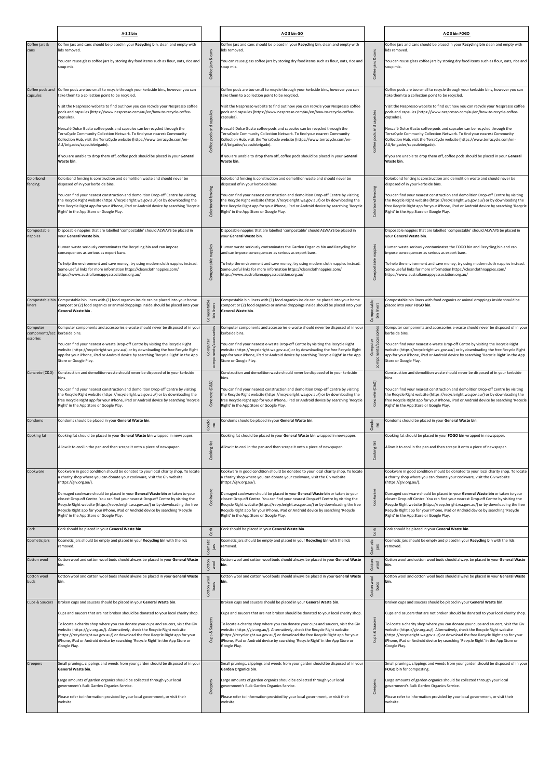|                                                       | A-Z 2 bin                                                                                                                                                                                                                                                                                                                                                                                                                                                                                                                                                                                                                                                                                    |                                                       | A-Z 3 bin GO                                                                                                                                                                                                                                                                                                                                                                                                                                                                                                                                                                                                                                                                                 |                                                                | A-Z 3 bin FOGO                                                                                                                                                                                                                                                                                                                                                                                                                                                                                                                                                                                                                                                                               |
|-------------------------------------------------------|----------------------------------------------------------------------------------------------------------------------------------------------------------------------------------------------------------------------------------------------------------------------------------------------------------------------------------------------------------------------------------------------------------------------------------------------------------------------------------------------------------------------------------------------------------------------------------------------------------------------------------------------------------------------------------------------|-------------------------------------------------------|----------------------------------------------------------------------------------------------------------------------------------------------------------------------------------------------------------------------------------------------------------------------------------------------------------------------------------------------------------------------------------------------------------------------------------------------------------------------------------------------------------------------------------------------------------------------------------------------------------------------------------------------------------------------------------------------|----------------------------------------------------------------|----------------------------------------------------------------------------------------------------------------------------------------------------------------------------------------------------------------------------------------------------------------------------------------------------------------------------------------------------------------------------------------------------------------------------------------------------------------------------------------------------------------------------------------------------------------------------------------------------------------------------------------------------------------------------------------------|
| Coffee jars &<br>cans                                 | Coffee jars and cans should be placed in your Recycling bin, clean and empty with<br>lids removed.<br>You can reuse glass coffee jars by storing dry food items such as flour, oats, rice and<br>soup mix.                                                                                                                                                                                                                                                                                                                                                                                                                                                                                   | cans<br>jars &<br>Coffee                              | Coffee jars and cans should be placed in your Recycling bin, clean and empty with<br>lids removed.<br>You can reuse glass coffee jars by storing dry food items such as flour, oats, rice and<br>soup mix.                                                                                                                                                                                                                                                                                                                                                                                                                                                                                   | cans<br>ಡ<br>jars<br>Coffee                                    | Coffee jars and cans should be placed in your Recycling bin clean and empty with<br>lids removed.<br>You can reuse glass coffee jars by storing dry food items such as flour, oats, rice and<br>soup mix.                                                                                                                                                                                                                                                                                                                                                                                                                                                                                    |
| Coffee pods and<br>capsules                           | Coffee pods are too small to recycle through your kerbside bins, however you can<br>take them to a collection point to be recycled.<br>Visit the Nespresso website to find out how you can recycle your Nespresso coffee<br>pods and capsules (https://www.nespresso.com/au/en/how-to-recycle-coffee-<br>capsules).<br>Nescafé Dolce Gusto coffee pods and capsules can be recycled through the<br>TerraCycle Community Collection Network. To find your nearest Community<br>Collection Hub, visit the TerraCycle website (https://www.terracycle.com/en-<br>AU/brigades/capsulebrigade).<br>If you are unable to drop them off, coffee pods should be placed in your General<br>Waste bin. | Coffee pods and capsules                              | Coffee pods are too small to recycle through your kerbside bins, however you can<br>take them to a collection point to be recycled.<br>Visit the Nespresso website to find out how you can recycle your Nespresso coffee<br>pods and capsules (https://www.nespresso.com/au/en/how-to-recycle-coffee-<br>capsules).<br>Nescafé Dolce Gusto coffee pods and capsules can be recycled through the<br>TerraCycle Community Collection Network. To find your nearest Community<br>Collection Hub, visit the TerraCycle website (https://www.terracycle.com/en-<br>AU/brigades/capsulebrigade).<br>If you are unable to drop them off, coffee pods should be placed in your General<br>Waste bin. | capsules<br>and<br>pods<br>Coffee                              | Coffee pods are too small to recycle through your kerbside bins, however you can<br>take them to a collection point to be recycled.<br>Visit the Nespresso website to find out how you can recycle your Nespresso coffee<br>pods and capsules (https://www.nespresso.com/au/en/how-to-recycle-coffee-<br>capsules).<br>Nescafé Dolce Gusto coffee pods and capsules can be recycled through the<br>TerraCycle Community Collection Network. To find your nearest Community<br>Collection Hub, visit the TerraCycle website (https://www.terracycle.com/en-<br>AU/brigades/capsulebrigade).<br>if you are unable to drop them off, coffee pods should be placed in your General<br>Waste bin. |
| Colorbond<br>fencing                                  | Colorbond fencing is construction and demolition waste and should never be<br>disposed of in your kerbside bins.<br>You can find your nearest construction and demolition Drop-off Centre by visiting<br>the Recycle Right website (https://recycleright.wa.gov.au/) or by downloading the<br>free Recycle Right app for your iPhone, iPad or Android device by searching 'Recycle<br>Right' in the App Store or Google Play.                                                                                                                                                                                                                                                                | fencing<br>Colorbond                                  | Colorbond fencing is construction and demolition waste and should never be<br>disposed of in your kerbside bins.<br>You can find your nearest construction and demolition Drop-off Centre by visiting<br>the Recycle Right website (https://recycleright.wa.gov.au/) or by downloading the<br>free Recycle Right app for your iPhone, iPad or Android device by searching 'Recycle<br>Right' in the App Store or Google Play.                                                                                                                                                                                                                                                                | fencing<br>Colorbond                                           | Colorbond fencing is construction and demolition waste and should never be<br>disposed of in your kerbside bins.<br>You can find your nearest construction and demolition Drop-off Centre by visiting<br>the Recycle Right website (https://recycleright.wa.gov.au/) or by downloading the<br>free Recycle Right app for your iPhone, iPad or Android device by searching 'Recycle<br>Right' in the App Store or Google Play.                                                                                                                                                                                                                                                                |
| Compostable<br>nappies                                | Disposable nappies that are labelled 'compostable' should ALWAYS be placed in<br>vour General Waste bin.<br>Human waste seriously contaminates the Recycling bin and can impose<br>consequences as serious as export bans.<br>To help the environment and save money, try using modern cloth nappies instead.<br>Some useful links for more information https://cleanclothnappies.com/<br>https://www.australiannappyassociation.org.au/                                                                                                                                                                                                                                                     | nappies<br>Compostable                                | Disposable nappies that are labelled 'compostable' should ALWAYS be placed in<br>vour General Waste bin.<br>Human waste seriously contaminates the Garden Organics bin and Recycling bin<br>and can impose consequences as serious as export bans.<br>To help the environment and save money, try using modern cloth nappies instead.<br>Some useful links for more information https://cleanclothnappies.com/<br>https://www.australiannappyassociation.org.au/                                                                                                                                                                                                                             | nappies<br>Compostable                                         | Disposable nappies that are labelled 'compostable' should ALWAYS be placed in<br>vour General Waste bin.<br>Human waste seriously contaminates the FOGO bin and Recycling bin and can<br>mpose consequences as serious as export bans.<br>To help the environment and save money, try using modern cloth nappies instead.<br>Some useful links for more information https://cleanclothnappies.com/<br>https://www.australiannappyassociation.org.au/                                                                                                                                                                                                                                         |
| Compostable bin<br>liners                             | Compostable bin liners with (1) food organics inside can be placed into your home<br>compost or (2) food organics or animal droppings inside should be placed into your<br>General Waste bin.                                                                                                                                                                                                                                                                                                                                                                                                                                                                                                | ompostable<br>liners<br>$\sin$<br>ŭ                   | Compostable bin liners with (1) food organics inside can be placed into your home<br>compost or (2) food organics or animal droppings inside should be placed into your<br>General Waste bin.                                                                                                                                                                                                                                                                                                                                                                                                                                                                                                | pmpostable<br>bin liners                                       | Compostable bin liners with food organics or animal droppings inside should be<br>placed into your FOGO bin.                                                                                                                                                                                                                                                                                                                                                                                                                                                                                                                                                                                 |
| Computer<br>components/acc kerbside bins.<br>essories | Computer components and accessories e-waste should never be disposed of in your<br>You can find your nearest e-waste Drop-off Centre by visiting the Recycle Right<br>website (https://recycleright.wa.gov.au/) or by downloading the free Recycle Right<br>app for your iPhone, iPad or Android device by searching 'Recycle Right' in the App<br>Store or Google Play.                                                                                                                                                                                                                                                                                                                     | accesso<br>Computer<br>compo                          | Computer components and accessories e-waste should never be disposed of in you<br>kerbside bins.<br>You can find your nearest e-waste Drop-off Centre by visiting the Recycle Right<br>website (https://recycleright.wa.gov.au/) or by downloading the free Recycle Right<br>app for your iPhone, iPad or Android device by searching 'Recycle Right' in the App<br>Store or Google Play.                                                                                                                                                                                                                                                                                                    | nents/acces<br>Computer<br>compo                               | Computer components and accessories e-waste should never be disposed of in your<br>kerbside bins.<br>You can find your nearest e-waste Drop-off Centre by visiting the Recycle Right<br>website (https://recycleright.wa.gov.au/) or by downloading the free Recycle Right<br>app for your iPhone, iPad or Android device by searching 'Recycle Right' in the App<br>Store or Google Play.                                                                                                                                                                                                                                                                                                   |
| Concrete (C&D)                                        | Construction and demolition waste should never be disposed of in your kerbside<br>bins.<br>You can find your nearest construction and demolition Drop-off Centre by visiting<br>the Recycle Right website (https://recycleright.wa.gov.au/) or by downloading the<br>free Recycle Right app for your iPhone, iPad or Android device by searching 'Recycle<br>Right' in the App Store or Google Play.                                                                                                                                                                                                                                                                                         | (C&D)<br>Concrete                                     | Construction and demolition waste should never be disposed of in your kerbside<br>bins.<br>You can find your nearest construction and demolition Drop-off Centre by visiting<br>the Recycle Right website (https://recycleright.wa.gov.au/) or by downloading the<br>free Recycle Right app for your iPhone, iPad or Android device by searching 'Recycle<br>Right' in the App Store or Google Play.                                                                                                                                                                                                                                                                                         | (C&D)<br>Concr                                                 | Construction and demolition waste should never be disposed of in your kerbside<br>bins.<br>You can find your nearest construction and demolition Drop-off Centre by visiting<br>the Recycle Right website (https://recycleright.wa.gov.au/) or by downloading the<br>free Recycle Right app for your iPhone, iPad or Android device by searching 'Recycle<br>Right' in the App Store or Google Play.                                                                                                                                                                                                                                                                                         |
| Condoms                                               | Condoms should be placed in your General Waste bin.                                                                                                                                                                                                                                                                                                                                                                                                                                                                                                                                                                                                                                          | Condo<br>ξ                                            | Condoms should be placed in your General Waste bin.                                                                                                                                                                                                                                                                                                                                                                                                                                                                                                                                                                                                                                          | $\n  Condo\n  \n  ms$                                          | Condoms should be placed in your General Waste bin.                                                                                                                                                                                                                                                                                                                                                                                                                                                                                                                                                                                                                                          |
| Cooking fat                                           | Cooking fat should be placed in your General Waste bin wrapped in newspaper.<br>Allow it to cool in the pan and then scrape it onto a piece of newspaper.                                                                                                                                                                                                                                                                                                                                                                                                                                                                                                                                    | Cooking fat                                           | Cooking fat should be placed in your General Waste bin wrapped in newspaper.<br>Allow it to cool in the pan and then scrape it onto a piece of newspaper.                                                                                                                                                                                                                                                                                                                                                                                                                                                                                                                                    | Cooking fat                                                    | Cooking fat should be placed in your FOGO bin wrapped in newspaper.<br>Allow it to cool in the pan and then scrape it onto a piece of newspaper.                                                                                                                                                                                                                                                                                                                                                                                                                                                                                                                                             |
| Cookware                                              | Cookware in good condition should be donated to your local charity shop. To locate<br>a charity shop where you can donate your cookware, visit the Giv website<br>(https://giv.org.au/).<br>Damaged cookware should be placed in your General Waste bin or taken to your<br>closest Drop-off Centre. You can find your nearest Drop-off Centre by visiting the<br>Recycle Right website (https://recycleright.wa.gov.au/) or by downloading the free<br>Recycle Right app for your iPhone, iPad or Android device by searching 'Recycle<br>Right' in the App Store or Google Play.                                                                                                           |                                                       | Cookware in good condition should be donated to your local charity shop. To locate<br>a charity shop where you can donate your cookware, visit the Giv website<br>(https://giv.org.au/).<br>Damaged cookware should be placed in your General Waste bin or taken to your<br>closest Drop-off Centre. You can find your nearest Drop-off Centre by visiting the<br>Recycle Right website (https://recycleright.wa.gov.au/) or by downloading the free<br>Recycle Right app for your iPhone, iPad or Android device by searching 'Recycle<br>Right' in the App Store or Google Play.                                                                                                           | Cookware                                                       | Cookware in good condition should be donated to your local charity shop. To locate<br>a charity shop where you can donate your cookware, visit the Giv website<br>(https://giv.org.au/).<br>Damaged cookware should be placed in your General Waste bin or taken to your<br>closest Drop-off Centre. You can find your nearest Drop-off Centre by visiting the<br>Recycle Right website (https://recycleright.wa.gov.au/) or by downloading the free<br>Recycle Right app for your iPhone, iPad or Android device by searching 'Recycle<br>Right' in the App Store or Google Play.                                                                                                           |
| Cork<br>Cosmetic jars                                 | Cork should be placed in your General Waste bin.<br>Cosmetic jars should be empty and placed in your Recycling bin with the lids<br>removed.                                                                                                                                                                                                                                                                                                                                                                                                                                                                                                                                                 | Cork<br>Cosmetic<br>jars                              | Cork should be placed in your General Waste bin.<br>Cosmetic jars should be empty and placed in your Recycling bin with the lids<br>removed.                                                                                                                                                                                                                                                                                                                                                                                                                                                                                                                                                 | Cork<br>Cosmetic<br>jars                                       | Cork should be placed in your General Waste bin.<br>Cosmetic jars should be empty and placed in your Recycling bin with the lids<br>removed.                                                                                                                                                                                                                                                                                                                                                                                                                                                                                                                                                 |
| Cotton wool<br>Cotton wool<br>buds                    | Cotton wool and cotton wool buds should always be placed in your General Waste<br>bin.<br>Cotton wool and cotton wool buds should always be placed in your General Waste<br>bin.                                                                                                                                                                                                                                                                                                                                                                                                                                                                                                             | Cotton<br>wool<br>$\overline{8}$<br>Cotton wo<br>buds | Cotton wool and cotton wool buds should always be placed in your General Waste<br>bin.<br>Cotton wool and cotton wool buds should always be placed in your General Waste<br>bin.                                                                                                                                                                                                                                                                                                                                                                                                                                                                                                             | Cotton<br>wool<br>$\overline{\text{100}}$<br>Cotton wo<br>buds | Cotton wool and cotton wool buds should always be placed in your General Waste<br>bin.<br>cotton wool and cotton wool buds should always be placed in your General Waste                                                                                                                                                                                                                                                                                                                                                                                                                                                                                                                     |
| Cups & Saucers                                        | Broken cups and saucers should be placed in your General Waste bin.<br>Cups and saucers that are not broken should be donated to your local charity shop.<br>To locate a charity shop where you can donate your cups and saucers, visit the Giv<br>website (https://giv.org.au/). Alternatively, check the Recycle Right website<br>(https://recycleright.wa.gov.au/) or download the free Recycle Right app for your<br>iPhone, iPad or Android device by searching 'Recycle Right' in the App Store or<br>Google Play.                                                                                                                                                                     | Saucers<br>ವ<br>Cups                                  | Broken cups and saucers should be placed in your General Waste bin.<br>Cups and saucers that are not broken should be donated to your local charity shop.<br>To locate a charity shop where you can donate your cups and saucers, visit the Giv<br>website (https://giv.org.au/). Alternatively, check the Recycle Right website<br>(https://recycleright.wa.gov.au/) or download the free Recycle Right app for your<br>iPhone, iPad or Android device by searching 'Recycle Right' in the App Store or<br>Google Play.                                                                                                                                                                     | Sau<br>ಹ<br>Cups                                               | Broken cups and saucers should be placed in your General Waste bin.<br>Cups and saucers that are not broken should be donated to your local charity shop.<br>To locate a charity shop where you can donate your cups and saucers, visit the Giv<br>website (https://giv.org.au/). Alternatively, check the Recycle Right website<br>(https://recycleright.wa.gov.au/) or download the free Recycle Right app for your<br>iPhone, iPad or Android device by searching 'Recycle Right' in the App Store or<br>Google Play.                                                                                                                                                                     |
| Creepers                                              | Small prunings, clippings and weeds from your garden should be disposed of in your<br><b>General Waste bin.</b><br>Large amounts of garden organics should be collected through your local<br>government's Bulk Garden Organics Service.<br>Please refer to information provided by your local government, or visit their<br>website.                                                                                                                                                                                                                                                                                                                                                        | Creepers                                              | Small prunings, clippings and weeds from your garden should be disposed of in your<br>Garden Organics bin.<br>Large amounts of garden organics should be collected through your local<br>government's Bulk Garden Organics Service.<br>Please refer to information provided by your local government, or visit their<br>website.                                                                                                                                                                                                                                                                                                                                                             | Creepers                                                       | Small prunings, clippings and weeds from your garden should be disposed of in your<br>FOGO bin for composting.<br>arge amounts of garden organics should be collected through your local<br>government's Bulk Garden Organics Service.<br>Please refer to information provided by your local government, or visit their<br>website.                                                                                                                                                                                                                                                                                                                                                          |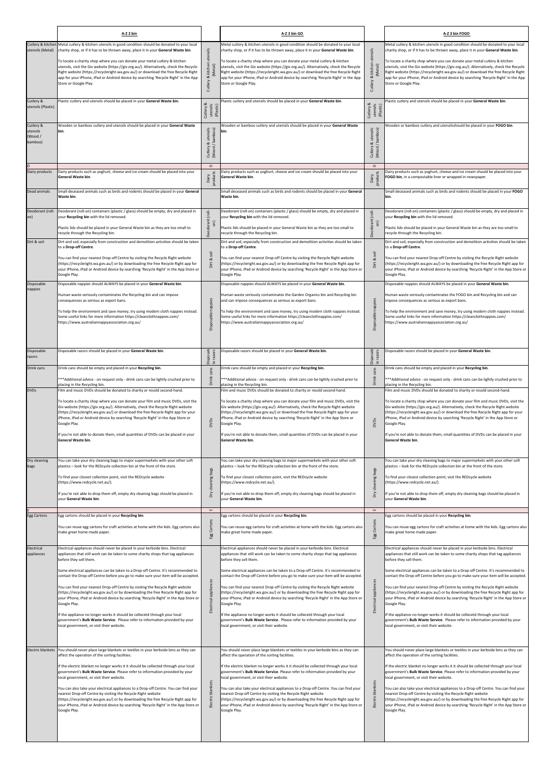|                                            | A-Z 2 bin                                                                                                                                                                                                                                                                                                                                                                                                                                                                                                                                                                                                                                                                                                                                                                                                                                                             |                                                 | A-Z 3 bin GO                                                                                                                                                                                                                                                                                                                                                                                                                                                                                                                                                                                                                                                                                                                                                                                                                                                          |                                                    | A-Z 3 bin FOGO                                                                                                                                                                                                                                                                                                                                                                                                                                                                                                                                                                                                                                                                                                                                                                                                                                                        |
|--------------------------------------------|-----------------------------------------------------------------------------------------------------------------------------------------------------------------------------------------------------------------------------------------------------------------------------------------------------------------------------------------------------------------------------------------------------------------------------------------------------------------------------------------------------------------------------------------------------------------------------------------------------------------------------------------------------------------------------------------------------------------------------------------------------------------------------------------------------------------------------------------------------------------------|-------------------------------------------------|-----------------------------------------------------------------------------------------------------------------------------------------------------------------------------------------------------------------------------------------------------------------------------------------------------------------------------------------------------------------------------------------------------------------------------------------------------------------------------------------------------------------------------------------------------------------------------------------------------------------------------------------------------------------------------------------------------------------------------------------------------------------------------------------------------------------------------------------------------------------------|----------------------------------------------------|-----------------------------------------------------------------------------------------------------------------------------------------------------------------------------------------------------------------------------------------------------------------------------------------------------------------------------------------------------------------------------------------------------------------------------------------------------------------------------------------------------------------------------------------------------------------------------------------------------------------------------------------------------------------------------------------------------------------------------------------------------------------------------------------------------------------------------------------------------------------------|
| utensils (Metal)                           | Cutlery & kitchen Metal cutlery & kitchen utensils in good condition should be donated to your local<br>charity shop, or if it has to be thrown away, place it in your General Waste bin.                                                                                                                                                                                                                                                                                                                                                                                                                                                                                                                                                                                                                                                                             |                                                 | Metal cutlery & kitchen utensils in good condition should be donated to your local<br>charity shop, or if it has to be thrown away, place it in your General Waste bin.                                                                                                                                                                                                                                                                                                                                                                                                                                                                                                                                                                                                                                                                                               |                                                    | Metal cutlery & kitchen utensils in good condition should be donated to your local<br>charity shop, or if it has to be thrown away, place it in your General Waste bin.                                                                                                                                                                                                                                                                                                                                                                                                                                                                                                                                                                                                                                                                                               |
|                                            | To locate a charity shop where you can donate your metal cutlery & kitchen<br>utensils, visit the Giv website (https://giv.org.au/). Alternatively, check the Recycle<br>Right website (https://recycleright.wa.gov.au/) or download the free Recycle Right<br>app for your iPhone, iPad or Android device by searching 'Recycle Right' in the App<br>Store or Google Play.                                                                                                                                                                                                                                                                                                                                                                                                                                                                                           | utensils<br>kitchen<br>(Metal)<br>ಹ<br>Cutlery  | To locate a charity shop where you can donate your metal cutlery & kitchen<br>utensils, visit the Giv website (https://giv.org.au/). Alternatively, check the Recycle<br>Right website (https://recycleright.wa.gov.au/) or download the free Recycle Right<br>app for your iPhone, iPad or Android device by searching 'Recycle Right' in the App<br>Store or Google Play.                                                                                                                                                                                                                                                                                                                                                                                                                                                                                           | utensils<br>kitchen<br>(Met<br>Cutlery &           | To locate a charity shop where you can donate your metal cutlery & kitchen<br>utensils, visit the Giv website (https://giv.org.au/). Alternatively, check the Recycle<br>Right website (https://recycleright.wa.gov.au/) or download the free Recycle Right<br>app for your iPhone, iPad or Android device by searching 'Recycle Right' in the App<br>Store or Google Play.                                                                                                                                                                                                                                                                                                                                                                                                                                                                                           |
| Cutlery &<br>utensils (Plastic)            | Plastic cutlery and utensils should be placed in your General Waste bin.                                                                                                                                                                                                                                                                                                                                                                                                                                                                                                                                                                                                                                                                                                                                                                                              | Cutlery &<br>utensils<br>(Plastic)              | Plastic cutlery and utensils should be placed in your General Waste bin.                                                                                                                                                                                                                                                                                                                                                                                                                                                                                                                                                                                                                                                                                                                                                                                              | Cutlery &<br>utensils<br>(Plastic)                 | Plastic cutlery and utensils should be placed in your General Waste bin.                                                                                                                                                                                                                                                                                                                                                                                                                                                                                                                                                                                                                                                                                                                                                                                              |
| Cutlery &<br>utensils<br>(Wood/<br>bamboo) | Wooden or bamboo cutlery and utensils should be placed in your General Waste<br>bin.                                                                                                                                                                                                                                                                                                                                                                                                                                                                                                                                                                                                                                                                                                                                                                                  | utensils<br>/ bamboo)<br>ಡ<br>Cutlery<br>(Wood, | Wooden or bamboo cutlery and utensils should be placed in your General Waste<br>bin.                                                                                                                                                                                                                                                                                                                                                                                                                                                                                                                                                                                                                                                                                                                                                                                  | utensils<br>(Wood / bamboo)<br>ಹ<br>Cutlery        | Wooden or bamboo cutlery and utensilsshould be placed in your FOGO bin.                                                                                                                                                                                                                                                                                                                                                                                                                                                                                                                                                                                                                                                                                                                                                                                               |
| Dairy products                             | Dairy products such as yoghurt, cheese and ice cream should be placed into your<br>General Waste bin.                                                                                                                                                                                                                                                                                                                                                                                                                                                                                                                                                                                                                                                                                                                                                                 | $\mathbf{\Omega}$<br>Dairy<br>products          | Dairy products such as yoghurt, cheese and ice cream should be placed into your<br>General Waste bin.                                                                                                                                                                                                                                                                                                                                                                                                                                                                                                                                                                                                                                                                                                                                                                 | $\mathbf{\Omega}$<br>Dairy<br>products             | Dairy products such as yoghurt, cheese and ice cream should be placed into your<br>FOGO bin, in a compostable liner or wrapped in newspaper.                                                                                                                                                                                                                                                                                                                                                                                                                                                                                                                                                                                                                                                                                                                          |
| Dead animals                               | Small deceased animals such as birds and rodents should be placed in your General<br>Waste bin.                                                                                                                                                                                                                                                                                                                                                                                                                                                                                                                                                                                                                                                                                                                                                                       |                                                 | Small deceased animals such as birds and rodents should be placed in your General<br>Waste bin.                                                                                                                                                                                                                                                                                                                                                                                                                                                                                                                                                                                                                                                                                                                                                                       |                                                    | Small deceased animals such as birds and rodents should be placed in your FOGO<br>bin.                                                                                                                                                                                                                                                                                                                                                                                                                                                                                                                                                                                                                                                                                                                                                                                |
| Deodorant (roll-<br>on)                    | Deodorant (roll-on) containers (plastic / glass) should be empty, dry and placed in<br>your Recycling bin with the lid removed.<br>Plastic lids should be placed in your General Waste bin as they are too small to<br>recycle through the Recycling bin.                                                                                                                                                                                                                                                                                                                                                                                                                                                                                                                                                                                                             | (roll-<br>Deodorant<br>on)                      | Deodorant (roll-on) containers (plastic / glass) should be empty, dry and placed in<br>your Recycling bin with the lid removed.<br>Plastic lids should be placed in your General Waste bin as they are too small to<br>recycle through the Recycling bin.                                                                                                                                                                                                                                                                                                                                                                                                                                                                                                                                                                                                             | col<br>Jeodorant<br>$\widehat{5}$                  | Deodorant (roll-on) containers (plastic / glass) should be empty, dry and placed in<br>our Recycling bin with the lid removed.<br>Plastic lids should be placed in your General Waste bin as they are too small to<br>ecycle through the Recycling bin.                                                                                                                                                                                                                                                                                                                                                                                                                                                                                                                                                                                                               |
| Dirt & soil                                | Dirt and soil, especially from construction and demolition activities should be taken<br>to a Drop-off Centre.<br>You can find your nearest Drop-off Centre by visiting the Recycle Right website<br>(https://recycleright.wa.gov.au/) or by downloading the free Recycle Right app for<br>your iPhone, iPad or Android device by searching 'Recycle Right' in the App Store or<br>Google Play.                                                                                                                                                                                                                                                                                                                                                                                                                                                                       | Dirt & soil                                     | Dirt and soil, especially from construction and demolition activities should be taken<br>to a Drop-off Centre.<br>You can find your nearest Drop-off Centre by visiting the Recycle Right website<br>(https://recycleright.wa.gov.au/) or by downloading the free Recycle Right app for<br>your iPhone, iPad or Android device by searching 'Recycle Right' in the App Store or<br>Google Play.                                                                                                                                                                                                                                                                                                                                                                                                                                                                       | <sub>soil</sub><br>Dirt &                          | Dirt and soil, especially from construction and demolition activities should be taken<br>to a Drop-off Centre.<br>You can find your nearest Drop-off Centre by visiting the Recycle Right website<br>(https://recycleright.wa.gov.au/) or by downloading the free Recycle Right app for<br>your iPhone, iPad or Android device by searching 'Recycle Right' in the App Store or<br>Google Play.                                                                                                                                                                                                                                                                                                                                                                                                                                                                       |
| Disposable<br>nappies                      | Disposable nappies should ALWAYS be placed in your General Waste bin.<br>Human waste seriously contaminates the Recycling bin and can impose<br>consequences as serious as export bans.<br>To help the environment and save money, try using modern cloth nappies instead.<br>Some useful links for more information https://cleanclothnappies.com/<br>https://www.australiannappyassociation.org.au/                                                                                                                                                                                                                                                                                                                                                                                                                                                                 | nappies<br>ble<br><b>Disposa</b>                | Disposable nappies should ALWAYS be placed in your General Waste bin.<br>Human waste seriously contaminates the Garden Organics bin and Recycling bin<br>and can impose consequences as serious as export bans.<br>To help the environment and save money, try using modern cloth nappies instead.<br>Some useful links for more information https://cleanclothnappies.com/<br>https://www.australiannappyassociation.org.au/                                                                                                                                                                                                                                                                                                                                                                                                                                         | nappies<br>$\frac{e}{2}$<br><b>Disposa</b>         | Disposable nappies should ALWAYS be placed in your General Waste bin.<br>Human waste seriously contaminates the FOGO bin and Recycling bin and can<br>impose consequences as serious as export bans.<br>To help the environment and save money, try using modern cloth nappies instead.<br>Some useful links for more information https://cleanclothnappies.com/<br>https://www.australiannappyassociation.org.au/                                                                                                                                                                                                                                                                                                                                                                                                                                                    |
| Disposable<br>razors                       | Disposable razors should be placed in your General Waste bin.                                                                                                                                                                                                                                                                                                                                                                                                                                                                                                                                                                                                                                                                                                                                                                                                         | Disposab<br>le razors                           | Disposable razors should be placed in your General Waste bin.                                                                                                                                                                                                                                                                                                                                                                                                                                                                                                                                                                                                                                                                                                                                                                                                         | Disposab<br>razors                                 | Disposable razors should be placed in your General Waste bin.                                                                                                                                                                                                                                                                                                                                                                                                                                                                                                                                                                                                                                                                                                                                                                                                         |
| Drink cans                                 | Drink cans should be empty and placed in your Recycling bin.<br>***Additional advice - on request only - drink cans can be lightly crushed prior to<br>placing in the Recycling bin.                                                                                                                                                                                                                                                                                                                                                                                                                                                                                                                                                                                                                                                                                  | Drink cans                                      | Drink cans should be empty and placed in your Recycling bin.<br>*** Additional advice - on request only - drink cans can be lightly crushed prior to<br>placing in the Recycling bin.                                                                                                                                                                                                                                                                                                                                                                                                                                                                                                                                                                                                                                                                                 | $\underline{\mathtt{\ o}}$<br>cans<br><b>Drink</b> | Drink cans should be empty and placed in your Recycling bin.<br>***Additional advice - on request only - drink cans can be lightly crushed prior to<br>placing in the Recycling bin.                                                                                                                                                                                                                                                                                                                                                                                                                                                                                                                                                                                                                                                                                  |
| <b>DVDs</b>                                | Film and music DVDs should be donated to charity or resold second-hand.<br>To locate a charity shop where you can donate your film and music DVDs, visit the<br>Giv website (https://giv.org.au/). Alternatively, check the Recycle Right website<br>(https://recycleright.wa.gov.au/) or download the free Recycle Right app for your<br>iPhone, iPad or Android device by searching 'Recycle Right' in the App Store or<br>Google Play.<br>If you're not able to donate them, small quantities of DVDs can be placed in your<br>General Waste bin.                                                                                                                                                                                                                                                                                                                  | pvDs                                            | Film and music DVDs should be donated to charity or resold second-hand.<br>To locate a charity shop where you can donate your film and music DVDs, visit the<br>Giv website (https://giv.org.au/). Alternatively, check the Recycle Right website<br>(https://recycleright.wa.gov.au/) or download the free Recycle Right app for your<br>iPhone, iPad or Android device by searching 'Recycle Right' in the App Store or<br>Google Play.<br>If you're not able to donate them, small quantities of DVDs can be placed in your<br><b>General Waste bin.</b>                                                                                                                                                                                                                                                                                                           | pvDs                                               | Film and music DVDs should be donated to charity or resold second-hand.<br>To locate a charity shop where you can donate your film and music DVDs, visit the<br>Giv website (https://giv.org.au/). Alternatively, check the Recycle Right website<br>(https://recycleright.wa.gov.au/) or download the free Recycle Right app for your<br>iPhone, iPad or Android device by searching 'Recycle Right' in the App Store or<br>Google Play.<br>If you're not able to donate them, small quantities of DVDs can be placed in your<br>General Waste bin.                                                                                                                                                                                                                                                                                                                  |
| Dry cleaning<br>bags                       | You can take your dry cleaning bags to major supermarkets with your other soft<br>plastics - look for the REDcycle collection bin at the front of the store.<br>To find your closest collection point, visit the REDcycle website<br>(https://www.redcycle.net.au/).<br>If you're not able to drop them off, empty dry cleaning bags should be placed in<br>your General Waste bin.                                                                                                                                                                                                                                                                                                                                                                                                                                                                                   | cleaning bags<br>δŊ                             | You can take your dry cleaning bags to major supermarkets with your other soft<br>plastics - look for the REDcycle collection bin at the front of the store.<br>To find your closest collection point, visit the REDcycle website<br>(https://www.redcycle.net.au/).<br>If you're not able to drop them off, empty dry cleaning bags should be placed in<br>your General Waste bin.                                                                                                                                                                                                                                                                                                                                                                                                                                                                                   | cleaning bags<br>$\delta$                          | You can take your dry cleaning bags to major supermarkets with your other soft<br>plastics - look for the REDcycle collection bin at the front of the store.<br>To find your closest collection point, visit the REDcycle website<br>(https://www.redcycle.net.au/).<br>If you're not able to drop them off, empty dry cleaning bags should be placed in<br>your General Waste bin.                                                                                                                                                                                                                                                                                                                                                                                                                                                                                   |
| Egg Cartons                                | Egg cartons should be placed in your Recycling bin.<br>You can reuse egg cartons for craft activities at home with the kids. Egg cartons also<br>make great home made paper.                                                                                                                                                                                                                                                                                                                                                                                                                                                                                                                                                                                                                                                                                          | $\mathbf{u}$<br>Egg Cartons                     | Egg cartons should be placed in your Recycling bin.<br>You can reuse egg cartons for craft activities at home with the kids. Egg cartons also<br>make great home made paper.                                                                                                                                                                                                                                                                                                                                                                                                                                                                                                                                                                                                                                                                                          | $\mathbf{u}$<br>Cartons<br>Egg                     | Egg cartons should be placed in your Recycling bin.<br>You can reuse egg cartons for craft activities at home with the kids. Egg cartons also<br>make great home made paper.                                                                                                                                                                                                                                                                                                                                                                                                                                                                                                                                                                                                                                                                                          |
| Electrical<br>appliances                   | Electrical appliances should never be placed in your kerbside bins. Electrical<br>appliances that still work can be taken to some charity shops that tag appliances<br>before they sell them.<br>Some electrical appliances can be taken to a Drop-off Centre. It's recommended to<br>contact the Drop-off Centre before you go to make sure your item will be accepted.<br>You can find your nearest Drop-off Centre by visiting the Recycle Right website<br>(https://recycleright.wa.gov.au/) or by downloading the free Recycle Right app for<br>your iPhone, iPad or Android device by searching 'Recycle Right' in the App Store or<br>Google Play.<br>If the appliance no longer works it should be collecetd through your local<br>government's Bulk Waste Service. Please refer to information provided by your<br>local government, or visit their website. | appliances<br>Electrical                        | Electrical appliances should never be placed in your kerbside bins. Electrical<br>appliances that still work can be taken to some charity shops that tag appliances<br>before they sell them.<br>Some electrical appliances can be taken to a Drop-off Centre. It's recommended to<br>contact the Drop-off Centre before you go to make sure your item will be accepted.<br>You can find your nearest Drop-off Centre by visiting the Recycle Right website<br>(https://recycleright.wa.gov.au/) or by downloading the free Recycle Right app for<br>your iPhone, iPad or Android device by searching 'Recycle Right' in the App Store or<br>Google Play.<br>If the appliance no longer works it should be collecetd through your local<br>government's Bulk Waste Service. Please refer to information provided by your<br>local government, or visit their website. | appliances<br>Electrical                           | Electrical appliances should never be placed in your kerbside bins. Electrical<br>appliances that still work can be taken to some charity shops that tag appliances<br>before they sell them.<br>Some electrical appliances can be taken to a Drop-off Centre. It's recommended to<br>contact the Drop-off Centre before you go to make sure your item will be accepted.<br>You can find your nearest Drop-off Centre by visiting the Recycle Right website<br>(https://recycleright.wa.gov.au/) or by downloading the free Recycle Right app for<br>your iPhone, iPad or Android device by searching 'Recycle Right' in the App Store or<br>Google Play.<br>If the appliance no longer works it should be collecetd through your local<br>government's Bulk Waste Service. Please refer to information provided by your<br>local government, or visit their website. |
| Electric blankets                          | You should never place large blankets or textiles in your kerbside bins as they can<br>affect the operation of the sorting facilities.<br>If the electric blanket no longer works it it should be collected through your local<br>government's Bulk Waste Service. Please refer to information provided by your<br>local government, or visit their website.<br>You can also take your electrical appliances to a Drop-off Centre. You can find your<br>nearest Drop-off Centre by visiting the Recycle Right website<br>(https://recycleright.wa.gov.au/) or by downloading the free Recycle Right app for<br>your iPhone, iPad or Android device by searching 'Recycle Right' in the App Store or<br>Google Play.                                                                                                                                                   | Electric blankets                               | You should never place large blankets or textiles in your kerbside bins as they can<br>affect the operation of the sorting facilities.<br>If the electric blanket no longer works it it should be collected through your local<br>government's Bulk Waste Service. Please refer to information provided by your<br>local government, or visit their website.<br>You can also take your electrical appliances to a Drop-off Centre. You can find your<br>nearest Drop-off Centre by visiting the Recycle Right website<br>(https://recycleright.wa.gov.au/) or by downloading the free Recycle Right app for<br>your iPhone, iPad or Android device by searching 'Recycle Right' in the App Store or<br>Google Play.                                                                                                                                                   | Electric blankets                                  | You should never place large blankets or textiles in your kerbside bins as they can<br>affect the operation of the sorting facilities.<br>If the electric blanket no longer works it it should be collected through your local<br>government's Bulk Waste Service. Please refer to information provided by your<br>local government, or visit their website.<br>You can also take your electrical appliances to a Drop-off Centre. You can find your<br>nearest Drop-off Centre by visiting the Recycle Right website<br>(https://recycleright.wa.gov.au/) or by downloading the free Recycle Right app for<br>your iPhone, iPad or Android device by searching 'Recycle Right' in the App Store or<br>Google Play.                                                                                                                                                   |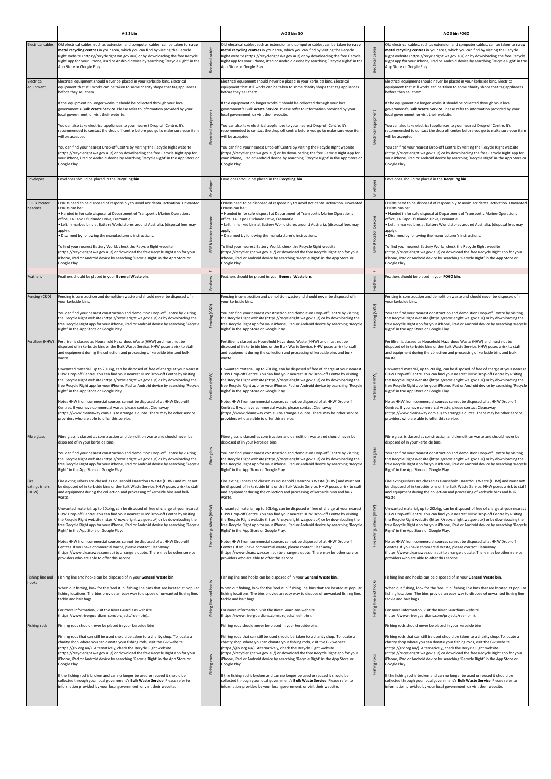|                                           | A-Z 2 bin                                                                                                                                                                                                                                                                                                                                                                                                                                                                                                                                                                                                                                                                                                                                                                                                                                                                                                                                        |                                    | A-Z 3 bin GO                                                                                                                                                                                                                                                                                                                                                                                                                                                                                                                                                                                                                                                                                                                                                                                                                                                                                                                                     |                                 | A-Z 3 bin FOGO                                                                                                                                                                                                                                                                                                                                                                                                                                                                                                                                                                                                                                                                                                                                                                                                                                                                                                                                   |
|-------------------------------------------|--------------------------------------------------------------------------------------------------------------------------------------------------------------------------------------------------------------------------------------------------------------------------------------------------------------------------------------------------------------------------------------------------------------------------------------------------------------------------------------------------------------------------------------------------------------------------------------------------------------------------------------------------------------------------------------------------------------------------------------------------------------------------------------------------------------------------------------------------------------------------------------------------------------------------------------------------|------------------------------------|--------------------------------------------------------------------------------------------------------------------------------------------------------------------------------------------------------------------------------------------------------------------------------------------------------------------------------------------------------------------------------------------------------------------------------------------------------------------------------------------------------------------------------------------------------------------------------------------------------------------------------------------------------------------------------------------------------------------------------------------------------------------------------------------------------------------------------------------------------------------------------------------------------------------------------------------------|---------------------------------|--------------------------------------------------------------------------------------------------------------------------------------------------------------------------------------------------------------------------------------------------------------------------------------------------------------------------------------------------------------------------------------------------------------------------------------------------------------------------------------------------------------------------------------------------------------------------------------------------------------------------------------------------------------------------------------------------------------------------------------------------------------------------------------------------------------------------------------------------------------------------------------------------------------------------------------------------|
| <b>Electrical cables</b>                  | Old electrical cables, such as extension and computer cables, can be taken to scrap<br>metal recycling centres in your area, which you can find by visiting the Recycle<br>Right website (https://recycleright.wa.gov.au/) or by downloading the free Recycle<br>Right app for your iPhone, iPad or Android device by searching 'Recycle Right' in the<br>App Store or Google Play.                                                                                                                                                                                                                                                                                                                                                                                                                                                                                                                                                              | cables<br>Electrical               | Old electrical cables, such as extension and computer cables, can be taken to scrap<br>metal recycling centres in your area, which you can find by visiting the Recycle<br>Right website (https://recycleright.wa.gov.au/) or by downloading the free Recycle<br>Right app for your iPhone, iPad or Android device by searching 'Recycle Right' in the<br>App Store or Google Play.                                                                                                                                                                                                                                                                                                                                                                                                                                                                                                                                                              | cables<br>Electrical            | Old electrical cables, such as extension and computer cables, can be taken to scrap<br>metal recycling centres in your area, which you can find by visiting the Recycle<br>Right website (https://recycleright.wa.gov.au/) or by downloading the free Recycle<br>Right app for your iPhone, iPad or Android device by searching 'Recycle Right' in the<br>App Store or Google Play.                                                                                                                                                                                                                                                                                                                                                                                                                                                                                                                                                              |
| Electrical<br>equipment                   | Electrical equipment should never be placed in your kerbside bins. Electrical<br>equipment that still works can be taken to some charity shops that tag appliances<br>before they sell them.<br>If the equipment no longer works it should be collected through your local<br>government's Bulk Waste Service. Please refer to information provided by your<br>local government, or visit their website.<br>You can also take electrical appliances to your nearest Drop-off Centre. It's<br>recommended to contact the drop off centre before you go to make sure your item<br>will be accepted.<br>You can find your nearest Drop-off Centre by visiting the Recycle Right website<br>(https://recycleright.wa.gov.au/) or by downloading the free Recycle Right app for<br>your iPhone, iPad or Android device by searching 'Recycle Right' in the App Store or<br>Google Play.                                                               | equipment<br>Electrical            | Electrical equipment should never be placed in your kerbside bins. Electrical<br>equipment that still works can be taken to some charity shops that tag appliances<br>before they sell them.<br>If the equipment no longer works it should be collected through your local<br>government's Bulk Waste Service. Please refer to information provided by your<br>local government, or visit their website.<br>You can also take electrical appliances to your nearest Drop-off Centre. It's<br>recommended to contact the drop off centre before you go to make sure your item<br>will be accepted.<br>You can find your nearest Drop-off Centre by visiting the Recycle Right website<br>(https://recycleright.wa.gov.au/) or by downloading the free Recycle Right app for<br>your iPhone, iPad or Android device by searching 'Recycle Right' in the App Store or<br>Google Play.                                                               | equipment<br>Electrical         | Electrical equipment should never be placed in your kerbside bins. Electrical<br>equipment that still works can be taken to some charity shops that tag appliances<br>before they sell them.<br>If the equipment no longer works it should be collected through your local<br>government's Bulk Waste Service. Please refer to information provided by your<br>local government, or visit their website.<br>You can also take electrical appliances to your nearest Drop-off Centre. It's<br>recommended to contact the drop off centre before you go to make sure your item<br>will be accepted.<br>You can find your nearest Drop-off Centre by visiting the Recycle Right website<br>(https://recycleright.wa.gov.au/) or by downloading the free Recycle Right app for<br>your iPhone, iPad or Android device by searching 'Recycle Right' in the App Store or<br>Google Play.                                                               |
| Envelopes                                 | Envelopes should be placed in the Recycling bin.                                                                                                                                                                                                                                                                                                                                                                                                                                                                                                                                                                                                                                                                                                                                                                                                                                                                                                 | Envelopes                          | Envelopes should be placed in the Recycling bin.                                                                                                                                                                                                                                                                                                                                                                                                                                                                                                                                                                                                                                                                                                                                                                                                                                                                                                 | Envelopes                       | Envelopes should be placed in the Recycling bin.                                                                                                                                                                                                                                                                                                                                                                                                                                                                                                                                                                                                                                                                                                                                                                                                                                                                                                 |
| <b>EPIRB locator</b><br>beacons           | EPIRBs need to be disposed of responsibly to avoid accidental activation. Unwanted<br>EPIRBs can be:<br>. Handed in for safe disposal at Department of Transport's Marine Operations<br>office, 14 Capo D'Orlando Drive, Fremantle<br>. Left in marked bins at Battery World stores around Australia, (disposal fees may<br>apply).<br>. Disarmed by following the manufacturer's instructions.<br>To find your nearest Battery World, check the Recycle Right website<br>(https://recycleright.wa.gov.au/) or download the free Recycle Right app for your<br>iPhone, iPad or Android device by searching 'Recycle Right' in the App Store or<br>Google Play.                                                                                                                                                                                                                                                                                   | EPIRB locator beacons              | EPIRBs need to be disposed of responsibly to avoid accidental activation. Unwanted<br>EPIRBs can be:<br>• Handed in for safe disposal at Department of Transport's Marine Operations<br>office, 14 Capo D'Orlando Drive, Fremantle<br>• Left in marked bins at Battery World stores around Australia, (disposal fees may<br>apply).<br>Disarmed by following the manufacturer's instructions.<br>To find your nearest Battery World, check the Recycle Right website<br>(https://recycleright.wa.gov.au/) or download the free Recycle Right app for your<br>iPhone, iPad or Android device by searching 'Recycle Right' in the App Store or<br>Google Play.                                                                                                                                                                                                                                                                                     | beacons<br>locator<br>EPIRB     | EPIRBs need to be disposed of responsibly to avoid accidental activation. Unwanted<br>EPIRBs can be:<br>. Handed in for safe disposal at Department of Transport's Marine Operations<br>office, 14 Capo D'Orlando Drive, Fremantle<br>• Left in marked bins at Battery World stores around Australia, (disposal fees may<br>apply).<br>Disarmed by following the manufacturer's instructions.<br>To find your nearest Battery World, check the Recycle Right website<br>(https://recycleright.wa.gov.au/) or download the free Recycle Right app for your<br>iPhone, iPad or Android device by searching 'Recycle Right' in the App Store or<br>Google Play.                                                                                                                                                                                                                                                                                     |
| Feathers                                  | Feathers should be placed in your General Waste bin.                                                                                                                                                                                                                                                                                                                                                                                                                                                                                                                                                                                                                                                                                                                                                                                                                                                                                             | $\mathsf{L}\mathsf{L}$<br>Feathers | Feathers should be placed in your General Waste bin.                                                                                                                                                                                                                                                                                                                                                                                                                                                                                                                                                                                                                                                                                                                                                                                                                                                                                             | $\mathbf{u}$<br>Feathers        | Feathers should be placed in your FOGO bin.                                                                                                                                                                                                                                                                                                                                                                                                                                                                                                                                                                                                                                                                                                                                                                                                                                                                                                      |
| Fencing (C&D)                             | Fencing is construction and demolition waste and should never be disposed of in<br>your kerbside bins.<br>You can find your nearest construction and demolition Drop-off Centre by visiting<br>the Recycle Right website (https://recycleright.wa.gov.au/) or by downloading the<br>free Recycle Right app for your iPhone, iPad or Android device by searching 'Recycle<br>Right' in the App Store or Google Play.                                                                                                                                                                                                                                                                                                                                                                                                                                                                                                                              | (C&D)<br>Fencin                    | Fencing is construction and demolition waste and should never be disposed of in<br>your kerbside bins.<br>You can find your nearest construction and demolition Drop-off Centre by visiting<br>the Recycle Right website (https://recycleright.wa.gov.au/) or by downloading the<br>free Recycle Right app for your iPhone, iPad or Android device by searching 'Recycle'<br>Right' in the App Store or Google Play.                                                                                                                                                                                                                                                                                                                                                                                                                                                                                                                             | (C&D)<br>Fencin                 | Fencing is construction and demolition waste and should never be disposed of in<br>your kerbside bins.<br>You can find your nearest construction and demolition Drop-off Centre by visiting<br>the Recycle Right website (https://recycleright.wa.gov.au/) or by downloading the<br>free Recycle Right app for your iPhone, iPad or Android device by searching 'Recycle<br>Right' in the App Store or Google Play.                                                                                                                                                                                                                                                                                                                                                                                                                                                                                                                              |
| Fertiliser (HHW)                          | Fertiliser is classed as Household Hazardous Waste (HHW) and must not be<br>disposed of in kerbside bins or the Bulk Waste Service. HHW poses a risk to staff<br>and equipment during the collection and processing of kerbside bins and bulk<br>waste.<br>Unwanted material, up to 20L/kg, can be disposed of free of charge at your nearest<br>HHW Drop-off Centre. You can find your nearest HHW Drop-off Centre by visiting<br>the Recycle Right website (https://recycleright.wa.gov.au/) or by downloading the<br>free Recycle Right app for your iPhone, iPad or Android device by searching 'Recycle<br>Right' in the App Store or Google Play.<br>Note: HHW from commercial sources cannot be disposed of at HHW Drop-off<br>Centres. If you have commercial waste, please contact Cleanaway<br>(https://www.cleanaway.com.au) to arrange a quote. There may be other service<br>providers who are able to offer this service.          | (HHW)<br>Fertiliser                | Fertiliser is classed as Household Hazardous Waste (HHW) and must not be<br>disposed of in kerbside bins or the Bulk Waste Service. HHW poses a risk to staff<br>and equipment during the collection and processing of kerbside bins and bulk<br>waste.<br>Unwanted material, up to 20L/kg, can be disposed of free of charge at your nearest<br>HHW Drop-off Centre. You can find your nearest HHW Drop-off Centre by visiting<br>the Recycle Right website (https://recycleright.wa.gov.au/) or by downloading the<br>free Recycle Right app for your iPhone, iPad or Android device by searching 'Recycle<br>Right' in the App Store or Google Play.<br>Note: HHW from commercial sources cannot be disposed of at HHW Drop-off<br>Centres. If you have commercial waste, please contact Cleanaway<br>(https://www.cleanaway.com.au) to arrange a quote. There may be other service<br>providers who are able to offer this service.          | (HHW)<br>Fertiliser             | Fertiliser is classed as Household Hazardous Waste (HHW) and must not be<br>disposed of in kerbside bins or the Bulk Waste Service. HHW poses a risk to staff<br>and equipment during the collection and processing of kerbside bins and bulk<br>waste.<br>Unwanted material, up to 20L/kg, can be disposed of free of charge at your nearest<br>HHW Drop-off Centre. You can find your nearest HHW Drop-off Centre by visiting<br>the Recycle Right website (https://recycleright.wa.gov.au/) or by downloading the<br>free Recycle Right app for your iPhone, iPad or Android device by searching 'Recycle<br>Right' in the App Store or Google Play.<br>Note: HHW from commercial sources cannot be disposed of at HHW Drop-off<br>Centres. If you have commercial waste, please contact Cleanaway<br>(https://www.cleanaway.com.au) to arrange a quote. There may be other service<br>providers who are able to offer this service.          |
| Fibre glass                               | Fibre glass is classed as construction and demolition waste and should never be<br>disposed of in your kerbside bins.<br>You can find your nearest construction and demolition Drop-off Centre by visiting<br>the Recycle Right website (https://recycleright.wa.gov.au/) or by downloading the<br>free Recycle Right app for your iPhone, iPad or Android device by searching 'Recycle<br>Right' in the App Store or Google Play.                                                                                                                                                                                                                                                                                                                                                                                                                                                                                                               | glass<br>Fibre                     | Fibre glass is classed as construction and demolition waste and should never be<br>disposed of in your kerbside bins.<br>You can find your nearest construction and demolition Drop-off Centre by visiting<br>the Recycle Right website (https://recycleright.wa.gov.au/) or by downloading the<br>free Recycle Right app for your iPhone, iPad or Android device by searching 'Recycle<br>Right' in the App Store or Google Play.                                                                                                                                                                                                                                                                                                                                                                                                                                                                                                               | glass<br>Fibre                  | Fibre glass is classed as construction and demolition waste and should never be<br>disposed of in your kerbside bins.<br>You can find your nearest construction and demolition Drop-off Centre by visiting<br>the Recycle Right website (https://recycleright.wa.gov.au/) or by downloading the<br>free Recycle Right app for your iPhone, iPad or Android device by searching 'Recycle<br>Right' in the App Store or Google Play.                                                                                                                                                                                                                                                                                                                                                                                                                                                                                                               |
| Fire<br>extinguishers<br>(HHW)            | Fire extinguishers are classed as Household Hazardous Waste (HHW) and must not<br>be disposed of in kerbside bins or the Bulk Waste Service. HHW poses a risk to staff<br>and equipment during the collection and processing of kerbside bins and bulk<br>waste.<br>Unwanted material, up to 20L/kg, can be disposed of free of charge at your nearest<br>HHW Drop-off Centre. You can find your nearest HHW Drop-off Centre by visiting<br>the Recycle Right website (https://recycleright.wa.gov.au/) or by downloading the<br>free Recycle Right app for your iPhone, iPad or Android device by searching 'Recycle<br>Right' in the App Store or Google Play.<br>Note: HHW from commercial sources cannot be disposed of at HHW Drop-off<br>Centres. If you have commercial waste, please contact Cleanaway<br>(https://www.cleanaway.com.au) to arrange a quote. There may be other service<br>providers who are able to offer this service. | Fire extinguishers (HHW)           | Fire extinguishers are classed as Household Hazardous Waste (HHW) and must not<br>be disposed of in kerbside bins or the Bulk Waste Service. HHW poses a risk to staff<br>and equipment during the collection and processing of kerbside bins and bulk<br>waste.<br>Unwanted material, up to 20L/kg, can be disposed of free of charge at your nearest<br>HHW Drop-off Centre. You can find your nearest HHW Drop-off Centre by visiting<br>the Recycle Right website (https://recycleright.wa.gov.au/) or by downloading the<br>free Recycle Right app for your iPhone, iPad or Android device by searching 'Recycle<br>Right' in the App Store or Google Play.<br>Note: HHW from commercial sources cannot be disposed of at HHW Drop-off<br>Centres. If you have commercial waste, please contact Cleanaway<br>(https://www.cleanaway.com.au) to arrange a quote. There may be other service<br>providers who are able to offer this service. | (HHW)<br>extinguishers<br>Fire  | Fire extinguishers are classed as Household Hazardous Waste (HHW) and must not<br>be disposed of in kerbside bins or the Bulk Waste Service. HHW poses a risk to staff<br>and equipment during the collection and processing of kerbside bins and bulk<br>waste.<br>Unwanted material, up to 20L/kg, can be disposed of free of charge at your nearest<br>HHW Drop-off Centre. You can find your nearest HHW Drop-off Centre by visiting<br>the Recycle Right website (https://recycleright.wa.gov.au/) or by downloading the<br>free Recycle Right app for your iPhone, iPad or Android device by searching 'Recycle<br>Right' in the App Store or Google Play.<br>Note: HHW from commercial sources cannot be disposed of at HHW Drop-off<br>Centres. If you have commercial waste, please contact Cleanaway<br>(https://www.cleanaway.com.au) to arrange a quote. There may be other service<br>providers who are able to offer this service. |
| Fishing line and<br>hooks<br>Fishing rods | Fishing line and hooks can be disposed of in your General Waste bin.<br>When out fishing, look for the 'reel it in' fishing line bins that are located at popular<br>fishing locations. The bins provide an easy way to dispose of unwanted fishing line,<br>tackle and bait bags.<br>For more information, visit the River Guardians website<br>(https://www.riverguardians.com/projects/reel-it-in).<br>Fishing rods should never be placed in your kerbside bins.                                                                                                                                                                                                                                                                                                                                                                                                                                                                             | and hooks<br>line<br>hing          | Fishing line and hooks can be disposed of in your General Waste bin.<br>When out fishing, look for the 'reel it in' fishing line bins that are located at popular<br>fishing locations. The bins provide an easy way to dispose of unwanted fishing line,<br>tackle and bait bags.<br>For more information, visit the River Guardians website<br>(https://www.riverguardians.com/projects/reel-it-in).<br>Fishing rods should never be placed in your kerbside bins.                                                                                                                                                                                                                                                                                                                                                                                                                                                                             | and hooks<br>line<br>hing<br>ίĚ | Fishing line and hooks can be disposed of in your General Waste bin.<br>When out fishing, look for the 'reel it in' fishing line bins that are located at popular<br>fishing locations. The bins provide an easy way to dispose of unwanted fishing line,<br>tackle and bait bags.<br>For more information, visit the River Guardians website<br>(https://www.riverguardians.com/projects/reel-it-in).<br>Fishing rods should never be placed in your kerbside bins.                                                                                                                                                                                                                                                                                                                                                                                                                                                                             |
|                                           | Fishing rods that can still be used should be taken to a charity shop. To locate a<br>charity shop where you can donate your fishing rods, visit the Giv website<br>(https://giv.org.au/). Alternatively, check the Recycle Right website<br>(https://recycleright.wa.gov.au/) or download the free Recycle Right app for your<br>iPhone, iPad or Android device by searching 'Recycle Right' in the App Store or<br>Google Play.<br>If the fishing rod is broken and can no longer be used or reused it should be<br>collected through your local government's Bulk Waste Service. Please refer to<br>information provided by your local government, or visit their website.                                                                                                                                                                                                                                                                    | Fishing rods                       | Fishing rods that can still be used should be taken to a charity shop. To locate a<br>charity shop where you can donate your fishing rods, visit the Giv website<br>(https://giv.org.au/). Alternatively, check the Recycle Right website<br>(https://recycleright.wa.gov.au/) or download the free Recycle Right app for your<br>iPhone, iPad or Android device by searching 'Recycle Right' in the App Store or<br>Google Play.<br>If the fishing rod is broken and can no longer be used or reused it should be<br>collected through your local government's Bulk Waste Service. Please refer to<br>information provided by your local government, or visit their website.                                                                                                                                                                                                                                                                    | rods<br>Fishing t               | Fishing rods that can still be used should be taken to a charity shop. To locate a<br>charity shop where you can donate your fishing rods, visit the Giv website<br>(https://giv.org.au/). Alternatively, check the Recycle Right website<br>(https://recycleright.wa.gov.au/) or download the free Recycle Right app for your<br>iPhone, iPad or Android device by searching 'Recycle Right' in the App Store or<br>Google Play.<br>If the fishing rod is broken and can no longer be used or reused it should be<br>collected through your local government's Bulk Waste Service. Please refer to<br>information provided by your local government, or visit their website.                                                                                                                                                                                                                                                                    |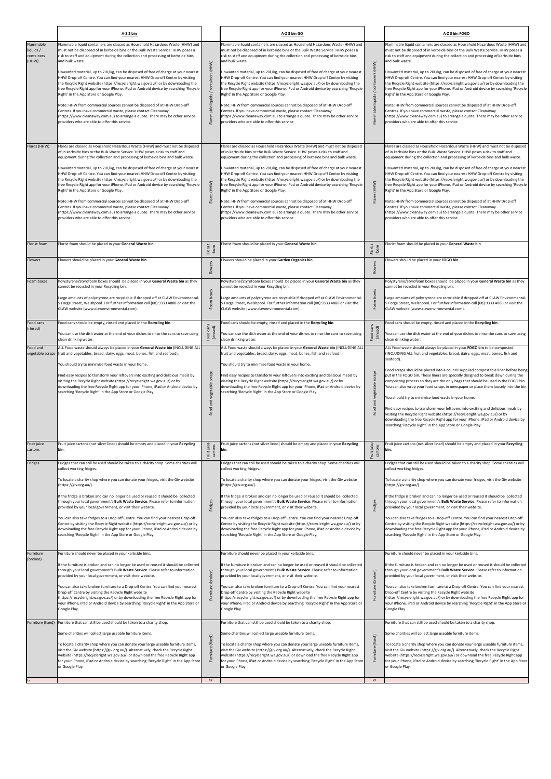|                                                       | A-Z 2 bin                                                                                                                                                                                                                                                                                                                                                                                                                                                                                                                                                                                                                                                                                                                                                                                                                                                                                                                                                 |                                                              | A-Z 3 bin GO                                                                                                                                                                                                                                                                                                                                                                                                                                                                                                                                                                                                                                                                                                                                                                                                                                                                                                                                              |                                                       | A-Z 3 bin FOGO                                                                                                                                                                                                                                                                                                                                                                                                                                                                                                                                                                                                                                                                                                                                                                                                                                                                                                                                                                                                                                                                                      |
|-------------------------------------------------------|-----------------------------------------------------------------------------------------------------------------------------------------------------------------------------------------------------------------------------------------------------------------------------------------------------------------------------------------------------------------------------------------------------------------------------------------------------------------------------------------------------------------------------------------------------------------------------------------------------------------------------------------------------------------------------------------------------------------------------------------------------------------------------------------------------------------------------------------------------------------------------------------------------------------------------------------------------------|--------------------------------------------------------------|-----------------------------------------------------------------------------------------------------------------------------------------------------------------------------------------------------------------------------------------------------------------------------------------------------------------------------------------------------------------------------------------------------------------------------------------------------------------------------------------------------------------------------------------------------------------------------------------------------------------------------------------------------------------------------------------------------------------------------------------------------------------------------------------------------------------------------------------------------------------------------------------------------------------------------------------------------------|-------------------------------------------------------|-----------------------------------------------------------------------------------------------------------------------------------------------------------------------------------------------------------------------------------------------------------------------------------------------------------------------------------------------------------------------------------------------------------------------------------------------------------------------------------------------------------------------------------------------------------------------------------------------------------------------------------------------------------------------------------------------------------------------------------------------------------------------------------------------------------------------------------------------------------------------------------------------------------------------------------------------------------------------------------------------------------------------------------------------------------------------------------------------------|
| Flammable<br>liquids /<br>containers<br>(HHW)         | Flammable liquid containers are classed as Household Hazardous Waste (HHW) and<br>must not be disposed of in kerbside bins or the Bulk Waste Service. HHW poses a<br>risk to staff and equipment during the collection and processing of kerbside bins<br>and bulk waste.<br>Unwanted material, up to 20L/kg, can be disposed of free of charge at your nearest<br>HHW Drop-off Centre. You can find your nearest HHW Drop-off Centre by visiting<br>the Recycle Right website (https://recycleright.wa.gov.au/) or by downloading the<br>free Recycle Right app for your iPhone, iPad or Android device by searching 'Recycle<br>Right' in the App Store or Google Play.<br>Note: HHW from commercial sources cannot be disposed of at HHW Drop-off<br>Centres. If you have commercial waste, please contact Cleanaway<br>(https://www.cleanaway.com.au) to arrange a quote. There may be other service<br>providers who are able to offer this service. | (HHW)<br>Flammable liquids                                   | Flammable liquid containers are classed as Household Hazardous Waste (HHW) and<br>must not be disposed of in kerbside bins or the Bulk Waste Service. HHW poses a<br>risk to staff and equipment during the collection and processing of kerbside bins<br>and bulk waste.<br>Unwanted material, up to 20L/kg, can be disposed of free of charge at your nearest<br>HHW Drop-off Centre. You can find your nearest HHW Drop-off Centre by visiting<br>the Recycle Right website (https://recycleright.wa.gov.au/) or by downloading the<br>free Recycle Right app for your iPhone, iPad or Android device by searching 'Recycle<br>Right' in the App Store or Google Play.<br>Note: HHW from commercial sources cannot be disposed of at HHW Drop-off<br>Centres. If you have commercial waste, please contact Cleanaway<br>(https://www.cleanaway.com.au) to arrange a quote. There may be other service<br>providers who are able to offer this service. | Flammable liquids / containers (HHW)                  | Flammable liquid containers are classed as Household Hazardous Waste (HHW) and<br>must not be disposed of in kerbside bins or the Bulk Waste Service. HHW poses a<br>risk to staff and equipment during the collection and processing of kerbside bins<br>and bulk waste.<br>Unwanted material, up to 20L/kg, can be disposed of free of charge at your nearest<br>HHW Drop-off Centre. You can find your nearest HHW Drop-off Centre by visiting<br>the Recycle Right website (https://recycleright.wa.gov.au/) or by downloading the<br>free Recycle Right app for your iPhone, iPad or Android device by searching 'Recycle<br>Right' in the App Store or Google Play.<br>Note: HHW from commercial sources cannot be disposed of at HHW Drop-off<br>Centres. If you have commercial waste, please contact Cleanaway<br>(https://www.cleanaway.com.au) to arrange a quote. There may be other service<br>providers who are able to offer this service.                                                                                                                                           |
| Flares (HHW)                                          | Flares are classed as Household Hazardous Waste (HHW) and must not be disposed<br>of in kerbside bins or the Bulk Waste Service. HHW poses a risk to staff and<br>equipment during the collection and processing of kerbside bins and bulk waste.<br>Unwanted material, up to 20L/kg, can be disposed of free of charge at your nearest<br>HHW Drop-off Centre. You can find your nearest HHW Drop-off Centre by visiting<br>the Recycle Right website (https://recycleright.wa.gov.au/) or by downloading the<br>free Recycle Right app for your iPhone, iPad or Android device by searching 'Recycle<br>Right' in the App Store or Google Play.<br>Note: HHW from commercial sources cannot be disposed of at HHW Drop-off<br>Centres. If you have commercial waste, please contact Cleanaway<br>(https://www.cleanaway.com.au) to arrange a quote. There may be other service<br>providers who are able to offer this service.                         | Flares (HHW)                                                 | Flares are classed as Household Hazardous Waste (HHW) and must not be disposed<br>of in kerbside bins or the Bulk Waste Service. HHW poses a risk to staff and<br>equipment during the collection and processing of kerbside bins and bulk waste.<br>Unwanted material, up to 20L/kg, can be disposed of free of charge at your nearest<br>HHW Drop-off Centre. You can find your nearest HHW Drop-off Centre by visiting<br>the Recycle Right website (https://recycleright.wa.gov.au/) or by downloading the<br>free Recycle Right app for your iPhone, iPad or Android device by searching 'Recycle<br>Right' in the App Store or Google Play.<br>Note: HHW from commercial sources cannot be disposed of at HHW Drop-off<br>Centres. If you have commercial waste, please contact Cleanaway<br>(https://www.cleanaway.com.au) to arrange a quote. There may be other service<br>providers who are able to offer this service.                         | Flares (HHW)                                          | Flares are classed as Household Hazardous Waste (HHW) and must not be disposed<br>of in kerbside bins or the Bulk Waste Service. HHW poses a risk to staff and<br>equipment during the collection and processing of kerbside bins and bulk waste.<br>Unwanted material, up to 20L/kg, can be disposed of free of charge at your nearest<br>HHW Drop-off Centre. You can find your nearest HHW Drop-off Centre by visiting<br>the Recycle Right website (https://recycleright.wa.gov.au/) or by downloading the<br>free Recycle Right app for your iPhone, iPad or Android device by searching 'Recycle<br>Right' in the App Store or Google Play.<br>Note: HHW from commercial sources cannot be disposed of at HHW Drop-off<br>Centres. If you have commercial waste, please contact Cleanaway<br>(https://www.cleanaway.com.au) to arrange a quote. There may be other service<br>providers who are able to offer this service.                                                                                                                                                                   |
| Florist foam<br><b>Flowers</b>                        | Florist foam should be placed in your General Waste bin.<br>Flowers should be placed in your General Waste bin.                                                                                                                                                                                                                                                                                                                                                                                                                                                                                                                                                                                                                                                                                                                                                                                                                                           | Florist<br>foam<br>Flowers                                   | lorist foam should be placed in your General Waste bin.<br>lowers should be placed in your Garden Organics bin.                                                                                                                                                                                                                                                                                                                                                                                                                                                                                                                                                                                                                                                                                                                                                                                                                                           | Florist<br>foam<br>Flowers                            | Florist foam should be placed in your General Waste bin.<br>Flowers should be placed in your FOGO bin.                                                                                                                                                                                                                                                                                                                                                                                                                                                                                                                                                                                                                                                                                                                                                                                                                                                                                                                                                                                              |
| Foam boxes                                            | Polystyrene/Styrofoam boxes should be placed in your General Waste bin as they<br>cannot be recycled in your Recycling bin.<br>Large amounts of polystyrene are recyclable if dropped off at CLAW Environmental-<br>5 Forge Street, Welshpool. For further information call (08) 9333 4888 or visit the<br>CLAW website (www.clawenvironmental.com).                                                                                                                                                                                                                                                                                                                                                                                                                                                                                                                                                                                                      | <b>boxes</b><br>Foam                                         | Polystyrene/Styrofoam boxes should be placed in your General Waste bin as they<br>cannot be recycled in your Recycling bin.<br>Large amounts of polystyrene are recyclable if dropped off at CLAW Environmental-<br>5 Forge Street, Welshpool. For further information call (08) 9333 4888 or visit the<br>CLAW website (www.clawenvironmental.com).                                                                                                                                                                                                                                                                                                                                                                                                                                                                                                                                                                                                      | Foam boxes                                            | Polystyrene/Styrofoam boxes should be placed in your General Waste bin as they<br>cannot be recycled in your Recycling bin.<br>Large amounts of polystyrene are recyclable if dropped off at CLAW Environmental-<br>5 Forge Street, Welshpool. For further information call (08) 9333 4888 or visit the<br>CLAW website (www.clawenvironmental.com).                                                                                                                                                                                                                                                                                                                                                                                                                                                                                                                                                                                                                                                                                                                                                |
| Food cans<br>(rinsed)<br>Food and<br>regetable scraps | Food cans should be empty, rinsed and placed in the Recycling bin.<br>You can use the dish water at the end of your dishes to rinse the cans to save using<br>clean drinking water.<br>ALL Food waste should always be placed in your General Waste bin (INCLUDING ALI<br>fruit and vegetables, bread, dairy, eggs, meat, bones, fish and seafood).<br>You should try to minimise food waste in your home.<br>Find easy recipes to transform your leftovers into exciting and delicious meals by<br>visiting the Recycle Right website (https://recycleright.wa.gov.au/) or by<br>downloading the free Recycle Right app for your iPhone, iPad or Android device by<br>searching 'Recycle Right' in the App Store or Google Play.                                                                                                                                                                                                                         | ood cans<br>(rinsed)<br>Food<br>scraps<br>Food and vegetable | ood cans should be empty, rinsed and placed in the Recycling bin.<br>You can use the dish water at the end of your dishes to rinse the cans to save using<br>clean drinking water.<br>ALL Food waste should always be placed in your General Waste bin (INCLUDING ALL<br>fruit and vegetables, bread, dairy, eggs, meat, bones, fish and seafood).<br>You should try to minimise food waste in your home.<br>Find easy recipes to transform your leftovers into exciting and delicious meals by<br>visiting the Recycle Right website (https://recycleright.wa.gov.au/) or by<br>downloading the free Recycle Right app for your iPhone, iPad or Android device by<br>searching 'Recycle Right' in the App Store or Google Play.                                                                                                                                                                                                                          | cans<br>(rinsed)<br>Food<br>Food and vegetable scraps | Food cans should be empty, rinsed and placed in the Recycling bin.<br>You can use the dish water at the end of your dishes to rinse the cans to save using<br>clean drinking water.<br>ALL Food waste should always be placed in your FOGO bin to be composted<br>(INCLUDING ALL fruit and vegetables, bread, dairy, eggs, meat, bones, fish and<br>seafood).<br>Food scraps should be placed into a council supplied compostable liner before being<br>put in the FOGO bin. These liners are specially designed to break down during the<br>composting process so they are the only bags that should be used in the FOGO bin.<br>You can also wrap your food scraps in newspaper or place them loosely into the bin.<br>You should try to minimise food waste in your home.<br>Find easy recipes to transform your leftovers into exciting and delicious meals by<br>visiting the Recycle Right website (https://recycleright.wa.gov.au/) or by<br>downloading the free Recycle Right app for your iPhone, iPad or Android device by<br>searching 'Recycle Right' in the App Store or Google Play. |
| Fruit juice<br>cartons                                | Fruit juice cartons (not silver lined) should be empty and placed in your Recycling<br>bin.                                                                                                                                                                                                                                                                                                                                                                                                                                                                                                                                                                                                                                                                                                                                                                                                                                                               | Fruit juice<br>cartons                                       | Fruit juice cartons (not silver lined) should be empty and placed in your Recycling<br>bin.                                                                                                                                                                                                                                                                                                                                                                                                                                                                                                                                                                                                                                                                                                                                                                                                                                                               | Fruit juice<br>cartons                                | Fruit juice cartons (not silver lined) should be empty and placed in your Recycling<br>bin.                                                                                                                                                                                                                                                                                                                                                                                                                                                                                                                                                                                                                                                                                                                                                                                                                                                                                                                                                                                                         |
| Fridges                                               | Fridges that can still be used should be taken to a charity shop. Some charities will<br>collect working fridges.<br>To locate a charity shop where you can donate your fridges, visit the Giv website<br>(https://giv.org.au/).<br>If the fridge is broken and can no longer be used or reused it should be collected<br>through your local government's Bulk Waste Service. Please refer to information<br>provided by your local government, or visit their website.<br>You can also take fridges to a Drop-off Centre. You can find your nearest Drop-off<br>Centre by visiting the Recycle Right website (https://recycleright.wa.gov.au/) or by<br>downloading the free Recycle Right app for your iPhone, iPad or Android device by<br>searching 'Recycle Right' in the App Store or Google Play.                                                                                                                                                  | Fridges                                                      | Fridges that can still be used should be taken to a charity shop. Some charities will<br>collect working fridges.<br>To locate a charity shop where you can donate your fridges, visit the Giv website<br>(https://giv.org.au/).<br>f the fridge is broken and can no longer be used or reused it should be collected<br>through your local government's Bulk Waste Service. Please refer to information<br>provided by your local government, or visit their website.<br>You can also take fridges to a Drop-off Centre. You can find your nearest Drop-off<br>Centre by visiting the Recycle Right website (https://recycleright.wa.gov.au/) or by<br>downloading the free Recycle Right app for your iPhone, iPad or Android device by<br>searching 'Recycle Right' in the App Store or Google Play.                                                                                                                                                   | Fridges                                               | Fridges that can still be used should be taken to a charity shop. Some charities will<br>collect working fridges.<br>To locate a charity shop where you can donate your fridges, visit the Giv website<br>(https://giv.org.au/).<br>If the fridge is broken and can no longer be used or reused it should be collected<br>through your local government's Bulk Waste Service. Please refer to information<br>provided by your local government, or visit their website.<br>You can also take fridges to a Drop-off Centre. You can find your nearest Drop-off<br>Centre by visiting the Recycle Right website (https://recycleright.wa.gov.au/) or by<br>downloading the free Recycle Right app for your iPhone, iPad or Android device by<br>searching 'Recycle Right' in the App Store or Google Play.                                                                                                                                                                                                                                                                                            |
| Furniture<br>(broken)                                 | Furniture should never be placed in your kerbside bins.<br>If the furniture is broken and can no longer be used or reused it should be collected<br>through your local government's Bulk Waste Service. Please refer to information<br>provided by your local government, or visit their website.<br>You can also take broken furniture to a Drop-off Centre. You can find your nearest<br>Drop-off Centre by visiting the Recycle Right website<br>(https://recycleright.wa.gov.au/) or by downloading the free Recycle Right app for<br>your iPhone, iPad or Android device by searching 'Recycle Right' in the App Store or<br>Google Play.                                                                                                                                                                                                                                                                                                            | (broken)                                                     | Furniture should never be placed in your kerbside bins.<br>If the furniture is broken and can no longer be used or reused it should be collected<br>through your local government's <b>Bulk Waste Service</b> . Please refer to information<br>provided by your local government, or visit their website.<br>You can also take broken furniture to a Drop-off Centre. You can find your nearest<br>Drop-off Centre by visiting the Recycle Right website<br>(https://recycleright.wa.gov.au/) or by downloading the free Recycle Right app for<br>your iPhone, iPad or Android device by searching 'Recycle Right' in the App Store or<br>Google Play.                                                                                                                                                                                                                                                                                                    | Furniture (broken)                                    | Furniture should never be placed in your kerbside bins.<br>If the furniture is broken and can no longer be used or reused it should be collected<br>through your local government's Bulk Waste Service. Please refer to information<br>provided by your local government, or visit their website.<br>You can also take broken furniture to a Drop-off Centre. You can find your nearest<br>Drop-off Centre by visiting the Recycle Right website<br>(https://recycleright.wa.gov.au/) or by downloading the free Recycle Right app for<br>your iPhone, iPad or Android device by searching 'Recycle Right' in the App Store or<br>Google Play.                                                                                                                                                                                                                                                                                                                                                                                                                                                      |
| Furniture (fixed)                                     | Furniture that can still be used should be taken to a charity shop.<br>Some charities will collect large useable furniture items.<br>To locate a charity shop where you can donate your large useable furniture items,<br>visit the Giv website (https://giv.org.au/). Alternatively, check the Recycle Right<br>website (https://recycleright.wa.gov.au/) or download the free Recycle Right app<br>for your iPhone, iPad or Android device by searching 'Recycle Right' in the App Store<br>or Google Play.                                                                                                                                                                                                                                                                                                                                                                                                                                             | (fixed)<br>Furniture<br>$\circ$                              | Furniture that can still be used should be taken to a charity shop.<br>Some charities will collect large useable furniture items.<br>To locate a charity shop where you can donate your large useable furniture items,<br>visit the Giv website (https://giv.org.au/). Alternatively, check the Recycle Right<br>website (https://recycleright.wa.gov.au/) or download the free Recycle Right app<br>for your iPhone, iPad or Android device by searching 'Recycle Right' in the App Store<br>or Google Play.                                                                                                                                                                                                                                                                                                                                                                                                                                             | Furniture (fixed)<br>G                                | Furniture that can still be used should be taken to a charity shop.<br>Some charities will collect large useable furniture items.<br>To locate a charity shop where you can donate your large useable furniture items,<br>visit the Giv website (https://giv.org.au/). Alternatively, check the Recycle Right<br>website (https://recycleright.wa.gov.au/) or download the free Recycle Right app<br>for your iPhone, iPad or Android device by searching 'Recycle Right' in the App Store<br>or Google Play.                                                                                                                                                                                                                                                                                                                                                                                                                                                                                                                                                                                       |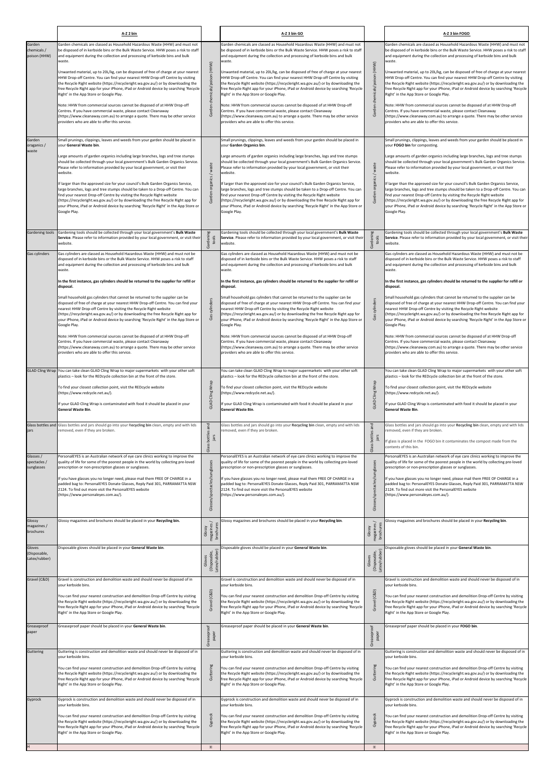|                                                                               | A-Z 2 bin                                                                                                                                                                                                                                                                                                                                                                                                                                                                                                                                                                                                                                                                                                                                                                                                                                                                                                                                                                                                                                                                                 |                                                                               | A-Z 3 bin GO                                                                                                                                                                                                                                                                                                                                                                                                                                                                                                                                                                                                                                                                                                                                                                                                                                                                                                                                                                                                                                                                              |                                                                              | A-Z 3 bin FOGO                                                                                                                                                                                                                                                                                                                                                                                                                                                                                                                                                                                                                                                                                                                                                                                                                                                                                                                                                                                                                                                                            |
|-------------------------------------------------------------------------------|-------------------------------------------------------------------------------------------------------------------------------------------------------------------------------------------------------------------------------------------------------------------------------------------------------------------------------------------------------------------------------------------------------------------------------------------------------------------------------------------------------------------------------------------------------------------------------------------------------------------------------------------------------------------------------------------------------------------------------------------------------------------------------------------------------------------------------------------------------------------------------------------------------------------------------------------------------------------------------------------------------------------------------------------------------------------------------------------|-------------------------------------------------------------------------------|-------------------------------------------------------------------------------------------------------------------------------------------------------------------------------------------------------------------------------------------------------------------------------------------------------------------------------------------------------------------------------------------------------------------------------------------------------------------------------------------------------------------------------------------------------------------------------------------------------------------------------------------------------------------------------------------------------------------------------------------------------------------------------------------------------------------------------------------------------------------------------------------------------------------------------------------------------------------------------------------------------------------------------------------------------------------------------------------|------------------------------------------------------------------------------|-------------------------------------------------------------------------------------------------------------------------------------------------------------------------------------------------------------------------------------------------------------------------------------------------------------------------------------------------------------------------------------------------------------------------------------------------------------------------------------------------------------------------------------------------------------------------------------------------------------------------------------------------------------------------------------------------------------------------------------------------------------------------------------------------------------------------------------------------------------------------------------------------------------------------------------------------------------------------------------------------------------------------------------------------------------------------------------------|
| Garden<br>chemicals /<br>poison (HHW)                                         | Garden chemicals are classed as Household Hazardous Waste (HHW) and must not<br>be disposed of in kerbside bins or the Bulk Waste Service. HHW poses a risk to staff<br>and equipment during the collection and processing of kerbside bins and bulk                                                                                                                                                                                                                                                                                                                                                                                                                                                                                                                                                                                                                                                                                                                                                                                                                                      |                                                                               | Garden chemicals are classed as Household Hazardous Waste (HHW) and must not<br>be disposed of in kerbside bins or the Bulk Waste Service. HHW poses a risk to staff<br>and equipment during the collection and processing of kerbside bins and bulk                                                                                                                                                                                                                                                                                                                                                                                                                                                                                                                                                                                                                                                                                                                                                                                                                                      |                                                                              | Garden chemicals are classed as Household Hazardous Waste (HHW) and must not<br>be disposed of in kerbside bins or the Bulk Waste Service. HHW poses a risk to staff<br>and equipment during the collection and processing of kerbside bins and bulk                                                                                                                                                                                                                                                                                                                                                                                                                                                                                                                                                                                                                                                                                                                                                                                                                                      |
|                                                                               | waste.<br>Unwanted material, up to 20L/kg, can be disposed of free of charge at your nearest<br>HHW Drop-off Centre. You can find your nearest HHW Drop-off Centre by visiting<br>the Recycle Right website (https://recycleright.wa.gov.au/) or by downloading the<br>free Recycle Right app for your iPhone, iPad or Android device by searching 'Recycle<br>Right' in the App Store or Google Play.<br>Note: HHW from commercial sources cannot be disposed of at HHW Drop-off<br>Centres. If you have commercial waste, please contact Cleanaway<br>(https://www.cleanaway.com.au) to arrange a quote. There may be other service<br>providers who are able to offer this service.                                                                                                                                                                                                                                                                                                                                                                                                    | (HHW)<br>chemicals/poi<br>Garden                                              | waste.<br>Unwanted material, up to 20L/kg, can be disposed of free of charge at your nearest<br>HHW Drop-off Centre. You can find your nearest HHW Drop-off Centre by visiting<br>the Recycle Right website (https://recycleright.wa.gov.au/) or by downloading the<br>free Recycle Right app for your iPhone, iPad or Android device by searching 'Recycle<br>Right' in the App Store or Google Play.<br>Note: HHW from commercial sources cannot be disposed of at HHW Drop-off<br>Centres. If you have commercial waste, please contact Cleanaway<br>(https://www.cleanaway.com.au) to arrange a quote. There may be other service<br>providers who are able to offer this service.                                                                                                                                                                                                                                                                                                                                                                                                    | (HHW)<br>Garden chemicals/poison                                             | waste.<br>Unwanted material, up to 20L/kg, can be disposed of free of charge at your nearest<br>HHW Drop-off Centre. You can find your nearest HHW Drop-off Centre by visiting<br>the Recycle Right website (https://recycleright.wa.gov.au/) or by downloading the<br>free Recycle Right app for your iPhone, iPad or Android device by searching 'Recycle<br>Right' in the App Store or Google Play.<br>Note: HHW from commercial sources cannot be disposed of at HHW Drop-off<br>Centres. If you have commercial waste, please contact Cleanaway<br>(https://www.cleanaway.com.au) to arrange a quote. There may be other service<br>providers who are able to offer this service.                                                                                                                                                                                                                                                                                                                                                                                                    |
| Garden<br>oraganics /<br>waste                                                | Small prunings, clippings, leaves and weeds from your garden should be placed in<br>your General Waste bin.<br>Large amounts of garden organics including large branches, logs and tree stumps<br>should be collected through your local government's Bulk Garden Organics Service.<br>Please refer to information provided by your local government, or visit their<br>website.<br>If larger than the approved size for your council's Bulk Garden Organics Service,<br>large branches, logs and tree stumps should be taken to a Drop-off Centre. You can<br>find your nearest Drop-off Centre by visiting the Recycle Right website<br>(https://recycleright.wa.gov.au/) or by downloading the free Recycle Right app for<br>your iPhone, iPad or Android device by searching 'Recycle Right' in the App Store or<br>Google Play.                                                                                                                                                                                                                                                      | organics / waste<br>Garden                                                    | Small prunings, clippings, leaves and weeds from your garden should be placed in<br>your Garden Organics bin.<br>Large amounts of garden organics including large branches, logs and tree stumps<br>should be collected through your local government's Bulk Garden Organics Service.<br>Please refer to information provided by your local government, or visit their<br>website.<br>If larger than the approved size for your council's Bulk Garden Organics Service,<br>large branches, logs and tree stumps should be taken to a Drop-off Centre. You can<br>find your nearest Drop-off Centre by visiting the Recycle Right website<br>(https://recycleright.wa.gov.au/) or by downloading the free Recycle Right app for<br>your iPhone, iPad or Android device by searching 'Recycle Right' in the App Store or<br>Google Play.                                                                                                                                                                                                                                                    | Garden organics / waste                                                      | Small prunings, clippings, leaves and weeds from your garden should be placed in<br>your FOGO bin for composting.<br>Large amounts of garden organics including large branches, logs and tree stumps<br>should be collected through your local government's Bulk Garden Organics Service.<br>Please refer to information provided by your local government, or visit their<br>website.<br>If larger than the approved size for your council's Bulk Garden Organics Service,<br>large branches, logs and tree stumps should be taken to a Drop-off Centre. You can<br>find your nearest Drop-off Centre by visiting the Recycle Right website<br>(https://recycleright.wa.gov.au/) or by downloading the free Recycle Right app for<br>your iPhone, iPad or Android device by searching 'Recycle Right' in the App Store or<br>Google Play.                                                                                                                                                                                                                                                |
| Gardening tools                                                               | Gardening tools should be collected through your local government's Bulk Waste<br>Service. Please refer to information provided by your local government, or visit their<br>website.                                                                                                                                                                                                                                                                                                                                                                                                                                                                                                                                                                                                                                                                                                                                                                                                                                                                                                      | ρø<br>Gardenin<br>tools                                                       | Gardening tools should be collected through your local government's Bulk Waste<br>Service. Please refer to information provided by your local government, or visit their<br>website.                                                                                                                                                                                                                                                                                                                                                                                                                                                                                                                                                                                                                                                                                                                                                                                                                                                                                                      | pφ<br>Gardenir<br>tools                                                      | Gardening tools should be collected through your local government's Bulk Waste<br>Service. Please refer to information provided by your local government, or visit their<br>website.                                                                                                                                                                                                                                                                                                                                                                                                                                                                                                                                                                                                                                                                                                                                                                                                                                                                                                      |
| Gas cylinders                                                                 | Gas cylinders are classed as Household Hazardous Waste (HHW) and must not be<br>disposed of in kerbside bins or the Bulk Waste Service. HHW poses a risk to staff<br>and equipment during the collection and processing of kerbside bins and bulk<br>waste.<br>In the first instance, gas cylinders should be returned to the supplier for refill or<br>disposal.<br>Small household gas cylinders that cannot be returned to the supplier can be<br>disposed of free of charge at your nearest HHW Drop-off Centre. You can find your<br>nearest HHW Drop-off Centre by visiting the Recycle Right website<br>(https://recycleright.wa.gov.au/) or by downloading the free Recycle Right app for<br>your iPhone, iPad or Android device by searching 'Recycle Right' in the App Store or<br>Google Play.<br>Note: HHW from commercial sources cannot be disposed of at HHW Drop-off<br>Centres. If you have commercial waste, please contact Cleanaway<br>(https://www.cleanaway.com.au) to arrange a quote. There may be other service<br>providers who are able to offer this service. | cylinder<br>Ğ                                                                 | Gas cylinders are classed as Household Hazardous Waste (HHW) and must not be<br>disposed of in kerbside bins or the Bulk Waste Service. HHW poses a risk to staff<br>and equipment during the collection and processing of kerbside bins and bulk<br>waste.<br>In the first instance, gas cylinders should be returned to the supplier for refill or<br>disposal.<br>Small household gas cylinders that cannot be returned to the supplier can be<br>disposed of free of charge at your nearest HHW Drop-off Centre. You can find your<br>nearest HHW Drop-off Centre by visiting the Recycle Right website<br>(https://recycleright.wa.gov.au/) or by downloading the free Recycle Right app for<br>your iPhone, iPad or Android device by searching 'Recycle Right' in the App Store or<br>Google Play.<br>Note: HHW from commercial sources cannot be disposed of at HHW Drop-off<br>Centres. If you have commercial waste, please contact Cleanaway<br>(https://www.cleanaway.com.au) to arrange a quote. There may be other service<br>providers who are able to offer this service. | cylinders<br>Gas                                                             | Gas cylinders are classed as Household Hazardous Waste (HHW) and must not be<br>disposed of in kerbside bins or the Bulk Waste Service. HHW poses a risk to staff<br>and equipment during the collection and processing of kerbside bins and bulk<br>waste.<br>In the first instance, gas cylinders should be returned to the supplier for refill or<br>disposal.<br>Small household gas cylinders that cannot be returned to the supplier can be<br>disposed of free of charge at your nearest HHW Drop-off Centre. You can find your<br>nearest HHW Drop-off Centre by visiting the Recycle Right website<br>(https://recycleright.wa.gov.au/) or by downloading the free Recycle Right app for<br>your iPhone, iPad or Android device by searching 'Recycle Right' in the App Store or<br>Google Play.<br>Note: HHW from commercial sources cannot be disposed of at HHW Drop-off<br>Centres. If you have commercial waste, please contact Cleanaway<br>(https://www.cleanaway.com.au) to arrange a quote. There may be other service<br>providers who are able to offer this service. |
|                                                                               | GLAD Cling Wrap You can take clean GLAD Cling Wrap to major supermarkets with your other soft<br>plastics - look for the REDcycle collection bin at the front of the store.<br>To find your closest collection point, visit the REDcycle website<br>(https://www.redcycle.net.au/).<br>If your GLAD Cling Wrap is contaminated with food it should be placed in your<br><b>General Waste Bin.</b>                                                                                                                                                                                                                                                                                                                                                                                                                                                                                                                                                                                                                                                                                         | Cling Wrap<br>GLAD                                                            | You can take clean GLAD Cling Wrap to major supermarkets with your other soft<br>plastics - look for the REDcycle collection bin at the front of the store.<br>To find your closest collection point, visit the REDcycle website<br>https://www.redcycle.net.au/).<br>If your GLAD Cling Wrap is contaminated with food it should be placed in your<br><b>General Waste Bin.</b>                                                                                                                                                                                                                                                                                                                                                                                                                                                                                                                                                                                                                                                                                                          | Cling Wrap<br>GLAD                                                           | You can take clean GLAD Cling Wrap to major supermarkets with your other soft<br>plastics - look for the REDcycle collection bin at the front of the store.<br>To find your closest collection point, visit the REDcycle website<br>(https://www.redcycle.net.au/).<br>If your GLAD Cling Wrap is contaminated with food it should be placed in your<br><b>General Waste Bin.</b>                                                                                                                                                                                                                                                                                                                                                                                                                                                                                                                                                                                                                                                                                                         |
| jars                                                                          | Glass bottles and Glass bottles and jars should go into your Recycling bin clean, empty and with lids<br>removed, even if they are broken.                                                                                                                                                                                                                                                                                                                                                                                                                                                                                                                                                                                                                                                                                                                                                                                                                                                                                                                                                | and<br>bottles<br>jars<br>Glass                                               | Glass bottles and jars should go into your Recycling bin clean, empty and with lids<br>removed, even if they are broken.                                                                                                                                                                                                                                                                                                                                                                                                                                                                                                                                                                                                                                                                                                                                                                                                                                                                                                                                                                  | and<br>bottles<br>jars<br>Glass                                              | Glass bottles and jars should go into your Recycling bin clean, empty and with lids<br>removed, even if they are broken.<br>f glass is placed in the FOGO bin it contaminates the compost made from the<br>contents of this bin.                                                                                                                                                                                                                                                                                                                                                                                                                                                                                                                                                                                                                                                                                                                                                                                                                                                          |
| Glasses /<br>spectacles /<br>sunglasses                                       | PersonalEYES is an Australian network of eye care clinics working to improve the<br>quality of life for some of the poorest people in the world by collecting pre-loved<br>prescription or non-prescription glasses or sunglasses.<br>If you have glasses you no longer need, please mail them FREE OF CHARGE in a<br>padded bag to: PersonalEYES Donate Glasses, Reply Paid 301, PARRAMATTA NSW<br>2124. To find out more visit the PersonalEYES website<br>(https://www.personaleyes.com.au/).                                                                                                                                                                                                                                                                                                                                                                                                                                                                                                                                                                                          | Glasses/spectacles/sunglasses                                                 | PersonalEYES is an Australian network of eye care clinics working to improve the<br>quality of life for some of the poorest people in the world by collecting pre-loved<br>prescription or non-prescription glasses or sunglasses.<br>If you have glasses you no longer need, please mail them FREE OF CHARGE in a<br>padded bag to: PersonalEYES Donate Glasses, Reply Paid 301, PARRAMATTA NSW<br>2124. To find out more visit the PersonalEYES website<br>(https://www.personaleyes.com.au/).                                                                                                                                                                                                                                                                                                                                                                                                                                                                                                                                                                                          | Glasses/spectacles/sunglasses                                                | PersonalEYES is an Australian network of eye care clinics working to improve the<br>quality of life for some of the poorest people in the world by collecting pre-loved<br>prescription or non-prescription glasses or sunglasses.<br>If you have glasses you no longer need, please mail them FREE OF CHARGE in a<br>padded bag to: PersonalEYES Donate Glasses, Reply Paid 301, PARRAMATTA NSW<br>2124. To find out more visit the PersonalEYES website<br>(https://www.personaleyes.com.au/).                                                                                                                                                                                                                                                                                                                                                                                                                                                                                                                                                                                          |
| Glossy<br>magazines /<br>brochures<br>Gloves<br>(Disposable,<br>Latex/rubber) | Glossy magazines and brochures should be placed in your Recycling bin.<br>Disposable gloves should be placed in your General Waste bin.                                                                                                                                                                                                                                                                                                                                                                                                                                                                                                                                                                                                                                                                                                                                                                                                                                                                                                                                                   | Glossy<br>magazines /<br>brochures<br>Gloves<br>(Disposable,<br>Latex/rubber) | Glossy magazines and brochures should be placed in your Recycling bin.<br>Disposable gloves should be placed in your General Waste bin.                                                                                                                                                                                                                                                                                                                                                                                                                                                                                                                                                                                                                                                                                                                                                                                                                                                                                                                                                   | Glossy<br>magazines/<br>brochures<br>Gloves<br>(Disposable,<br>Latex/rubber) | Glossy magazines and brochures should be placed in your Recycling bin.<br>Disposable gloves should be placed in your General Waste bin.                                                                                                                                                                                                                                                                                                                                                                                                                                                                                                                                                                                                                                                                                                                                                                                                                                                                                                                                                   |
| Gravel (C&D)<br>Greaseproof                                                   | Gravel is construction and demolition waste and should never be disposed of in<br>your kerbside bins.<br>You can find your nearest construction and demolition Drop-off Centre by visiting<br>the Recycle Right website (https://recycleright.wa.gov.au/) or by downloading the<br>free Recycle Right app for your iPhone, iPad or Android device by searching 'Recycle<br>Right' in the App Store or Google Play.<br>Greaseproof paper should be placed in your General Waste bin.                                                                                                                                                                                                                                                                                                                                                                                                                                                                                                                                                                                                       | (C&D)<br>lave <sup>-</sup><br>ය                                               | Gravel is construction and demolition waste and should never be disposed of in<br>your kerbside bins.<br>You can find your nearest construction and demolition Drop-off Centre by visiting<br>the Recycle Right website (https://recycleright.wa.gov.au/) or by downloading the<br>free Recycle Right app for your iPhone, iPad or Android device by searching 'Recycle<br>Right' in the App Store or Google Play.<br>Greaseproof paper should be placed in your General Waste bin.                                                                                                                                                                                                                                                                                                                                                                                                                                                                                                                                                                                                       | Gravel (C&D)                                                                 | Gravel is construction and demolition waste and should never be disposed of in<br>your kerbside bins.<br>You can find your nearest construction and demolition Drop-off Centre by visiting<br>the Recycle Right website (https://recycleright.wa.gov.au/) or by downloading the<br>free Recycle Right app for your iPhone, iPad or Android device by searching 'Recycle<br>Right' in the App Store or Google Play.<br>Greaseproof paper should be placed in your FOGO bin.                                                                                                                                                                                                                                                                                                                                                                                                                                                                                                                                                                                                                |
| paper                                                                         |                                                                                                                                                                                                                                                                                                                                                                                                                                                                                                                                                                                                                                                                                                                                                                                                                                                                                                                                                                                                                                                                                           | Greaseproof<br>paper                                                          |                                                                                                                                                                                                                                                                                                                                                                                                                                                                                                                                                                                                                                                                                                                                                                                                                                                                                                                                                                                                                                                                                           | Greaseproof<br>paper                                                         |                                                                                                                                                                                                                                                                                                                                                                                                                                                                                                                                                                                                                                                                                                                                                                                                                                                                                                                                                                                                                                                                                           |
| Guttering                                                                     | Guttering is construction and demolition waste and should never be disposed of in<br>your kerbside bins.<br>You can find your nearest construction and demolition Drop-off Centre by visiting<br>the Recycle Right website (https://recycleright.wa.gov.au/) or by downloading the<br>free Recycle Right app for your iPhone, iPad or Android device by searching 'Recycle<br>Right' in the App Store or Google Play.                                                                                                                                                                                                                                                                                                                                                                                                                                                                                                                                                                                                                                                                     | Guttering                                                                     | Guttering is construction and demolition waste and should never be disposed of in<br>your kerbside bins.<br>You can find your nearest construction and demolition Drop-off Centre by visiting<br>the Recycle Right website (https://recycleright.wa.gov.au/) or by downloading the<br>free Recycle Right app for your iPhone, iPad or Android device by searching 'Recycle<br>Right' in the App Store or Google Play.                                                                                                                                                                                                                                                                                                                                                                                                                                                                                                                                                                                                                                                                     | Guttering                                                                    | Guttering is construction and demolition waste and should never be disposed of in<br>vour kerbside bins.<br>You can find your nearest construction and demolition Drop-off Centre by visiting<br>the Recycle Right website (https://recycleright.wa.gov.au/) or by downloading the<br>free Recycle Right app for your iPhone, iPad or Android device by searching 'Recycle<br>Right' in the App Store or Google Play.                                                                                                                                                                                                                                                                                                                                                                                                                                                                                                                                                                                                                                                                     |
| Gyprock                                                                       | Gyprock is construction and demolition waste and should never be disposed of in<br>your kerbside bins.<br>You can find your nearest construction and demolition Drop-off Centre by visiting<br>the Recycle Right website (https://recycleright.wa.gov.au/) or by downloading the<br>free Recycle Right app for your iPhone, iPad or Android device by searching 'Recycle<br>Right' in the App Store or Google Play.                                                                                                                                                                                                                                                                                                                                                                                                                                                                                                                                                                                                                                                                       | Gyprock<br>$\pm$                                                              | Gyprock is construction and demolition waste and should never be disposed of in<br>your kerbside bins.<br>You can find your nearest construction and demolition Drop-off Centre by visiting<br>the Recycle Right website (https://recycleright.wa.gov.au/) or by downloading the<br>free Recycle Right app for your iPhone, iPad or Android device by searching 'Recycle<br>Right' in the App Store or Google Play.                                                                                                                                                                                                                                                                                                                                                                                                                                                                                                                                                                                                                                                                       | Gyprock<br>$\pm$                                                             | Gyprock is construction and demolition waste and should never be disposed of in<br>your kerbside bins.<br>You can find your nearest construction and demolition Drop-off Centre by visiting<br>the Recycle Right website (https://recycleright.wa.gov.au/) or by downloading the<br>free Recycle Right app for your iPhone, iPad or Android device by searching 'Recycle<br>Right' in the App Store or Google Play.                                                                                                                                                                                                                                                                                                                                                                                                                                                                                                                                                                                                                                                                       |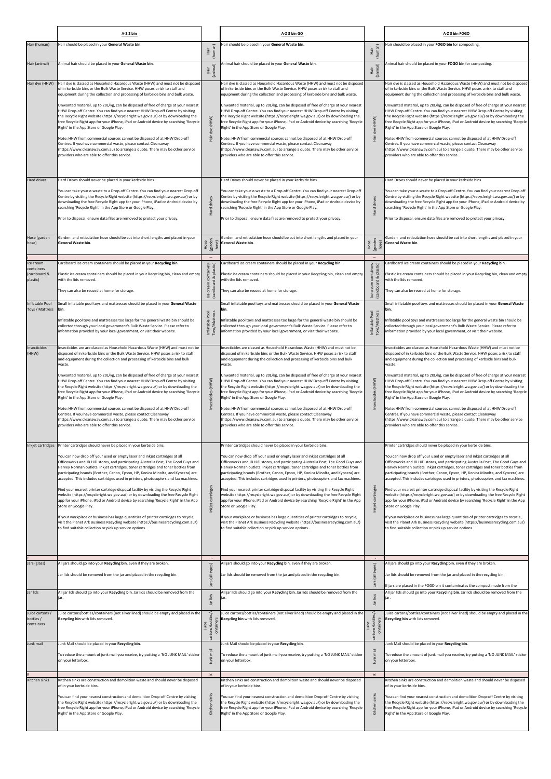|                                            | A-Z 2 bin                                                                                                                                                                                                                                                                                                                                                                                                                                                                                                                                                                                                                                                                                                                                                                                                                                                                                                                                                                 |                                                  | A-Z 3 bin GO                                                                                                                                                                                                                                                                                                                                                                                                                                                                                                                                                                                                                                                                                                                                                                                                                                                                                                                                                             |                                                     | A-Z 3 bin FOGO                                                                                                                                                                                                                                                                                                                                                                                                                                                                                                                                                                                                                                                                                                                                                                                                                                                                                                                                                            |
|--------------------------------------------|---------------------------------------------------------------------------------------------------------------------------------------------------------------------------------------------------------------------------------------------------------------------------------------------------------------------------------------------------------------------------------------------------------------------------------------------------------------------------------------------------------------------------------------------------------------------------------------------------------------------------------------------------------------------------------------------------------------------------------------------------------------------------------------------------------------------------------------------------------------------------------------------------------------------------------------------------------------------------|--------------------------------------------------|--------------------------------------------------------------------------------------------------------------------------------------------------------------------------------------------------------------------------------------------------------------------------------------------------------------------------------------------------------------------------------------------------------------------------------------------------------------------------------------------------------------------------------------------------------------------------------------------------------------------------------------------------------------------------------------------------------------------------------------------------------------------------------------------------------------------------------------------------------------------------------------------------------------------------------------------------------------------------|-----------------------------------------------------|---------------------------------------------------------------------------------------------------------------------------------------------------------------------------------------------------------------------------------------------------------------------------------------------------------------------------------------------------------------------------------------------------------------------------------------------------------------------------------------------------------------------------------------------------------------------------------------------------------------------------------------------------------------------------------------------------------------------------------------------------------------------------------------------------------------------------------------------------------------------------------------------------------------------------------------------------------------------------|
| Hair (human)                               | Hair should be placed in your General Waste bin.                                                                                                                                                                                                                                                                                                                                                                                                                                                                                                                                                                                                                                                                                                                                                                                                                                                                                                                          | (human)<br>Hair                                  | Hair should be placed in your General Waste bin.                                                                                                                                                                                                                                                                                                                                                                                                                                                                                                                                                                                                                                                                                                                                                                                                                                                                                                                         | (human)<br>Hair                                     | Hair should be placed in your FOGO bin for composting.                                                                                                                                                                                                                                                                                                                                                                                                                                                                                                                                                                                                                                                                                                                                                                                                                                                                                                                    |
| Hair (animal)                              | Animal hair should be placed in your General Waste bin.                                                                                                                                                                                                                                                                                                                                                                                                                                                                                                                                                                                                                                                                                                                                                                                                                                                                                                                   |                                                  | Animal hair should be placed in your General Waste bin.                                                                                                                                                                                                                                                                                                                                                                                                                                                                                                                                                                                                                                                                                                                                                                                                                                                                                                                  |                                                     | Animal hair should be placed in your FOGO bin for composting.                                                                                                                                                                                                                                                                                                                                                                                                                                                                                                                                                                                                                                                                                                                                                                                                                                                                                                             |
|                                            |                                                                                                                                                                                                                                                                                                                                                                                                                                                                                                                                                                                                                                                                                                                                                                                                                                                                                                                                                                           | (animal)<br>Hair                                 |                                                                                                                                                                                                                                                                                                                                                                                                                                                                                                                                                                                                                                                                                                                                                                                                                                                                                                                                                                          | (animal)<br>İār                                     |                                                                                                                                                                                                                                                                                                                                                                                                                                                                                                                                                                                                                                                                                                                                                                                                                                                                                                                                                                           |
| Hair dye (HHW)                             | Hair dye is classed as Household Hazardous Waste (HHW) and must not be disposed<br>of in kerbside bins or the Bulk Waste Service. HHW poses a risk to staff and<br>equipment during the collection and processing of kerbside bins and bulk waste.                                                                                                                                                                                                                                                                                                                                                                                                                                                                                                                                                                                                                                                                                                                        |                                                  | Hair dye is classed as Household Hazardous Waste (HHW) and must not be disposed<br>of in kerbside bins or the Bulk Waste Service. HHW poses a risk to staff and<br>equipment during the collection and processing of kerbside bins and bulk waste.                                                                                                                                                                                                                                                                                                                                                                                                                                                                                                                                                                                                                                                                                                                       |                                                     | Hair dye is classed as Household Hazardous Waste (HHW) and must not be disposed<br>of in kerbside bins or the Bulk Waste Service. HHW poses a risk to staff and<br>equipment during the collection and processing of kerbside bins and bulk waste.                                                                                                                                                                                                                                                                                                                                                                                                                                                                                                                                                                                                                                                                                                                        |
|                                            | Unwanted material, up to 20L/kg, can be disposed of free of charge at your nearest<br>HHW Drop-off Centre. You can find your nearest HHW Drop-off Centre by visiting<br>the Recycle Right website (https://recycleright.wa.gov.au/) or by downloading the<br>free Recycle Right app for your iPhone, iPad or Android device by searching 'Recycle<br>Right' in the App Store or Google Play.<br>Note: HHW from commercial sources cannot be disposed of at HHW Drop-off<br>Centres. If you have commercial waste, please contact Cleanaway<br>(https://www.cleanaway.com.au) to arrange a quote. There may be other service<br>providers who are able to offer this service.                                                                                                                                                                                                                                                                                              | dye (HHW)<br>fair                                | Unwanted material, up to 20L/kg, can be disposed of free of charge at your nearest<br>HHW Drop-off Centre. You can find your nearest HHW Drop-off Centre by visiting<br>the Recycle Right website (https://recycleright.wa.gov.au/) or by downloading the<br>free Recycle Right app for your iPhone, iPad or Android device by searching 'Recycle<br>Right' in the App Store or Google Play.<br>Note: HHW from commercial sources cannot be disposed of at HHW Drop-off<br>Centres. If you have commercial waste, please contact Cleanaway<br>(https://www.cleanaway.com.au) to arrange a quote. There may be other service<br>providers who are able to offer this service.                                                                                                                                                                                                                                                                                             | dye (HHW)<br>Hair                                   | Unwanted material, up to 20L/kg, can be disposed of free of charge at your nearest<br>HHW Drop-off Centre. You can find your nearest HHW Drop-off Centre by visiting<br>the Recycle Right website (https://recycleright.wa.gov.au/) or by downloading the<br>free Recycle Right app for your iPhone, iPad or Android device by searching 'Recycle<br>Right' in the App Store or Google Play.<br>Note: HHW from commercial sources cannot be disposed of at HHW Drop-off<br>Centres. If you have commercial waste, please contact Cleanaway<br>(https://www.cleanaway.com.au) to arrange a quote. There may be other service<br>providers who are able to offer this service.                                                                                                                                                                                                                                                                                              |
| Hard drives                                | Hard Drives should never be placed in your kerbside bins.                                                                                                                                                                                                                                                                                                                                                                                                                                                                                                                                                                                                                                                                                                                                                                                                                                                                                                                 |                                                  | Hard Drives should never be placed in your kerbside bins.                                                                                                                                                                                                                                                                                                                                                                                                                                                                                                                                                                                                                                                                                                                                                                                                                                                                                                                |                                                     | Hard Drives should never be placed in your kerbside bins.                                                                                                                                                                                                                                                                                                                                                                                                                                                                                                                                                                                                                                                                                                                                                                                                                                                                                                                 |
|                                            | You can take your e-waste to a Drop-off Centre. You can find your nearest Drop-off<br>Centre by visiting the Recycle Right website (https://recycleright.wa.gov.au/) or by<br>downloading the free Recycle Right app for your iPhone, iPad or Android device by<br>searching 'Recycle Right' in the App Store or Google Play.<br>Prior to disposal, ensure data files are removed to protect your privacy.                                                                                                                                                                                                                                                                                                                                                                                                                                                                                                                                                                | drives<br>Hard                                   | You can take your e-waste to a Drop-off Centre. You can find your nearest Drop-off<br>Centre by visiting the Recycle Right website (https://recycleright.wa.gov.au/) or by<br>downloading the free Recycle Right app for your iPhone, iPad or Android device by<br>searching 'Recycle Right' in the App Store or Google Play.<br>Prior to disposal, ensure data files are removed to protect your privacy.                                                                                                                                                                                                                                                                                                                                                                                                                                                                                                                                                               | drives<br>Hard                                      | You can take your e-waste to a Drop-off Centre. You can find your nearest Drop-off<br>Centre by visiting the Recycle Right website (https://recycleright.wa.gov.au/) or by<br>downloading the free Recycle Right app for your iPhone, iPad or Android device by<br>searching 'Recycle Right' in the App Store or Google Play.<br>Prior to disposal, ensure data files are removed to protect your privacy.                                                                                                                                                                                                                                                                                                                                                                                                                                                                                                                                                                |
| Hose (garden<br>hose)                      | Garden and reticulation hose should be cut into short lengths and placed in your<br>General Waste bin.                                                                                                                                                                                                                                                                                                                                                                                                                                                                                                                                                                                                                                                                                                                                                                                                                                                                    | Hose<br>(garden<br>hose)<br>$\equiv$             | Garden and reticulation hose should be cut into short lengths and placed in your<br>General Waste bin.                                                                                                                                                                                                                                                                                                                                                                                                                                                                                                                                                                                                                                                                                                                                                                                                                                                                   | Hose<br>(garden<br>hose)<br>$\equiv$                | Garden and reticulation hose should be cut into short lengths and placed in your<br>General Waste bin.                                                                                                                                                                                                                                                                                                                                                                                                                                                                                                                                                                                                                                                                                                                                                                                                                                                                    |
| Ice cream<br>containers                    | Cardboard ice cream containers should be placed in your Recycling bin.                                                                                                                                                                                                                                                                                                                                                                                                                                                                                                                                                                                                                                                                                                                                                                                                                                                                                                    | plastic)                                         | Cardboard ice cream containers should be placed in your Recycling bin.                                                                                                                                                                                                                                                                                                                                                                                                                                                                                                                                                                                                                                                                                                                                                                                                                                                                                                   | plastic)                                            | Cardboard ice cream containers should be placed in your Recycling bin.                                                                                                                                                                                                                                                                                                                                                                                                                                                                                                                                                                                                                                                                                                                                                                                                                                                                                                    |
| cardboard &<br>plastic)                    | Plastic ice cream containers should be placed in your Recycling bin, clean and empty<br>with the lids removed.                                                                                                                                                                                                                                                                                                                                                                                                                                                                                                                                                                                                                                                                                                                                                                                                                                                            | containers<br>ಹ                                  | Plastic ice cream containers should be placed in your Recycling bin, clean and empty<br>with the lids removed.                                                                                                                                                                                                                                                                                                                                                                                                                                                                                                                                                                                                                                                                                                                                                                                                                                                           | containers<br>ø                                     | Plastic ice cream containers should be placed in your Recycling bin, clean and empty<br>with the lids removed.                                                                                                                                                                                                                                                                                                                                                                                                                                                                                                                                                                                                                                                                                                                                                                                                                                                            |
|                                            | They can also be reused at home for storage.                                                                                                                                                                                                                                                                                                                                                                                                                                                                                                                                                                                                                                                                                                                                                                                                                                                                                                                              | cream<br>cardboar)<br>Lce                        | They can also be reused at home for storage.                                                                                                                                                                                                                                                                                                                                                                                                                                                                                                                                                                                                                                                                                                                                                                                                                                                                                                                             | dboard<br>cream<br>icar<br>$\mathsf{lc}$            | They can also be reused at home for storage.                                                                                                                                                                                                                                                                                                                                                                                                                                                                                                                                                                                                                                                                                                                                                                                                                                                                                                                              |
| Inflatable Pool<br>Toys / Mattress         | Small inflatable pool toys and mattresses should be placed in your General Waste<br>bin.                                                                                                                                                                                                                                                                                                                                                                                                                                                                                                                                                                                                                                                                                                                                                                                                                                                                                  |                                                  | Small inflatable pool toys and mattresses should be placed in your General Waste<br>bin.                                                                                                                                                                                                                                                                                                                                                                                                                                                                                                                                                                                                                                                                                                                                                                                                                                                                                 |                                                     | Small inflatable pool toys and mattresses should be placed in your General Waste<br>bin.                                                                                                                                                                                                                                                                                                                                                                                                                                                                                                                                                                                                                                                                                                                                                                                                                                                                                  |
|                                            | Inflatable pool toys and mattresses too large for the general waste bin should be<br>collected through your local government's Bulk Waste Service. Please refer to<br>information provided by your local government, or visit their website.                                                                                                                                                                                                                                                                                                                                                                                                                                                                                                                                                                                                                                                                                                                              | Pool<br>attress<br>Inflatable<br>Toys/Ma         | nflatable pool toys and mattresses too large for the general waste bin should be<br>collected through your local government's Bulk Waste Service. Please refer to<br>information provided by your local government, or visit their website.                                                                                                                                                                                                                                                                                                                                                                                                                                                                                                                                                                                                                                                                                                                              | Pool<br>ttress<br>Inflatable  <br>Toys/Matt         | Inflatable pool toys and mattresses too large for the general waste bin should be<br>collected through your local government's Bulk Waste Service. Please refer to<br>information provided by your local government, or visit their website.                                                                                                                                                                                                                                                                                                                                                                                                                                                                                                                                                                                                                                                                                                                              |
| Insecticides<br>(HHW)                      | Insecticides are are classed as Household Hazardous Waste (HHW) and must not be<br>disposed of in kerbside bins or the Bulk Waste Service. HHW poses a risk to staff<br>and equipment during the collection and processing of kerbside bins and bulk<br>waste.                                                                                                                                                                                                                                                                                                                                                                                                                                                                                                                                                                                                                                                                                                            |                                                  | Insecticides are classed as Household Hazardous Waste (HHW) and must not be<br>disposed of in kerbside bins or the Bulk Waste Service. HHW poses a risk to staff<br>and equipment during the collection and processing of kerbside bins and bulk<br>waste.                                                                                                                                                                                                                                                                                                                                                                                                                                                                                                                                                                                                                                                                                                               |                                                     | Insecticides are classed as Household Hazardous Waste (HHW) and must not be<br>disposed of in kerbside bins or the Bulk Waste Service. HHW poses a risk to staff<br>and equipment during the collection and processing of kerbside bins and bulk<br>waste.                                                                                                                                                                                                                                                                                                                                                                                                                                                                                                                                                                                                                                                                                                                |
|                                            | Unwanted material, up to 20L/kg, can be disposed of free of charge at your nearest<br>HHW Drop-off Centre. You can find your nearest HHW Drop-off Centre by visiting<br>the Recycle Right website (https://recycleright.wa.gov.au/) or by downloading the<br>free Recycle Right app for your iPhone, iPad or Android device by searching 'Recycle<br>Right' in the App Store or Google Play.<br>Note: HHW from commercial sources cannot be disposed of at HHW Drop-off<br>Centres. If you have commercial waste, please contact Cleanaway<br>(https://www.cleanaway.com.au) to arrange a quote. There may be other service<br>providers who are able to offer this service.                                                                                                                                                                                                                                                                                              | (HHW)<br>Insecticides                            | Unwanted material, up to 20L/kg, can be disposed of free of charge at your nearest<br>HHW Drop-off Centre. You can find your nearest HHW Drop-off Centre by visiting<br>the Recycle Right website (https://recycleright.wa.gov.au/) or by downloading the<br>free Recycle Right app for your iPhone, iPad or Android device by searching 'Recycle<br>Right' in the App Store or Google Play.<br>Note: HHW from commercial sources cannot be disposed of at HHW Drop-off<br>Centres. If you have commercial waste, please contact Cleanaway<br>(https://www.cleanaway.com.au) to arrange a quote. There may be other service<br>providers who are able to offer this service.                                                                                                                                                                                                                                                                                             | (HHW)<br>Insecticides                               | Unwanted material, up to 20L/kg, can be disposed of free of charge at your nearest<br>HHW Drop-off Centre. You can find your nearest HHW Drop-off Centre by visiting<br>the Recycle Right website (https://recycleright.wa.gov.au/) or by downloading the<br>free Recycle Right app for your iPhone, iPad or Android device by searching 'Recycle<br>Right' in the App Store or Google Play.<br>Note: HHW from commercial sources cannot be disposed of at HHW Drop-off<br>Centres. If you have commercial waste, please contact Cleanaway<br>(https://www.cleanaway.com.au) to arrange a quote. There may be other service<br>providers who are able to offer this service.                                                                                                                                                                                                                                                                                              |
| Inkjet cartridges                          | Printer cartridges should never be placed in your kerbside bins.                                                                                                                                                                                                                                                                                                                                                                                                                                                                                                                                                                                                                                                                                                                                                                                                                                                                                                          |                                                  | Printer cartridges should never be placed in your kerbside bins.                                                                                                                                                                                                                                                                                                                                                                                                                                                                                                                                                                                                                                                                                                                                                                                                                                                                                                         |                                                     | Printer cartridges should never be placed in your kerbside bins.                                                                                                                                                                                                                                                                                                                                                                                                                                                                                                                                                                                                                                                                                                                                                                                                                                                                                                          |
|                                            | You can now drop off your used or empty laser and inkjet cartridges at all<br>Officeworks and JB HiFi stores, and participating Australia Post, The Good Guys and<br>Harvey Norman outlets. Inkjet cartridges, toner cartridges and toner bottles from<br>participating brands (Brother, Canon, Epson, HP, Konica Minolta, and Kyocera) are<br>accepted. This includes cartridges used in printers, photocopiers and fax machines.<br>Find your nearest printer cartridge disposal facility by visiting the Recycle Right<br>website (https://recycleright.wa.gov.au/) or by downloading the free Recycle Right<br>app for your iPhone, iPad or Android device by searching 'Recycle Right' in the App<br>Store or Google Play.<br>If your workplace or business has large quantities of printer cartridges to recycle,<br>visit the Planet Ark Business Recycling website (https://businessrecycling.com.au/)<br>to find suitable collection or pick up service options. | cartridges<br>Inkjet<br>$\overline{\phantom{a}}$ | You can now drop off your used or empty laser and inkjet cartridges at all<br>Officeworks and JB HiFi stores, and participating Australia Post, The Good Guys and<br>Harvey Norman outlets. Inkjet cartridges, toner cartridges and toner bottles from<br>participating brands (Brother, Canon, Epson, HP, Konica Minolta, and Kyocera) are<br>accepted. This includes cartridges used in printers, photocopiers and fax machines.<br>Find your nearest printer cartridge disposal facility by visiting the Recycle Right<br>website (https://recycleright.wa.gov.au/) or by downloading the free Recycle Right<br>app for your iPhone, iPad or Android device by searching 'Recycle Right' in the App<br>Store or Google Play.<br>If your workplace or business has large quantities of printer cartridges to recycle,<br>visit the Planet Ark Business Recycling website (https://businessrecycling.com.au/)<br>to find suitable collection or pick up service options | cartridges<br>Inkjet                                | You can now drop off your used or empty laser and inkjet cartridges at all<br>Officeworks and JB HiFi stores, and participating Australia Post, The Good Guys and<br>Harvey Norman outlets. Inkjet cartridges, toner cartridges and toner bottles from<br>participating brands (Brother, Canon, Epson, HP, Konica Minolta, and Kyocera) are<br>accepted. This includes cartridges used in printers, photocopiers and fax machines.<br>Find your nearest printer cartridge disposal facility by visiting the Recycle Right<br>website (https://recycleright.wa.gov.au/) or by downloading the free Recycle Right<br>app for your iPhone, iPad or Android device by searching 'Recycle Right' in the App<br>Store or Google Play.<br>If your workplace or business has large quantities of printer cartridges to recycle,<br>visit the Planet Ark Business Recycling website (https://businessrecycling.com.au/)<br>to find suitable collection or pick up service options. |
| Jars (glass)                               | All jars should go into your Recycling bin, even if they are broken.                                                                                                                                                                                                                                                                                                                                                                                                                                                                                                                                                                                                                                                                                                                                                                                                                                                                                                      |                                                  | All jars should go into your Recycling bin, even if they are broken.                                                                                                                                                                                                                                                                                                                                                                                                                                                                                                                                                                                                                                                                                                                                                                                                                                                                                                     | (all types)                                         | All jars should go into your Recycling bin, even if they are broken.                                                                                                                                                                                                                                                                                                                                                                                                                                                                                                                                                                                                                                                                                                                                                                                                                                                                                                      |
|                                            | Jar lids should be removed from the jar and placed in the recycling bin.                                                                                                                                                                                                                                                                                                                                                                                                                                                                                                                                                                                                                                                                                                                                                                                                                                                                                                  | Jars (all types)                                 | Jar lids should be removed from the jar and placed in the recycling bin.                                                                                                                                                                                                                                                                                                                                                                                                                                                                                                                                                                                                                                                                                                                                                                                                                                                                                                 | Jars                                                | Jar lids should be removed from the jar and placed in the recycling bin.<br>If jars are placed in the FOGO bin it contaminates the compost made from the                                                                                                                                                                                                                                                                                                                                                                                                                                                                                                                                                                                                                                                                                                                                                                                                                  |
| Jar lids                                   | All jar lids should go into your Recycling bin. Jar lids should be removed from the<br>jar.                                                                                                                                                                                                                                                                                                                                                                                                                                                                                                                                                                                                                                                                                                                                                                                                                                                                               | Jar lids                                         | All jar lids should go into your Recycling bin. Jar lids should be removed from the<br>jar.                                                                                                                                                                                                                                                                                                                                                                                                                                                                                                                                                                                                                                                                                                                                                                                                                                                                              | lids<br>Jār                                         | All jar lids should go into your Recycling bin. Jar lids should be removed from the<br>jar.                                                                                                                                                                                                                                                                                                                                                                                                                                                                                                                                                                                                                                                                                                                                                                                                                                                                               |
| Juice cartons /<br>bottles /<br>containers | Juice cartons/bottles/containers (not silver lined) should be empty and placed in the<br><b>Recycling bin</b> with lids removed.                                                                                                                                                                                                                                                                                                                                                                                                                                                                                                                                                                                                                                                                                                                                                                                                                                          | s/c<br>cartons/bottle<br>ontainers               | Juice cartons/bottles/containers (not silver lined) should be empty and placed in the<br>Recycling bin with lids removed.                                                                                                                                                                                                                                                                                                                                                                                                                                                                                                                                                                                                                                                                                                                                                                                                                                                | $\leqslant$<br>cartons/bottle<br>ontainers<br>Juice | Juice cartons/bottles/containers (not silver lined) should be empty and placed in the<br>Recycling bin with lids removed.                                                                                                                                                                                                                                                                                                                                                                                                                                                                                                                                                                                                                                                                                                                                                                                                                                                 |
| Junk mail                                  | lunk Mail should be placed in your Recycling bin.<br>To reduce the amount of junk mail you receive, try putting a 'NO JUNK MAIL' sticker<br>on your letterbox.                                                                                                                                                                                                                                                                                                                                                                                                                                                                                                                                                                                                                                                                                                                                                                                                            | Junk mail                                        | Junk Mail should be placed in your Recycling bin.<br>To reduce the amount of junk mail you receive, try putting a 'NO JUNK MAIL' sticker<br>on your letterbox.                                                                                                                                                                                                                                                                                                                                                                                                                                                                                                                                                                                                                                                                                                                                                                                                           | mail<br>Junk                                        | Junk Mail should be placed in your Recycling bin.<br>To reduce the amount of junk mail you receive, try putting a 'NO JUNK MAIL' sticker<br>on your letterbox.                                                                                                                                                                                                                                                                                                                                                                                                                                                                                                                                                                                                                                                                                                                                                                                                            |
| Kitchen sinks                              | Kitchen sinks are construction and demolition waste and should never be disposed                                                                                                                                                                                                                                                                                                                                                                                                                                                                                                                                                                                                                                                                                                                                                                                                                                                                                          | $\boldsymbol{\times}$                            | Kitchen sinks are construction and demolition waste and should never be disposed                                                                                                                                                                                                                                                                                                                                                                                                                                                                                                                                                                                                                                                                                                                                                                                                                                                                                         | $\mathbf{\underline{\times}}$                       | Kitchen sinks are construction and demolition waste and should never be disposed                                                                                                                                                                                                                                                                                                                                                                                                                                                                                                                                                                                                                                                                                                                                                                                                                                                                                          |
|                                            | of in your kerbside bins.<br>You can find your nearest construction and demolition Drop-off Centre by visiting<br>the Recycle Right website (https://recycleright.wa.gov.au/) or by downloading the<br>free Recycle Right app for your iPhone, iPad or Android device by searching 'Recycle<br>Right' in the App Store or Google Play.                                                                                                                                                                                                                                                                                                                                                                                                                                                                                                                                                                                                                                    | Kitchen sinks                                    | of in your kerbside bins.<br>You can find your nearest construction and demolition Drop-off Centre by visiting<br>the Recycle Right website (https://recycleright.wa.gov.au/) or by downloading the<br>free Recycle Right app for your iPhone, iPad or Android device by searching 'Recycle<br>Right' in the App Store or Google Play.                                                                                                                                                                                                                                                                                                                                                                                                                                                                                                                                                                                                                                   | Kitchen sinks                                       | of in your kerbside bins.<br>You can find your nearest construction and demolition Drop-off Centre by visiting<br>the Recycle Right website (https://recycleright.wa.gov.au/) or by downloading the<br>free Recycle Right app for your iPhone, iPad or Android device by searching 'Recycle<br>Right' in the App Store or Google Play.                                                                                                                                                                                                                                                                                                                                                                                                                                                                                                                                                                                                                                    |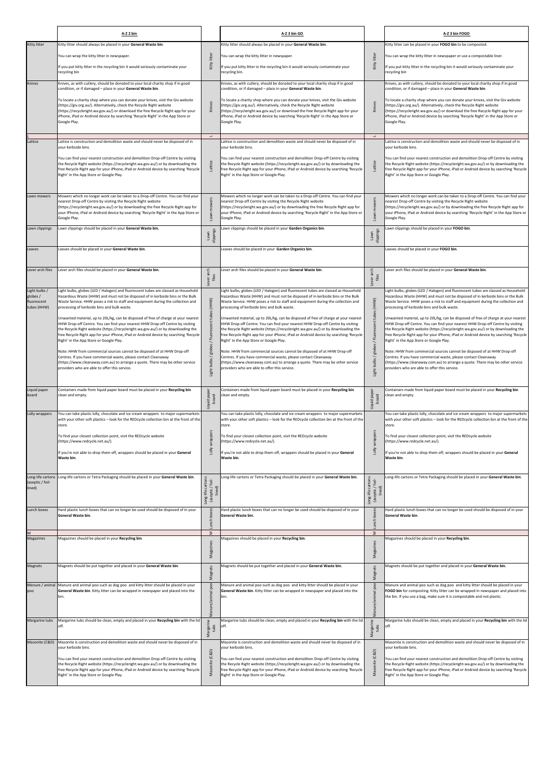|                                       | A-Z 2 bin                                                                                                                                                                            |                                         | A-Z 3 bin GO                                                                                                                                                              |                                                 | A-Z 3 bin FOGO                                                                                                                                                           |
|---------------------------------------|--------------------------------------------------------------------------------------------------------------------------------------------------------------------------------------|-----------------------------------------|---------------------------------------------------------------------------------------------------------------------------------------------------------------------------|-------------------------------------------------|--------------------------------------------------------------------------------------------------------------------------------------------------------------------------|
| Kitty litter                          | Kitty litter should always be placed in your General Waste bin.                                                                                                                      |                                         | Kitty litter should always be placed in your General Waste bin.                                                                                                           |                                                 | Kitty litter can be placed in your FOGO bin to be composted.                                                                                                             |
|                                       | You can wrap the kitty litter in newspaper.                                                                                                                                          | litter                                  | You can wrap the kitty litter in newspaper.                                                                                                                               |                                                 | You can wrap the kitty litter in newspaper or use a compostable liner.                                                                                                   |
|                                       | If you put kitty litter in the recycling bin it would seriously contaminate your                                                                                                     | Kitty                                   | If you put kitty litter in the recycling bin it would seriously contaminate your                                                                                          | Kitty litter                                    | If you put kitty litter in the recycling bin it would seriously contaminate your                                                                                         |
|                                       | recycling bin                                                                                                                                                                        |                                         | recycling bin.                                                                                                                                                            |                                                 | ecycling bin                                                                                                                                                             |
| Knives                                | Knives, as with cutlery, should be donated to your local charity shop if in good<br>condition, or if damaged - place in your General Waste bin.                                      |                                         | Knives, as with cutlery, should be donated to your local charity shop if in good<br>condition, or if damaged - place in your General Waste bin.                           |                                                 | Knives, as with cutlery, should be donated to your local charity shop if in good<br>condition, or if damaged - place in your General Waste bin.                          |
|                                       | To locate a charity shop where you can donate your knives, visit the Giv website                                                                                                     |                                         | To locate a charity shop where you can donate your knives, visit the Giv website                                                                                          |                                                 | To locate a charity shop where you can donate your knives, visit the Giv website                                                                                         |
|                                       | (https://giv.org.au/). Alternatively, check the Recycle Right website<br>(https://recycleright.wa.gov.au/) or download the free Recycle Right app for your                           | Knives                                  | (https://giv.org.au/). Alternatively, check the Recycle Right website<br>(https://recycleright.wa.gov.au/) or download the free Recycle Right app for your                | Knives                                          | (https://giv.org.au/). Alternatively, check the Recycle Right website<br>(https://recycleright.wa.gov.au/) or download the free Recycle Right app for your               |
|                                       | iPhone, iPad or Android device by searching 'Recycle Right' in the App Store or<br>Google Play.                                                                                      |                                         | iPhone, iPad or Android device by searching 'Recycle Right' in the App Store or<br>Google Play.                                                                           |                                                 | iPhone, iPad or Android device by searching 'Recycle Right' in the App Store or<br>Google Play.                                                                          |
|                                       |                                                                                                                                                                                      |                                         |                                                                                                                                                                           |                                                 |                                                                                                                                                                          |
| Lattice                               | Lattice is construction and demolition waste and should never be disposed of in                                                                                                      | $\overline{\phantom{a}}$                | Lattice is construction and demolition waste and should never be disposed of in                                                                                           | $\overline{\phantom{a}}$                        | Lattice is construction and demolition waste and should never be disposed of in                                                                                          |
|                                       | your kerbside bins.                                                                                                                                                                  |                                         | your kerbside bins.                                                                                                                                                       |                                                 | your kerbside bins.                                                                                                                                                      |
|                                       | You can find your nearest construction and demolition Drop-off Centre by visiting<br>the Recycle Right website (https://recycleright.wa.gov.au/) or by downloading the               |                                         | You can find your nearest construction and demolition Drop-off Centre by visiting<br>the Recycle Right website (https://recycleright.wa.gov.au/) or by downloading the    | Lattice                                         | You can find your nearest construction and demolition Drop-off Centre by visiting<br>the Recycle Right website (https://recycleright.wa.gov.au/) or by downloading the   |
|                                       | free Recycle Right app for your iPhone, iPad or Android device by searching 'Recycle<br>Right' in the App Store or Google Play.                                                      |                                         | free Recycle Right app for your iPhone, iPad or Android device by searching 'Recycle<br>Right' in the App Store or Google Play.                                           |                                                 | free Recycle Right app for your iPhone, iPad or Android device by searching 'Recycle<br>Right' in the App Store or Google Play.                                          |
|                                       |                                                                                                                                                                                      |                                         |                                                                                                                                                                           |                                                 |                                                                                                                                                                          |
| Lawn mowers                           | Mowers which no longer work can be taken to a Drop-off Centre. You can find your                                                                                                     |                                         | Mowers which no longer work can be taken to a Drop-off Centre. You can find your                                                                                          |                                                 | Mowers which no longer work can be taken to a Drop-off Centre. You can find your                                                                                         |
|                                       | nearest Drop-off Centre by visiting the Recycle Right website<br>(https://recycleright.wa.gov.au/) or by downloading the free Recycle Right app for                                  |                                         | nearest Drop-off Centre by visiting the Recycle Right website<br>(https://recycleright.wa.gov.au/) or by downloading the free Recycle Right app for                       | mowers                                          | nearest Drop-off Centre by visiting the Recycle Right website<br>(https://recycleright.wa.gov.au/) or by downloading the free Recycle Right app for                      |
|                                       | your iPhone, iPad or Android device by searching 'Recycle Right' in the App Store or<br>Google Play.                                                                                 |                                         | your iPhone, iPad or Android device by searching 'Recycle Right' in the App Store or<br>Google Play.                                                                      | Lawn                                            | your iPhone, iPad or Android device by searching 'Recycle Right' in the App Store or<br>Google Play.                                                                     |
| Lawn clippings                        | Lawn clippings should be placed in your General Waste bin.                                                                                                                           |                                         | Lawn clippings should be placed in your Garden Organics bin.                                                                                                              |                                                 | awn clippings should be placed in your FOGO bin.                                                                                                                         |
|                                       |                                                                                                                                                                                      | clippings<br>Lawn                       |                                                                                                                                                                           | Lawn<br>clippings                               |                                                                                                                                                                          |
| Leaves                                | Leaves should be placed in your General Waste bin.                                                                                                                                   |                                         | Leaves should be placed in your Garden Organics bin.                                                                                                                      |                                                 | Leaves should be placed in your FOGO bin.                                                                                                                                |
| Lever arch files                      | Lever arch files should be placed in your General Waste bin.                                                                                                                         |                                         | Lever arch files should be placed in your General Waste bin.                                                                                                              |                                                 | ever arch files should be placed in your General Waste bin.                                                                                                              |
|                                       |                                                                                                                                                                                      | Lever arch<br>files                     |                                                                                                                                                                           | ver arch<br>files                               |                                                                                                                                                                          |
| Light bulbs /                         | Light bulbs, globes (LED / Halogen) and fluorescent tubes are classed as Household                                                                                                   |                                         | Light bulbs, globes (LED / Halogen) and fluorescent tubes are classed as Household                                                                                        | ېق                                              | ight bulbs, globes (LED / Halogen) and fluorescent tubes are classed as Household                                                                                        |
| globes /<br>fluorescent               | Hazardous Waste (HHW) and must not be disposed of in kerbside bins or the Bulk<br>Waste Service. HHW poses a risk to staff and equipment during the collection and                   | (HHW)                                   | Hazardous Waste (HHW) and must not be disposed of in kerbside bins or the Bulk<br>Waste Service. HHW poses a risk to staff and equipment during the collection and        | (HHW)                                           | lazardous Waste (HHW) and must not be disposed of in kerbside bins or the Bulk<br>Waste Service. HHW poses a risk to staff and equipment during the collection and       |
| tubes (HHW)                           | processing of kerbside bins and bulk waste.                                                                                                                                          |                                         | processing of kerbside bins and bulk waste.                                                                                                                               |                                                 | processing of kerbside bins and bulk waste.                                                                                                                              |
|                                       | Unwanted material, up to 20L/kg, can be disposed of free of charge at your nearest<br>HHW Drop-off Centre. You can find your nearest HHW Drop-off Centre by visiting                 | 횰                                       | Unwanted material, up to 20L/kg, can be disposed of free of charge at your nearest<br>HHW Drop-off Centre. You can find your nearest HHW Drop-off Centre by visiting      | 횰                                               | Unwanted material, up to 20L/kg, can be disposed of free of charge at your nearest<br>HHW Drop-off Centre. You can find your nearest HHW Drop-off Centre by visiting     |
|                                       | the Recycle Right website (https://recycleright.wa.gov.au/) or by downloading the<br>free Recycle Right app for your iPhone, iPad or Android device by searching 'Recycle            |                                         | the Recycle Right website (https://recycleright.wa.gov.au/) or by downloading the<br>free Recycle Right app for your iPhone, iPad or Android device by searching 'Recycle |                                                 | the Recycle Right website (https://recycleright.wa.gov.au/) or by downloading the<br>ree Recycle Right app for your iPhone, iPad or Android device by searching 'Recycle |
|                                       | Right' in the App Store or Google Play.                                                                                                                                              | / fluor                                 | Right' in the App Store or Google Play.                                                                                                                                   | / fluor                                         | Right' in the App Store or Google Play.                                                                                                                                  |
|                                       | Note: HHW from commercial sources cannot be disposed of at HHW Drop-off<br>Centres. If you have commercial waste, please contact Cleanaway                                           | globes                                  | Note: HHW from commercial sources cannot be disposed of at HHW Drop-off<br>Centres. If you have commercial waste, please contact Cleanaway                                | globes                                          | Note: HHW from commercial sources cannot be disposed of at HHW Drop-off<br>Centres. If you have commercial waste, please contact Cleanaway                               |
|                                       | (https://www.cleanaway.com.au) to arrange a quote. There may be other service<br>providers who are able to offer this service.                                                       | bulbs/1                                 | (https://www.cleanaway.com.au) to arrange a quote. There may be other service<br>providers who are able to offer this service.                                            | Light bulbs /                                   | https://www.cleanaway.com.au) to arrange a quote. There may be other service<br>providers who are able to offer this service.                                            |
|                                       |                                                                                                                                                                                      | Light                                   |                                                                                                                                                                           |                                                 |                                                                                                                                                                          |
| Liquid paper                          | Containers made from liquid paper board must be placed in your Recycling bin                                                                                                         |                                         | Containers made from liquid paper board must be placed in your Recycling bin                                                                                              |                                                 | Containers made from liquid paper board must be placed in your Recycling bin                                                                                             |
| board                                 | clean and empty.                                                                                                                                                                     | Liquid paper<br>board                   | clean and empty.                                                                                                                                                          | Liquid paper<br>board                           | clean and empty.                                                                                                                                                         |
| Lolly wrappers                        | You can take plastic lolly, chocolate and ice cream wrappers to major supermarkets                                                                                                   |                                         | You can take plastic lolly, chocolate and ice cream wrappers to major supermarkets                                                                                        |                                                 | You can take plastic lolly, chocolate and ice cream wrappers to major supermarkets                                                                                       |
|                                       | with your other soft plastics - look for the REDcycle collection bin at the front of the<br>store.                                                                                   |                                         | with your other soft plastics - look for the REDcycle collection bin at the front of the<br>store.                                                                        |                                                 | with your other soft plastics - look for the REDcycle collection bin at the front of the<br>store.                                                                       |
|                                       | To find your closest collection point, visit the REDcycle website                                                                                                                    | wrappers                                | To find your closest collection point, visit the REDcycle website                                                                                                         | wrappers                                        | To find your closest collection point, visit the REDcycle website                                                                                                        |
|                                       | (https://www.redcycle.net.au/).                                                                                                                                                      | $\frac{1}{2}$                           | (https://www.redcycle.net.au/).                                                                                                                                           | Lolly                                           | https://www.redcycle.net.au/).                                                                                                                                           |
|                                       | If you're not able to drop them off, wrappers should be placed in your General<br>Waste bin.                                                                                         |                                         | If you're not able to drop them off, wrappers should be placed in your General<br>Waste bin.                                                                              |                                                 | If you're not able to drop them off, wrappers should be placed in your General<br>Waste bin.                                                                             |
|                                       |                                                                                                                                                                                      |                                         |                                                                                                                                                                           |                                                 |                                                                                                                                                                          |
| Long-life cartons<br>(aseptic / foil- | Long-life cartons or Tetra Packaging should be placed in your General Waste bin.                                                                                                     | cartons                                 | Long-life cartons or Tetra Packaging should be placed in your General Waste bin.                                                                                          |                                                 | ong-life cartons or Tetra Packaging should be placed in your General Waste bin.                                                                                          |
| lined)                                |                                                                                                                                                                                      | (aseptic / foil-<br>lined)<br>Long-life |                                                                                                                                                                           | Long-life cartons<br>(aseptic / foil-<br>lined) |                                                                                                                                                                          |
|                                       |                                                                                                                                                                                      |                                         |                                                                                                                                                                           |                                                 |                                                                                                                                                                          |
| Lunch boxes                           | Hard plastic lunch boxes that can no longer be used should be disposed of in your<br>General Waste bin.                                                                              | boxes                                   | Hard plastic lunch boxes that can no longer be used should be disposed of in your<br>General Waste bin.                                                                   | Lunch box                                       | lard plastic lunch boxes that can no longer be used should be disposed of in your<br>General Waste bin.                                                                  |
|                                       |                                                                                                                                                                                      | Lunch                                   |                                                                                                                                                                           |                                                 |                                                                                                                                                                          |
| Magazines                             | Magazines should be placed in your Recycling bin.                                                                                                                                    | Σ                                       | Magazines should be placed in your Recycling bin.                                                                                                                         | Σ                                               | Magazines should be placed in your Recycling bin.                                                                                                                        |
|                                       |                                                                                                                                                                                      | Magazines                               |                                                                                                                                                                           | Magazines                                       |                                                                                                                                                                          |
| Magnets                               | Magnets should be put together and placed in your General Waste bin.                                                                                                                 |                                         | Magnets should be put together and placed in your General Waste bin.                                                                                                      |                                                 | Magnets should be put together and placed in your General Waste bin.                                                                                                     |
|                                       |                                                                                                                                                                                      | Magnets                                 |                                                                                                                                                                           | Magnets                                         |                                                                                                                                                                          |
| poo                                   | Manure / animal   Manure and animal poo such as dog poo and kitty litter should be placed in your<br>General Waste bin. Kitty litter can be wrapped in newspaper and placed into the | poo                                     | Manure and animal poo such as dog poo and kitty litter should be placed in your<br>General Waste bin. Kitty litter can be wrapped in newspaper and placed into the        | poo                                             | Manure and animal poo such as dog poo and kitty litter should be placed in your<br>FOGO bin for composting. Kitty litter can be wrapped in newspaper and placed into     |
|                                       | bin.                                                                                                                                                                                 | anure/animal                            | bin.                                                                                                                                                                      |                                                 | the bin. If you use a bag, make sure it is compostable and not plastic.                                                                                                  |
|                                       |                                                                                                                                                                                      |                                         |                                                                                                                                                                           | anure/anim                                      |                                                                                                                                                                          |
| Margarine tubs                        | Margarine tubs should be clean, empty and placed in your Recycling bin with the lid<br>off.                                                                                          | $\epsilon$                              | Margarine tubs should be clean, empty and placed in your Recycling bin with the lid<br>off.                                                                               | $\epsilon$                                      | Margarine tubs should be clean, empty and placed in your Recycling bin with the lid                                                                                      |
|                                       |                                                                                                                                                                                      | Margari<br>tubs                         |                                                                                                                                                                           | Margarir<br>tubs                                |                                                                                                                                                                          |
| Masonite (C&D)                        | Masonite is construction and demolition waste and should never be disposed of in<br>vour kerbside bins.                                                                              |                                         | Masonite is construction and demolition waste and should never be disposed of in<br>your kerbside bins.                                                                   |                                                 | Masonite is construction and demolition waste and should never be disposed of in<br>your kerbside bins.                                                                  |
|                                       | You can find your nearest construction and demolition Drop-off Centre by visiting                                                                                                    | Masonite (C&D)                          | You can find your nearest construction and demolition Drop-off Centre by visiting                                                                                         | (C&D)                                           | You can find your nearest construction and demolition Drop-off Centre by visiting                                                                                        |
|                                       | the Recycle Right website (https://recycleright.wa.gov.au/) or by downloading the<br>free Recycle Right app for your iPhone, iPad or Android device by searching 'Recycle            |                                         | the Recycle Right website (https://recycleright.wa.gov.au/) or by downloading the<br>free Recycle Right app for your iPhone, iPad or Android device by searching 'Recycle | Masonite                                        | the Recycle Right website (https://recycleright.wa.gov.au/) or by downloading the<br>ree Recycle Right app for your iPhone, iPad or Android device by searching 'Recycle |
|                                       | Right' in the App Store or Google Play.                                                                                                                                              |                                         | Right' in the App Store or Google Play.                                                                                                                                   |                                                 | Right' in the App Store or Google Play.                                                                                                                                  |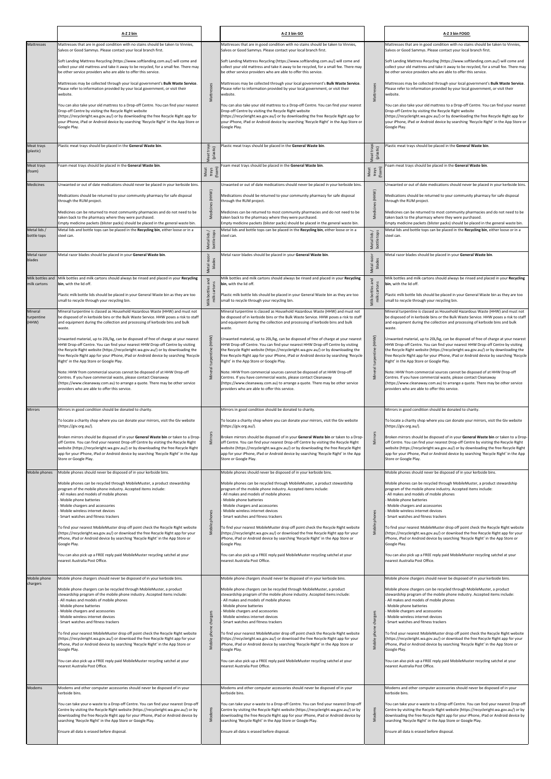|                                  | A-Z 2 bin                                                                                                                                                                                                                                                                                                                                                                                                      |                             | A-Z 3 bin GO                                                                                                                                                                                                                                                                                                                                                                                                     |                             | A-Z 3 bin FOGO                                                                                                                                                                                                                                                                                                                                                                                                   |
|----------------------------------|----------------------------------------------------------------------------------------------------------------------------------------------------------------------------------------------------------------------------------------------------------------------------------------------------------------------------------------------------------------------------------------------------------------|-----------------------------|------------------------------------------------------------------------------------------------------------------------------------------------------------------------------------------------------------------------------------------------------------------------------------------------------------------------------------------------------------------------------------------------------------------|-----------------------------|------------------------------------------------------------------------------------------------------------------------------------------------------------------------------------------------------------------------------------------------------------------------------------------------------------------------------------------------------------------------------------------------------------------|
| Mattresses                       | Mattresses that are in good condition with no stains should be taken to Vinnies,<br>Salvos or Good Sammys. Please contact your local branch first.                                                                                                                                                                                                                                                             |                             | Mattresses that are in good condition with no stains should be taken to Vinnies,<br>Salvos or Good Sammys. Please contact your local branch first.                                                                                                                                                                                                                                                               |                             | Mattresses that are in good condition with no stains should be taken to Vinnies,<br>Salvos or Good Sammys. Please contact your local branch first.                                                                                                                                                                                                                                                               |
|                                  | Soft Landing Mattress Recycling (https://www.softlanding.com.au/) will come and<br>collect your old mattress and take it away to be recycled, for a small fee. There may<br>be other service providers who are able to offer this service.                                                                                                                                                                     |                             | Soft Landing Mattress Recycling (https://www.softlanding.com.au/) will come and<br>collect your old mattress and take it away to be recycled, for a small fee. There may<br>be other service providers who are able to offer this service.                                                                                                                                                                       |                             | Soft Landing Mattress Recycling (https://www.softlanding.com.au/) will come and<br>collect your old mattress and take it away to be recycled, for a small fee. There may<br>be other service providers who are able to offer this service.                                                                                                                                                                       |
|                                  | Mattresses may be collected through your local government's Bulk Waste Service.<br>Please refer to information provided by your local government, or visit their<br>website.                                                                                                                                                                                                                                   | Mattresses                  | Mattresses may be collected through your local government's Bulk Waste Service.<br>Please refer to information provided by your local government, or visit their<br>website.                                                                                                                                                                                                                                     | Mattresses                  | Mattresses may be collected through your local government's Bulk Waste Service.<br>Please refer to information provided by your local government, or visit their<br>website.                                                                                                                                                                                                                                     |
|                                  | You can also take your old mattress to a Drop-off Centre. You can find your nearest<br>Drop-off Centre by visiting the Recycle Right website<br>(https://recycleright.wa.gov.au/) or by downloading the free Recycle Right app for<br>your iPhone, iPad or Android device by searching 'Recycle Right' in the App Store or<br>Google Play.                                                                     |                             | You can also take your old mattress to a Drop-off Centre. You can find your nearest<br>Drop-off Centre by visiting the Recycle Right website<br>(https://recycleright.wa.gov.au/) or by downloading the free Recycle Right app for<br>your iPhone, iPad or Android device by searching 'Recycle Right' in the App Store or<br>Google Play.                                                                       |                             | You can also take your old mattress to a Drop-off Centre. You can find your nearest<br>Drop-off Centre by visiting the Recycle Right website<br>(https://recycleright.wa.gov.au/) or by downloading the free Recycle Right app for<br>your iPhone, iPad or Android device by searching 'Recycle Right' in the App Store or<br>Google Play.                                                                       |
| Meat trays<br>(plastic)          | Plastic meat trays should be placed in the General Waste bin.                                                                                                                                                                                                                                                                                                                                                  |                             | lastic meat trays should be placed in the General Waste bin.                                                                                                                                                                                                                                                                                                                                                     |                             | Plastic meat trays should be placed in the General Waste bin.                                                                                                                                                                                                                                                                                                                                                    |
| Meat trays                       | Foam meat trays should be placed in the General Waste bin.                                                                                                                                                                                                                                                                                                                                                     | Meat trays<br>(plastic)     | Foam meat trays should be placed in the General Waste bin.                                                                                                                                                                                                                                                                                                                                                       | Meat trays<br>(plastic)     | Foam meat trays should be placed in the General Waste bin.                                                                                                                                                                                                                                                                                                                                                       |
| (foam)                           |                                                                                                                                                                                                                                                                                                                                                                                                                | Meat<br>trays<br>(foam)     |                                                                                                                                                                                                                                                                                                                                                                                                                  | Meat<br>trays<br>(foam)     |                                                                                                                                                                                                                                                                                                                                                                                                                  |
| <b>Medicines</b>                 | Unwanted or out of date medications should never be placed in your kerbside bins.<br>Medications should be returned to your community pharmacy for safe disposal<br>through the RUM project.                                                                                                                                                                                                                   | Medicines (HHW)             | Unwanted or out of date medications should never be placed in your kerbside bins.<br>Medications should be returned to your community pharmacy for safe disposal<br>through the RUM project.                                                                                                                                                                                                                     | Medicines (HHW)             | Unwanted or out of date medications should never be placed in your kerbside bins.<br>Medications should be returned to your community pharmacy for safe disposal<br>through the RUM project.                                                                                                                                                                                                                     |
|                                  | Medicines can be returned to most community pharmacies and do not need to be<br>taken back to the pharmacy where they were purchased.                                                                                                                                                                                                                                                                          |                             | Medicines can be returned to most community pharmacies and do not need to be<br>taken back to the pharmacy where they were purchased.                                                                                                                                                                                                                                                                            |                             | Medicines can be returned to most community pharmacies and do not need to be<br>taken back to the pharmacy where they were purchased.                                                                                                                                                                                                                                                                            |
| Metal lids /                     | Empty medicine packets (blister packs) should be placed in the general waste bin.<br>Metal lids and bottle tops can be placed in the Recycling bin, either loose or in a                                                                                                                                                                                                                                       |                             | Empty medicine packets (blister packs) should be placed in the general waste bin.<br>Metal lids and bottle tops can be placed in the Recycling bin, either loose or in a                                                                                                                                                                                                                                         |                             | Empty medicine packets (blister packs) should be placed in the general waste bin.<br>Metal lids and bottle tops can be placed in the Recycling bin, either loose or in a                                                                                                                                                                                                                                         |
| bottle tops                      | steel can.                                                                                                                                                                                                                                                                                                                                                                                                     | Metal lids /<br>bottle tops | steel can.                                                                                                                                                                                                                                                                                                                                                                                                       | Metal lids /<br>bottle tops | steel can.                                                                                                                                                                                                                                                                                                                                                                                                       |
| Metal razor<br>blades            | Metal razor blades should be placed in your General Waste bin.                                                                                                                                                                                                                                                                                                                                                 | Metal razor<br>blades       | Aetal razor blades should be placed in your General Waste bin.                                                                                                                                                                                                                                                                                                                                                   | Metal razor<br>blades       | Metal razor blades should be placed in your General Waste bin.                                                                                                                                                                                                                                                                                                                                                   |
| Milk bottles and<br>milk cartons | Milk bottles and milk cartons should always be rinsed and placed in your Recycling<br>bin, with the lid off.                                                                                                                                                                                                                                                                                                   | bottles and<br>cartons      | Milk bottles and milk cartons should always be rinsed and placed in your Recycling<br>bin, with the lid off.                                                                                                                                                                                                                                                                                                     | bottles and                 | Milk bottles and milk cartons should always be rinsed and placed in your Recycling<br>bin, with the lid off.                                                                                                                                                                                                                                                                                                     |
|                                  | Plastic milk bottle lids should be placed in your General Waste bin as they are too<br>small to recycle through your recycling bin.                                                                                                                                                                                                                                                                            | $\preceq$<br>Milk<br>Έ      | Plastic milk bottle lids should be placed in your General Waste bin as they are too<br>small to recycle through your recycling bin.                                                                                                                                                                                                                                                                              | milk cartons<br>Milk        | Plastic milk bottle lids should be placed in your General Waste bin as they are too<br>small to recycle through your recycling bin.                                                                                                                                                                                                                                                                              |
| Mineral<br>turpentine<br>(HHW)   | Mineral turpentine is classed as Household Hazardous Waste (HHW) and must not<br>be disposed of in kerbside bins or the Bulk Waste Service. HHW poses a risk to staff<br>and equipment during the collection and processing of kerbside bins and bulk<br>waste.                                                                                                                                                |                             | Mineral turpentine is classed as Household Hazardous Waste (HHW) and must not<br>be disposed of in kerbside bins or the Bulk Waste Service. HHW poses a risk to staff<br>and equipment during the collection and processing of kerbside bins and bulk<br>waste.                                                                                                                                                  |                             | Mineral turpentine is classed as Household Hazardous Waste (HHW) and must not<br>be disposed of in kerbside bins or the Bulk Waste Service. HHW poses a risk to staff<br>and equipment during the collection and processing of kerbside bins and bulk<br>waste.                                                                                                                                                  |
|                                  | Unwanted material, up to 20L/kg, can be disposed of free of charge at your nearest<br>HHW Drop-off Centre. You can find your nearest HHW Drop-off Centre by visiting<br>the Recycle Right website (https://recycleright.wa.gov.au/) or by downloading the<br>free Recycle Right app for your iPhone, iPad or Android device by searching 'Recycle<br>Right' in the App Store or Google Play.                   | turpentine (HHW)            | Unwanted material, up to 20L/kg, can be disposed of free of charge at your nearest<br>HHW Drop-off Centre. You can find your nearest HHW Drop-off Centre by visiting<br>the Recycle Right website (https://recycleright.wa.gov.au/) or by downloading the<br>free Recycle Right app for your iPhone, iPad or Android device by searching 'Recycle<br>Right' in the App Store or Google Play.                     | Mineral turpentine (HHW)    | Unwanted material, up to 20L/kg, can be disposed of free of charge at your nearest<br>HHW Drop-off Centre. You can find your nearest HHW Drop-off Centre by visiting<br>the Recycle Right website (https://recycleright.wa.gov.au/) or by downloading the<br>free Recycle Right app for your iPhone, iPad or Android device by searching 'Recycle<br>Right' in the App Store or Google Play.                     |
|                                  | Note: HHW from commercial sources cannot be disposed of at HHW Drop-off<br>Centres. If you have commercial waste, please contact Cleanaway<br>(https://www.cleanaway.com.au) to arrange a quote. There may be other service<br>providers who are able to offer this service.                                                                                                                                   | Mineral <sup>t</sup>        | Note: HHW from commercial sources cannot be disposed of at HHW Drop-off<br>Centres. If you have commercial waste, please contact Cleanaway<br>(https://www.cleanaway.com.au) to arrange a quote. There may be other service<br>providers who are able to offer this service.                                                                                                                                     |                             | Note: HHW from commercial sources cannot be disposed of at HHW Drop-off<br>Centres. If you have commercial waste, please contact Cleanaway<br>(https://www.cleanaway.com.au) to arrange a quote. There may be other service<br>providers who are able to offer this service.                                                                                                                                     |
| <b>Mirrors</b>                   | Mirrors in good condition should be donated to charity.<br>To locate a charity shop where you can donate your mirrors, visit the Giv website                                                                                                                                                                                                                                                                   |                             | Mirrors in good condition should be donated to charity.<br>To locate a charity shop where you can donate your mirrors, visit the Giv website                                                                                                                                                                                                                                                                     |                             | Mirrors in good condition should be donated to charity.<br>To locate a charity shop where you can donate your mirrors, visit the Giv website                                                                                                                                                                                                                                                                     |
|                                  | (https://giv.org.au/).<br>Broken mirrors should be disposed of in your General Waste bin or taken to a Drop-<br>off Centre. You can find your nearest Drop-off Centre by visiting the Recycle Right<br>website (https://recycleright.wa.gov.au/) or by downloading the free Recycle Right                                                                                                                      | <b>Mirrors</b>              | (https://giv.org.au/).<br>Broken mirrors should be disposed of in your General Waste bin or taken to a Drop-<br>off Centre. You can find your nearest Drop-off Centre by visiting the Recycle Right<br>website (https://recycleright.wa.gov.au/) or by downloading the free Recycle Right                                                                                                                        | Mirrors                     | (https://giv.org.au/).<br>Broken mirrors should be disposed of in your General Waste bin or taken to a Drop-<br>off Centre. You can find your nearest Drop-off Centre by visiting the Recycle Right<br>website (https://recycleright.wa.gov.au/) or by downloading the free Recycle Right                                                                                                                        |
|                                  | app for your iPhone, iPad or Android device by searching 'Recycle Right' in the App<br>Store or Google Play.                                                                                                                                                                                                                                                                                                   |                             | app for your iPhone, iPad or Android device by searching 'Recycle Right' in the App<br>Store or Google Play.                                                                                                                                                                                                                                                                                                     |                             | app for your iPhone, iPad or Android device by searching 'Recycle Right' in the App<br>Store or Google Play.                                                                                                                                                                                                                                                                                                     |
| Mobile phones                    | Mobile phones should never be disposed of in your kerbside bins.<br>Mobile phones can be recycled through MobileMuster, a product stewardship<br>program of the mobile phone industry. Accepted items include:<br>All makes and models of mobile phones<br>Mobile phone batteries                                                                                                                              |                             | Mobile phones should never be disposed of in your kerbside bins.<br>Mobile phones can be recycled through MobileMuster, a product stewardship<br>program of the mobile phone industry. Accepted items include:<br>All makes and models of mobile phones<br>Mobile phone batteries                                                                                                                                |                             | Mobile phones should never be disposed of in your kerbside bins.<br>Mobile phones can be recycled through MobileMuster, a product stewardship<br>program of the mobile phone industry. Accepted items include:<br>All makes and models of mobile phones<br>Mobile phone batteries                                                                                                                                |
|                                  | Mobile chargers and accessories<br>Mobile wireless internet devices<br>Smart watches and fitness trackers                                                                                                                                                                                                                                                                                                      | phones                      | Mobile chargers and accessories<br>Mobile wireless internet devices<br>Smart watches and fitness trackers                                                                                                                                                                                                                                                                                                        | phones                      | Mobile chargers and accessories<br>Mobile wireless internet devices<br>Smart watches and fitness trackers                                                                                                                                                                                                                                                                                                        |
|                                  | To find your nearest MobileMuster drop off point check the Recycle Right website<br>(https://recycleright.wa.gov.au/) or download the free Recycle Right app for your<br>iPhone, iPad or Android device by searching 'Recycle Right' in the App Store or<br>Google Play.                                                                                                                                       | Mobile                      | To find your nearest MobileMuster drop off point check the Recycle Right website<br>(https://recycleright.wa.gov.au/) or download the free Recycle Right app for your<br>iPhone, iPad or Android device by searching 'Recycle Right' in the App Store or<br>Google Play.                                                                                                                                         | Mobile                      | To find your nearest MobileMuster drop off point check the Recycle Right website<br>(https://recycleright.wa.gov.au/) or download the free Recycle Right app for your<br>iPhone, iPad or Android device by searching 'Recycle Right' in the App Store or<br>Google Play.                                                                                                                                         |
|                                  | You can also pick up a FREE reply paid MobileMuster recycling satchel at your<br>nearest Australia Post Office.                                                                                                                                                                                                                                                                                                |                             | You can also pick up a FREE reply paid MobileMuster recycling satchel at your<br>nearest Australia Post Office.                                                                                                                                                                                                                                                                                                  |                             | You can also pick up a FREE reply paid MobileMuster recycling satchel at your<br>nearest Australia Post Office.                                                                                                                                                                                                                                                                                                  |
| Mobile phone<br>chargers         | Mobile phone chargers should never be disposed of in your kerbside bins.<br>Mobile phone chargers can be recycled through MobileMuster, a product<br>stewardship program of the mobile phone industry. Accepted items include:<br>All makes and models of mobile phones<br>Mobile phone batteries<br>Mobile chargers and accessories<br>Mobile wireless internet devices<br>Smart watches and fitness trackers | charger:                    | Mobile phone chargers should never be disposed of in your kerbside bins.<br>Mobile phone chargers can be recycled through MobileMuster, a product<br>stewardship program of the mobile phone industry. Accepted items include:<br>All makes and models of mobile phones<br>Mobile phone batteries<br>Mobile chargers and accessories<br>Mobile wireless internet devices<br>- Smart watches and fitness trackers | charger                     | Mobile phone chargers should never be disposed of in your kerbside bins.<br>Mobile phone chargers can be recycled through MobileMuster, a product<br>stewardship program of the mobile phone industry. Accepted items include:<br>All makes and models of mobile phones<br>Mobile phone batteries<br>- Mobile chargers and accessories<br>Mobile wireless internet devices<br>Smart watches and fitness trackers |
|                                  | To find your nearest MobileMuster drop off point check the Recycle Right website<br>(https://recycleright.wa.gov.au/) or download the free Recycle Right app for your<br>iPhone, iPad or Android device by searching 'Recycle Right' in the App Store or<br>Google Play.                                                                                                                                       | phone<br>Mobile             | To find your nearest MobileMuster drop off point check the Recycle Right website<br>(https://recycleright.wa.gov.au/) or download the free Recycle Right app for your<br>iPhone, iPad or Android device by searching 'Recycle Right' in the App Store or<br>Google Play.                                                                                                                                         | Mobile phone                | To find your nearest MobileMuster drop off point check the Recycle Right website<br>(https://recycleright.wa.gov.au/) or download the free Recycle Right app for your<br>iPhone, iPad or Android device by searching 'Recycle Right' in the App Store or<br>Google Play.                                                                                                                                         |
|                                  | You can also pick up a FREE reply paid MobileMuster recycling satchel at your<br>nearest Australia Post Office.                                                                                                                                                                                                                                                                                                |                             | You can also pick up a FREE reply paid MobileMuster recycling satchel at your<br>nearest Australia Post Office.                                                                                                                                                                                                                                                                                                  |                             | You can also pick up a FREE reply paid MobileMuster recycling satchel at your<br>nearest Australia Post Office.                                                                                                                                                                                                                                                                                                  |
| Modems                           | Modems and other computer accessories should never be disposed of in your<br>kerbside bins.                                                                                                                                                                                                                                                                                                                    |                             | Modems and other computer accessories should never be disposed of in your<br>kerbside bins.                                                                                                                                                                                                                                                                                                                      |                             | Modems and other computer accessories should never be disposed of in your<br>kerbside bins.                                                                                                                                                                                                                                                                                                                      |
|                                  | You can take your e-waste to a Drop-off Centre. You can find your nearest Drop-off<br>Centre by visiting the Recycle Right website (https://recycleright.wa.gov.au/) or by<br>downloading the free Recycle Right app for your iPhone, iPad or Android device by<br>searching 'Recycle Right' in the App Store or Google Play.                                                                                  | Modems                      | You can take your e-waste to a Drop-off Centre. You can find your nearest Drop-off<br>Centre by visiting the Recycle Right website (https://recycleright.wa.gov.au/) or by<br>downloading the free Recycle Right app for your iPhone, iPad or Android device by<br>searching 'Recycle Right' in the App Store or Google Play.                                                                                    | Modems                      | You can take your e-waste to a Drop-off Centre. You can find your nearest Drop-off<br>Centre by visiting the Recycle Right website (https://recycleright.wa.gov.au/) or by<br>downloading the free Recycle Right app for your iPhone, iPad or Android device by<br>searching 'Recycle Right' in the App Store or Google Play.                                                                                    |
|                                  | Ensure all data is erased before disposal.                                                                                                                                                                                                                                                                                                                                                                     |                             | Ensure all data is erased before disposal.                                                                                                                                                                                                                                                                                                                                                                       |                             | Ensure all data is erased before disposal.                                                                                                                                                                                                                                                                                                                                                                       |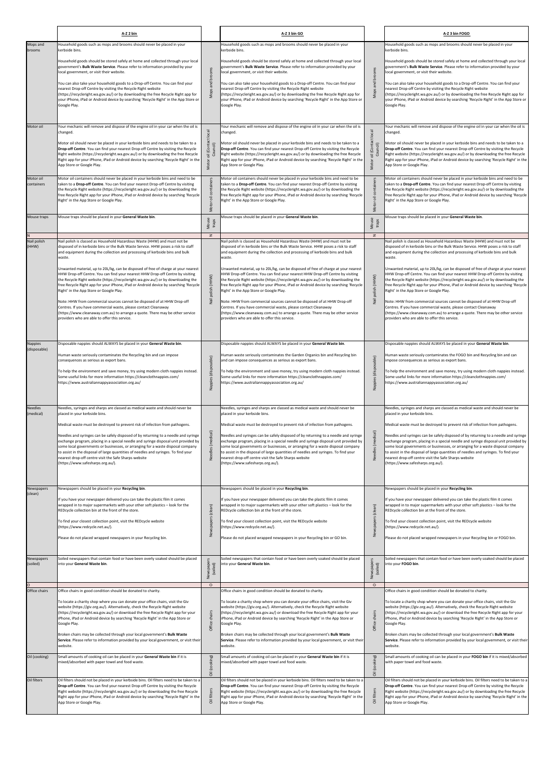|                                                 | A-Z 2 bin                                                                                                                                                                                                                                                                                                                                                                                                                                                                                                                                                                                                                                                                                                                                                                                                                                                                                                                                |                                                       | A-Z 3 bin GO                                                                                                                                                                                                                                                                                                                                                                                                                                                                                                                                                                                                                                                                                                                                                                                                                                                                                                                            |                                                | A-Z 3 bin FOGO                                                                                                                                                                                                                                                                                                                                                                                                                                                                                                                                                                                                                                                                                                                                                                                                                                                                                                                           |
|-------------------------------------------------|------------------------------------------------------------------------------------------------------------------------------------------------------------------------------------------------------------------------------------------------------------------------------------------------------------------------------------------------------------------------------------------------------------------------------------------------------------------------------------------------------------------------------------------------------------------------------------------------------------------------------------------------------------------------------------------------------------------------------------------------------------------------------------------------------------------------------------------------------------------------------------------------------------------------------------------|-------------------------------------------------------|-----------------------------------------------------------------------------------------------------------------------------------------------------------------------------------------------------------------------------------------------------------------------------------------------------------------------------------------------------------------------------------------------------------------------------------------------------------------------------------------------------------------------------------------------------------------------------------------------------------------------------------------------------------------------------------------------------------------------------------------------------------------------------------------------------------------------------------------------------------------------------------------------------------------------------------------|------------------------------------------------|------------------------------------------------------------------------------------------------------------------------------------------------------------------------------------------------------------------------------------------------------------------------------------------------------------------------------------------------------------------------------------------------------------------------------------------------------------------------------------------------------------------------------------------------------------------------------------------------------------------------------------------------------------------------------------------------------------------------------------------------------------------------------------------------------------------------------------------------------------------------------------------------------------------------------------------|
| Mops and<br>brooms                              | Household goods such as mops and brooms should never be placed in your<br>kerbside bins.                                                                                                                                                                                                                                                                                                                                                                                                                                                                                                                                                                                                                                                                                                                                                                                                                                                 |                                                       | Household goods such as mops and brooms should never be placed in your<br>kerbside bins.                                                                                                                                                                                                                                                                                                                                                                                                                                                                                                                                                                                                                                                                                                                                                                                                                                                |                                                | Household goods such as mops and brooms should never be placed in your<br>kerbside bins.                                                                                                                                                                                                                                                                                                                                                                                                                                                                                                                                                                                                                                                                                                                                                                                                                                                 |
|                                                 | Household goods should be stored safely at home and collected through your local<br>government's Bulk Waste Service. Please refer to information provided by your<br>local government, or visit their website.<br>You can also take your household goods to a Drop-off Centre. You can find your<br>nearest Drop-off Centre by visiting the Recycle Right website<br>(https://recycleright.wa.gov.au/) or by downloading the free Recycle Right app for<br>your iPhone, iPad or Android device by searching 'Recycle Right' in the App Store or<br>Google Play.                                                                                                                                                                                                                                                                                                                                                                          | and brooms                                            | Household goods should be stored safely at home and collected through your local<br>government's Bulk Waste Service. Please refer to information provided by your<br>local government, or visit their website.<br>You can also take your household goods to a Drop-off Centre. You can find your<br>nearest Drop-off Centre by visiting the Recycle Right website<br>(https://recycleright.wa.gov.au/) or by downloading the free Recycle Right app for<br>your iPhone, iPad or Android device by searching 'Recycle Right' in the App Store or<br>Google Play.                                                                                                                                                                                                                                                                                                                                                                         | and brooms<br>Mops                             | Household goods should be stored safely at home and collected through your local<br>government's Bulk Waste Service. Please refer to information provided by your<br>local government, or visit their website.<br>You can also take your household goods to a Drop-off Centre. You can find your<br>nearest Drop-off Centre by visiting the Recycle Right website<br>(https://recycleright.wa.gov.au/) or by downloading the free Recycle Right app for<br>your iPhone, iPad or Android device by searching 'Recycle Right' in the App Store or<br>Google Play.                                                                                                                                                                                                                                                                                                                                                                          |
| Motor oil                                       | Your mechanic will remove and dispose of the engine oil in your car when the oil is<br>changed.<br>Motor oil should never be placed in your kerbside bins and needs to be taken to a<br><b>Drop-off Centre.</b> You can find your nearest Drop-off Centre by visiting the Recycle<br>Right website (https://recycleright.wa.gov.au/) or by downloading the free Recycle<br>Right app for your iPhone, iPad or Android device by searching 'Recycle Right' in the<br>App Store or Google Play.                                                                                                                                                                                                                                                                                                                                                                                                                                            | local<br>Council)<br>(Cont<br>$\overline{5}$<br>Motor | Your mechanic will remove and dispose of the engine oil in your car when the oil is<br>changed.<br>Motor oil should never be placed in your kerbside bins and needs to be taken to a<br>Drop-off Centre. You can find your nearest Drop-off Centre by visiting the Recycle<br>Right website (https://recycleright.wa.gov.au/) or by downloading the free Recycle<br>Right app for your iPhone, iPad or Android device by searching 'Recycle Right' in the<br>App Store or Google Play.                                                                                                                                                                                                                                                                                                                                                                                                                                                  | local<br>Council)<br>$\overline{5}$<br>Motor   | Your mechanic will remove and dispose of the engine oil in your car when the oil is<br>changed.<br>Motor oil should never be placed in your kerbside bins and needs to be taken to a<br>Drop-off Centre. You can find your nearest Drop-off Centre by visiting the Recycle<br>Right website (https://recycleright.wa.gov.au/) or by downloading the free Recycle<br>Right app for your iPhone, iPad or Android device by searching 'Recycle Right' in the<br>App Store or Google Play.                                                                                                                                                                                                                                                                                                                                                                                                                                                   |
| Motor oil<br>containers                         | Motor oil containers should never be placed in your kerbside bins and need to be<br>taken to a Drop-off Centre. You can find your nearest Drop-off Centre by visiting<br>the Recycle Right website (https://recycleright.wa.gov.au/) or by downloading the<br>free Recycle Right app for your iPhone, iPad or Android device by searching 'Recycle<br>Right' in the App Store or Google Play.                                                                                                                                                                                                                                                                                                                                                                                                                                                                                                                                            | containers<br>$\overline{5}$<br>Motor                 | Motor oil containers should never be placed in your kerbside bins and need to be<br>taken to a Drop-off Centre. You can find your nearest Drop-off Centre by visiting<br>the Recycle Right website (https://recycleright.wa.gov.au/) or by downloading the<br>free Recycle Right app for your iPhone, iPad or Android device by searching 'Recycle<br>Right' in the App Store or Google Play.                                                                                                                                                                                                                                                                                                                                                                                                                                                                                                                                           | containe<br>ᇹ<br>Motor                         | Motor oil containers should never be placed in your kerbside bins and need to be<br>taken to a Drop-off Centre. You can find your nearest Drop-off Centre by visiting<br>the Recycle Right website (https://recycleright.wa.gov.au/) or by downloading the<br>free Recycle Right app for your iPhone, iPad or Android device by searching 'Recycle<br>Right' in the App Store or Google Play.                                                                                                                                                                                                                                                                                                                                                                                                                                                                                                                                            |
| Mouse traps                                     | Mouse traps should be placed in your General Waste bin.                                                                                                                                                                                                                                                                                                                                                                                                                                                                                                                                                                                                                                                                                                                                                                                                                                                                                  | Mouse<br>traps                                        | Mouse traps should be placed in your General Waste bin.                                                                                                                                                                                                                                                                                                                                                                                                                                                                                                                                                                                                                                                                                                                                                                                                                                                                                 | Mouse<br>traps                                 | Mouse traps should be placed in your General Waste bin.                                                                                                                                                                                                                                                                                                                                                                                                                                                                                                                                                                                                                                                                                                                                                                                                                                                                                  |
| Nail polish<br>(HHW)                            | Nail polish is classed as Household Hazardous Waste (HHW) and must not be<br>disposed of in kerbside bins or the Bulk Waste Service. HHW poses a risk to staff<br>and equipment during the collection and processing of kerbside bins and bulk<br>waste.<br>Unwanted material, up to 20L/kg, can be disposed of free of charge at your nearest<br>HHW Drop-off Centre. You can find your nearest HHW Drop-off Centre by visiting<br>the Recycle Right website (https://recycleright.wa.gov.au/) or by downloading the<br>free Recycle Right app for your iPhone, iPad or Android device by searching 'Recycle<br>Right' in the App Store or Google Play.<br>Note: HHW from commercial sources cannot be disposed of at HHW Drop-off<br>Centres. If you have commercial waste, please contact Cleanaway<br>(https://www.cleanaway.com.au) to arrange a quote. There may be other service<br>providers who are able to offer this service. | $\mathbf{z}$<br>polish (HHW)                          | Nail polish is classed as Household Hazardous Waste (HHW) and must not be<br>disposed of in kerbside bins or the Bulk Waste Service. HHW poses a risk to staff<br>and equipment during the collection and processing of kerbside bins and bulk<br>waste.<br>Unwanted material, up to 20L/kg, can be disposed of free of charge at your nearest<br>HHW Drop-off Centre. You can find your nearest HHW Drop-off Centre by visiting<br>the Recycle Right website (https://recycleright.wa.gov.au/) or by downloading the<br>free Recycle Right app for your iPhone, iPad or Android device by searching 'Recycle<br>Right' in the App Store or Google Play.<br>Note: HHW from commercial sources cannot be disposed of at HHW Drop-off<br>Centres. If you have commercial waste, please contact Cleanaway<br>(https://www.cleanaway.com.au) to arrange a quote. There may be other service<br>providers who are able to offer this service | $\mathbf{z}$<br>polish (HHW)<br>Nail           | Nail polish is classed as Household Hazardous Waste (HHW) and must not be<br>disposed of in kerbside bins or the Bulk Waste Service. HHW poses a risk to staff<br>and equipment during the collection and processing of kerbside bins and bulk<br>waste.<br>Unwanted material, up to 20L/kg, can be disposed of free of charge at your nearest<br>HHW Drop-off Centre. You can find your nearest HHW Drop-off Centre by visiting<br>the Recycle Right website (https://recycleright.wa.gov.au/) or by downloading the<br>free Recycle Right app for your iPhone, iPad or Android device by searching 'Recycle<br>Right' in the App Store or Google Play.<br>Note: HHW from commercial sources cannot be disposed of at HHW Drop-off<br>Centres. If you have commercial waste, please contact Cleanaway<br>(https://www.cleanaway.com.au) to arrange a quote. There may be other service<br>providers who are able to offer this service. |
| Nappies<br>(disposable)                         | Disposable nappies should ALWAYS be placed in your General Waste bin.<br>Human waste seriously contaminates the Recycling bin and can impose<br>consequences as serious as export bans.<br>To help the environment and save money, try using modern cloth nappies instead.<br>Some useful links for more information https://cleanclothnappies.com/<br>https://www.australiannappyassociation.org.au/                                                                                                                                                                                                                                                                                                                                                                                                                                                                                                                                    | (disposable)<br>Nappies                               | Disposable nappies should ALWAYS be placed in your General Waste bin.<br>Human waste seriously contaminates the Garden Organics bin and Recycling bin<br>and can impose consequences as serious as export bans.<br>To help the environment and save money, try using modern cloth nappies instead.<br>Some useful links for more information https://cleanclothnappies.com/<br>https://www.australiannappyassociation.org.au/                                                                                                                                                                                                                                                                                                                                                                                                                                                                                                           | (disposable)<br>Nappies                        | Disposable nappies should ALWAYS be placed in your General Waste bin.<br>Human waste seriously contaminates the FOGO bin and Recycling bin and can<br>impose consequences as serious as export bans.<br>To help the environment and save money, try using modern cloth nappies instead.<br>Some useful links for more information https://cleanclothnappies.com/<br>https://www.australiannappyassociation.org.au/                                                                                                                                                                                                                                                                                                                                                                                                                                                                                                                       |
| Needles<br>(medical)                            | Needles, syringes and sharps are classed as medical waste and should never be<br>placed in your kerbside bins.<br>Medical waste must be destroyed to prevent risk of infection from pathogens.<br>Needles and syringes can be safely disposed of by returning to a needle and syringe<br>exchange program, placing in a special needle and syringe disposal unit provided by<br>some local governments or businesses, or arranging for a waste disposal company<br>to assist in the disposal of large quantities of needles and syringes. To find your<br>nearest drop-off centre visit the Safe Sharps website<br>(https://www.safesharps.org.au/).                                                                                                                                                                                                                                                                                     | Needles (medical)                                     | Needles, syringes and sharps are classed as medical waste and should never be<br>placed in your kerbside bins.<br>Medical waste must be destroyed to prevent risk of infection from pathogens.<br>Needles and syringes can be safely disposed of by returning to a needle and syringe<br>exchange program, placing in a special needle and syringe disposal unit provided by<br>some local governments or businesses, or arranging for a waste disposal company<br>to assist in the disposal of large quantities of needles and syringes. To find your<br>nearest drop-off centre visit the Safe Sharps website<br>(https://www.safesharps.org.au/).                                                                                                                                                                                                                                                                                    | Needles (medical)                              | Needles, syringes and sharps are classed as medical waste and should never be<br>placed in your kerbside bins.<br>Medical waste must be destroyed to prevent risk of infection from pathogens.<br>Needles and syringes can be safely disposed of by returning to a needle and syringe<br>exchange program, placing in a special needle and syringe disposal unit provided by<br>some local governments or businesses, or arranging for a waste disposal company<br>to assist in the disposal of large quantities of needles and syringes. To find your<br>nearest drop-off centre visit the Safe Sharps website<br>(https://www.safesharps.org.au/).                                                                                                                                                                                                                                                                                     |
| Newspapers<br>(clean)<br>Newspapers<br>(soiled) | Newspapers should be placed in your Recycling bin.<br>If you have your newspaper delivered you can take the plastic film it comes<br>wrapped in to major supermarkets with your other soft plastics - look for the<br>REDcycle collection bin at the front of the store.<br>To find your closest collection point, visit the REDcycle website<br>(https://www.redcycle.net.au/).<br>Please do not placed wrapped newspapers in your Recycling bin.<br>Soiled newspapers that contain food or have been overly soaked should be placed<br>into your General Waste bin.                                                                                                                                                                                                                                                                                                                                                                    | (clean)<br>$\frac{1}{2}$<br>Newspaper<br>(soiled)     | Newspapers should be placed in your Recycling bin.<br>If you have your newspaper delivered you can take the plastic film it comes<br>wrapped in to major supermarkets with your other soft plastics - look for the<br>REDcycle collection bin at the front of the store.<br>To find your closest collection point, visit the REDcycle website<br>(https://www.redcycle.net.au/).<br>Please do not placed wrapped newspapers in your Recycling bin or GO bin.<br>Soiled newspapers that contain food or have been overly soaked should be placed<br>nto your General Waste bin.                                                                                                                                                                                                                                                                                                                                                          | (clean)<br>Newspapers<br>Newspaper<br>(soiled) | Newspapers should be placed in your Recycling bin.<br>If you have your newspaper delivered you can take the plastic film it comes<br>wrapped in to major supermarkets with your other soft plastics - look for the<br>REDcycle collection bin at the front of the store.<br>To find your closest collection point, visit the REDcycle website<br>(https://www.redcycle.net.au/).<br>Please do not placed wrapped newspapers in your Recycling bin or FOGO bin.<br>Soiled newspapers that contain food or have been overly soaked should be placed<br>into your FOGO bin.                                                                                                                                                                                                                                                                                                                                                                 |
|                                                 |                                                                                                                                                                                                                                                                                                                                                                                                                                                                                                                                                                                                                                                                                                                                                                                                                                                                                                                                          | $\circ$                                               |                                                                                                                                                                                                                                                                                                                                                                                                                                                                                                                                                                                                                                                                                                                                                                                                                                                                                                                                         | $\circ$                                        |                                                                                                                                                                                                                                                                                                                                                                                                                                                                                                                                                                                                                                                                                                                                                                                                                                                                                                                                          |
| Office chairs<br>Oil (cooking)                  | Office chairs in good condition should be donated to charity.<br>To locate a charity shop where you can donate your office chairs, visit the Giv<br>website (https://giv.org.au/). Alternatively, check the Recycle Right website<br>(https://recycleright.wa.gov.au/) or download the free Recycle Right app for your<br>iPhone, iPad or Android device by searching 'Recycle Right' in the App Store or<br>Google Play.<br>Broken chairs may be collected through your local government's Bulk Waste<br>Service. Please refer to information provided by your local government, or visit their<br>website.<br>Small amounts of cooking oil can be placed in your General Waste bin if it is<br>mixed/absorbed with paper towel and food waste.                                                                                                                                                                                         | Office cha                                            | Office chairs in good condition should be donated to charity.<br>To locate a charity shop where you can donate your office chairs, visit the Giv<br>website (https://giv.org.au/). Alternatively, check the Recycle Right website<br>(https://recycleright.wa.gov.au/) or download the free Recycle Right app for your<br>iPhone, iPad or Android device by searching 'Recycle Right' in the App Store or<br>Google Play.<br>Broken chairs may be collected through your local government's Bulk Waste<br>Service. Please refer to information provided by your local government, or visit their<br>website.<br>Small amounts of cooking oil can be placed in your General Waste bin if it is<br>mixed/absorbed with paper towel and food waste.                                                                                                                                                                                        | irs<br>es-<br>Office                           | Office chairs in good condition should be donated to charity.<br>To locate a charity shop where you can donate your office chairs, visit the Giv<br>website (https://giv.org.au/). Alternatively, check the Recycle Right website<br>(https://recycleright.wa.gov.au/) or download the free Recycle Right app for your<br>iPhone, iPad or Android device by searching 'Recycle Right' in the App Store or<br>Google Play.<br>Broken chairs may be collected through your local government's Bulk Waste<br>Service. Please refer to information provided by your local government, or visit their<br>website.<br>Small amounts of cooking oil can be placed in your FOGO bin if it is mixed/absorbed<br>with paper towel and food waste.                                                                                                                                                                                                  |
| Oil filters                                     | Oil filters should not be placed in your kerbside bins. Oil filters need to be taken to a<br>Drop-off Centre. You can find your nearest Drop-off Centre by visiting the Recycle<br>Right website (https://recycleright.wa.gov.au/) or by downloading the free Recycle<br>Right app for your iPhone, iPad or Android device by searching 'Recycle Right' in the<br>App Store or Google Play.                                                                                                                                                                                                                                                                                                                                                                                                                                                                                                                                              | Oil (cooking)<br>Oil filters                          | Oil filters should not be placed in your kerbside bins. Oil filters need to be taken to<br>Drop-off Centre. You can find your nearest Drop-off Centre by visiting the Recycle<br>Right website (https://recycleright.wa.gov.au/) or by downloading the free Recycle<br>Right app for your iPhone, iPad or Android device by searching 'Recycle Right' in the<br>App Store or Google Play.                                                                                                                                                                                                                                                                                                                                                                                                                                                                                                                                               | Oil (cooking)<br>Oil filters                   | Oil filters should not be placed in your kerbside bins. Oil filters need to be taken to a<br>Drop-off Centre. You can find your nearest Drop-off Centre by visiting the Recycle<br>Right website (https://recycleright.wa.gov.au/) or by downloading the free Recycle<br>Right app for your iPhone, iPad or Android device by searching 'Recycle Right' in the<br>App Store or Google Play.                                                                                                                                                                                                                                                                                                                                                                                                                                                                                                                                              |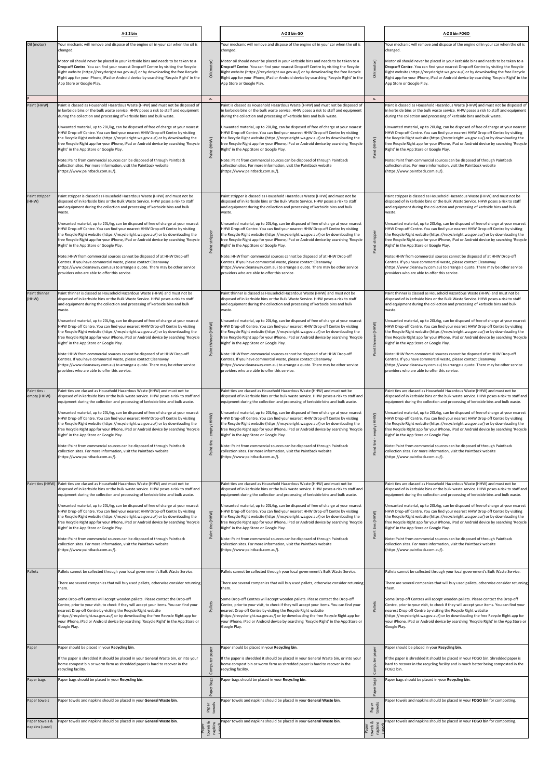|                                     | A-Z 2 bin                                                                                                                                                                                                                                                                                                                                                                                                                                                                                                                                                                                                                                                                                                                                                                                                                                                                                                                                   |                                                          | A-Z 3 bin GO                                                                                                                                                                                                                                                                                                                                                                                                                                                                                                                                                                                                                                                                                                                                                                                                                                                                                                                                |                                                               | A-Z 3 bin FOGO                                                                                                                                                                                                                                                                                                                                                                                                                                                                                                                                                                                                                                                                                                                                                                                                                                                                                                                              |
|-------------------------------------|---------------------------------------------------------------------------------------------------------------------------------------------------------------------------------------------------------------------------------------------------------------------------------------------------------------------------------------------------------------------------------------------------------------------------------------------------------------------------------------------------------------------------------------------------------------------------------------------------------------------------------------------------------------------------------------------------------------------------------------------------------------------------------------------------------------------------------------------------------------------------------------------------------------------------------------------|----------------------------------------------------------|---------------------------------------------------------------------------------------------------------------------------------------------------------------------------------------------------------------------------------------------------------------------------------------------------------------------------------------------------------------------------------------------------------------------------------------------------------------------------------------------------------------------------------------------------------------------------------------------------------------------------------------------------------------------------------------------------------------------------------------------------------------------------------------------------------------------------------------------------------------------------------------------------------------------------------------------|---------------------------------------------------------------|---------------------------------------------------------------------------------------------------------------------------------------------------------------------------------------------------------------------------------------------------------------------------------------------------------------------------------------------------------------------------------------------------------------------------------------------------------------------------------------------------------------------------------------------------------------------------------------------------------------------------------------------------------------------------------------------------------------------------------------------------------------------------------------------------------------------------------------------------------------------------------------------------------------------------------------------|
| Oil (motor)                         | Your mechanic will remove and dispose of the engine oil in your car when the oil is<br>changed.<br>Motor oil should never be placed in your kerbside bins and needs to be taken to a<br>Drop-off Centre. You can find your nearest Drop-off Centre by visiting the Recycle<br>Right website (https://recycleright.wa.gov.au/) or by downloading the free Recycle<br>Right app for your iPhone, iPad or Android device by searching 'Recycle Right' in the<br>App Store or Google Play.                                                                                                                                                                                                                                                                                                                                                                                                                                                      | (motor)<br>$\overline{\overline{\circ}}$<br>$\mathbf{r}$ | Your mechanic will remove and dispose of the engine oil in your car when the oil is<br>changed.<br>Motor oil should never be placed in your kerbside bins and needs to be taken to a<br>Drop-off Centre. You can find your nearest Drop-off Centre by visiting the Recycle<br>Right website (https://recycleright.wa.gov.au/) or by downloading the free Recycle<br>Right app for your iPhone, iPad or Android device by searching 'Recycle Right' in the<br>App Store or Google Play.                                                                                                                                                                                                                                                                                                                                                                                                                                                      | (motor)<br>$\overline{\overline{\mathrm{o}}}$<br>$\mathbf{r}$ | Your mechanic will remove and dispose of the engine oil in your car when the oil is<br>changed.<br>Motor oil should never be placed in your kerbside bins and needs to be taken to a<br>Drop-off Centre. You can find your nearest Drop-off Centre by visiting the Recycle<br>Right website (https://recycleright.wa.gov.au/) or by downloading the free Recycle<br>Right app for your iPhone, iPad or Android device by searching 'Recycle Right' in the<br>App Store or Google Play.                                                                                                                                                                                                                                                                                                                                                                                                                                                      |
| Paint (HHW)                         | Paint is classed as Household Hazardous Waste (HHW) and must not be disposed of<br>in kerbside bins or the bulk waste service. HHW poses a risk to staff and equipment<br>during the collection and processing of kerbside bins and bulk waste.<br>Unwanted material, up to 20L/kg, can be disposed of free of charge at your nearest<br>HHW Drop-off Centre. You can find your nearest HHW Drop-off Centre by visiting<br>the Recycle Right website (https://recycleright.wa.gov.au/) or by downloading the<br>free Recycle Right app for your iPhone, iPad or Android device by searching 'Recycle<br>Right' in the App Store or Google Play.<br>Note: Paint from commercial sources can be disposed of through Paintback<br>collection sites. For more information, visit the Paintback website<br>(https://www.paintback.com.au/).                                                                                                      | Paint (HHW)                                              | Paint is classed as Household Hazardous Waste (HHW) and must not be disposed of<br>in kerbside bins or the bulk waste service. HHW poses a risk to staff and equipment<br>during the collection and processing of kerbside bins and bulk waste.<br>Unwanted material, up to 20L/kg, can be disposed of free of charge at your nearest<br>HHW Drop-off Centre. You can find your nearest HHW Drop-off Centre by visiting<br>the Recycle Right website (https://recycleright.wa.gov.au/) or by downloading the<br>free Recycle Right app for your iPhone, iPad or Android device by searching 'Recycle<br>Right' in the App Store or Google Play.<br>Note: Paint from commercial sources can be disposed of through Paintback<br>collection sites. For more information, visit the Paintback website<br>(https://www.paintback.com.au/).                                                                                                      | Paint (HHW)                                                   | Paint is classed as Household Hazardous Waste (HHW) and must not be disposed of<br>in kerbside bins or the bulk waste service. HHW poses a risk to staff and equipment<br>during the collection and processing of kerbside bins and bulk waste.<br>Unwanted material, up to 20L/kg, can be disposed of free of charge at your nearest<br>HHW Drop-off Centre. You can find your nearest HHW Drop-off Centre by visiting<br>the Recycle Right website (https://recycleright.wa.gov.au/) or by downloading the<br>free Recycle Right app for your iPhone, iPad or Android device by searching 'Recycle<br>Right' in the App Store or Google Play.<br>Note: Paint from commercial sources can be disposed of through Paintback<br>collection sites. For more information, visit the Paintback website<br>(https://www.paintback.com.au/).                                                                                                      |
| Paint stripper<br>(HHW)             | Paint stripper is classed as Household Hazardous Waste (HHW) and must not be<br>disposed of in kerbside bins or the Bulk Waste Service. HHW poses a risk to staff<br>and equipment during the collection and processing of kerbside bins and bulk<br>waste.<br>Unwanted material, up to 20L/kg, can be disposed of free of charge at your nearest<br>HHW Drop-off Centre. You can find your nearest HHW Drop-off Centre by visiting<br>the Recycle Right website (https://recycleright.wa.gov.au/) or by downloading the<br>free Recycle Right app for your iPhone, iPad or Android device by searching 'Recycle<br>Right' in the App Store or Google Play.<br>Note: HHW from commercial sources cannot be disposed of at HHW Drop-off<br>Centres. If you have commercial waste, please contact Cleanaway<br>(https://www.cleanaway.com.au) to arrange a quote. There may be other service<br>providers who are able to offer this service. | Paint stripper                                           | Paint stripper is classed as Household Hazardous Waste (HHW) and must not be<br>disposed of in kerbside bins or the Bulk Waste Service. HHW poses a risk to staff<br>and equipment during the collection and processing of kerbside bins and bulk<br>waste.<br>Unwanted material, up to 20L/kg, can be disposed of free of charge at your nearest<br>HHW Drop-off Centre. You can find your nearest HHW Drop-off Centre by visiting<br>the Recycle Right website (https://recycleright.wa.gov.au/) or by downloading the<br>free Recycle Right app for your iPhone, iPad or Android device by searching 'Recycle<br>Right' in the App Store or Google Play.<br>Note: HHW from commercial sources cannot be disposed of at HHW Drop-off<br>Centres. If you have commercial waste, please contact Cleanaway<br>(https://www.cleanaway.com.au) to arrange a quote. There may be other service<br>providers who are able to offer this service. | Paint stripper                                                | Paint stripper is classed as Household Hazardous Waste (HHW) and must not be<br>disposed of in kerbside bins or the Bulk Waste Service. HHW poses a risk to staff<br>and equipment during the collection and processing of kerbside bins and bulk<br>waste.<br>Unwanted material, up to 20L/kg, can be disposed of free of charge at your nearest<br>HHW Drop-off Centre. You can find your nearest HHW Drop-off Centre by visiting<br>the Recycle Right website (https://recycleright.wa.gov.au/) or by downloading the<br>free Recycle Right app for your iPhone, iPad or Android device by searching 'Recycle<br>Right' in the App Store or Google Play.<br>Note: HHW from commercial sources cannot be disposed of at HHW Drop-off<br>Centres. If you have commercial waste, please contact Cleanaway<br>(https://www.cleanaway.com.au) to arrange a quote. There may be other service<br>providers who are able to offer this service. |
| Paint thinner<br>(HHW)              | Paint thinner is classed as Household Hazardous Waste (HHW) and must not be<br>disposed of in kerbside bins or the Bulk Waste Service. HHW poses a risk to staff<br>and equipment during the collection and processing of kerbside bins and bulk<br>waste.<br>Unwanted material, up to 20L/kg, can be disposed of free of charge at your nearest<br>HHW Drop-off Centre. You can find your nearest HHW Drop-off Centre by visiting<br>the Recycle Right website (https://recycleright.wa.gov.au/) or by downloading the<br>free Recycle Right app for your iPhone, iPad or Android device by searching 'Recycle<br>Right' in the App Store or Google Play.<br>Note: HHW from commercial sources cannot be disposed of at HHW Drop-off<br>Centres. If you have commercial waste, please contact Cleanaway<br>(https://www.cleanaway.com.au) to arrange a quote. There may be other service<br>providers who are able to offer this service.  | thinner (HHW)<br>Paint                                   | Paint thinner is classed as Household Hazardous Waste (HHW) and must not be<br>disposed of in kerbside bins or the Bulk Waste Service. HHW poses a risk to staff<br>and equipment during the collection and processing of kerbside bins and bulk<br>waste.<br>Unwanted material, up to 20L/kg, can be disposed of free of charge at your nearest<br>HHW Drop-off Centre. You can find your nearest HHW Drop-off Centre by visiting<br>the Recycle Right website (https://recycleright.wa.gov.au/) or by downloading the<br>free Recycle Right app for your iPhone, iPad or Android device by searching 'Recycle<br>Right' in the App Store or Google Play.<br>Note: HHW from commercial sources cannot be disposed of at HHW Drop-off<br>Centres. If you have commercial waste, please contact Cleanaway<br>(https://www.cleanaway.com.au) to arrange a quote. There may be other service<br>providers who are able to offer this service.  | (HHW)<br>$t$ hin<br>Paint                                     | Paint thinner is classed as Household Hazardous Waste (HHW) and must not be<br>disposed of in kerbside bins or the Bulk Waste Service. HHW poses a risk to staff<br>and equipment during the collection and processing of kerbside bins and bulk<br>waste.<br>Unwanted material, up to 20L/kg, can be disposed of free of charge at your nearest<br>HHW Drop-off Centre. You can find your nearest HHW Drop-off Centre by visiting<br>the Recycle Right website (https://recycleright.wa.gov.au/) or by downloading the<br>free Recycle Right app for your iPhone, iPad or Android device by searching 'Recycle<br>Right' in the App Store or Google Play.<br>Note: HHW from commercial sources cannot be disposed of at HHW Drop-off<br>Centres. If you have commercial waste, please contact Cleanaway<br>(https://www.cleanaway.com.au) to arrange a quote. There may be other service<br>providers who are able to offer this service.  |
| Paint tins -<br>empty (HHW)         | Paint tins are classed as Household Hazardous Waste (HHW) and must not be<br>disposed of in kerbside bins or the bulk waste service. HHW poses a risk to staff and<br>equipment during the collection and processing of kerbside bins and bulk waste.<br>Unwanted material, up to 20L/kg, can be disposed of free of charge at your nearest<br>HHW Drop-off Centre. You can find your nearest HHW Drop-off Centre by visiting<br>the Recycle Right website (https://recycleright.wa.gov.au/) or by downloading the<br>free Recycle Right app for your iPhone, iPad or Android device by searching 'Recycle<br>Right' in the App Store or Google Play.<br>Note: Paint from commercial sources can be disposed of through Paintback<br>collection sites. For more information, visit the Paintback website<br>(https://www.paintback.com.au/).                                                                                                | empty (HHW)<br>Paint tins                                | Paint tins are classed as Household Hazardous Waste (HHW) and must not be<br>disposed of in kerbside bins or the bulk waste service. HHW poses a risk to staff and<br>equipment during the collection and processing of kerbside bins and bulk waste.<br>Unwanted material, up to 20L/kg, can be disposed of free of charge at your nearest<br>HHW Drop-off Centre. You can find your nearest HHW Drop-off Centre by visiting<br>the Recycle Right website (https://recycleright.wa.gov.au/) or by downloading the<br>free Recycle Right app for your iPhone, iPad or Android device by searching 'Recycle'<br>Right' in the App Store or Google Play.<br>Note: Paint from commercial sources can be disposed of through Paintback<br>collection sites. For more information, visit the Paintback website<br>(https://www.paintback.com.au/).                                                                                               | empty (HHW)<br>Paint tins -                                   | Paint tins are classed as Household Hazardous Waste (HHW) and must not be<br>disposed of in kerbside bins or the bulk waste service. HHW poses a risk to staff and<br>equipment during the collection and processing of kerbside bins and bulk waste.<br>Unwanted material, up to 20L/kg, can be disposed of free of charge at your nearest<br>HHW Drop-off Centre. You can find your nearest HHW Drop-off Centre by visiting<br>the Recycle Right website (https://recycleright.wa.gov.au/) or by downloading the<br>free Recycle Right app for your iPhone, iPad or Android device by searching 'Recycle<br>Right' in the App Store or Google Play.<br>Note: Paint from commercial sources can be disposed of through Paintback<br>collection sites. For more information, visit the Paintback website<br>(https://www.paintback.com.au/).                                                                                                |
| Paint tins (HHW)                    | Paint tins are classed as Household Hazardous Waste (HHW) and must not be<br>disposed of in kerbside bins or the bulk waste service. HHW poses a risk to staff and<br>equipment during the collection and processing of kerbside bins and bulk waste.<br>Unwanted material, up to 20L/kg, can be disposed of free of charge at your nearest<br>HHW Drop-off Centre. You can find your nearest HHW Drop-off Centre by visiting<br>the Recycle Right website (https://recycleright.wa.gov.au/) or by downloading the<br>free Recycle Right app for your iPhone, iPad or Android device by searching 'Recycle<br>Right' in the App Store or Google Play.<br>Note: Paint from commercial sources can be disposed of through Paintback<br>collection sites. For more information, visit the Paintback website<br>(https://www.paintback.com.au/).                                                                                                | Paint tins (HHW)                                         | Paint tins are classed as Household Hazardous Waste (HHW) and must not be<br>disposed of in kerbside bins or the bulk waste service. HHW poses a risk to staff and<br>equipment during the collection and processing of kerbside bins and bulk waste.<br>Unwanted material, up to 20L/kg, can be disposed of free of charge at your nearest<br>HHW Drop-off Centre. You can find your nearest HHW Drop-off Centre by visiting<br>the Recycle Right website (https://recycleright.wa.gov.au/) or by downloading the<br>free Recycle Right app for your iPhone, iPad or Android device by searching 'Recycle<br>Right' in the App Store or Google Play.<br>Note: Paint from commercial sources can be disposed of through Paintback<br>collection sites. For more information, visit the Paintback website<br>(https://www.paintback.com.au/).                                                                                                | Paint tins (HHW)                                              | Paint tins are classed as Household Hazardous Waste (HHW) and must not be<br>disposed of in kerbside bins or the bulk waste service. HHW poses a risk to staff and<br>equipment during the collection and processing of kerbside bins and bulk waste.<br>Unwanted material, up to 20L/kg, can be disposed of free of charge at your nearest<br>HHW Drop-off Centre. You can find your nearest HHW Drop-off Centre by visiting<br>the Recycle Right website (https://recycleright.wa.gov.au/) or by downloading the<br>free Recycle Right app for your iPhone, iPad or Android device by searching 'Recycle<br>Right' in the App Store or Google Play.<br>Note: Paint from commercial sources can be disposed of through Paintback<br>collection sites. For more information, visit the Paintback website<br>(https://www.paintback.com.au/).                                                                                                |
| Pallets                             | Pallets cannot be collected through your local government's Bulk Waste Service.<br>There are several companies that will buy used pallets, otherwise consider returning<br>them.<br>Some Drop-off Centres will accept wooden pallets. Please contact the Drop-off<br>Centre, prior to your visit, to check if they will accept your items. You can find your<br>nearest Drop-off Centre by visiting the Recycle Right website<br>(https://recycleright.wa.gov.au/) or by downloading the free Recycle Right app for<br>your iPhone, iPad or Android device by searching 'Recycle Right' in the App Store or<br>Google Play.                                                                                                                                                                                                                                                                                                                 | Pallets                                                  | Pallets cannot be collected through your local government's Bulk Waste Service.<br>There are several companies that will buy used pallets, otherwise consider returning<br>them.<br>Some Drop-off Centres will accept wooden pallets. Please contact the Drop-off<br>Centre, prior to your visit, to check if they will accept your items. You can find your<br>nearest Drop-off Centre by visiting the Recycle Right website<br>(https://recycleright.wa.gov.au/) or by downloading the free Recycle Right app for<br>your iPhone, iPad or Android device by searching 'Recycle Right' in the App Store or<br>Google Play.                                                                                                                                                                                                                                                                                                                 | Pallets                                                       | Pallets cannot be collected through your local government's Bulk Waste Service.<br>There are several companies that will buy used pallets, otherwise consider returning<br>them.<br>Some Drop-off Centres will accept wooden pallets. Please contact the Drop-off<br>Centre, prior to your visit, to check if they will accept your items. You can find your<br>nearest Drop-off Centre by visiting the Recycle Right website<br>(https://recycleright.wa.gov.au/) or by downloading the free Recycle Right app for<br>your iPhone, iPad or Android device by searching 'Recycle Right' in the App Store or<br>Google Play.                                                                                                                                                                                                                                                                                                                 |
| Paper<br>Paper bags<br>Paper towels | Paper should be placed in your Recycling bin.<br>If the paper is shredded it should be placed in your General Waste bin, or into your<br>home compost bin or worm farm as shredded paper is hard to recover in the<br>recycling facility.<br>Paper bags should be placed in your Recycling bin.<br>Paper towels and napkins should be placed in your General Waste bin.                                                                                                                                                                                                                                                                                                                                                                                                                                                                                                                                                                     | paper<br>Computer<br>bags<br>Paper<br>Paper<br>towels    | Paper should be placed in your Recycling bin.<br>If the paper is shredded it should be placed in your General Waste bin, or into your<br>home compost bin or worm farm as shredded paper is hard to recover in the<br>recycling facility.<br>Paper bags should be placed in your Recycling bin.<br>Paper towels and napkins should be placed in your General Waste bin.                                                                                                                                                                                                                                                                                                                                                                                                                                                                                                                                                                     | paper<br>Computer<br>bags<br>Paper<br>Paper<br>towels         | Paper should be placed in your Recycling bin.<br>If the paper is shredded it should be placed in your FOGO bin. Shredded paper is<br>hard to recover in the recycling facility and is much better being composted in the<br>FOGO bin.<br>Paper bags should be placed in your Recycling bin.<br>Paper towels and napkins should be placed in your FOGO bin for composting.                                                                                                                                                                                                                                                                                                                                                                                                                                                                                                                                                                   |
| Paper towels &<br>napkins (used)    | Paper towels and napkins should be placed in your General Waste bin.                                                                                                                                                                                                                                                                                                                                                                                                                                                                                                                                                                                                                                                                                                                                                                                                                                                                        | ಹ<br>towels<br>napkin                                    | Paper towels and napkins should be placed in your General Waste bin.                                                                                                                                                                                                                                                                                                                                                                                                                                                                                                                                                                                                                                                                                                                                                                                                                                                                        | ವ<br>napkins<br>Paper<br>towels &                             | Paper towels and napkins should be placed in your FOGO bin for composting.                                                                                                                                                                                                                                                                                                                                                                                                                                                                                                                                                                                                                                                                                                                                                                                                                                                                  |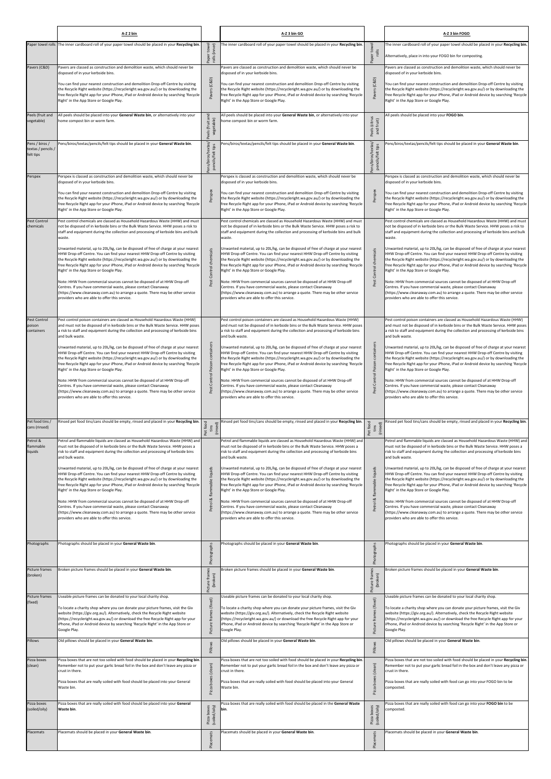|                                                   | A-Z 2 bin                                                                                                                                                                                                                                                                                                                                                                                    |                                         | A-Z 3 bin GO                                                                                                                                                                                                                                                                                                                                                                                 |                                         | A-Z 3 bin FOGO                                                                                                                                                                                                                                                                                                                                                                               |
|---------------------------------------------------|----------------------------------------------------------------------------------------------------------------------------------------------------------------------------------------------------------------------------------------------------------------------------------------------------------------------------------------------------------------------------------------------|-----------------------------------------|----------------------------------------------------------------------------------------------------------------------------------------------------------------------------------------------------------------------------------------------------------------------------------------------------------------------------------------------------------------------------------------------|-----------------------------------------|----------------------------------------------------------------------------------------------------------------------------------------------------------------------------------------------------------------------------------------------------------------------------------------------------------------------------------------------------------------------------------------------|
|                                                   | Paper towel rolls The inner cardboard roll of your paper towel should be placed in your Recycling bin.                                                                                                                                                                                                                                                                                       | Paper towel<br>rolls (inner)            | The inner cardboard roll of your paper towel should be placed in your Recycling bin                                                                                                                                                                                                                                                                                                          | -g<br>Paper tow<br>rolls                | The inner cardboard roll of your paper towel should be placed in your Recycling bin.<br>Alternatively, place in into your FOGO bin for composting.                                                                                                                                                                                                                                           |
| Pavers (C&D)                                      | Pavers are classed as construction and demolition waste, which should never be<br>disposed of in your kerbside bins.                                                                                                                                                                                                                                                                         |                                         | Pavers are classed as construction and demolition waste, which should never be<br>disposed of in your kerbside bins.                                                                                                                                                                                                                                                                         |                                         | Pavers are classed as construction and demolition waste, which should never be<br>disposed of in your kerbside bins.                                                                                                                                                                                                                                                                         |
|                                                   | You can find your nearest construction and demolition Drop-off Centre by visiting<br>the Recycle Right website (https://recycleright.wa.gov.au/) or by downloading the<br>free Recycle Right app for your iPhone, iPad or Android device by searching 'Recycle<br>Right' in the App Store or Google Play.                                                                                    | (C&D)                                   | You can find your nearest construction and demolition Drop-off Centre by visiting<br>the Recycle Right website (https://recycleright.wa.gov.au/) or by downloading the<br>free Recycle Right app for your iPhone, iPad or Android device by searching 'Recycle<br>Right' in the App Store or Google Play.                                                                                    | (C&D)<br>Pavers                         | You can find your nearest construction and demolition Drop-off Centre by visiting<br>the Recycle Right website (https://recycleright.wa.gov.au/) or by downloading the<br>free Recycle Right app for your iPhone, iPad or Android device by searching 'Recycle<br>Right' in the App Store or Google Play.                                                                                    |
| Peels (fruit and<br>vegetable)                    | All peels should be placed into your General Waste bin, or alternatively into your<br>home compost bin or worm farm.                                                                                                                                                                                                                                                                         | and<br>Peels (fruit ar<br>vegetable)    | All peels should be placed into your General Waste bin, or alternatively into your<br>ome compost bin or worm farm.                                                                                                                                                                                                                                                                          | Peels (citrus<br>and fruit)             | All peels should be placed into your FOGO bin.                                                                                                                                                                                                                                                                                                                                               |
| Pens / biros /<br>textas / pencils /<br>felt tips | Pens/biros/textas/pencils/felt tips should be placed in your General Waste bin.                                                                                                                                                                                                                                                                                                              | Pens/biros/textas/<br>pencils/felt tips | ens/biros/textas/pencils/felt tips should be placed in your General Waste bin.                                                                                                                                                                                                                                                                                                               | Pens/biros/textas/<br>pencils/felt tips | ens/biros/textas/pencils/felt tips should be placed in your General Waste bin.                                                                                                                                                                                                                                                                                                               |
| Perspex                                           | Perspex is classed as construction and demolition waste, which should never be<br>disposed of in your kerbside bins.                                                                                                                                                                                                                                                                         |                                         | Perspex is classed as construction and demolition waste, which should never be<br>disposed of in your kerbside bins.                                                                                                                                                                                                                                                                         |                                         | Perspex is classed as construction and demolition waste, which should never be<br>disposed of in your kerbside bins.                                                                                                                                                                                                                                                                         |
|                                                   | You can find your nearest construction and demolition Drop-off Centre by visiting<br>the Recycle Right website (https://recycleright.wa.gov.au/) or by downloading the<br>free Recycle Right app for your iPhone, iPad or Android device by searching 'Recycle<br>Right' in the App Store or Google Play.                                                                                    | Perspex                                 | You can find your nearest construction and demolition Drop-off Centre by visiting<br>the Recycle Right website (https://recycleright.wa.gov.au/) or by downloading the<br>free Recycle Right app for your iPhone, iPad or Android device by searching 'Recycle<br>Right' in the App Store or Google Play.                                                                                    | Perspex                                 | You can find your nearest construction and demolition Drop-off Centre by visiting<br>the Recycle Right website (https://recycleright.wa.gov.au/) or by downloading the<br>free Recycle Right app for your iPhone, iPad or Android device by searching 'Recycle<br>Right' in the App Store or Google Play.                                                                                    |
| Pest Control<br>chemicals                         | Pest control chemicals are classed as Household Hazardous Waste (HHW) and must<br>not be disposed of in kerbside bins or the Bulk Waste Service. HHW poses a risk to<br>staff and equipment during the collection and processing of kerbside bins and bulk<br>waste.                                                                                                                         |                                         | Pest control chemicals are classed as Household Hazardous Waste (HHW) and must<br>not be disposed of in kerbside bins or the Bulk Waste Service. HHW poses a risk to<br>staff and equipment during the collection and processing of kerbside bins and bulk<br>waste.                                                                                                                         |                                         | Pest control chemicals are classed as Household Hazardous Waste (HHW) and must<br>not be disposed of in kerbside bins or the Bulk Waste Service. HHW poses a risk to<br>staff and equipment during the collection and processing of kerbside bins and bulk<br>waste.                                                                                                                         |
|                                                   | Unwanted material, up to 20L/kg, can be disposed of free of charge at your nearest<br>HHW Drop-off Centre. You can find your nearest HHW Drop-off Centre by visiting<br>the Recycle Right website (https://recycleright.wa.gov.au/) or by downloading the<br>free Recycle Right app for your iPhone, iPad or Android device by searching 'Recycle<br>Right' in the App Store or Google Play. | Pest Control chemicals                  | Unwanted material, up to 20L/kg, can be disposed of free of charge at your nearest<br>HHW Drop-off Centre. You can find your nearest HHW Drop-off Centre by visiting<br>the Recycle Right website (https://recycleright.wa.gov.au/) or by downloading the<br>free Recycle Right app for your iPhone, iPad or Android device by searching 'Recycle<br>Right' in the App Store or Google Play. | chemicals<br>Control                    | Unwanted material, up to 20L/kg, can be disposed of free of charge at your nearest<br>HHW Drop-off Centre. You can find your nearest HHW Drop-off Centre by visiting<br>the Recycle Right website (https://recycleright.wa.gov.au/) or by downloading the<br>free Recycle Right app for your iPhone, iPad or Android device by searching 'Recycle<br>Right' in the App Store or Google Play. |
|                                                   | Note: HHW from commercial sources cannot be disposed of at HHW Drop-off<br>Centres. If you have commercial waste, please contact Cleanaway<br>(https://www.cleanaway.com.au) to arrange a quote. There may be other service<br>providers who are able to offer this service.                                                                                                                 |                                         | Note: HHW from commercial sources cannot be disposed of at HHW Drop-off<br>Centres. If you have commercial waste, please contact Cleanaway<br>(https://www.cleanaway.com.au) to arrange a quote. There may be other service<br>providers who are able to offer this service.                                                                                                                 | Pest                                    | Note: HHW from commercial sources cannot be disposed of at HHW Drop-off<br>Centres. If you have commercial waste, please contact Cleanaway<br>(https://www.cleanaway.com.au) to arrange a quote. There may be other service<br>providers who are able to offer this service.                                                                                                                 |
| Pest Control<br>poison<br>containers              | Pest control poison containers are classed as Household Hazardous Waste (HHW)<br>and must not be disposed of in kerbside bins or the Bulk Waste Service. HHW poses<br>a risk to staff and equipment during the collection and processing of kerbside bins<br>and bulk waste.                                                                                                                 |                                         | Pest control poison containers are classed as Household Hazardous Waste (HHW)<br>and must not be disposed of in kerbside bins or the Bulk Waste Service. HHW poses<br>a risk to staff and equipment during the collection and processing of kerbside bins<br>and bulk waste.                                                                                                                 |                                         | Pest control poison containers are classed as Household Hazardous Waste (HHW)<br>and must not be disposed of in kerbside bins or the Bulk Waste Service. HHW poses<br>a risk to staff and equipment during the collection and processing of kerbside bins<br>and bulk waste.                                                                                                                 |
|                                                   | Unwanted material, up to 20L/kg, can be disposed of free of charge at your nearest<br>HHW Drop-off Centre. You can find your nearest HHW Drop-off Centre by visiting<br>the Recycle Right website (https://recycleright.wa.gov.au/) or by downloading the<br>free Recycle Right app for your iPhone, iPad or Android device by searching 'Recycle<br>Right' in the App Store or Google Play. | containers<br>Poison                    | Unwanted material, up to 20L/kg, can be disposed of free of charge at your nearest<br>HHW Drop-off Centre. You can find your nearest HHW Drop-off Centre by visiting<br>the Recycle Right website (https://recycleright.wa.gov.au/) or by downloading the<br>free Recycle Right app for your iPhone, iPad or Android device by searching 'Recycle<br>Right' in the App Store or Google Play. | containers<br>Control Poison            | Unwanted material, up to 20L/kg, can be disposed of free of charge at your nearest<br>HHW Drop-off Centre. You can find your nearest HHW Drop-off Centre by visiting<br>the Recycle Right website (https://recycleright.wa.gov.au/) or by downloading the<br>free Recycle Right app for your iPhone, iPad or Android device by searching 'Recycle<br>Right' in the App Store or Google Play. |
|                                                   | Note: HHW from commercial sources cannot be disposed of at HHW Drop-off<br>Centres. If you have commercial waste, please contact Cleanaway<br>(https://www.cleanaway.com.au) to arrange a quote. There may be other service<br>providers who are able to offer this service.                                                                                                                 | Control<br>Pest                         | Note: HHW from commercial sources cannot be disposed of at HHW Drop-off<br>Centres. If you have commercial waste, please contact Cleanaway<br>(https://www.cleanaway.com.au) to arrange a quote. There may be other service<br>providers who are able to offer this service.                                                                                                                 | Pest                                    | Note: HHW from commercial sources cannot be disposed of at HHW Drop-off<br>Centres. If you have commercial waste, please contact Cleanaway<br>(https://www.cleanaway.com.au) to arrange a quote. There may be other service<br>providers who are able to offer this service.                                                                                                                 |
| Pet food tins /<br>cans (rinsed)                  | Rinsed pet food tins/cans should be empty, rinsed and placed in your Recycling bin.                                                                                                                                                                                                                                                                                                          | Pet food<br>(rinsed)<br>tins            | tinsed pet food tins/cans should be empty, rinsed and placed in your Recycling bin.                                                                                                                                                                                                                                                                                                          | Pet food<br>tins<br>(rinsed)            | Rinsed pet food tins/cans should be empty, rinsed and placed in your Recycling bin.                                                                                                                                                                                                                                                                                                          |
| Petrol &<br>flammable<br>liquids                  | Petrol and flammable liquids are classed as Household Hazardous Waste (HHW) and<br>must not be disposed of in kerbside bins or the Bulk Waste Service. HHW poses a<br>risk to staff and equipment during the collection and processing of kerbside bins<br>and bulk waste.                                                                                                                   |                                         | Petrol and flammable liquids are classed as Household Hazardous Waste (HHW) and<br>must not be disposed of in kerbside bins or the Bulk Waste Service. HHW poses a<br>risk to staff and equipment during the collection and processing of kerbside bins<br>and bulk waste.                                                                                                                   |                                         | Petrol and flammable liquids are classed as Household Hazardous Waste (HHW) and<br>must not be disposed of in kerbside bins or the Bulk Waste Service. HHW poses a<br>risk to staff and equipment during the collection and processing of kerbside bins<br>and bulk waste.                                                                                                                   |
|                                                   | Unwanted material, up to 20L/kg, can be disposed of free of charge at your nearest<br>HHW Drop-off Centre. You can find your nearest HHW Drop-off Centre by visiting<br>the Recycle Right website (https://recycleright.wa.gov.au/) or by downloading the<br>free Recycle Right app for your iPhone, iPad or Android device by searching 'Recycle<br>Right' in the App Store or Google Play. | liquids<br>Petrol & flammable           | Unwanted material, up to 20L/kg, can be disposed of free of charge at your nearest<br>HHW Drop-off Centre. You can find your nearest HHW Drop-off Centre by visiting<br>the Recycle Right website (https://recycleright.wa.gov.au/) or by downloading the<br>free Recycle Right app for your iPhone, iPad or Android device by searching 'Recycle<br>Right' in the App Store or Google Play. | liquids<br>& flammable                  | Unwanted material, up to 20L/kg, can be disposed of free of charge at your nearest<br>HHW Drop-off Centre. You can find your nearest HHW Drop-off Centre by visiting<br>the Recycle Right website (https://recycleright.wa.gov.au/) or by downloading the<br>free Recycle Right app for your iPhone, iPad or Android device by searching 'Recycle<br>Right' in the App Store or Google Play. |
|                                                   | Note: HHW from commercial sources cannot be disposed of at HHW Drop-off<br>Centres. If you have commercial waste, please contact Cleanaway<br>(https://www.cleanaway.com.au) to arrange a quote. There may be other service<br>providers who are able to offer this service.                                                                                                                 |                                         | Note: HHW from commercial sources cannot be disposed of at HHW Drop-off<br>Centres. If you have commercial waste, please contact Cleanaway<br>(https://www.cleanaway.com.au) to arrange a quote. There may be other service<br>providers who are able to offer this service.                                                                                                                 | Petrol                                  | Note: HHW from commercial sources cannot be disposed of at HHW Drop-off<br>Centres. If you have commercial waste, please contact Cleanaway<br>(https://www.cleanaway.com.au) to arrange a quote. There may be other service<br>providers who are able to offer this service.                                                                                                                 |
| Photographs                                       | Photographs should be placed in your General Waste bin.                                                                                                                                                                                                                                                                                                                                      | Photographs                             | hotographs should be placed in your General Waste bin.                                                                                                                                                                                                                                                                                                                                       | Photographs                             | Photographs should be placed in your General Waste bin.                                                                                                                                                                                                                                                                                                                                      |
| Picture frames<br>(broken)                        | Broken picture frames should be placed in your General Waste bin.                                                                                                                                                                                                                                                                                                                            | Picture frames<br>(broken)              | Broken picture frames should be placed in your General Waste bin.                                                                                                                                                                                                                                                                                                                            | frames<br>(broken)<br>Picture           | Broken picture frames should be placed in your General Waste bin.                                                                                                                                                                                                                                                                                                                            |
| Picture frames<br>(fixed)                         | Useable picture frames can be donated to your local charity shop.<br>To locate a charity shop where you can donate your picture frames, visit the Giv                                                                                                                                                                                                                                        | (fixed)                                 | Jseable picture frames can be donated to your local charity shop.<br>To locate a charity shop where you can donate your picture frames, visit the Giv                                                                                                                                                                                                                                        | (fixed)                                 | Jseable picture frames can be donated to your local charity shop.<br>To locate a charity shop where you can donate your picture frames, visit the Giv                                                                                                                                                                                                                                        |
|                                                   | website (https://giv.org.au/). Alternatively, check the Recycle Right website<br>(https://recycleright.wa.gov.au/) or download the free Recycle Right app for your<br>iPhone, iPad or Android device by searching 'Recycle Right' in the App Store or<br>Google Play.                                                                                                                        | Picture fra                             | website (https://giv.org.au/). Alternatively, check the Recycle Right website<br>(https://recycleright.wa.gov.au/) or download the free Recycle Right app for your<br>iPhone, iPad or Android device by searching 'Recycle Right' in the App Store or<br>Google Play.                                                                                                                        | Ea <sub>1</sub><br>Picture              | website (https://giv.org.au/). Alternatively, check the Recycle Right website<br>(https://recycleright.wa.gov.au/) or download the free Recycle Right app for your<br>iPhone, iPad or Android device by searching 'Recycle Right' in the App Store or<br>Google Play.                                                                                                                        |
| Pillows                                           | Old pillows should be placed in your General Waste bin.                                                                                                                                                                                                                                                                                                                                      | Pillows                                 | Old pillows should be placed in your General Waste bin.                                                                                                                                                                                                                                                                                                                                      | Pillows                                 | Old pillows should be placed in your General Waste bin.                                                                                                                                                                                                                                                                                                                                      |
| Pizza boxes<br>(clean)                            | Pizza boxes that are not too soiled with food should be placed in your Recycling bin.<br>Remember not to put your garlic bread foil in the box and don't leave any pizza or<br>crust in there.                                                                                                                                                                                               | (clean)                                 | Pizza boxes that are not too soiled with food should be placed in your Recycling bin<br>Remember not to put your garlic bread foil in the box and don't leave any pizza or<br>crust in there.                                                                                                                                                                                                | (clean)                                 | Pizza boxes that are not too soiled with food should be placed in your Recycling bin.<br>Remember not to put your garlic bread foil in the box and don't leave any pizza or<br>crust in there.                                                                                                                                                                                               |
|                                                   | Pizza boxes that are really soiled with food should be placed into your General<br>Waste bin.                                                                                                                                                                                                                                                                                                | Pizza boxes                             | Pizza boxes that are really soiled with food should be placed into your General<br>Waste bin.                                                                                                                                                                                                                                                                                                | boxes<br>Pizza                          | Pizza boxes that are really soiled with food can go into your FOGO bin to be<br>composted.                                                                                                                                                                                                                                                                                                   |
| Pizza boxes<br>(soiled/oily)                      | Pizza boxes that are really soiled with food should be placed into your General<br>Waste bin.                                                                                                                                                                                                                                                                                                | Pizza boxes<br>(soiled/oily)            | Pizza boxes that are really soiled with food should be placed in the General Waste<br>bin.                                                                                                                                                                                                                                                                                                   | Pizza boxes<br>(soiled/oily)            | izza boxes that are really soiled with food can go into your FOGO bin to be<br>composted.                                                                                                                                                                                                                                                                                                    |
| Placemats                                         | Placemats should be placed in your General Waste bin.                                                                                                                                                                                                                                                                                                                                        | Placemats                               | lacemats should be placed in your General Waste bin.                                                                                                                                                                                                                                                                                                                                         | Placemats                               | lacemats should be placed in your General Waste bin.                                                                                                                                                                                                                                                                                                                                         |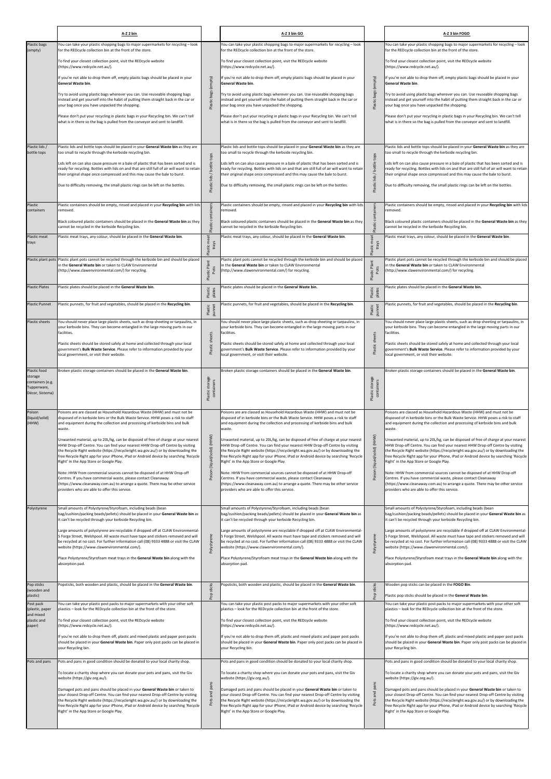|                                                                               | A-Z 2 bin                                                                                                                                                                                                                                                                                                                                                                                                                                                                                                                                                                                                                                                                                                                            |                                    | A-Z 3 bin GO                                                                                                                                                                                                                                                                                                                                                                                                                                                                                                                                                                                                                                                                                                                         |                               | A-Z 3 bin FOGO                                                                                                                                                                                                                                                                                                                                                                                                                                                                                                                                                                                                                                                                                                                   |
|-------------------------------------------------------------------------------|--------------------------------------------------------------------------------------------------------------------------------------------------------------------------------------------------------------------------------------------------------------------------------------------------------------------------------------------------------------------------------------------------------------------------------------------------------------------------------------------------------------------------------------------------------------------------------------------------------------------------------------------------------------------------------------------------------------------------------------|------------------------------------|--------------------------------------------------------------------------------------------------------------------------------------------------------------------------------------------------------------------------------------------------------------------------------------------------------------------------------------------------------------------------------------------------------------------------------------------------------------------------------------------------------------------------------------------------------------------------------------------------------------------------------------------------------------------------------------------------------------------------------------|-------------------------------|----------------------------------------------------------------------------------------------------------------------------------------------------------------------------------------------------------------------------------------------------------------------------------------------------------------------------------------------------------------------------------------------------------------------------------------------------------------------------------------------------------------------------------------------------------------------------------------------------------------------------------------------------------------------------------------------------------------------------------|
| Plastic bags<br>(empty)                                                       | You can take your plastic shopping bags to major supermarkets for recycling - look<br>for the REDcycle collection bin at the front of the store.                                                                                                                                                                                                                                                                                                                                                                                                                                                                                                                                                                                     |                                    | You can take your plastic shopping bags to major supermarkets for recycling - look<br>for the REDcycle collection bin at the front of the store.                                                                                                                                                                                                                                                                                                                                                                                                                                                                                                                                                                                     |                               | You can take your plastic shopping bags to major supermarkets for recycling - look<br>for the REDcycle collection bin at the front of the store.                                                                                                                                                                                                                                                                                                                                                                                                                                                                                                                                                                                 |
|                                                                               | To find your closest collection point, visit the REDcycle website<br>(https://www.redcycle.net.au/).                                                                                                                                                                                                                                                                                                                                                                                                                                                                                                                                                                                                                                 |                                    | To find your closest collection point, visit the REDcycle website<br>(https://www.redcycle.net.au/).                                                                                                                                                                                                                                                                                                                                                                                                                                                                                                                                                                                                                                 |                               | To find your closest collection point, visit the REDcycle website<br>(https://www.redcycle.net.au/).                                                                                                                                                                                                                                                                                                                                                                                                                                                                                                                                                                                                                             |
|                                                                               | If you're not able to drop them off, empty plastic bags should be placed in your                                                                                                                                                                                                                                                                                                                                                                                                                                                                                                                                                                                                                                                     | (empty)                            | If you're not able to drop them off, empty plastic bags should be placed in your                                                                                                                                                                                                                                                                                                                                                                                                                                                                                                                                                                                                                                                     | (empty)                       | If you're not able to drop them off, empty plastic bags should be placed in your                                                                                                                                                                                                                                                                                                                                                                                                                                                                                                                                                                                                                                                 |
|                                                                               | General Waste bin.<br>Try to avoid using plastic bags wherever you can. Use reuseable shopping bags<br>instead and get yourself into the habit of putting them straight back in the car or<br>your bag once you have unpacked the shopping.                                                                                                                                                                                                                                                                                                                                                                                                                                                                                          | Plastic bags                       | General Waste bin.<br>Try to avoid using plastic bags wherever you can. Use reuseable shopping bags<br>instead and get yourself into the habit of putting them straight back in the car or<br>your bag once you have unpacked the shopping.                                                                                                                                                                                                                                                                                                                                                                                                                                                                                          | bags<br>Plastic I             | General Waste bin.<br>Try to avoid using plastic bags wherever you can. Use reuseable shopping bags<br>instead and get yourself into the habit of putting them straight back in the car or<br>your bag once you have unpacked the shopping.                                                                                                                                                                                                                                                                                                                                                                                                                                                                                      |
|                                                                               | Please don't put your recycling in plastic bags in your Recycling bin. We can't tell<br>what is in there so the bag is pulled from the conveyor and sent to landfill.                                                                                                                                                                                                                                                                                                                                                                                                                                                                                                                                                                |                                    | Please don't put your recycling in plastic bags in your Recycling bin. We can't tell<br>what is in there so the bag is pulled from the conveyor and sent to landfill.                                                                                                                                                                                                                                                                                                                                                                                                                                                                                                                                                                |                               | Please don't put your recycling in plastic bags in your Recycling bin. We can't tell<br>what is in there so the bag is pulled from the conveyor and sent to landfill.                                                                                                                                                                                                                                                                                                                                                                                                                                                                                                                                                            |
| Plastic lids /<br>bottle tops                                                 | Plastic lids and bottle tops should be placed in your General Waste bin as they are<br>too small to recycle through the kerbside recycling bin.<br>Lids left on can also cause pressure in a bale of plastic that has been sorted and is<br>ready for recycling. Bottles with lids on and that are still full of air will want to retain<br>their original shape once compressed and this may cause the bale to burst.<br>Due to difficulty removing, the small plastic rings can be left on the bottles.                                                                                                                                                                                                                            | bottle tops<br>Plastic lids /      | Plastic lids and bottle tops should be placed in your General Waste bin as they are<br>too small to recycle through the kerbside recycling bin.<br>Lids left on can also cause pressure in a bale of plastic that has been sorted and is<br>ready for recycling. Bottles with lids on and that are still full of air will want to retain<br>their original shape once compressed and this may cause the bale to burst.<br>Due to difficulty removing, the small plastic rings can be left on the bottles.                                                                                                                                                                                                                            | Plastic lids / bottle tops    | Plastic lids and bottle tops should be placed in your General Waste bin as they are<br>too small to recycle through the kerbside recycling bin.<br>Lids left on can also cause pressure in a bale of plastic that has been sorted and is<br>ready for recycling. Bottles with lids on and that are still full of air will want to retain<br>their original shape once compressed and this may cause the bale to burst.<br>Due to difficulty removing, the small plastic rings can be left on the bottles.                                                                                                                                                                                                                        |
| Plastic                                                                       | Plastic containers should be empty, rinsed and placed in your Recycling bin with lids                                                                                                                                                                                                                                                                                                                                                                                                                                                                                                                                                                                                                                                |                                    | Plastic containers should be empty, rinsed and placed in your Recycling bin with lids                                                                                                                                                                                                                                                                                                                                                                                                                                                                                                                                                                                                                                                |                               | Plastic containers should be empty, rinsed and placed in your Recycling bin with lids                                                                                                                                                                                                                                                                                                                                                                                                                                                                                                                                                                                                                                            |
| containers                                                                    | removed.<br>Black coloured plastic containers should be placed in the General Waste bin as they<br>cannot be recycled in the kerbside Recycling bin.                                                                                                                                                                                                                                                                                                                                                                                                                                                                                                                                                                                 | contain<br>Plastic                 | removed.<br>Black coloured plastic containers should be placed in the General Waste bin as they<br>cannot be recycled in the kerbside Recycling bin.                                                                                                                                                                                                                                                                                                                                                                                                                                                                                                                                                                                 | containers<br>Plastic         | removed.<br>Black coloured plastic containers should be placed in the General Waste bin as they<br>cannot be recycled in the kerbside Recycling bin.                                                                                                                                                                                                                                                                                                                                                                                                                                                                                                                                                                             |
| Plastic meat<br>trays                                                         | Plastic meat trays, any colour, should be placed in the General Waste bin.                                                                                                                                                                                                                                                                                                                                                                                                                                                                                                                                                                                                                                                           | meat<br>trays<br>Plastic           | Plastic meat trays, any colour, should be placed in the General Waste bin.                                                                                                                                                                                                                                                                                                                                                                                                                                                                                                                                                                                                                                                           | meat<br>trays<br>Plastic      | Plastic meat trays, any colour, should be placed in the General Waste bin.                                                                                                                                                                                                                                                                                                                                                                                                                                                                                                                                                                                                                                                       |
|                                                                               | Plastic plant pots Plastic plant pots cannot be recycled through the kerbside bin and should be placed<br>n the General Waste bin or taken to CLAW Environmental<br>(http://www.clawenvironmental.com/) for recycling.                                                                                                                                                                                                                                                                                                                                                                                                                                                                                                               | Plastic Pla<br>Pots                | lastic plant pots cannot be recycled through the kerbside bin and should be placed<br>in the General Waste bin or taken to CLAW Environmental<br>(http://www.clawenvironmental.com/) for recycling.                                                                                                                                                                                                                                                                                                                                                                                                                                                                                                                                  | Plastic Pla<br>Pots           | Plastic plant pots cannot be recycled through the kerbside bin and should be placed<br>n the General Waste bin or taken to CLAW Environmental<br>http://www.clawenvironmental.com/) for recycling.                                                                                                                                                                                                                                                                                                                                                                                                                                                                                                                               |
| <b>Plastic Plates</b>                                                         | Plastic plates should be placed in the General Waste bin.                                                                                                                                                                                                                                                                                                                                                                                                                                                                                                                                                                                                                                                                            | Plastic<br>plates                  | Plastic plates should be placed in the General Waste bin.                                                                                                                                                                                                                                                                                                                                                                                                                                                                                                                                                                                                                                                                            | Plastic<br>plates             | Plastic plates should be placed in the General Waste bin.                                                                                                                                                                                                                                                                                                                                                                                                                                                                                                                                                                                                                                                                        |
| <b>Plastic Punnet</b>                                                         | Plastic punnets, for fruit and vegetables, should be placed in the Recycling bin.                                                                                                                                                                                                                                                                                                                                                                                                                                                                                                                                                                                                                                                    | Plastic<br>punnet                  | Plastic punnets, for fruit and vegetables, should be placed in the Recycling bin.                                                                                                                                                                                                                                                                                                                                                                                                                                                                                                                                                                                                                                                    | Plastic<br>punnet             | Plastic punnets, for fruit and vegetables, should be placed in the Recycling bin.                                                                                                                                                                                                                                                                                                                                                                                                                                                                                                                                                                                                                                                |
| <b>Plastic sheets</b>                                                         | You should never place large plastic sheets, such as drop sheeting or tarpaulins, in<br>your kerbside bins. They can become entangled in the large moving parts in our<br>facilities.<br>Plastic sheets should be stored safely at home and collected through your local<br>government's Bulk Waste Service. Please refer to information provided by your<br>local government, or visit their website.                                                                                                                                                                                                                                                                                                                               | Plastic sheets                     | You should never place large plastic sheets, such as drop sheeting or tarpaulins, in<br>your kerbside bins. They can become entangled in the large moving parts in our<br>facilities.<br>Plastic sheets should be stored safely at home and collected through your local<br>government's Bulk Waste Service. Please refer to information provided by your<br>local government, or visit their website.                                                                                                                                                                                                                                                                                                                               | Plastic sheets                | You should never place large plastic sheets, such as drop sheeting or tarpaulins, in<br>your kerbside bins. They can become entangled in the large moving parts in our<br>facilities.<br>Plastic sheets should be stored safely at home and collected through your local<br>government's Bulk Waste Service. Please refer to information provided by your<br>local government, or visit their website.                                                                                                                                                                                                                                                                                                                           |
| Plastic food<br>storage<br>containers (e.g.<br>Tupperware,<br>Décor, Sistema) | Broken plastic storage containers should be placed in the General Waste bin.                                                                                                                                                                                                                                                                                                                                                                                                                                                                                                                                                                                                                                                         | : storage<br>containers<br>Plastic | Broken plastic storage containers should be placed in the General Waste bin.                                                                                                                                                                                                                                                                                                                                                                                                                                                                                                                                                                                                                                                         | Plastic storage<br>containers | Broken plastic storage containers should be placed in the General Waste bin.                                                                                                                                                                                                                                                                                                                                                                                                                                                                                                                                                                                                                                                     |
| Poison<br>(liquid/solid)<br>(HHW)                                             | Poisons are are classed as Household Hazardous Waste (HHW) and must not be<br>disposed of in kerbside bins or the Bulk Waste Service. HHW poses a risk to staff<br>and equipment during the collection and processing of kerbside bins and bulk<br>waste.<br>Unwanted material, up to 20L/kg, can be disposed of free of charge at your nearest<br>HHW Drop-off Centre. You can find your nearest HHW Drop-off Centre by visiting<br>the Recycle Right website (https://recycleright.wa.gov.au/) or by downloading the<br>free Recycle Right app for your iPhone, iPad or Android device by searching 'Recycle<br>Right' in the App Store or Google Play.<br>Note: HHW from commercial sources cannot be disposed of at HHW Drop-off | Poison (liquid/solid) (HHW)        | Poisons are are classed as Household Hazardous Waste (HHW) and must not be<br>disposed of in kerbside bins or the Bulk Waste Service. HHW poses a risk to staff<br>and equipment during the collection and processing of kerbside bins and bulk<br>waste.<br>Unwanted material, up to 20L/kg, can be disposed of free of charge at your nearest<br>HHW Drop-off Centre. You can find your nearest HHW Drop-off Centre by visiting<br>the Recycle Right website (https://recycleright.wa.gov.au/) or by downloading the<br>free Recycle Right app for your iPhone, iPad or Android device by searching 'Recycle<br>Right' in the App Store or Google Play.<br>Note: HHW from commercial sources cannot be disposed of at HHW Drop-off | Poison (liquid/solid) (HHW)   | Poisons are classed as Household Hazardous Waste (HHW) and must not be<br>disposed of in kerbside bins or the Bulk Waste Service. HHW poses a risk to staff<br>and equipment during the collection and processing of kerbside bins and bulk<br>waste.<br>Unwanted material, up to 20L/kg, can be disposed of free of charge at your nearest<br>HHW Drop-off Centre. You can find your nearest HHW Drop-off Centre by visiting<br>the Recycle Right website (https://recycleright.wa.gov.au/) or by downloading the<br>free Recycle Right app for your iPhone, iPad or Android device by searching 'Recycle<br>Right' in the App Store or Google Play.<br>Note: HHW from commercial sources cannot be disposed of at HHW Drop-off |
|                                                                               | Centres. If you have commercial waste, please contact Cleanaway<br>(https://www.cleanaway.com.au) to arrange a quote. There may be other service<br>providers who are able to offer this service.                                                                                                                                                                                                                                                                                                                                                                                                                                                                                                                                    |                                    | Centres. If you have commercial waste, please contact Cleanaway<br>(https://www.cleanaway.com.au) to arrange a quote. There may be other service<br>providers who are able to offer this service.                                                                                                                                                                                                                                                                                                                                                                                                                                                                                                                                    |                               | Centres. If you have commercial waste, please contact Cleanaway<br>(https://www.cleanaway.com.au) to arrange a quote. There may be other service<br>providers who are able to offer this service.                                                                                                                                                                                                                                                                                                                                                                                                                                                                                                                                |
| Polystyrene                                                                   | Small amounts of Polystyrene/Styrofoam, including beads (bean<br>bag/cushion/packing beads/pellets) should be placed in your General Waste bin as<br>t can't be recycled through your kerbside Recycling bin.                                                                                                                                                                                                                                                                                                                                                                                                                                                                                                                        |                                    | Small amounts of Polystyrene/Styrofoam, including beads (bean<br>bag/cushion/packing beads/pellets) should be placed in your General Waste bin as<br>it can't be recycled through your kerbside Recycling bin.                                                                                                                                                                                                                                                                                                                                                                                                                                                                                                                       |                               | Small amounts of Polystyrene/Styrofoam, including beads (bean<br>bag/cushion/packing beads/pellets) should be placed in your General Waste bin as<br>t can't be recycled through your kerbside Recycling bin.                                                                                                                                                                                                                                                                                                                                                                                                                                                                                                                    |
|                                                                               | Large amounts of polystyrene are recyclable if dropped off at CLAW Environmental-<br>5 Forge Street, Welshpool. All waste must have tape and stickers removed and will<br>be recycled at no cost. For further information call (08) 9333 4888 or visit the CLAW<br>website (https://www.clawenvironmental.com/).<br>Place Polystyrene/Styrofoam meat trays in the General Waste bin along with the                                                                                                                                                                                                                                                                                                                                   | Polystyrene                        | Large amounts of polystyrene are recyclable if dropped off at CLAW Environmental-<br>5 Forge Street, Welshpool. All waste must have tape and stickers removed and will<br>be recycled at no cost. For further information call (08) 9333 4888 or visit the CLAW<br>website (https://www.clawenvironmental.com/).<br>Place Polystyrene/Styrofoam meat trays in the General Waste bin along with the                                                                                                                                                                                                                                                                                                                                   | Polystyrene                   | Large amounts of polystyrene are recyclable if dropped off at CLAW Environmental-<br>5 Forge Street, Welshpool. All waste must have tape and stickers removed and will<br>be recycled at no cost. For further information call (08) 9333 4888 or visit the CLAW<br>website (https://www.clawenvironmental.com/).<br>Place Polystyrene/Styrofoam meat trays in the General Waste bin along with the                                                                                                                                                                                                                                                                                                                               |
|                                                                               | absorption pad.                                                                                                                                                                                                                                                                                                                                                                                                                                                                                                                                                                                                                                                                                                                      |                                    | absorption pad.                                                                                                                                                                                                                                                                                                                                                                                                                                                                                                                                                                                                                                                                                                                      |                               | absorption pad.                                                                                                                                                                                                                                                                                                                                                                                                                                                                                                                                                                                                                                                                                                                  |
| Pop sticks<br>(wooden and<br>plastic)                                         | Popsticks, both wooden and plastic, should be placed in the General Waste bin.                                                                                                                                                                                                                                                                                                                                                                                                                                                                                                                                                                                                                                                       | Pop sticks                         | Popsticks, both wooden and plastic, should be placed in the General Waste bin.                                                                                                                                                                                                                                                                                                                                                                                                                                                                                                                                                                                                                                                       | Pop sticks                    | Wooden pop sticks can be placed in the FOGO Bin.<br>Plastic pop sticks should be placed in the General Waste bin.                                                                                                                                                                                                                                                                                                                                                                                                                                                                                                                                                                                                                |
| Post pack<br>(plastic, paper<br>and mixed                                     | You can take your plastic post packs to major supermarkets with your other soft<br>plastics - look for the REDcycle collection bin at the front of the store.                                                                                                                                                                                                                                                                                                                                                                                                                                                                                                                                                                        |                                    | You can take your plastic post packs to major supermarkets with your other soft<br>plastics - look for the REDcycle collection bin at the front of the store.                                                                                                                                                                                                                                                                                                                                                                                                                                                                                                                                                                        |                               | You can take your plastic post packs to major supermarkets with your other soft<br>plastics - look for the REDcycle collection bin at the front of the store.                                                                                                                                                                                                                                                                                                                                                                                                                                                                                                                                                                    |
| plastic and<br>paper)                                                         | To find your closest collection point, visit the REDcycle website<br>(https://www.redcycle.net.au/).<br>If you're not able to drop them off, plastic and mixed plastic and paper post packs<br>should be placed in your General Waste bin. Paper only post packs can be placed in                                                                                                                                                                                                                                                                                                                                                                                                                                                    |                                    | To find your closest collection point, visit the REDcycle website<br>(https://www.redcycle.net.au/).<br>If you're not able to drop them off, plastic and mixed plastic and paper post packs<br>should be placed in your General Waste bin. Paper only post packs can be placed in                                                                                                                                                                                                                                                                                                                                                                                                                                                    |                               | To find your closest collection point, visit the REDcycle website<br>(https://www.redcycle.net.au/).<br>If you're not able to drop them off, plastic and mixed plastic and paper post packs<br>should be placed in your General Waste bin. Paper only post packs can be placed in                                                                                                                                                                                                                                                                                                                                                                                                                                                |
|                                                                               | your Recycling bin.                                                                                                                                                                                                                                                                                                                                                                                                                                                                                                                                                                                                                                                                                                                  |                                    | your Recycling bin.                                                                                                                                                                                                                                                                                                                                                                                                                                                                                                                                                                                                                                                                                                                  |                               | your Recycling bin.                                                                                                                                                                                                                                                                                                                                                                                                                                                                                                                                                                                                                                                                                                              |
| Pots and pans                                                                 | Pots and pans in good condition should be donated to your local charity shop.<br>To locate a charity shop where you can donate your pots and pans, visit the Giv<br>website (https://giv.org.au/).                                                                                                                                                                                                                                                                                                                                                                                                                                                                                                                                   |                                    | Pots and pans in good condition should be donated to your local charity shop.<br>To locate a charity shop where you can donate your pots and pans, visit the Giv<br>website (https://giv.org.au/).                                                                                                                                                                                                                                                                                                                                                                                                                                                                                                                                   |                               | Pots and pans in good condition should be donated to your local charity shop.<br>To locate a charity shop where you can donate your pots and pans, visit the Giv<br>website (https://giv.org.au/).                                                                                                                                                                                                                                                                                                                                                                                                                                                                                                                               |
|                                                                               | Damaged pots and pans should be placed in your General Waste bin or taken to<br>your closest Drop-off Centre. You can find your nearest Drop-off Centre by visiting<br>the Recycle Right website (https://recycleright.wa.gov.au/) or by downloading the<br>free Recycle Right app for your iPhone, iPad or Android device by searching 'Recycle<br>Right' in the App Store or Google Play.                                                                                                                                                                                                                                                                                                                                          | pans<br>and<br>Pots                | Damaged pots and pans should be placed in your General Waste bin or taken to<br>your closest Drop-off Centre. You can find your nearest Drop-off Centre by visiting<br>the Recycle Right website (https://recycleright.wa.gov.au/) or by downloading the<br>free Recycle Right app for your iPhone, iPad or Android device by searching 'Recycle<br>Right' in the App Store or Google Play.                                                                                                                                                                                                                                                                                                                                          | pans<br>and<br>Pots           | Damaged pots and pans should be placed in your General Waste bin or taken to<br>your closest Drop-off Centre. You can find your nearest Drop-off Centre by visiting<br>the Recycle Right website (https://recycleright.wa.gov.au/) or by downloading the<br>free Recycle Right app for your iPhone, iPad or Android device by searching 'Recycle<br>Right' in the App Store or Google Play.                                                                                                                                                                                                                                                                                                                                      |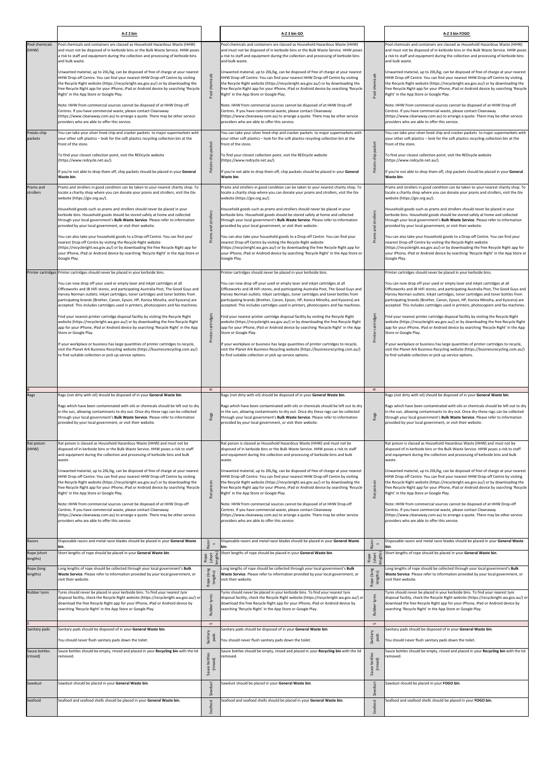|                           | A-Z 2 bin                                                                                                                                                                                                                                                                                                                                                                                                                          |                                | A-Z 3 bin GO                                                                                                                                                                                                                                                                                                                                                                                                                       |                           | A-Z 3 bin FOGO                                                                                                                                                                                                                                                                                                                                                                                                                     |
|---------------------------|------------------------------------------------------------------------------------------------------------------------------------------------------------------------------------------------------------------------------------------------------------------------------------------------------------------------------------------------------------------------------------------------------------------------------------|--------------------------------|------------------------------------------------------------------------------------------------------------------------------------------------------------------------------------------------------------------------------------------------------------------------------------------------------------------------------------------------------------------------------------------------------------------------------------|---------------------------|------------------------------------------------------------------------------------------------------------------------------------------------------------------------------------------------------------------------------------------------------------------------------------------------------------------------------------------------------------------------------------------------------------------------------------|
| Pool chemicals<br>(HHW)   | Pool chemicals and containers are classed as Household Hazardous Waste (HHW)<br>and must not be disposed of in kerbside bins or the Bulk Waste Service. HHW poses<br>a risk to staff and equipment during the collection and processing of kerbside bins<br>and bulk waste.                                                                                                                                                        |                                | Pool chemicals and containers are classed as Household Hazardous Waste (HHW)<br>and must not be disposed of in kerbside bins or the Bulk Waste Service. HHW poses<br>a risk to staff and equipment during the collection and processing of kerbside bins<br>and bulk waste.                                                                                                                                                        |                           | Pool chemicals and containers are classed as Household Hazardous Waste (HHW)<br>and must not be disposed of in kerbside bins or the Bulk Waste Service. HHW poses<br>a risk to staff and equipment during the collection and processing of kerbside bins<br>and bulk waste.                                                                                                                                                        |
|                           | Unwanted material, up to 20L/kg, can be disposed of free of charge at your nearest<br>HHW Drop-off Centre. You can find your nearest HHW Drop-off Centre by visiting<br>the Recycle Right website (https://recycleright.wa.gov.au/) or by downloading the<br>free Recycle Right app for your iPhone, iPad or Android device by searching 'Recycle<br>Right' in the App Store or Google Play.                                       | Pool chemicals                 | Unwanted material, up to 20L/kg, can be disposed of free of charge at your nearest<br>HHW Drop-off Centre. You can find your nearest HHW Drop-off Centre by visiting<br>the Recycle Right website (https://recycleright.wa.gov.au/) or by downloading the<br>free Recycle Right app for your iPhone, iPad or Android device by searching 'Recycle<br>Right' in the App Store or Google Play.                                       | Pool chemicals            | Unwanted material, up to 20L/kg, can be disposed of free of charge at your nearest<br>HHW Drop-off Centre. You can find your nearest HHW Drop-off Centre by visiting<br>the Recycle Right website (https://recycleright.wa.gov.au/) or by downloading the<br>free Recycle Right app for your iPhone, iPad or Android device by searching 'Recycle<br>Right' in the App Store or Google Play.                                       |
|                           | Note: HHW from commercial sources cannot be disposed of at HHW Drop-off<br>Centres. If you have commercial waste, please contact Cleanaway<br>(https://www.cleanaway.com.au) to arrange a quote. There may be other service<br>providers who are able to offer this service.                                                                                                                                                       |                                | Note: HHW from commercial sources cannot be disposed of at HHW Drop-off<br>Centres. If you have commercial waste, please contact Cleanaway<br>(https://www.cleanaway.com.au) to arrange a quote. There may be other service<br>providers who are able to offer this service.                                                                                                                                                       |                           | Note: HHW from commercial sources cannot be disposed of at HHW Drop-off<br>Centres. If you have commercial waste, please contact Cleanaway<br>(https://www.cleanaway.com.au) to arrange a quote. There may be other service<br>providers who are able to offer this service.                                                                                                                                                       |
| Potato chip<br>packets    | You can take your silver lined chip and cracker packets to major supermarkets with<br>your other soft plastics - look for the soft plastics recycling collection bin at the<br>front of the store.                                                                                                                                                                                                                                 | packet                         | You can take your silver lined chip and cracker packets to major supermarkets with<br>your other soft plastics - look for the soft plastics recycling collection bin at the<br>front of the store.                                                                                                                                                                                                                                 | packet                    | You can take your silver lined chip and cracker packets to major supermarkets with<br>your other soft plastics - look for the soft plastics recycling collection bin at the<br>front of the store.                                                                                                                                                                                                                                 |
|                           | To find your closest collection point, visit the REDcycle website<br>(https://www.redcycle.net.au/).                                                                                                                                                                                                                                                                                                                               | Potato chip                    | To find your closest collection point, visit the REDcycle website<br>(https://www.redcycle.net.au/).                                                                                                                                                                                                                                                                                                                               | chip<br>Potato            | To find your closest collection point, visit the REDcycle website<br>(https://www.redcycle.net.au/).                                                                                                                                                                                                                                                                                                                               |
|                           | If you're not able to drop them off, chip packets should be placed in your General<br>Waste bin.                                                                                                                                                                                                                                                                                                                                   |                                | If you're not able to drop them off, chip packets should be placed in your General<br>Waste bin.                                                                                                                                                                                                                                                                                                                                   |                           | If you're not able to drop them off, chip packets should be placed in your General<br>Waste bin.                                                                                                                                                                                                                                                                                                                                   |
| Prams and<br>strollers    | Prams and strollers in good condition can be taken to your nearest charity shop. To<br>locate a charity shop where you can donate your prams and strollers, visit the Giv<br>website (https://giv.org.au/).                                                                                                                                                                                                                        |                                | Prams and strollers in good condition can be taken to your nearest charity shop. To<br>locate a charity shop where you can donate your prams and strollers, visit the Giv<br>website (https://giv.org.au/).                                                                                                                                                                                                                        |                           | Prams and strollers in good condition can be taken to your nearest charity shop. To<br>locate a charity shop where you can donate your prams and strollers, visit the Giv<br>website (https://giv.org.au/).                                                                                                                                                                                                                        |
|                           | Household goods such as prams and strollers should never be placed in your<br>kerbside bins. Household goods should be stored safely at home and collected<br>through your local government's Bulk Waste Service. Please refer to information<br>provided by your local government, or visit their website.                                                                                                                        | strollers                      | Household goods such as prams and strollers should never be placed in your<br>kerbside bins. Household goods should be stored safely at home and collected<br>through your local government's Bulk Waste Service. Please refer to information<br>provided by your local government, or visit their website.                                                                                                                        | strollers<br>and          | Household goods such as prams and strollers should never be placed in your<br>kerbside bins. Household goods should be stored safely at home and collected<br>through your local government's Bulk Waste Service. Please refer to information<br>provided by your local government, or visit their website.                                                                                                                        |
|                           | You can also take your household goods to a Drop-off Centre. You can find your<br>nearest Drop-off Centre by visiting the Recycle Right website<br>(https://recycleright.wa.gov.au/) or by downloading the free Recycle Right app for<br>your iPhone, iPad or Android device by searching 'Recycle Right' in the App Store or<br>Google Play.                                                                                      | Prams and                      | You can also take your household goods to a Drop-off Centre. You can find your<br>nearest Drop-off Centre by visiting the Recycle Right website<br>(https://recycleright.wa.gov.au/) or by downloading the free Recycle Right app for<br>your iPhone, iPad or Android device by searching 'Recycle Right' in the App Store or<br>Google Play.                                                                                      | Prams a                   | You can also take your household goods to a Drop-off Centre. You can find your<br>nearest Drop-off Centre by visiting the Recycle Right website<br>(https://recycleright.wa.gov.au/) or by downloading the free Recycle Right app for<br>your iPhone, iPad or Android device by searching 'Recycle Right' in the App Store or<br>Google Play.                                                                                      |
|                           | Printer cartridges Printer cartridges should never be placed in your kerbside bins.                                                                                                                                                                                                                                                                                                                                                |                                | Printer cartridges should never be placed in your kerbside bins.                                                                                                                                                                                                                                                                                                                                                                   |                           | Printer cartridges should never be placed in your kerbside bins.                                                                                                                                                                                                                                                                                                                                                                   |
|                           | You can now drop off your used or empty laser and inkjet cartridges at all<br>Officeworks and JB HiFi stores, and participating Australia Post, The Good Guys and<br>Harvey Norman outlets. Inkjet cartridges, toner cartridges and toner bottles from<br>participating brands (Brother, Canon, Epson, HP, Konica Minolta, and Kyocera) are<br>accepted. This includes cartridges used in printers, photocopiers and fax machines. |                                | You can now drop off your used or empty laser and inkjet cartridges at all<br>Officeworks and JB HiFi stores, and participating Australia Post, The Good Guys and<br>Harvey Norman outlets. Inkjet cartridges, toner cartridges and toner bottles from<br>participating brands (Brother, Canon, Epson, HP, Konica Minolta, and Kyocera) are<br>accepted. This includes cartridges used in printers, photocopiers and fax machines. |                           | You can now drop off your used or empty laser and inkjet cartridges at all<br>Officeworks and JB HiFi stores, and participating Australia Post, The Good Guys and<br>Harvey Norman outlets. Inkjet cartridges, toner cartridges and toner bottles from<br>participating brands (Brother, Canon, Epson, HP, Konica Minolta, and Kyocera) are<br>accepted. This includes cartridges used in printers, photocopiers and fax machines. |
|                           | Find your nearest printer cartridge disposal facility by visiting the Recycle Right<br>website (https://recycleright.wa.gov.au/) or by downloading the free Recycle Right<br>app for your iPhone, iPad or Android device by searching 'Recycle Right' in the App<br>Store or Google Play.                                                                                                                                          | cartridges<br>Printer          | Find your nearest printer cartridge disposal facility by visiting the Recycle Right<br>website (https://recycleright.wa.gov.au/) or by downloading the free Recycle Right<br>app for your iPhone, iPad or Android device by searching 'Recycle Right' in the App<br>Store or Google Play.                                                                                                                                          | cartridges<br>Printer     | Find your nearest printer cartridge disposal facility by visiting the Recycle Right<br>website (https://recycleright.wa.gov.au/) or by downloading the free Recycle Right<br>app for your iPhone, iPad or Android device by searching 'Recycle Right' in the App<br>Store or Google Play.                                                                                                                                          |
|                           | If your workplace or business has large quantities of printer cartridges to recycle,<br>visit the Planet Ark Business Recycling website (https://businessrecycling.com.au/)<br>to find suitable collection or pick up service options.                                                                                                                                                                                             |                                | If your workplace or business has large quantities of printer cartridges to recycle,<br>visit the Planet Ark Business Recycling website (https://businessrecycling.com.au/)<br>to find suitable collection or pick up service options.                                                                                                                                                                                             |                           | If your workplace or business has large quantities of printer cartridges to recycle,<br>visit the Planet Ark Business Recycling website (https://businessrecycling.com.au/)<br>to find suitable collection or pick up service options.                                                                                                                                                                                             |
|                           |                                                                                                                                                                                                                                                                                                                                                                                                                                    |                                |                                                                                                                                                                                                                                                                                                                                                                                                                                    |                           |                                                                                                                                                                                                                                                                                                                                                                                                                                    |
| Rags                      | Rags (not dirty with oil) should be disposed of in your General Waste bin.                                                                                                                                                                                                                                                                                                                                                         | $\simeq$                       | Rags (not dirty with oil) should be disposed of in your General Waste bin.                                                                                                                                                                                                                                                                                                                                                         | $\simeq$                  | Rags (not dirty with oil) should be disposed of in your General Waste bin.                                                                                                                                                                                                                                                                                                                                                         |
|                           | Rags which have been contaminated with oils or chemicals should be left out to dry<br>in the sun, allowing contaminants to dry out. Once dry these rags can be collected<br>through your local government's Bulk Waste Service. Please refer to information<br>provided by your local government, or visit their website.                                                                                                          | Rags                           | Rags which have been contaminated with oils or chemicals should be left out to dry<br>in the sun, allowing contaminants to dry out. Once dry these rags can be collected<br>through your local government's Bulk Waste Service. Please refer to information<br>provided by your local government, or visit their website.                                                                                                          | Rags                      | Rags which have been contaminated with oils or chemicals should be left out to dry<br>in the sun, allowing contaminants to dry out. Once dry these rags can be collected<br>through your local government's Bulk Waste Service. Please refer to information<br>provided by your local government, or visit their website.                                                                                                          |
| Rat poison<br>(HHW)       | Rat poison is classed as Household Hazardous Waste (HHW) and must not be<br>disposed of in kerbside bins or the Bulk Waste Service. HHW poses a risk to staff<br>and equipment during the collection and processing of kerbside bins and bulk<br>waste.                                                                                                                                                                            |                                | Rat poison is classed as Household Hazardous Waste (HHW) and must not be<br>disposed of in kerbside bins or the Bulk Waste Service. HHW poses a risk to staff<br>and equipment during the collection and processing of kerbside bins and bulk<br>waste.                                                                                                                                                                            |                           | Rat poison is classed as Household Hazardous Waste (HHW) and must not be<br>disposed of in kerbside bins or the Bulk Waste Service. HHW poses a risk to staff<br>and equipment during the collection and processing of kerbside bins and bulk<br>waste.                                                                                                                                                                            |
|                           | Unwanted material, up to 20L/kg, can be disposed of free of charge at your nearest<br>HHW Drop-off Centre. You can find your nearest HHW Drop-off Centre by visiting<br>the Recycle Right website (https://recycleright.wa.gov.au/) or by downloading the<br>free Recycle Right app for your iPhone, iPad or Android device by searching 'Recycle<br>Right' in the App Store or Google Play.                                       | poison<br>Rat                  | Unwanted material, up to 20L/kg, can be disposed of free of charge at your nearest<br>HHW Drop-off Centre. You can find your nearest HHW Drop-off Centre by visiting<br>the Recycle Right website (https://recycleright.wa.gov.au/) or by downloading the<br>free Recycle Right app for your iPhone, iPad or Android device by searching 'Recycle<br>Right' in the App Store or Google Play.                                       | poison<br>Rat             | Unwanted material, up to 20L/kg, can be disposed of free of charge at your nearest<br>HHW Drop-off Centre. You can find your nearest HHW Drop-off Centre by visiting<br>the Recycle Right website (https://recycleright.wa.gov.au/) or by downloading the<br>free Recycle Right app for your iPhone, iPad or Android device by searching 'Recycle<br>Right' in the App Store or Google Play.                                       |
|                           | Note: HHW from commercial sources cannot be disposed of at HHW Drop-off<br>Centres. If you have commercial waste, please contact Cleanaway<br>(https://www.cleanaway.com.au) to arrange a quote. There may be other service<br>providers who are able to offer this service.                                                                                                                                                       |                                | Note: HHW from commercial sources cannot be disposed of at HHW Drop-off<br>Centres. If you have commercial waste, please contact Cleanaway<br>(https://www.cleanaway.com.au) to arrange a quote. There may be other service<br>providers who are able to offer this service.                                                                                                                                                       |                           | Note: HHW from commercial sources cannot be disposed of at HHW Drop-off<br>Centres. If you have commercial waste, please contact Cleanaway<br>(https://www.cleanaway.com.au) to arrange a quote. There may be other service<br>providers who are able to offer this service.                                                                                                                                                       |
| Razors<br>Rope (short     | Disposable razors and metal razor blades should be placed in your General Waste<br>bin.<br>Short lengths of rope should be placed in your General Waste bin.                                                                                                                                                                                                                                                                       | Razor                          | Disposable razors and metal razor blades should be placed in your General Waste<br>bin.<br>Short lengths of rope should be placed in your General Waste bin.                                                                                                                                                                                                                                                                       | Razor                     | Disposable razors and metal razor blades should be placed in your General Waste<br>bin.<br>Short lengths of rope should be placed in your General Waste bin.                                                                                                                                                                                                                                                                       |
| lengths)<br>Rope (long    | Long lengths of rope should be collected through your local government's Bulk                                                                                                                                                                                                                                                                                                                                                      | engths)<br>Rope<br>(short      | Long lengths of rope should be collected through your local government's Bulk                                                                                                                                                                                                                                                                                                                                                      | Rope<br>(short<br>engths) | Long lengths of rope should be collected through your local government's Bulk                                                                                                                                                                                                                                                                                                                                                      |
| lengths)                  | Waste Service. Please refer to information provided by your local government, or<br>visit their website.                                                                                                                                                                                                                                                                                                                           | Rope (long<br>lengths)         | Waste Service. Please refer to information provided by your local government, or<br>visit their website.                                                                                                                                                                                                                                                                                                                           | Rope (long<br>lengths)    | Waste Service. Please refer to information provided by your local government, or<br>visit their website.                                                                                                                                                                                                                                                                                                                           |
| Rubber tyres              | Tyres should never be placed in your kerbside bins. To find your nearest tyre<br>disposal facility, check the Recycle Right website (https://recycleright.wa.gov.au/) or<br>download the free Recycle Right app for your iPhone, iPad or Android device by<br>searching 'Recycle Right' in the App Store or Google Play.                                                                                                           | Rubber ty<br>$\mathsf{\Omega}$ | Tyres should never be placed in your kerbside bins. To find your nearest tyre<br>disposal facility, check the Recycle Right website (https://recycleright.wa.gov.au/) or<br>download the free Recycle Right app for your iPhone, iPad or Android device by<br>searching 'Recycle Right' in the App Store or Google Play.                                                                                                           | Rubb<br>$\mathsf{\Omega}$ | Tyres should never be placed in your kerbside bins. To find your nearest tyre<br>disposal facility, check the Recycle Right website (https://recycleright.wa.gov.au/) or<br>download the free Recycle Right app for your iPhone, iPad or Android device by<br>searching 'Recycle Right' in the App Store or Google Play.                                                                                                           |
| Sanitary pads             | Sanitary pads should be disposed of in your General Waste bin.<br>You should never flush sanitary pads down the toilet.                                                                                                                                                                                                                                                                                                            | Sanitary<br>pads               | Sanitary pads should be disposed of in your General Waste bin.<br>You should never flush sanitary pads down the toilet.                                                                                                                                                                                                                                                                                                            | Sanitary<br>pads          | Sanitary pads should be disposed of in your General Waste bin.<br>You should never flush sanitary pads down the toilet.                                                                                                                                                                                                                                                                                                            |
| Sauce bottles<br>(rinsed) | Sauce bottles should be empty, rinsed and placed in your Recycling bin with the lid<br>removed.                                                                                                                                                                                                                                                                                                                                    | Sauce bottles<br>(rinsed)      | Sauce bottles should be empty, rinsed and placed in your Recycling bin with the lid<br>removed.                                                                                                                                                                                                                                                                                                                                    | Sauce bottles<br>(rinsed) | Sauce bottles should be empty, rinsed and placed in your Recycling bin with the lid<br>removed.                                                                                                                                                                                                                                                                                                                                    |
| Sawdust                   | Sawdust should be placed in your General Waste bin.                                                                                                                                                                                                                                                                                                                                                                                | Sawdust                        | Sawdust should be placed in your General Waste bin.                                                                                                                                                                                                                                                                                                                                                                                | Sawdust                   | Sawdust should be placed in your FOGO bin.                                                                                                                                                                                                                                                                                                                                                                                         |
| Seafood                   | Seafood and seafood shells should be placed in your General Waste bin.                                                                                                                                                                                                                                                                                                                                                             | Seafood                        | Seafood and seafood shells should be placed in your General Waste bin.                                                                                                                                                                                                                                                                                                                                                             | Seafood                   | Seafood and seafood shells should be placed in your FOGO bin.                                                                                                                                                                                                                                                                                                                                                                      |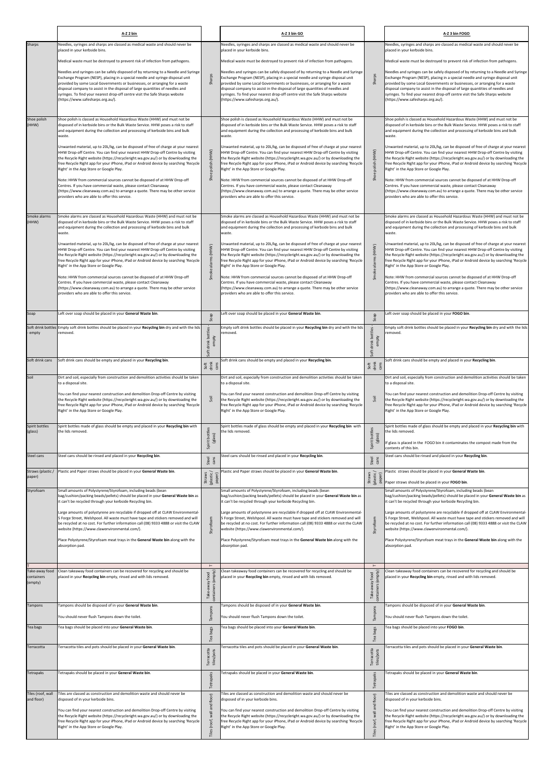|                                         | A-Z 2 bin                                                                                                                                                                                                                                                                                                                                                                                                                                                                                                                                  |                                                     | A-Z 3 bin GO                                                                                                                                                                                                                                                                                                                                                                                                                                                                                                                               |                                                     | A-Z 3 bin FOGO                                                                                                                                                                                                                                                                                                                                                                                                                                                                                                                             |
|-----------------------------------------|--------------------------------------------------------------------------------------------------------------------------------------------------------------------------------------------------------------------------------------------------------------------------------------------------------------------------------------------------------------------------------------------------------------------------------------------------------------------------------------------------------------------------------------------|-----------------------------------------------------|--------------------------------------------------------------------------------------------------------------------------------------------------------------------------------------------------------------------------------------------------------------------------------------------------------------------------------------------------------------------------------------------------------------------------------------------------------------------------------------------------------------------------------------------|-----------------------------------------------------|--------------------------------------------------------------------------------------------------------------------------------------------------------------------------------------------------------------------------------------------------------------------------------------------------------------------------------------------------------------------------------------------------------------------------------------------------------------------------------------------------------------------------------------------|
| Sharps                                  | Needles, syringes and sharps are classed as medical waste and should never be<br>placed in your kerbside bins.                                                                                                                                                                                                                                                                                                                                                                                                                             |                                                     | Needles, syringes and sharps are classed as medical waste and should never be<br>placed in your kerbside bins.                                                                                                                                                                                                                                                                                                                                                                                                                             |                                                     | Needles, syringes and sharps are classed as medical waste and should never be<br>placed in your kerbside bins.                                                                                                                                                                                                                                                                                                                                                                                                                             |
|                                         | Medical waste must be destroyed to prevent risk of infection from pathogens.                                                                                                                                                                                                                                                                                                                                                                                                                                                               |                                                     | Medical waste must be destroyed to prevent risk of infection from pathogens.                                                                                                                                                                                                                                                                                                                                                                                                                                                               |                                                     | Medical waste must be destroyed to prevent risk of infection from pathogens.                                                                                                                                                                                                                                                                                                                                                                                                                                                               |
|                                         | Needles and syringes can be safely disposed of by returning to a Needle and Syringe<br>Exchange Program (NESP), placing in a special needle and syringe disposal unit<br>provided by some Local Governments or businesses, or arranging for a waste<br>disposal company to assist in the disposal of large quantities of needles and<br>syringes. To find your nearest drop-off centre visit the Safe Sharps website<br>(https://www.safesharps.org.au/).                                                                                  | Sharps                                              | Needles and syringes can be safely disposed of by returning to a Needle and Syringe<br>Exchange Program (NESP), placing in a special needle and syringe disposal unit<br>provided by some Local Governments or businesses, or arranging for a waste<br>disposal company to assist in the disposal of large quantities of needles and<br>syringes. To find your nearest drop-off centre visit the Safe Sharps website<br>(https://www.safesharps.org.au/).                                                                                  | Sharps                                              | Needles and syringes can be safely disposed of by returning to a Needle and Syringe<br>Exchange Program (NESP), placing in a special needle and syringe disposal unit<br>provided by some Local Governments or businesses, or arranging for a waste<br>disposal company to assist in the disposal of large quantities of needles and<br>syringes. To find your nearest drop-off centre visit the Safe Sharps website<br>(https://www.safesharps.org.au/).                                                                                  |
| Shoe polish<br>(HHW)                    | Shoe polish is classed as Household Hazardous Waste (HHW) and must not be<br>disposed of in kerbside bins or the Bulk Waste Service. HHW poses a risk to staff<br>and equipment during the collection and processing of kerbside bins and bulk<br>waste.                                                                                                                                                                                                                                                                                   |                                                     | Shoe polish is classed as Household Hazardous Waste (HHW) and must not be<br>disposed of in kerbside bins or the Bulk Waste Service. HHW poses a risk to staff<br>and equipment during the collection and processing of kerbside bins and bulk<br>waste.                                                                                                                                                                                                                                                                                   |                                                     | Shoe polish is classed as Household Hazardous Waste (HHW) and must not be<br>disposed of in kerbside bins or the Bulk Waste Service. HHW poses a risk to staff<br>and equipment during the collection and processing of kerbside bins and bulk<br>waste.                                                                                                                                                                                                                                                                                   |
|                                         | Unwanted material, up to 20L/kg, can be disposed of free of charge at your nearest<br>HHW Drop-off Centre. You can find your nearest HHW Drop-off Centre by visiting<br>the Recycle Right website (https://recycleright.wa.gov.au/) or by downloading the<br>free Recycle Right app for your iPhone, iPad or Android device by searching 'Recycle<br>Right' in the App Store or Google Play.<br>Note: HHW from commercial sources cannot be disposed of at HHW Drop-off<br>Centres. If you have commercial waste, please contact Cleanaway | (HHW)<br>polish (<br>Shoe                           | Unwanted material, up to 20L/kg, can be disposed of free of charge at your nearest<br>HHW Drop-off Centre. You can find your nearest HHW Drop-off Centre by visiting<br>the Recycle Right website (https://recycleright.wa.gov.au/) or by downloading the<br>free Recycle Right app for your iPhone, iPad or Android device by searching 'Recycle<br>Right' in the App Store or Google Play.<br>Note: HHW from commercial sources cannot be disposed of at HHW Drop-off<br>Centres. If you have commercial waste, please contact Cleanaway | Shoe polish (HHW)                                   | Unwanted material, up to 20L/kg, can be disposed of free of charge at your nearest<br>HHW Drop-off Centre. You can find your nearest HHW Drop-off Centre by visiting<br>the Recycle Right website (https://recycleright.wa.gov.au/) or by downloading the<br>free Recycle Right app for your iPhone, iPad or Android device by searching 'Recycle<br>Right' in the App Store or Google Play.<br>Note: HHW from commercial sources cannot be disposed of at HHW Drop-off<br>Centres. If you have commercial waste, please contact Cleanaway |
|                                         | (https://www.cleanaway.com.au) to arrange a quote. There may be other service<br>providers who are able to offer this service.                                                                                                                                                                                                                                                                                                                                                                                                             |                                                     | (https://www.cleanaway.com.au) to arrange a quote. There may be other service<br>providers who are able to offer this service.                                                                                                                                                                                                                                                                                                                                                                                                             |                                                     | (https://www.cleanaway.com.au) to arrange a quote. There may be other service<br>providers who are able to offer this service.                                                                                                                                                                                                                                                                                                                                                                                                             |
| Smoke alarms<br>(HHW)                   | Smoke alarms are classed as Household Hazardous Waste (HHW) and must not be<br>disposed of in kerbside bins or the Bulk Waste Service. HHW poses a risk to staff<br>and equipment during the collection and processing of kerbside bins and bulk<br>waste.                                                                                                                                                                                                                                                                                 |                                                     | Smoke alarms are classed as Household Hazardous Waste (HHW) and must not be<br>disposed of in kerbside bins or the Bulk Waste Service. HHW poses a risk to staff<br>and equipment during the collection and processing of kerbside bins and bulk<br>waste.                                                                                                                                                                                                                                                                                 |                                                     | Smoke alarms are classed as Household Hazardous Waste (HHW) and must not be<br>disposed of in kerbside bins or the Bulk Waste Service. HHW poses a risk to staff<br>and equipment during the collection and processing of kerbside bins and bulk<br>waste.                                                                                                                                                                                                                                                                                 |
|                                         | Unwanted material, up to 20L/kg, can be disposed of free of charge at your nearest<br>HHW Drop-off Centre. You can find your nearest HHW Drop-off Centre by visiting<br>the Recycle Right website (https://recycleright.wa.gov.au/) or by downloading the<br>free Recycle Right app for your iPhone, iPad or Android device by searching 'Recycle<br>Right' in the App Store or Google Play.                                                                                                                                               | (HHW)<br>Smoke alarms                               | Unwanted material, up to 20L/kg, can be disposed of free of charge at your nearest<br>HHW Drop-off Centre. You can find your nearest HHW Drop-off Centre by visiting<br>the Recycle Right website (https://recycleright.wa.gov.au/) or by downloading the<br>ree Recycle Right app for your iPhone, iPad or Android device by searching 'Recycle'<br>Right' in the App Store or Google Play.                                                                                                                                               | Smoke alarms (HHW)                                  | Unwanted material, up to 20L/kg, can be disposed of free of charge at your nearest<br>HHW Drop-off Centre. You can find your nearest HHW Drop-off Centre by visiting<br>the Recycle Right website (https://recycleright.wa.gov.au/) or by downloading the<br>free Recycle Right app for your iPhone, iPad or Android device by searching 'Recycle<br>Right' in the App Store or Google Play.                                                                                                                                               |
|                                         | Note: HHW from commercial sources cannot be disposed of at HHW Drop-off<br>Centres. If you have commercial waste, please contact Cleanaway<br>(https://www.cleanaway.com.au) to arrange a quote. There may be other service<br>providers who are able to offer this service.                                                                                                                                                                                                                                                               |                                                     | Note: HHW from commercial sources cannot be disposed of at HHW Drop-off<br>Centres. If you have commercial waste, please contact Cleanaway<br>(https://www.cleanaway.com.au) to arrange a quote. There may be other service<br>providers who are able to offer this service.                                                                                                                                                                                                                                                               |                                                     | Note: HHW from commercial sources cannot be disposed of at HHW Drop-off<br>Centres. If you have commercial waste, please contact Cleanaway<br>(https://www.cleanaway.com.au) to arrange a quote. There may be other service<br>providers who are able to offer this service.                                                                                                                                                                                                                                                               |
| Soap                                    | Left over soap should be placed in your General Waste bin.                                                                                                                                                                                                                                                                                                                                                                                                                                                                                 | ა,                                                  | Left over soap should be placed in your General Waste bin.                                                                                                                                                                                                                                                                                                                                                                                                                                                                                 | de<br>ທ                                             | Left over soap should be placed in your FOGO bin.                                                                                                                                                                                                                                                                                                                                                                                                                                                                                          |
| empty                                   | Soft drink bottles Empty soft drink bottles should be placed in your Recycling bin dry and with the lids<br>removed.                                                                                                                                                                                                                                                                                                                                                                                                                       | bottles<br>empty<br>Soft drink                      | Empty soft drink bottles should be placed in your Recycling bin dry and with the lids<br>emoved.                                                                                                                                                                                                                                                                                                                                                                                                                                           | Soft drink bottles<br>empty                         | Empty soft drink bottles should be placed in your Recycling bin dry and with the lids<br>removed.                                                                                                                                                                                                                                                                                                                                                                                                                                          |
| Soft drink cans                         | Soft drink cans should be empty and placed in your Recycling bin.                                                                                                                                                                                                                                                                                                                                                                                                                                                                          | Soft<br>drink<br>cans                               | Soft drink cans should be empty and placed in your Recycling bin.                                                                                                                                                                                                                                                                                                                                                                                                                                                                          | Soft<br>drink<br>cans                               | Soft drink cans should be empty and placed in your Recycling bin.                                                                                                                                                                                                                                                                                                                                                                                                                                                                          |
| Soil                                    | Dirt and soil, especially from construction and demolition activities should be taken                                                                                                                                                                                                                                                                                                                                                                                                                                                      |                                                     | Dirt and soil, especially from construction and demolition activities should be taken                                                                                                                                                                                                                                                                                                                                                                                                                                                      |                                                     | Dirt and soil, especially from construction and demolition activities should be taken                                                                                                                                                                                                                                                                                                                                                                                                                                                      |
|                                         | to a disposal site.<br>You can find your nearest construction and demolition Drop-off Centre by visiting<br>the Recycle Right website (https://recycleright.wa.gov.au/) or by downloading the<br>free Recycle Right app for your iPhone, iPad or Android device by searching 'Recycle<br>Right' in the App Store or Google Play.                                                                                                                                                                                                           | Soil                                                | to a disposal site.<br>You can find your nearest construction and demolition Drop-off Centre by visiting<br>the Recycle Right website (https://recycleright.wa.gov.au/) or by downloading the<br>free Recycle Right app for your iPhone, iPad or Android device by searching 'Recycle<br>Right' in the App Store or Google Play.                                                                                                                                                                                                           | Soil                                                | to a disposal site.<br>You can find your nearest construction and demolition Drop-off Centre by visiting<br>the Recycle Right website (https://recycleright.wa.gov.au/) or by downloading the<br>free Recycle Right app for your iPhone, iPad or Android device by searching 'Recycle<br>Right' in the App Store or Google Play.                                                                                                                                                                                                           |
| Spirit bottles<br>(glass)               | Spirit bottles made of glass should be empty and placed in your Recycling bin with<br>the lids removed.                                                                                                                                                                                                                                                                                                                                                                                                                                    | Spirit bottles<br>(glass)                           | Spirit bottles made of glass should be empty and placed in your Recycling bin with<br>he lids removed.                                                                                                                                                                                                                                                                                                                                                                                                                                     | Spirit bottles<br>(glass)                           | Spirit bottles made of glass should be empty and placed in your Recycling bin with<br>the lids removed.<br>If glass is placed in the FOGO bin it contaminates the compost made from the<br>contents of this bin.                                                                                                                                                                                                                                                                                                                           |
| Steel cans                              | Steel cans should be rinsed and placed in your Recycling bin.                                                                                                                                                                                                                                                                                                                                                                                                                                                                              | Steel<br>cans                                       | Steel cans should be rinsed and placed in your Recycling bin.                                                                                                                                                                                                                                                                                                                                                                                                                                                                              | Steel<br>cans                                       | Steel cans should be rinsed and placed in your Recycling bin.                                                                                                                                                                                                                                                                                                                                                                                                                                                                              |
| Straws (plastic /<br>paper)             | Plastic and Paper straws should be placed in your General Waste bin.                                                                                                                                                                                                                                                                                                                                                                                                                                                                       |                                                     | Plastic and Paper straws should be placed in your General Waste bin.                                                                                                                                                                                                                                                                                                                                                                                                                                                                       |                                                     | Plastic straws should be placed in your General Waste bin.                                                                                                                                                                                                                                                                                                                                                                                                                                                                                 |
| Styrofoam                               | Small amounts of Polystyrene/Styrofoam, including beads (bean<br>bag/cushion/packing beads/pellets) should be placed in your General Waste bin as<br>it can't be recycled through your kerbside Recycling bin.                                                                                                                                                                                                                                                                                                                             | Straws<br>(plastic/<br>paper)                       | Small amounts of Polystyrene/Styrofoam, including beads (bean<br>bag/cushion/packing beads/pellets) should be placed in your General Waste bin as<br>t can't be recycled through your kerbside Recycling bin.                                                                                                                                                                                                                                                                                                                              | Straws<br>(plastic /<br>paper)                      | Paper straws should be placed in your FOGO bin.<br>Small amounts of Polystyrene/Styrofoam, including beads (bean<br>bag/cushion/packing beads/pellets) should be placed in your General Waste bin as<br>it can't be recycled through your kerbside Recycling bin.                                                                                                                                                                                                                                                                          |
|                                         | Large amounts of polystyrene are recyclable if dropped off at CLAW Environmental-<br>5 Forge Street, Welshpool. All waste must have tape and stickers removed and will<br>be recycled at no cost. For further information call (08) 9333 4888 or visit the CLAW<br>website (https://www.clawenvironmental.com/).                                                                                                                                                                                                                           | Styrofoam                                           | arge amounts of polystyrene are recyclable if dropped off at CLAW Environmental-<br>5 Forge Street, Welshpool. All waste must have tape and stickers removed and will<br>be recycled at no cost. For further information call (08) 9333 4888 or visit the CLAW<br>website (https://www.clawenvironmental.com/).                                                                                                                                                                                                                            | Styrofoam                                           | Large amounts of polystyrene are recyclable if dropped off at CLAW Environmental-<br>5 Forge Street, Welshpool. All waste must have tape and stickers removed and will<br>be recycled at no cost. For further information call (08) 9333 4888 or visit the CLAW<br>website (https://www.clawenvironmental.com/).                                                                                                                                                                                                                           |
|                                         | Place Polystyrene/Styrofoam meat trays in the General Waste bin along with the<br>absorption pad.                                                                                                                                                                                                                                                                                                                                                                                                                                          |                                                     | Place Polystyrene/Styrofoam meat trays in the General Waste bin along with the<br>absorption pad.                                                                                                                                                                                                                                                                                                                                                                                                                                          |                                                     | Place Polystyrene/Styrofoam meat trays in the General Waste bin along with the<br>absorption pad.                                                                                                                                                                                                                                                                                                                                                                                                                                          |
| Take-away food<br>containers<br>(empty) | Clean takeaway food containers can be recovered for recycling and should be<br>placed in your Recycling bin empty, rinsed and with lids removed.                                                                                                                                                                                                                                                                                                                                                                                           | $\vdash$<br>(empty)<br>Take-away food<br>containers | Clean takeaway food containers can be recovered for recycling and should be<br>placed in your Recycling bin empty, rinsed and with lids removed.                                                                                                                                                                                                                                                                                                                                                                                           | $\vdash$<br>(empty)<br>Take-away food<br>containers | Clean takeaway food containers can be recovered for recycling and should be<br>placed in your Recycling bin empty, rinsed and with lids removed.                                                                                                                                                                                                                                                                                                                                                                                           |
| Tampons                                 | Tampons should be disposed of in your General Waste bin.<br>You should never flush Tampons down the toilet.                                                                                                                                                                                                                                                                                                                                                                                                                                | pons                                                | Tampons should be disposed of in your General Waste bin.<br>You should never flush Tampons down the toilet.                                                                                                                                                                                                                                                                                                                                                                                                                                | pons                                                | Tampons should be disposed of in your General Waste bin.<br>You should never flush Tampons down the toilet.                                                                                                                                                                                                                                                                                                                                                                                                                                |
| Tea bags                                | Tea bags should be placed into your General Waste bin.                                                                                                                                                                                                                                                                                                                                                                                                                                                                                     | Tam<br>Tea bags                                     | Tea bags should be placed into your General Waste bin.                                                                                                                                                                                                                                                                                                                                                                                                                                                                                     | Tam<br>Tea bags                                     | Tea bags should be placed into your FOGO bin.                                                                                                                                                                                                                                                                                                                                                                                                                                                                                              |
| Terracotta                              | Terracotta tiles and pots should be placed in your General Waste bin.                                                                                                                                                                                                                                                                                                                                                                                                                                                                      | Terracotta<br>tiles/pots                            | erracotta tiles and pots should be placed in your General Waste bin.                                                                                                                                                                                                                                                                                                                                                                                                                                                                       | Terracotta<br>tiles/pots                            | erracotta tiles and pots should be placed in your General Waste bin.                                                                                                                                                                                                                                                                                                                                                                                                                                                                       |
| Tetrapaks                               | Tetrapaks should be placed in your General Waste bin.                                                                                                                                                                                                                                                                                                                                                                                                                                                                                      | Tetrapaks                                           | Fetrapaks should be placed in your General Waste bin.                                                                                                                                                                                                                                                                                                                                                                                                                                                                                      | Tetrapaks                                           | Fetrapaks should be placed in your General Waste bin.                                                                                                                                                                                                                                                                                                                                                                                                                                                                                      |
| Tiles (roof, wall<br>and floor)         | Tiles are classed as construction and demolition waste and should never be<br>disposed of in your kerbside bins.                                                                                                                                                                                                                                                                                                                                                                                                                           | floor)                                              | Files are classed as construction and demolition waste and should never be<br>disposed of in your kerbside bins.                                                                                                                                                                                                                                                                                                                                                                                                                           | floor)                                              | Tiles are classed as construction and demolition waste and should never be<br>disposed of in your kerbside bins.                                                                                                                                                                                                                                                                                                                                                                                                                           |
|                                         | You can find your nearest construction and demolition Drop-off Centre by visiting<br>the Recycle Right website (https://recycleright.wa.gov.au/) or by downloading the<br>free Recycle Right app for your iPhone, iPad or Android device by searching 'Recycle<br>Right' in the App Store or Google Play.                                                                                                                                                                                                                                  | wall and<br>Tiles (roof,                            | You can find your nearest construction and demolition Drop-off Centre by visiting<br>the Recycle Right website (https://recycleright.wa.gov.au/) or by downloading the<br>ree Recycle Right app for your iPhone, iPad or Android device by searching 'Recycle<br>Right' in the App Store or Google Play.                                                                                                                                                                                                                                   | and<br>$\overline{\mathsf{ll}}$<br>Tiles (roof,     | You can find your nearest construction and demolition Drop-off Centre by visiting<br>the Recycle Right website (https://recycleright.wa.gov.au/) or by downloading the<br>free Recycle Right app for your iPhone, iPad or Android device by searching 'Recycle<br>Right' in the App Store or Google Play.                                                                                                                                                                                                                                  |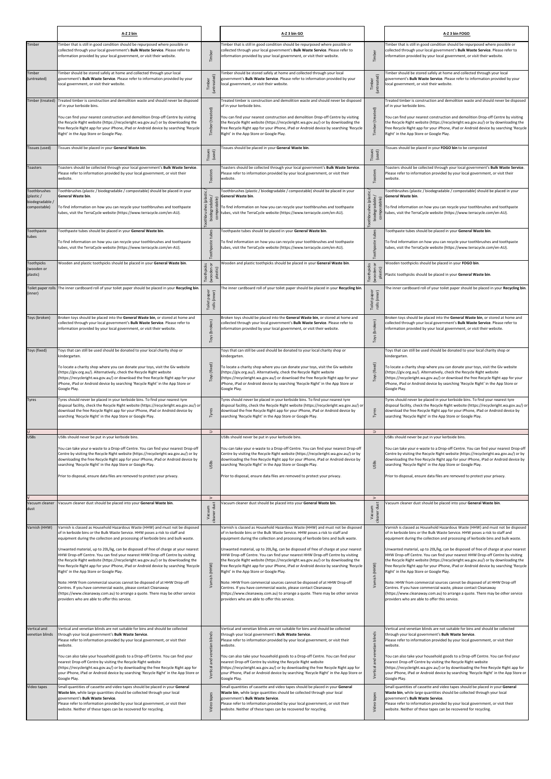|                                                               | A-Z 2 bin                                                                                                                                                                                                                                                                                                                                                                                                                                                                                                                                                                                                                                                                    |                                                        | A-Z 3 bin GO                                                                                                                                                                                                                                                                                                                                                                                                                                                                                                                                                                                                                                                                 |                                                            | A-Z 3 bin FOGO                                                                                                                                                                                                                                                                                                                                                                                                                                                                                                                                                                                                                                                               |
|---------------------------------------------------------------|------------------------------------------------------------------------------------------------------------------------------------------------------------------------------------------------------------------------------------------------------------------------------------------------------------------------------------------------------------------------------------------------------------------------------------------------------------------------------------------------------------------------------------------------------------------------------------------------------------------------------------------------------------------------------|--------------------------------------------------------|------------------------------------------------------------------------------------------------------------------------------------------------------------------------------------------------------------------------------------------------------------------------------------------------------------------------------------------------------------------------------------------------------------------------------------------------------------------------------------------------------------------------------------------------------------------------------------------------------------------------------------------------------------------------------|------------------------------------------------------------|------------------------------------------------------------------------------------------------------------------------------------------------------------------------------------------------------------------------------------------------------------------------------------------------------------------------------------------------------------------------------------------------------------------------------------------------------------------------------------------------------------------------------------------------------------------------------------------------------------------------------------------------------------------------------|
| Timber                                                        | Timber that is still in good condition should be repurposed where possible or<br>collected through your local government's Bulk Waste Service. Please refer to<br>information provided by your local government, or visit their website.                                                                                                                                                                                                                                                                                                                                                                                                                                     | Timber                                                 | Timber that is still in good condition should be repurposed where possible or<br>collected through your local government's Bulk Waste Service. Please refer to<br>information provided by your local government, or visit their website.                                                                                                                                                                                                                                                                                                                                                                                                                                     | Timber                                                     | Timber that is still in good condition should be repurposed where possible or<br>collected through your local government's Bulk Waste Service. Please refer to<br>information provided by your local government, or visit their website.                                                                                                                                                                                                                                                                                                                                                                                                                                     |
| Timber<br>(untreated)                                         | Timber should be stored safely at home and collected through your local<br>government's <b>Bulk Waste Service</b> . Please refer to information provided by your<br>local government, or visit their website.                                                                                                                                                                                                                                                                                                                                                                                                                                                                | (untreated)<br>Timber                                  | Timber should be stored safely at home and collected through your local<br>government's Bulk Waste Service. Please refer to information provided by your<br>local government, or visit their website.                                                                                                                                                                                                                                                                                                                                                                                                                                                                        | (untreated)<br>Timber                                      | Timber should be stored safely at home and collected through your local<br>government's Bulk Waste Service. Please refer to information provided by your<br>local government, or visit their website.                                                                                                                                                                                                                                                                                                                                                                                                                                                                        |
| Timber (treated)                                              | Treated timber is construction and demolition waste and should never be disposed<br>of in your kerbside bins.<br>You can find your nearest construction and demolition Drop-off Centre by visiting<br>the Recycle Right website (https://recycleright.wa.gov.au/) or by downloading the<br>free Recycle Right app for your iPhone, iPad or Android device by searching 'Recycle<br>Right' in the App Store or Google Play.                                                                                                                                                                                                                                                   | Timber (treated)                                       | Treated timber is construction and demolition waste and should never be disposed<br>of in your kerbside bins.<br>You can find your nearest construction and demolition Drop-off Centre by visiting<br>the Recycle Right website (https://recycleright.wa.gov.au/) or by downloading the<br>free Recycle Right app for your iPhone, iPad or Android device by searching 'Recycle<br>Right' in the App Store or Google Play.                                                                                                                                                                                                                                                   | eated)<br>Timber                                           | Treated timber is construction and demolition waste and should never be disposed<br>of in your kerbside bins.<br>You can find your nearest construction and demolition Drop-off Centre by visiting<br>the Recycle Right website (https://recycleright.wa.gov.au/) or by downloading the<br>free Recycle Right app for your iPhone, iPad or Android device by searching 'Recycle<br>Right' in the App Store or Google Play.                                                                                                                                                                                                                                                   |
| Tissues (used)                                                | Tissues should be placed in your General Waste bin.                                                                                                                                                                                                                                                                                                                                                                                                                                                                                                                                                                                                                          | Tissues<br>(used)                                      | Tissues should be placed in your General Waste bin.                                                                                                                                                                                                                                                                                                                                                                                                                                                                                                                                                                                                                          | Tissues<br>(used)                                          | Tissues should be placed in your FOGO bin to be composted                                                                                                                                                                                                                                                                                                                                                                                                                                                                                                                                                                                                                    |
| Toasters                                                      | Toasters should be collected through your local government's Bulk Waste Service.<br>Please refer to information provided by your local government, or visit their<br>website.                                                                                                                                                                                                                                                                                                                                                                                                                                                                                                | Toasters                                               | Toasters should be collected through your local government's Bulk Waste Service.<br>Please refer to information provided by your local government, or visit their<br>website.                                                                                                                                                                                                                                                                                                                                                                                                                                                                                                | Toaster                                                    | Toasters should be collected through your local government's Bulk Waste Service.<br>Please refer to information provided by your local government, or visit their<br>website.                                                                                                                                                                                                                                                                                                                                                                                                                                                                                                |
| Toothbrushes<br>(plastic /<br>biodegradable /<br>compostable) | Toothbrushes (plastic / biodegradable / compostable) should be placed in your<br>General Waste bin.<br>To find information on how you can recycle your toothbrushes and toothpaste<br>tubes, visit the TerraCycle website (https://www.terracycle.com/en-AU).                                                                                                                                                                                                                                                                                                                                                                                                                | othbrushes (plastii<br>biodegradable /<br>compostable) | Toothbrushes (plastic / biodegradable / compostable) should be placed in your<br>General Waste bin.<br>To find information on how you can recycle your toothbrushes and toothpaste<br>tubes, visit the TerraCycle website (https://www.terracycle.com/en-AU).                                                                                                                                                                                                                                                                                                                                                                                                                | Toothbrushes (plastic /<br>biodegradable /<br>compostable) | Toothbrushes (plastic / biodegradable / compostable) should be placed in your<br>General Waste bin.<br>To find information on how you can recycle your toothbrushes and toothpaste<br>tubes, visit the TerraCycle website (https://www.terracycle.com/en-AU).                                                                                                                                                                                                                                                                                                                                                                                                                |
| Toothpaste<br>tubes                                           | Toothpaste tubes should be placed in your General Waste bin.<br>To find information on how you can recycle your toothbrushes and toothpaste<br>tubes, visit the TerraCycle website (https://www.terracycle.com/en-AU).                                                                                                                                                                                                                                                                                                                                                                                                                                                       | Toothpaste tubes                                       | Toothpaste tubes should be placed in your General Waste bin.<br>To find information on how you can recycle your toothbrushes and toothpaste<br>tubes, visit the TerraCycle website (https://www.terracycle.com/en-AU).                                                                                                                                                                                                                                                                                                                                                                                                                                                       | tubes<br>Toothpaste                                        | Toothpaste tubes should be placed in your General Waste bin.<br>To find information on how you can recycle your toothbrushes and toothpaste<br>tubes, visit the TerraCycle website (https://www.terracycle.com/en-AU).                                                                                                                                                                                                                                                                                                                                                                                                                                                       |
| Toothpicks<br>(wooden or<br>plastic)                          | Wooden and plastic toothpicks should be placed in your General Waste bin.                                                                                                                                                                                                                                                                                                                                                                                                                                                                                                                                                                                                    | ŏ<br>oothpicks<br>(wooden<br>plastic)                  | Wooden and plastic toothpicks should be placed in your General Waste bin.                                                                                                                                                                                                                                                                                                                                                                                                                                                                                                                                                                                                    | Toothpicks<br>(wooden or<br>plastic)                       | Wooden toothpicks should be placed in your FOGO bin.<br>Plastic toothpicks should be placed in your General Waste bin.                                                                                                                                                                                                                                                                                                                                                                                                                                                                                                                                                       |
| (inner)                                                       | Toilet paper rolls The inner cardboard roll of your toilet paper should be placed in your Recycling bin.                                                                                                                                                                                                                                                                                                                                                                                                                                                                                                                                                                     | Toilet paper<br>rolls (inner)                          | The inner cardboard roll of your toilet paper should be placed in your Recycling bin                                                                                                                                                                                                                                                                                                                                                                                                                                                                                                                                                                                         | Toilet paper<br>rolls (inner)                              | The inner cardboard roll of your toilet paper should be placed in your Recycling bin.                                                                                                                                                                                                                                                                                                                                                                                                                                                                                                                                                                                        |
| oys (broken)                                                  | Broken toys should be placed into the General Waste bin, or stored at home and<br>collected through your local government's Bulk Waste Service. Please refer to<br>information provided by your local government, or visit their website.                                                                                                                                                                                                                                                                                                                                                                                                                                    | Toys (broken)                                          | Broken toys should be placed into the General Waste bin, or stored at home and<br>collected through your local government's Bulk Waste Service. Please refer to<br>information provided by your local government, or visit their website.                                                                                                                                                                                                                                                                                                                                                                                                                                    | (broken)<br>Toys                                           | Broken toys should be placed into the General Waste bin, or stored at home and<br>collected through your local government's Bulk Waste Service. Please refer to<br>information provided by your local government, or visit their website.                                                                                                                                                                                                                                                                                                                                                                                                                                    |
| Toys (fixed)                                                  | Toys that can still be used should be donated to your local charity shop or<br>kindergarten.<br>To locate a charity shop where you can donate your toys, visit the Giv website                                                                                                                                                                                                                                                                                                                                                                                                                                                                                               |                                                        | Toys that can still be used should be donated to your local charity shop or<br>kindergarten.<br>To locate a charity shop where you can donate your toys, visit the Giv website                                                                                                                                                                                                                                                                                                                                                                                                                                                                                               |                                                            | Toys that can still be used should be donated to your local charity shop or<br>kindergarten.<br>To locate a charity shop where you can donate your toys, visit the Giv website                                                                                                                                                                                                                                                                                                                                                                                                                                                                                               |
|                                                               | (https://giv.org.au/). Alternatively, check the Recycle Right website<br>(https://recycleright.wa.gov.au/) or download the free Recycle Right app for your<br>iPhone, iPad or Android device by searching 'Recycle Right' in the App Store or<br>Google Play.                                                                                                                                                                                                                                                                                                                                                                                                                | Toys (fixed)                                           | (https://giv.org.au/). Alternatively, check the Recycle Right website<br>(https://recycleright.wa.gov.au/) or download the free Recycle Right app for your<br>iPhone, iPad or Android device by searching 'Recycle Right' in the App Store or<br>Google Play.                                                                                                                                                                                                                                                                                                                                                                                                                | Toys (fixed)                                               | (https://giv.org.au/). Alternatively, check the Recycle Right website<br>(https://recycleright.wa.gov.au/) or download the free Recycle Right app for your<br>iPhone, iPad or Android device by searching 'Recycle Right' in the App Store or<br>Google Play.                                                                                                                                                                                                                                                                                                                                                                                                                |
| <b>Tyres</b>                                                  | Tyres should never be placed in your kerbside bins. To find your nearest tyre<br>disposal facility, check the Recycle Right website (https://recycleright.wa.gov.au/) or<br>download the free Recycle Right app for your iPhone, iPad or Android device by<br>searching 'Recycle Right' in the App Store or Google Play.                                                                                                                                                                                                                                                                                                                                                     | Tyres                                                  | Tyres should never be placed in your kerbside bins. To find your nearest tyre<br>disposal facility, check the Recycle Right website (https://recycleright.wa.gov.au/) or<br>download the free Recycle Right app for your iPhone, iPad or Android device by<br>searching 'Recycle Right' in the App Store or Google Play.                                                                                                                                                                                                                                                                                                                                                     | Tyres                                                      | Tyres should never be placed in your kerbside bins. To find your nearest tyre<br>disposal facility, check the Recycle Right website (https://recycleright.wa.gov.au/) or<br>download the free Recycle Right app for your iPhone, iPad or Android device by<br>searching 'Recycle Right' in the App Store or Google Play.                                                                                                                                                                                                                                                                                                                                                     |
| <b>USBs</b>                                                   | USBs should never be put in your kerbside bins.                                                                                                                                                                                                                                                                                                                                                                                                                                                                                                                                                                                                                              | $\supset$                                              | USBs should never be put in your kerbside bins.                                                                                                                                                                                                                                                                                                                                                                                                                                                                                                                                                                                                                              | $\supset$                                                  | USBs should never be put in your kerbside bins.                                                                                                                                                                                                                                                                                                                                                                                                                                                                                                                                                                                                                              |
|                                                               | You can take your e-waste to a Drop-off Centre. You can find your nearest Drop-off<br>Centre by visiting the Recycle Right website (https://recycleright.wa.gov.au/) or by<br>downloading the free Recycle Right app for your iPhone, iPad or Android device by<br>searching 'Recycle Right' in the App Store or Google Play.<br>Prior to disposal, ensure data files are removed to protect your privacy.                                                                                                                                                                                                                                                                   | JSB <sub>S</sub>                                       | You can take your e-waste to a Drop-off Centre. You can find your nearest Drop-off<br>Centre by visiting the Recycle Right website (https://recycleright.wa.gov.au/) or by<br>downloading the free Recycle Right app for your iPhone, iPad or Android device by<br>searching 'Recycle Right' in the App Store or Google Play.<br>Prior to disposal, ensure data files are removed to protect your privacy.                                                                                                                                                                                                                                                                   | USBs                                                       | You can take your e-waste to a Drop-off Centre. You can find your nearest Drop-off<br>Centre by visiting the Recycle Right website (https://recycleright.wa.gov.au/) or by<br>downloading the free Recycle Right app for your iPhone, iPad or Android device by<br>searching 'Recycle Right' in the App Store or Google Play.<br>Prior to disposal, ensure data files are removed to protect your privacy.                                                                                                                                                                                                                                                                   |
| Vacuum cleaner<br>dust                                        | Vacuum cleaner dust should be placed into your General Waste bin.                                                                                                                                                                                                                                                                                                                                                                                                                                                                                                                                                                                                            | $\geq$<br>Vacuum<br>킁<br>cleaner                       | /acuum cleaner dust should be placed into your General Waste bin.                                                                                                                                                                                                                                                                                                                                                                                                                                                                                                                                                                                                            | $\geq$<br>dust<br>Vacuum<br>cleaner                        | Vacuum cleaner dust should be placed into your General Waste bin.                                                                                                                                                                                                                                                                                                                                                                                                                                                                                                                                                                                                            |
| Varnish (HHW)                                                 | Varnish is classed as Household Hazardous Waste (HHW) and must not be disposed<br>of in kerbside bins or the Bulk Waste Service. HHW poses a risk to staff and<br>equipment during the collection and processing of kerbside bins and bulk waste.                                                                                                                                                                                                                                                                                                                                                                                                                            |                                                        | Varnish is classed as Household Hazardous Waste (HHW) and must not be disposed<br>of in kerbside bins or the Bulk Waste Service. HHW poses a risk to staff and<br>equipment during the collection and processing of kerbside bins and bulk waste.                                                                                                                                                                                                                                                                                                                                                                                                                            |                                                            | Varnish is classed as Household Hazardous Waste (HHW) and must not be disposed<br>of in kerbside bins or the Bulk Waste Service. HHW poses a risk to staff and<br>equipment during the collection and processing of kerbside bins and bulk waste.                                                                                                                                                                                                                                                                                                                                                                                                                            |
|                                                               | Unwanted material, up to 20L/kg, can be disposed of free of charge at your nearest<br>HHW Drop-off Centre. You can find your nearest HHW Drop-off Centre by visiting<br>the Recycle Right website (https://recycleright.wa.gov.au/) or by downloading the<br>free Recycle Right app for your iPhone, iPad or Android device by searching 'Recycle<br>Right' in the App Store or Google Play.<br>Note: HHW from commercial sources cannot be disposed of at HHW Drop-off<br>Centres. If you have commercial waste, please contact Cleanaway<br>(https://www.cleanaway.com.au) to arrange a quote. There may be other service<br>providers who are able to offer this service. | Varnish (HHW)                                          | Unwanted material, up to 20L/kg, can be disposed of free of charge at your nearest<br>HHW Drop-off Centre. You can find your nearest HHW Drop-off Centre by visiting<br>the Recycle Right website (https://recycleright.wa.gov.au/) or by downloading the<br>free Recycle Right app for your iPhone, iPad or Android device by searching 'Recycle<br>Right' in the App Store or Google Play.<br>Note: HHW from commercial sources cannot be disposed of at HHW Drop-off<br>Centres. If you have commercial waste, please contact Cleanaway<br>(https://www.cleanaway.com.au) to arrange a quote. There may be other service<br>providers who are able to offer this service. | Varnish (HHW)                                              | Unwanted material, up to 20L/kg, can be disposed of free of charge at your nearest<br>HHW Drop-off Centre. You can find your nearest HHW Drop-off Centre by visiting<br>the Recycle Right website (https://recycleright.wa.gov.au/) or by downloading the<br>free Recycle Right app for your iPhone, iPad or Android device by searching 'Recycle<br>Right' in the App Store or Google Play.<br>Note: HHW from commercial sources cannot be disposed of at HHW Drop-off<br>Centres. If you have commercial waste, please contact Cleanaway<br>(https://www.cleanaway.com.au) to arrange a quote. There may be other service<br>providers who are able to offer this service. |
| Vertical and                                                  | Vertical and venetian blinds are not suitable for bins and should be collected                                                                                                                                                                                                                                                                                                                                                                                                                                                                                                                                                                                               |                                                        | Vertical and venetian blinds are not suitable for bins and should be collected                                                                                                                                                                                                                                                                                                                                                                                                                                                                                                                                                                                               |                                                            | Vertical and venetian blinds are not suitable for bins and should be collected                                                                                                                                                                                                                                                                                                                                                                                                                                                                                                                                                                                               |
| venetian blinds                                               | through your local government's Bulk Waste Service.<br>Please refer to information provided by your local government, or visit their<br>website.                                                                                                                                                                                                                                                                                                                                                                                                                                                                                                                             | and venetian blinds                                    | through your local government's Bulk Waste Service.<br>Please refer to information provided by your local government, or visit their<br>website.                                                                                                                                                                                                                                                                                                                                                                                                                                                                                                                             | blinds<br>venetian                                         | through your local government's Bulk Waste Service.<br>Please refer to information provided by your local government, or visit their<br>website.                                                                                                                                                                                                                                                                                                                                                                                                                                                                                                                             |
|                                                               | You can also take your household goods to a Drop-off Centre. You can find your<br>nearest Drop-off Centre by visiting the Recycle Right website<br>(https://recycleright.wa.gov.au/) or by downloading the free Recycle Right app for<br>your iPhone, iPad or Android device by searching 'Recycle Right' in the App Store or<br>Google Play.                                                                                                                                                                                                                                                                                                                                | Vertical                                               | You can also take your household goods to a Drop-off Centre. You can find your<br>nearest Drop-off Centre by visiting the Recycle Right website<br>(https://recycleright.wa.gov.au/) or by downloading the free Recycle Right app for<br>your iPhone, iPad or Android device by searching 'Recycle Right' in the App Store or<br>Google Play.                                                                                                                                                                                                                                                                                                                                | and<br>Vertical                                            | You can also take your household goods to a Drop-off Centre. You can find your<br>nearest Drop-off Centre by visiting the Recycle Right website<br>(https://recycleright.wa.gov.au/) or by downloading the free Recycle Right app for<br>your iPhone, iPad or Android device by searching 'Recycle Right' in the App Store or<br>Google Play.                                                                                                                                                                                                                                                                                                                                |
| Video tapes                                                   | Small quantities of cassette and video tapes should be placed in your General<br>Waste bin, while large quantities should be collected through your local<br>government's Bulk Waste Service.<br>Please refer to information provided by your local government, or visit their<br>website. Neither of these tapes can be recovered for recycling.                                                                                                                                                                                                                                                                                                                            | tapes<br>video                                         | Small quantities of cassette and video tapes should be placed in your General<br>Waste bin, while large quantities should be collected through your local<br>government's Bulk Waste Service.<br>Please refer to information provided by your local government, or visit their<br>website. Neither of these tapes can be recovered for recycling.                                                                                                                                                                                                                                                                                                                            | tapes<br>Video                                             | Small quantities of cassette and video tapes should be placed in your General<br>Waste bin, while large quantities should be collected through your local<br>government's Bulk Waste Service.<br>Please refer to information provided by your local government, or visit their<br>website. Neither of these tapes can be recovered for recycling.                                                                                                                                                                                                                                                                                                                            |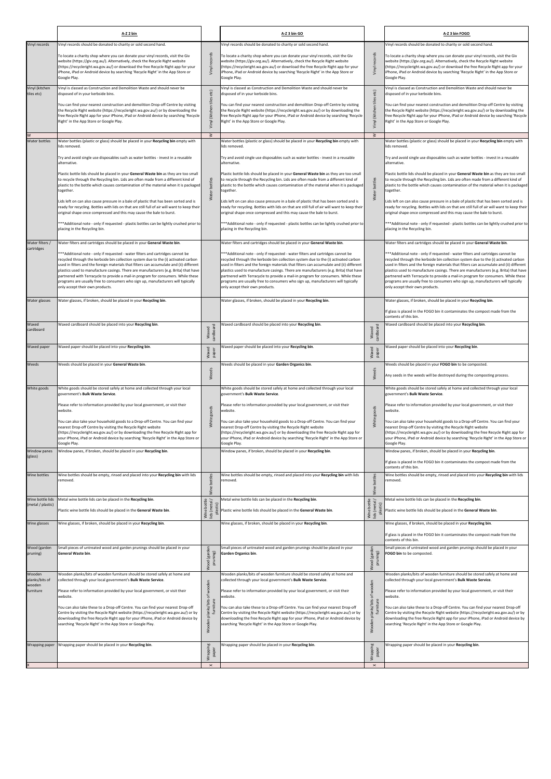|                                       | A-Z 2 bin                                                                                                                                                                                                                                                                                                                                                                                                                                                                                                                                                               |                                          | A-Z 3 bin GO                                                                                                                                                                                                                                                                                                                                                                                                                                                                                                                                                            |                                                   | A-Z 3 bin FOGO                                                                                                                                                                                                                                                                                                                                                                                                                                                                                                                                                         |
|---------------------------------------|-------------------------------------------------------------------------------------------------------------------------------------------------------------------------------------------------------------------------------------------------------------------------------------------------------------------------------------------------------------------------------------------------------------------------------------------------------------------------------------------------------------------------------------------------------------------------|------------------------------------------|-------------------------------------------------------------------------------------------------------------------------------------------------------------------------------------------------------------------------------------------------------------------------------------------------------------------------------------------------------------------------------------------------------------------------------------------------------------------------------------------------------------------------------------------------------------------------|---------------------------------------------------|------------------------------------------------------------------------------------------------------------------------------------------------------------------------------------------------------------------------------------------------------------------------------------------------------------------------------------------------------------------------------------------------------------------------------------------------------------------------------------------------------------------------------------------------------------------------|
| Vinyl records                         | Vinyl records should be donated to charity or sold second hand.                                                                                                                                                                                                                                                                                                                                                                                                                                                                                                         |                                          | Vinyl records should be donated to charity or sold second hand.                                                                                                                                                                                                                                                                                                                                                                                                                                                                                                         |                                                   | Vinyl records should be donated to charity or sold second hand.                                                                                                                                                                                                                                                                                                                                                                                                                                                                                                        |
|                                       | To locate a charity shop where you can donate your vinyl records, visit the Giv<br>website (https://giv.org.au/). Alternatively, check the Recycle Right website<br>(https://recycleright.wa.gov.au/) or download the free Recycle Right app for your<br>iPhone, iPad or Android device by searching 'Recycle Right' in the App Store or<br>Google Play.                                                                                                                                                                                                                | Vinyl records                            | To locate a charity shop where you can donate your vinyl records, visit the Giv<br>website (https://giv.org.au/). Alternatively, check the Recycle Right website<br>(https://recycleright.wa.gov.au/) or download the free Recycle Right app for your<br>iPhone, iPad or Android device by searching 'Recycle Right' in the App Store or<br>Google Play.                                                                                                                                                                                                                | Vinyl records                                     | To locate a charity shop where you can donate your vinyl records, visit the Giv<br>website (https://giv.org.au/). Alternatively, check the Recycle Right website<br>(https://recycleright.wa.gov.au/) or download the free Recycle Right app for your<br>iPhone, iPad or Android device by searching 'Recycle Right' in the App Store or<br>Google Play.                                                                                                                                                                                                               |
| Vinyl (kitchen<br>tiles etc)          | Vinyl is classed as Construction and Demolition Waste and should never be<br>disposed of in your kerbside bins.                                                                                                                                                                                                                                                                                                                                                                                                                                                         | etc                                      | Vinyl is classed as Construction and Demolition Waste and should never be<br>disposed of in your kerbside bins.                                                                                                                                                                                                                                                                                                                                                                                                                                                         | etc)                                              | Vinyl is classed as Construction and Demolition Waste and should never be<br>disposed of in your kerbside bins.                                                                                                                                                                                                                                                                                                                                                                                                                                                        |
|                                       | You can find your nearest construction and demolition Drop-off Centre by visiting<br>the Recycle Right website (https://recycleright.wa.gov.au/) or by downloading the<br>free Recycle Right app for your iPhone, iPad or Android device by searching 'Recycle<br>Right' in the App Store or Google Play.                                                                                                                                                                                                                                                               | tiles<br>Vinyl (kitchen                  | You can find your nearest construction and demolition Drop-off Centre by visiting<br>the Recycle Right website (https://recycleright.wa.gov.au/) or by downloading the<br>free Recycle Right app for your iPhone, iPad or Android device by searching 'Recycle<br>Right' in the App Store or Google Play.                                                                                                                                                                                                                                                               | tiles<br>(kitchen<br>Vinyl 1                      | You can find your nearest construction and demolition Drop-off Centre by visiting<br>the Recycle Right website (https://recycleright.wa.gov.au/) or by downloading the<br>free Recycle Right app for your iPhone, iPad or Android device by searching 'Recycle<br>Right' in the App Store or Google Play.                                                                                                                                                                                                                                                              |
| W<br><b>Water bottles</b>             | Water bottles (plastic or glass) should be placed in your Recycling bin empty with<br>lids removed.                                                                                                                                                                                                                                                                                                                                                                                                                                                                     | $\geq$                                   | Water bottles (plastic or glass) should be placed in your Recycling bin empty with<br>lids removed.                                                                                                                                                                                                                                                                                                                                                                                                                                                                     | $\geq$                                            | Water bottles (plastic or glass) should be placed in your Recycling bin empty with<br>lids removed.                                                                                                                                                                                                                                                                                                                                                                                                                                                                    |
|                                       | Try and avoid single use disposables such as water bottles - invest in a reusable<br>alternative.                                                                                                                                                                                                                                                                                                                                                                                                                                                                       |                                          | Try and avoid single use disposables such as water bottles - invest in a reusable<br>alternative.                                                                                                                                                                                                                                                                                                                                                                                                                                                                       |                                                   | Try and avoid single use disposables such as water bottles - invest in a reusable<br>alternative.                                                                                                                                                                                                                                                                                                                                                                                                                                                                      |
|                                       | Plastic bottle lids should be placed in your General Waste bin as they are too small<br>to recycle through the Recycling bin. Lids are often made from a different kind of<br>plastic to the bottle which causes contamination of the material when it is packaged<br>together.                                                                                                                                                                                                                                                                                         | Water bottles                            | Plastic bottle lids should be placed in your General Waste bin as they are too small<br>to recycle through the Recycling bin. Lids are often made from a different kind of<br>plastic to the bottle which causes contamination of the material when it is packaged<br>together.                                                                                                                                                                                                                                                                                         | bottles<br>Water <sup>1</sup>                     | Plastic bottle lids should be placed in your General Waste bin as they are too small<br>to recycle through the Recycling bin. Lids are often made from a different kind of<br>plastic to the bottle which causes contamination of the material when it is packaged<br>together.                                                                                                                                                                                                                                                                                        |
|                                       | Lids left on can also cause pressure in a bale of plastic that has been sorted and is<br>ready for recycling. Bottles with lids on that are still full of air will want to keep their<br>original shape once compressed and this may cause the bale to burst.                                                                                                                                                                                                                                                                                                           |                                          | Lids left on can also cause pressure in a bale of plastic that has been sorted and is<br>ready for recycling. Bottles with lids on that are still full of air will want to keep their<br>original shape once compressed and this may cause the bale to burst.                                                                                                                                                                                                                                                                                                           |                                                   | Lids left on can also cause pressure in a bale of plastic that has been sorted and is<br>ready for recycling. Bottles with lids on that are still full of air will want to keep their<br>original shape once compressed and this may cause the bale to burst.                                                                                                                                                                                                                                                                                                          |
|                                       | *** Additional note - only if requested - plastic bottles can be lightly crushed prior to<br>placing in the Recycling bin.                                                                                                                                                                                                                                                                                                                                                                                                                                              |                                          | *** Additional note - only if requested - plastic bottles can be lightly crushed prior to<br>placing in the Recycling bin.                                                                                                                                                                                                                                                                                                                                                                                                                                              |                                                   | ***Additional note - only if requested - plastic bottles can be lightly crushed prior to<br>placing in the Recycling bin.                                                                                                                                                                                                                                                                                                                                                                                                                                              |
| Water filters /                       | Water filters and cartridges should be placed in your General Waste bin.                                                                                                                                                                                                                                                                                                                                                                                                                                                                                                |                                          | Water filters and cartridges should be placed in your General Waste bin.                                                                                                                                                                                                                                                                                                                                                                                                                                                                                                |                                                   | Water filters and cartridges should be placed in your General Waste bin.                                                                                                                                                                                                                                                                                                                                                                                                                                                                                               |
| cartridges                            | *** Additional note - only if requested - water filters and cartridges cannot be<br>recycled through the kerbside bin collection system due to the (i) activated carbon<br>used in filters and the foreign materials that filters can accumulate and (ii) different<br>plastics used to manufacture casings. There are manufacturers (e.g. Brita) that have<br>partnered with Terracycle to provide a mail-in program for consumers. While these<br>programs are usually free to consumers who sign up, manufacturers will typically<br>only accept their own products. |                                          | *** Additional note - only if requested - water filters and cartridges cannot be<br>recycled through the kerbside bin collection system due to the (i) activated carbon<br>used in filters and the foreign materials that filters can accumulate and (ii) different<br>plastics used to manufacture casings. There are manufacturers (e.g. Brita) that have<br>partnered with Terracycle to provide a mail-in program for consumers. While these<br>programs are usually free to consumers who sign up, manufacturers will typically<br>only accept their own products. |                                                   | ***Additional note - only if requested - water filters and cartridges cannot be<br>recycled through the kerbside bin collection system due to the (i) activated carbon<br>used in filters and the foreign materials that filters can accumulate and (ii) different<br>plastics used to manufacture casings. There are manufacturers (e.g. Brita) that have<br>partnered with Terracycle to provide a mail-in program for consumers. While these<br>programs are usually free to consumers who sign up, manufacturers will typically<br>only accept their own products. |
| Water glasses                         | Water glasses, if broken, should be placed in your Recycling bin.                                                                                                                                                                                                                                                                                                                                                                                                                                                                                                       |                                          | Water glasses, if broken, should be placed in your Recycling bin.                                                                                                                                                                                                                                                                                                                                                                                                                                                                                                       |                                                   | Water glasses, if broken, should be placed in your Recycling bin.<br>If glass is placed in the FOGO bin it contaminates the compost made from the<br>contents of this bin.                                                                                                                                                                                                                                                                                                                                                                                             |
| Waxed<br>cardboard                    | Waxed cardboard should be placed into your Recycling bin.                                                                                                                                                                                                                                                                                                                                                                                                                                                                                                               | cardboard<br>Waxed                       | Waxed cardboard should be placed into your Recycling bin.                                                                                                                                                                                                                                                                                                                                                                                                                                                                                                               | cardboard<br>Waxed                                | Waxed cardboard should be placed into your Recycling bin.                                                                                                                                                                                                                                                                                                                                                                                                                                                                                                              |
| Waxed paper                           | Waxed paper should be placed into your Recycling bin.                                                                                                                                                                                                                                                                                                                                                                                                                                                                                                                   | Waxed<br>paper                           | Waxed paper should be placed into your Recycling bin.                                                                                                                                                                                                                                                                                                                                                                                                                                                                                                                   | Waxed<br>paper                                    | Waxed paper should be placed into your Recycling bin.                                                                                                                                                                                                                                                                                                                                                                                                                                                                                                                  |
| Weeds                                 | Weeds should be placed in your General Waste bin.                                                                                                                                                                                                                                                                                                                                                                                                                                                                                                                       | Weeds                                    | Weeds should be placed in your Garden Organics bin.                                                                                                                                                                                                                                                                                                                                                                                                                                                                                                                     | Weeds                                             | Weeds should be placed in your FOGO bin to be composted.<br>Any seeds in the weeds will be destroyed during the composting process.                                                                                                                                                                                                                                                                                                                                                                                                                                    |
| White goods                           | White goods should be stored safely at home and collected through your local<br>government's Bulk Waste Service.                                                                                                                                                                                                                                                                                                                                                                                                                                                        |                                          | White goods should be stored safely at home and collected through your local<br>government's Bulk Waste Service.                                                                                                                                                                                                                                                                                                                                                                                                                                                        |                                                   | White goods should be stored safely at home and collected through your local<br>government's Bulk Waste Service.                                                                                                                                                                                                                                                                                                                                                                                                                                                       |
|                                       | Please refer to information provided by your local government, or visit their<br>website.                                                                                                                                                                                                                                                                                                                                                                                                                                                                               |                                          | Please refer to information provided by your local government, or visit their<br>website.                                                                                                                                                                                                                                                                                                                                                                                                                                                                               | goods                                             | Please refer to information provided by your local government, or visit their<br>website.                                                                                                                                                                                                                                                                                                                                                                                                                                                                              |
|                                       | You can also take your household goods to a Drop-off Centre. You can find your<br>nearest Drop-off Centre by visiting the Recycle Right website<br>(https://recycleright.wa.gov.au/) or by downloading the free Recycle Right app for<br>your iPhone, iPad or Android device by searching 'Recycle Right' in the App Store or<br>Google Play.                                                                                                                                                                                                                           | White goods                              | You can also take your household goods to a Drop-off Centre. You can find your<br>nearest Drop-off Centre by visiting the Recycle Right website<br>(https://recycleright.wa.gov.au/) or by downloading the free Recycle Right app for<br>your iPhone, iPad or Android device by searching 'Recycle Right' in the App Store or<br>Google Play.                                                                                                                                                                                                                           | White                                             | You can also take your household goods to a Drop-off Centre. You can find your<br>nearest Drop-off Centre by visiting the Recycle Right website<br>(https://recycleright.wa.gov.au/) or by downloading the free Recycle Right app for<br>your iPhone, iPad or Android device by searching 'Recycle Right' in the App Store or<br>Google Play.                                                                                                                                                                                                                          |
| Window panes<br>(glass)               | Window panes, if broken, should be placed in your Recycling bin.                                                                                                                                                                                                                                                                                                                                                                                                                                                                                                        |                                          | Window panes, if broken, should be placed in your Recycling bin.                                                                                                                                                                                                                                                                                                                                                                                                                                                                                                        |                                                   | Window panes, if broken, should be placed in your Recycling bin.<br>If glass is placed in the FOGO bin it contaminates the compost made from the<br>contents of this bin.                                                                                                                                                                                                                                                                                                                                                                                              |
| Wine bottles                          | Wine bottles should be empty, rinsed and placed into your Recycling bin with lids<br>removed.                                                                                                                                                                                                                                                                                                                                                                                                                                                                           | bottles<br>Wine                          | Wine bottles should be empty, rinsed and placed into your Recycling bin with lids<br>removed.                                                                                                                                                                                                                                                                                                                                                                                                                                                                           | bottles<br>Wine                                   | Wine bottles should be empty, rinsed and placed into your Recycling bin with lids<br>removed.                                                                                                                                                                                                                                                                                                                                                                                                                                                                          |
| Wine bottle lids<br>(metal / plastic) | Metal wine bottle lids can be placed in the Recycling bin.<br>Plastic wine bottle lids should be placed in the General Waste bin.                                                                                                                                                                                                                                                                                                                                                                                                                                       | Wine bottle<br>lids (metal /<br>plastic) | Metal wine bottle lids can be placed in the Recycling bin.<br>Plastic wine bottle lids should be placed in the General Waste bin.                                                                                                                                                                                                                                                                                                                                                                                                                                       | Wine bottle<br>lids (metal /<br>plastic)          | Metal wine bottle lids can be placed in the Recycling bin.<br>Plastic wine bottle lids should be placed in the General Waste bin.                                                                                                                                                                                                                                                                                                                                                                                                                                      |
| Wine glasses                          | Wine glasses, if broken, should be placed in your Recycling bin.                                                                                                                                                                                                                                                                                                                                                                                                                                                                                                        |                                          | Wine glasses, if broken, should be placed in your Recycling bin.                                                                                                                                                                                                                                                                                                                                                                                                                                                                                                        |                                                   | Wine glasses, if broken, should be placed in your Recycling bin.<br>If glass is placed in the FOGO bin it contaminates the compost made from the<br>contents of this bin.                                                                                                                                                                                                                                                                                                                                                                                              |
| Wood (garden<br>pruning)              | Small pieces of untreated wood and garden prunings should be placed in your<br>General Waste bin.                                                                                                                                                                                                                                                                                                                                                                                                                                                                       | Wood (garden<br>pruning)                 | Small pieces of untreated wood and garden prunings should be placed in your<br>Garden Organics bin.                                                                                                                                                                                                                                                                                                                                                                                                                                                                     | Wood (garden<br>pruning)                          | Small pieces of untreated wood and garden prunings should be placed in your<br>FOGO bin to be composted.                                                                                                                                                                                                                                                                                                                                                                                                                                                               |
| Wooden<br>planks/bits of              | Wooden planks/bits of wooden furniture should be stored safely at home and<br>collected through your local government's Bulk Waste Service.                                                                                                                                                                                                                                                                                                                                                                                                                             |                                          | Wooden planks/bits of wooden furniture should be stored safely at home and<br>collected through your local government's Bulk Waste Service.                                                                                                                                                                                                                                                                                                                                                                                                                             |                                                   | Wooden planks/bits of wooden furniture should be stored safely at home and<br>collected through your local government's Bulk Waste Service.                                                                                                                                                                                                                                                                                                                                                                                                                            |
| wooden<br>furniture                   | Please refer to information provided by your local government, or visit their<br>website.                                                                                                                                                                                                                                                                                                                                                                                                                                                                               | of wooden                                | Please refer to information provided by your local government, or visit their<br>website.                                                                                                                                                                                                                                                                                                                                                                                                                                                                               | of wooden                                         | Please refer to information provided by your local government, or visit their<br>website.                                                                                                                                                                                                                                                                                                                                                                                                                                                                              |
|                                       | You can also take these to a Drop-off Centre. You can find your nearest Drop-off<br>Centre by visiting the Recycle Right website (https://recycleright.wa.gov.au/) or by<br>downloading the free Recycle Right app for your iPhone, iPad or Android device by<br>searching 'Recycle Right' in the App Store or Google Play.                                                                                                                                                                                                                                             | inks/bits<br>$\ddot{a}$<br>Wooden        | You can also take these to a Drop-off Centre. You can find your nearest Drop-off<br>Centre by visiting the Recycle Right website (https://recycleright.wa.gov.au/) or by<br>downloading the free Recycle Right app for your iPhone, iPad or Android device by<br>searching 'Recycle Right' in the App Store or Google Play.                                                                                                                                                                                                                                             | anks/bits<br>urnitu<br>$\ddot{\bar{a}}$<br>Wooden | You can also take these to a Drop-off Centre. You can find your nearest Drop-off<br>Centre by visiting the Recycle Right website (https://recycleright.wa.gov.au/) or by<br>downloading the free Recycle Right app for your iPhone, iPad or Android device by<br>searching 'Recycle Right' in the App Store or Google Play.                                                                                                                                                                                                                                            |
| Wrapping paper                        | Wrapping paper should be placed in your Recycling bin.                                                                                                                                                                                                                                                                                                                                                                                                                                                                                                                  | Wrapping<br>paper                        | Wrapping paper should be placed in your Recycling bin.                                                                                                                                                                                                                                                                                                                                                                                                                                                                                                                  | Wrapping<br>paper                                 | Wrapping paper should be placed in your Recycling bin.                                                                                                                                                                                                                                                                                                                                                                                                                                                                                                                 |
|                                       |                                                                                                                                                                                                                                                                                                                                                                                                                                                                                                                                                                         | $\pmb{\times}$                           |                                                                                                                                                                                                                                                                                                                                                                                                                                                                                                                                                                         | $\times$                                          |                                                                                                                                                                                                                                                                                                                                                                                                                                                                                                                                                                        |